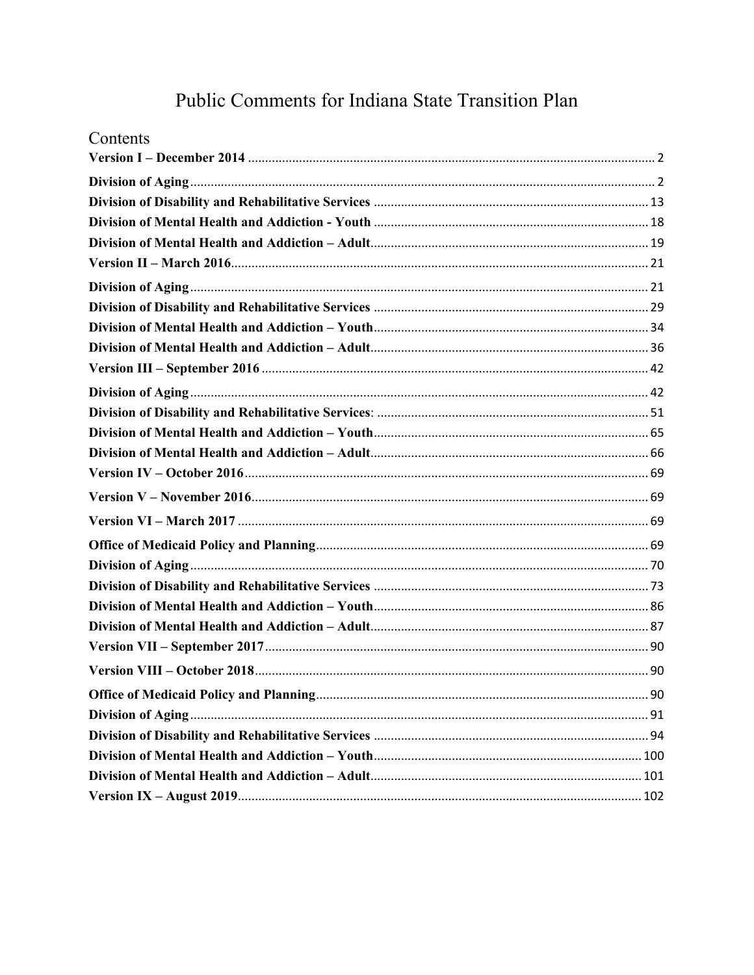# Public Comments for Indiana State Transition Plan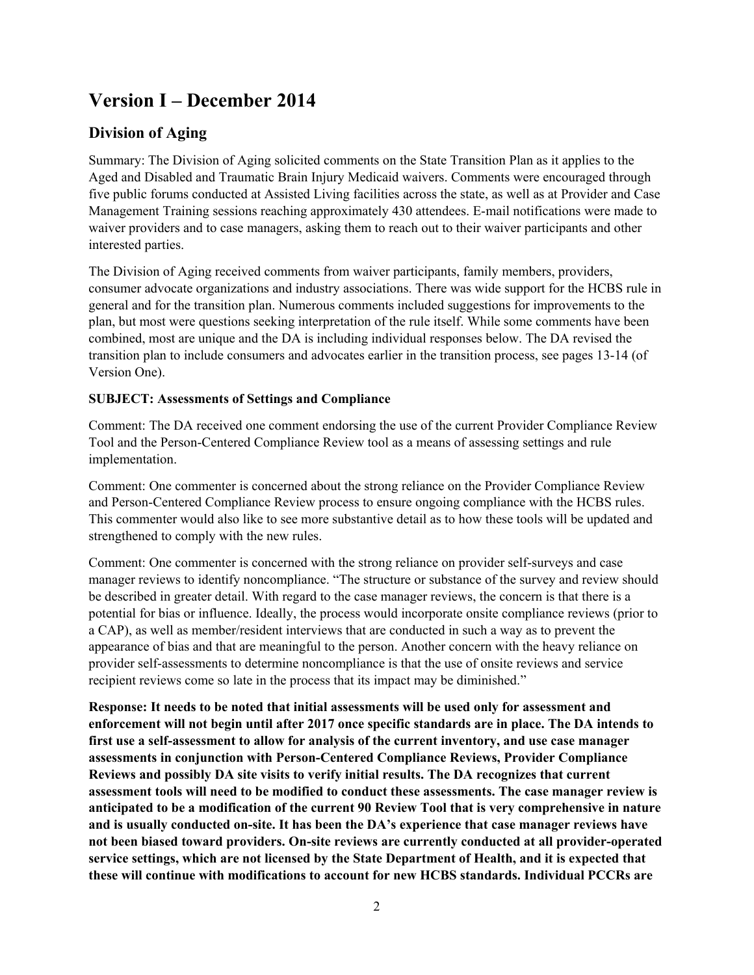# <span id="page-1-0"></span>**Version I – December 2014**

# <span id="page-1-1"></span>**Division of Aging**

Summary: The Division of Aging solicited comments on the State Transition Plan as it applies to the Aged and Disabled and Traumatic Brain Injury Medicaid waivers. Comments were encouraged through five public forums conducted at Assisted Living facilities across the state, as well as at Provider and Case Management Training sessions reaching approximately 430 attendees. E-mail notifications were made to waiver providers and to case managers, asking them to reach out to their waiver participants and other interested parties.

The Division of Aging received comments from waiver participants, family members, providers, consumer advocate organizations and industry associations. There was wide support for the HCBS rule in general and for the transition plan. Numerous comments included suggestions for improvements to the plan, but most were questions seeking interpretation of the rule itself. While some comments have been combined, most are unique and the DA is including individual responses below. The DA revised the transition plan to include consumers and advocates earlier in the transition process, see pages 13-14 (of Version One).

# **SUBJECT: Assessments of Settings and Compliance**

Comment: The DA received one comment endorsing the use of the current Provider Compliance Review Tool and the Person-Centered Compliance Review tool as a means of assessing settings and rule implementation.

Comment: One commenter is concerned about the strong reliance on the Provider Compliance Review and Person-Centered Compliance Review process to ensure ongoing compliance with the HCBS rules. This commenter would also like to see more substantive detail as to how these tools will be updated and strengthened to comply with the new rules.

Comment: One commenter is concerned with the strong reliance on provider self-surveys and case manager reviews to identify noncompliance. "The structure or substance of the survey and review should be described in greater detail. With regard to the case manager reviews, the concern is that there is a potential for bias or influence. Ideally, the process would incorporate onsite compliance reviews (prior to a CAP), as well as member/resident interviews that are conducted in such a way as to prevent the appearance of bias and that are meaningful to the person. Another concern with the heavy reliance on provider self-assessments to determine noncompliance is that the use of onsite reviews and service recipient reviews come so late in the process that its impact may be diminished."

**Response: It needs to be noted that initial assessments will be used only for assessment and enforcement will not begin until after 2017 once specific standards are in place. The DA intends to first use a self-assessment to allow for analysis of the current inventory, and use case manager assessments in conjunction with Person-Centered Compliance Reviews, Provider Compliance Reviews and possibly DA site visits to verify initial results. The DA recognizes that current assessment tools will need to be modified to conduct these assessments. The case manager review is anticipated to be a modification of the current 90 Review Tool that is very comprehensive in nature and is usually conducted on-site. It has been the DA's experience that case manager reviews have not been biased toward providers. On-site reviews are currently conducted at all provider-operated service settings, which are not licensed by the State Department of Health, and it is expected that these will continue with modifications to account for new HCBS standards. Individual PCCRs are**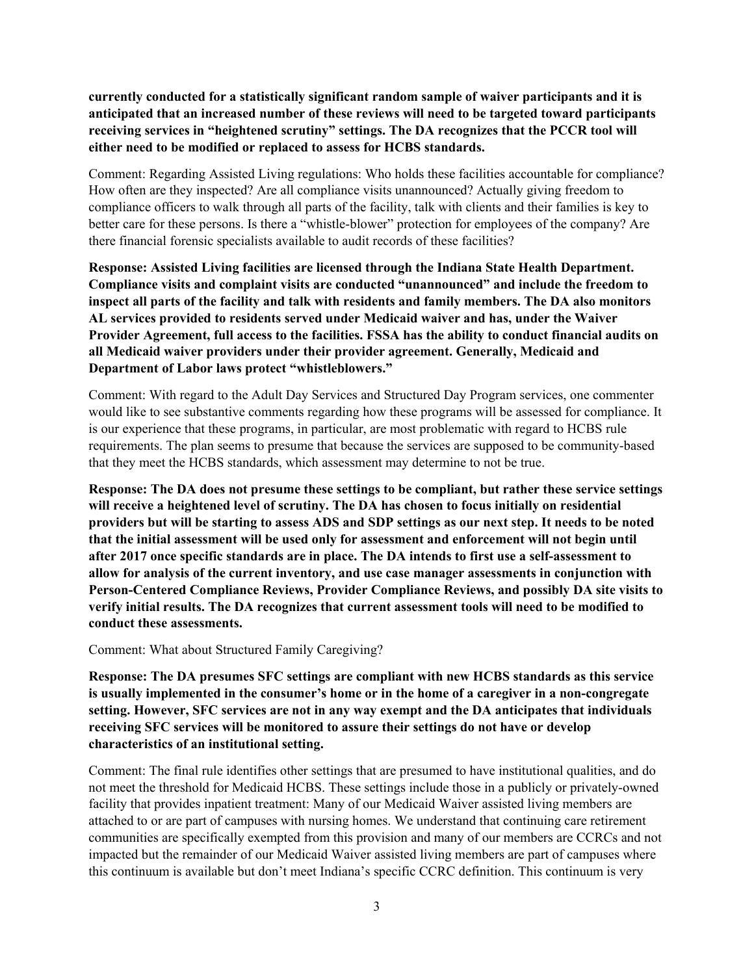**currently conducted for a statistically significant random sample of waiver participants and it is anticipated that an increased number of these reviews will need to be targeted toward participants receiving services in "heightened scrutiny" settings. The DA recognizes that the PCCR tool will either need to be modified or replaced to assess for HCBS standards.**

Comment: Regarding Assisted Living regulations: Who holds these facilities accountable for compliance? How often are they inspected? Are all compliance visits unannounced? Actually giving freedom to compliance officers to walk through all parts of the facility, talk with clients and their families is key to better care for these persons. Is there a "whistle-blower" protection for employees of the company? Are there financial forensic specialists available to audit records of these facilities?

**Response: Assisted Living facilities are licensed through the Indiana State Health Department. Compliance visits and complaint visits are conducted "unannounced" and include the freedom to inspect all parts of the facility and talk with residents and family members. The DA also monitors AL services provided to residents served under Medicaid waiver and has, under the Waiver Provider Agreement, full access to the facilities. FSSA has the ability to conduct financial audits on all Medicaid waiver providers under their provider agreement. Generally, Medicaid and Department of Labor laws protect "whistleblowers."**

Comment: With regard to the Adult Day Services and Structured Day Program services, one commenter would like to see substantive comments regarding how these programs will be assessed for compliance. It is our experience that these programs, in particular, are most problematic with regard to HCBS rule requirements. The plan seems to presume that because the services are supposed to be community-based that they meet the HCBS standards, which assessment may determine to not be true.

**Response: The DA does not presume these settings to be compliant, but rather these service settings will receive a heightened level of scrutiny. The DA has chosen to focus initially on residential providers but will be starting to assess ADS and SDP settings as our next step. It needs to be noted that the initial assessment will be used only for assessment and enforcement will not begin until after 2017 once specific standards are in place. The DA intends to first use a self-assessment to allow for analysis of the current inventory, and use case manager assessments in conjunction with Person-Centered Compliance Reviews, Provider Compliance Reviews, and possibly DA site visits to verify initial results. The DA recognizes that current assessment tools will need to be modified to conduct these assessments.**

Comment: What about Structured Family Caregiving?

**Response: The DA presumes SFC settings are compliant with new HCBS standards as this service is usually implemented in the consumer's home or in the home of a caregiver in a non-congregate setting. However, SFC services are not in any way exempt and the DA anticipates that individuals receiving SFC services will be monitored to assure their settings do not have or develop characteristics of an institutional setting.**

Comment: The final rule identifies other settings that are presumed to have institutional qualities, and do not meet the threshold for Medicaid HCBS. These settings include those in a publicly or privately-owned facility that provides inpatient treatment: Many of our Medicaid Waiver assisted living members are attached to or are part of campuses with nursing homes. We understand that continuing care retirement communities are specifically exempted from this provision and many of our members are CCRCs and not impacted but the remainder of our Medicaid Waiver assisted living members are part of campuses where this continuum is available but don't meet Indiana's specific CCRC definition. This continuum is very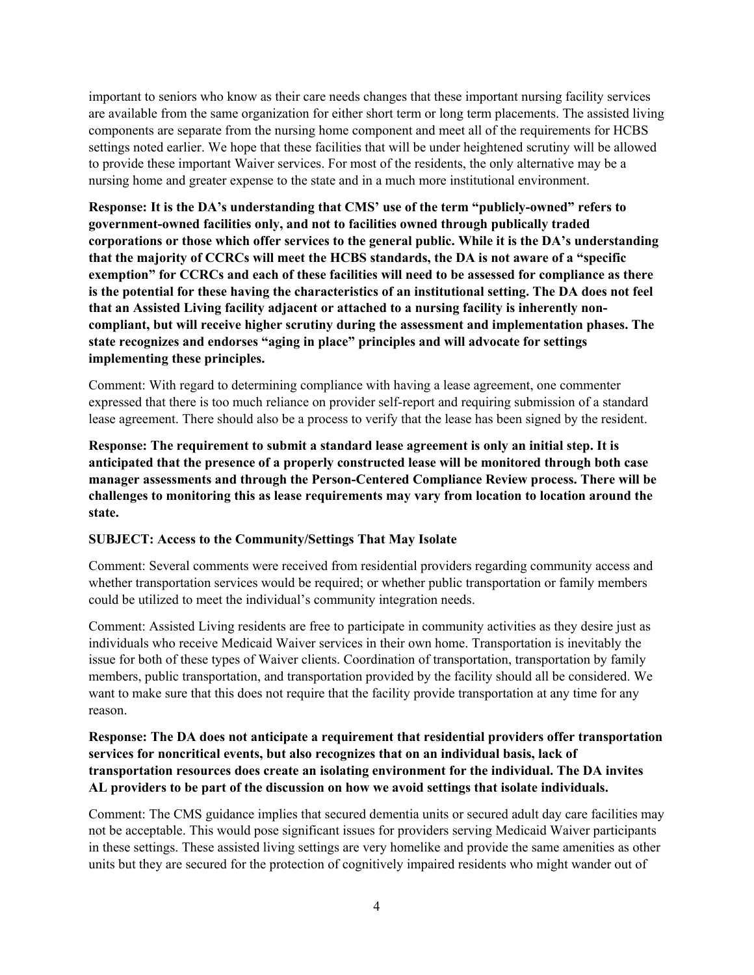important to seniors who know as their care needs changes that these important nursing facility services are available from the same organization for either short term or long term placements. The assisted living components are separate from the nursing home component and meet all of the requirements for HCBS settings noted earlier. We hope that these facilities that will be under heightened scrutiny will be allowed to provide these important Waiver services. For most of the residents, the only alternative may be a nursing home and greater expense to the state and in a much more institutional environment.

**Response: It is the DA's understanding that CMS' use of the term "publicly-owned" refers to government-owned facilities only, and not to facilities owned through publically traded corporations or those which offer services to the general public. While it is the DA's understanding that the majority of CCRCs will meet the HCBS standards, the DA is not aware of a "specific exemption" for CCRCs and each of these facilities will need to be assessed for compliance as there is the potential for these having the characteristics of an institutional setting. The DA does not feel that an Assisted Living facility adjacent or attached to a nursing facility is inherently noncompliant, but will receive higher scrutiny during the assessment and implementation phases. The state recognizes and endorses "aging in place" principles and will advocate for settings implementing these principles.**

Comment: With regard to determining compliance with having a lease agreement, one commenter expressed that there is too much reliance on provider self-report and requiring submission of a standard lease agreement. There should also be a process to verify that the lease has been signed by the resident.

**Response: The requirement to submit a standard lease agreement is only an initial step. It is anticipated that the presence of a properly constructed lease will be monitored through both case manager assessments and through the Person-Centered Compliance Review process. There will be challenges to monitoring this as lease requirements may vary from location to location around the state.**

#### **SUBJECT: Access to the Community/Settings That May Isolate**

Comment: Several comments were received from residential providers regarding community access and whether transportation services would be required; or whether public transportation or family members could be utilized to meet the individual's community integration needs.

Comment: Assisted Living residents are free to participate in community activities as they desire just as individuals who receive Medicaid Waiver services in their own home. Transportation is inevitably the issue for both of these types of Waiver clients. Coordination of transportation, transportation by family members, public transportation, and transportation provided by the facility should all be considered. We want to make sure that this does not require that the facility provide transportation at any time for any reason.

#### **Response: The DA does not anticipate a requirement that residential providers offer transportation services for noncritical events, but also recognizes that on an individual basis, lack of transportation resources does create an isolating environment for the individual. The DA invites AL providers to be part of the discussion on how we avoid settings that isolate individuals.**

Comment: The CMS guidance implies that secured dementia units or secured adult day care facilities may not be acceptable. This would pose significant issues for providers serving Medicaid Waiver participants in these settings. These assisted living settings are very homelike and provide the same amenities as other units but they are secured for the protection of cognitively impaired residents who might wander out of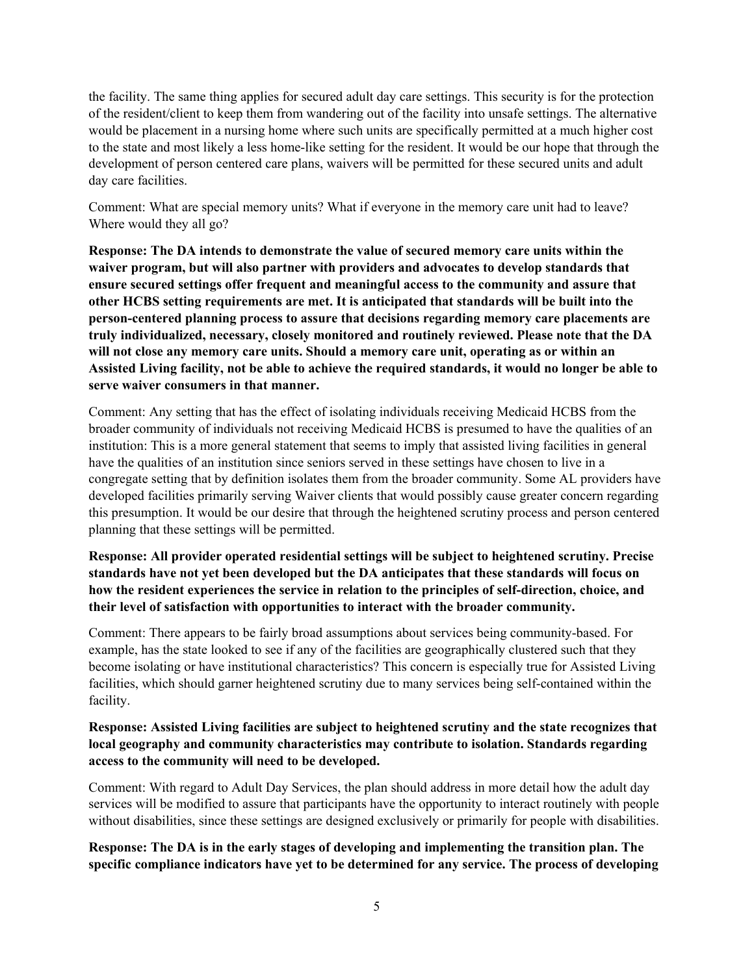the facility. The same thing applies for secured adult day care settings. This security is for the protection of the resident/client to keep them from wandering out of the facility into unsafe settings. The alternative would be placement in a nursing home where such units are specifically permitted at a much higher cost to the state and most likely a less home-like setting for the resident. It would be our hope that through the development of person centered care plans, waivers will be permitted for these secured units and adult day care facilities.

Comment: What are special memory units? What if everyone in the memory care unit had to leave? Where would they all go?

**Response: The DA intends to demonstrate the value of secured memory care units within the waiver program, but will also partner with providers and advocates to develop standards that ensure secured settings offer frequent and meaningful access to the community and assure that other HCBS setting requirements are met. It is anticipated that standards will be built into the person-centered planning process to assure that decisions regarding memory care placements are truly individualized, necessary, closely monitored and routinely reviewed. Please note that the DA will not close any memory care units. Should a memory care unit, operating as or within an Assisted Living facility, not be able to achieve the required standards, it would no longer be able to serve waiver consumers in that manner.**

Comment: Any setting that has the effect of isolating individuals receiving Medicaid HCBS from the broader community of individuals not receiving Medicaid HCBS is presumed to have the qualities of an institution: This is a more general statement that seems to imply that assisted living facilities in general have the qualities of an institution since seniors served in these settings have chosen to live in a congregate setting that by definition isolates them from the broader community. Some AL providers have developed facilities primarily serving Waiver clients that would possibly cause greater concern regarding this presumption. It would be our desire that through the heightened scrutiny process and person centered planning that these settings will be permitted.

### **Response: All provider operated residential settings will be subject to heightened scrutiny. Precise standards have not yet been developed but the DA anticipates that these standards will focus on how the resident experiences the service in relation to the principles of self-direction, choice, and their level of satisfaction with opportunities to interact with the broader community.**

Comment: There appears to be fairly broad assumptions about services being community-based. For example, has the state looked to see if any of the facilities are geographically clustered such that they become isolating or have institutional characteristics? This concern is especially true for Assisted Living facilities, which should garner heightened scrutiny due to many services being self-contained within the facility.

### **Response: Assisted Living facilities are subject to heightened scrutiny and the state recognizes that local geography and community characteristics may contribute to isolation. Standards regarding access to the community will need to be developed.**

Comment: With regard to Adult Day Services, the plan should address in more detail how the adult day services will be modified to assure that participants have the opportunity to interact routinely with people without disabilities, since these settings are designed exclusively or primarily for people with disabilities.

### **Response: The DA is in the early stages of developing and implementing the transition plan. The specific compliance indicators have yet to be determined for any service. The process of developing**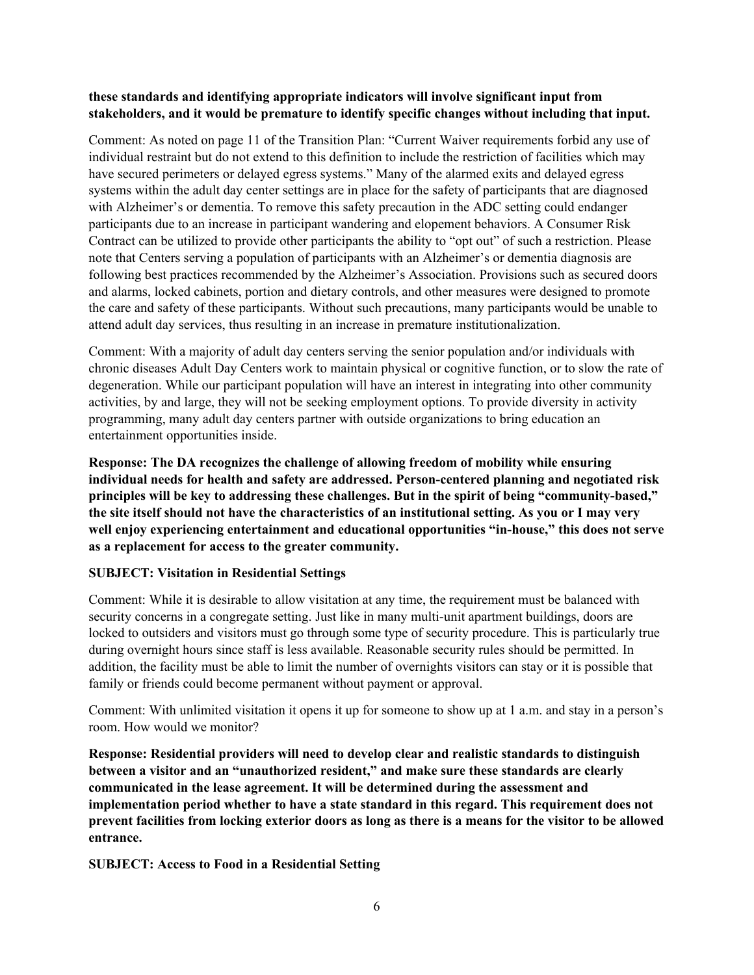#### **these standards and identifying appropriate indicators will involve significant input from stakeholders, and it would be premature to identify specific changes without including that input.**

Comment: As noted on page 11 of the Transition Plan: "Current Waiver requirements forbid any use of individual restraint but do not extend to this definition to include the restriction of facilities which may have secured perimeters or delayed egress systems." Many of the alarmed exits and delayed egress systems within the adult day center settings are in place for the safety of participants that are diagnosed with Alzheimer's or dementia. To remove this safety precaution in the ADC setting could endanger participants due to an increase in participant wandering and elopement behaviors. A Consumer Risk Contract can be utilized to provide other participants the ability to "opt out" of such a restriction. Please note that Centers serving a population of participants with an Alzheimer's or dementia diagnosis are following best practices recommended by the Alzheimer's Association. Provisions such as secured doors and alarms, locked cabinets, portion and dietary controls, and other measures were designed to promote the care and safety of these participants. Without such precautions, many participants would be unable to attend adult day services, thus resulting in an increase in premature institutionalization.

Comment: With a majority of adult day centers serving the senior population and/or individuals with chronic diseases Adult Day Centers work to maintain physical or cognitive function, or to slow the rate of degeneration. While our participant population will have an interest in integrating into other community activities, by and large, they will not be seeking employment options. To provide diversity in activity programming, many adult day centers partner with outside organizations to bring education an entertainment opportunities inside.

**Response: The DA recognizes the challenge of allowing freedom of mobility while ensuring individual needs for health and safety are addressed. Person-centered planning and negotiated risk principles will be key to addressing these challenges. But in the spirit of being "community-based," the site itself should not have the characteristics of an institutional setting. As you or I may very well enjoy experiencing entertainment and educational opportunities "in-house," this does not serve as a replacement for access to the greater community.**

### **SUBJECT: Visitation in Residential Settings**

Comment: While it is desirable to allow visitation at any time, the requirement must be balanced with security concerns in a congregate setting. Just like in many multi-unit apartment buildings, doors are locked to outsiders and visitors must go through some type of security procedure. This is particularly true during overnight hours since staff is less available. Reasonable security rules should be permitted. In addition, the facility must be able to limit the number of overnights visitors can stay or it is possible that family or friends could become permanent without payment or approval.

Comment: With unlimited visitation it opens it up for someone to show up at 1 a.m. and stay in a person's room. How would we monitor?

**Response: Residential providers will need to develop clear and realistic standards to distinguish between a visitor and an "unauthorized resident," and make sure these standards are clearly communicated in the lease agreement. It will be determined during the assessment and implementation period whether to have a state standard in this regard. This requirement does not prevent facilities from locking exterior doors as long as there is a means for the visitor to be allowed entrance.**

**SUBJECT: Access to Food in a Residential Setting**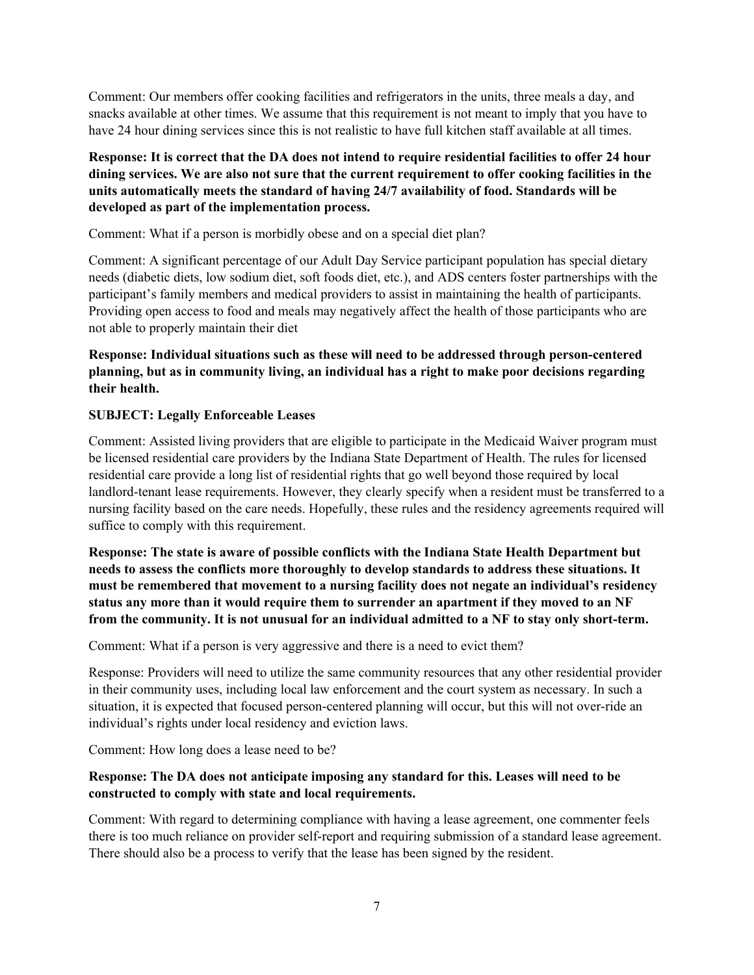Comment: Our members offer cooking facilities and refrigerators in the units, three meals a day, and snacks available at other times. We assume that this requirement is not meant to imply that you have to have 24 hour dining services since this is not realistic to have full kitchen staff available at all times.

## **Response: It is correct that the DA does not intend to require residential facilities to offer 24 hour dining services. We are also not sure that the current requirement to offer cooking facilities in the units automatically meets the standard of having 24/7 availability of food. Standards will be developed as part of the implementation process.**

Comment: What if a person is morbidly obese and on a special diet plan?

Comment: A significant percentage of our Adult Day Service participant population has special dietary needs (diabetic diets, low sodium diet, soft foods diet, etc.), and ADS centers foster partnerships with the participant's family members and medical providers to assist in maintaining the health of participants. Providing open access to food and meals may negatively affect the health of those participants who are not able to properly maintain their diet

### **Response: Individual situations such as these will need to be addressed through person-centered planning, but as in community living, an individual has a right to make poor decisions regarding their health.**

### **SUBJECT: Legally Enforceable Leases**

Comment: Assisted living providers that are eligible to participate in the Medicaid Waiver program must be licensed residential care providers by the Indiana State Department of Health. The rules for licensed residential care provide a long list of residential rights that go well beyond those required by local landlord-tenant lease requirements. However, they clearly specify when a resident must be transferred to a nursing facility based on the care needs. Hopefully, these rules and the residency agreements required will suffice to comply with this requirement.

**Response: The state is aware of possible conflicts with the Indiana State Health Department but needs to assess the conflicts more thoroughly to develop standards to address these situations. It must be remembered that movement to a nursing facility does not negate an individual's residency status any more than it would require them to surrender an apartment if they moved to an NF from the community. It is not unusual for an individual admitted to a NF to stay only short-term.**

Comment: What if a person is very aggressive and there is a need to evict them?

Response: Providers will need to utilize the same community resources that any other residential provider in their community uses, including local law enforcement and the court system as necessary. In such a situation, it is expected that focused person-centered planning will occur, but this will not over-ride an individual's rights under local residency and eviction laws.

Comment: How long does a lease need to be?

### **Response: The DA does not anticipate imposing any standard for this. Leases will need to be constructed to comply with state and local requirements.**

Comment: With regard to determining compliance with having a lease agreement, one commenter feels there is too much reliance on provider self-report and requiring submission of a standard lease agreement. There should also be a process to verify that the lease has been signed by the resident.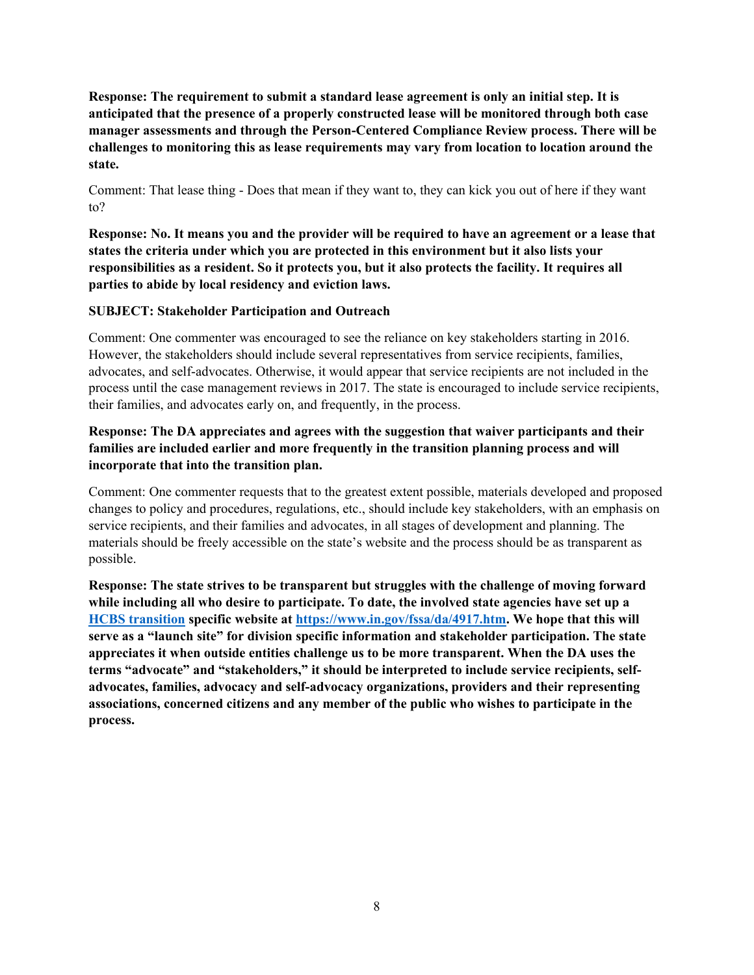**Response: The requirement to submit a standard lease agreement is only an initial step. It is anticipated that the presence of a properly constructed lease will be monitored through both case manager assessments and through the Person-Centered Compliance Review process. There will be challenges to monitoring this as lease requirements may vary from location to location around the state.**

Comment: That lease thing - Does that mean if they want to, they can kick you out of here if they want to?

**Response: No. It means you and the provider will be required to have an agreement or a lease that states the criteria under which you are protected in this environment but it also lists your responsibilities as a resident. So it protects you, but it also protects the facility. It requires all parties to abide by local residency and eviction laws.**

#### **SUBJECT: Stakeholder Participation and Outreach**

Comment: One commenter was encouraged to see the reliance on key stakeholders starting in 2016. However, the stakeholders should include several representatives from service recipients, families, advocates, and self-advocates. Otherwise, it would appear that service recipients are not included in the process until the case management reviews in 2017. The state is encouraged to include service recipients, their families, and advocates early on, and frequently, in the process.

## **Response: The DA appreciates and agrees with the suggestion that waiver participants and their families are included earlier and more frequently in the transition planning process and will incorporate that into the transition plan.**

Comment: One commenter requests that to the greatest extent possible, materials developed and proposed changes to policy and procedures, regulations, etc., should include key stakeholders, with an emphasis on service recipients, and their families and advocates, in all stages of development and planning. The materials should be freely accessible on the state's website and the process should be as transparent as possible.

**Response: The state strives to be transparent but struggles with the challenge of moving forward while including all who desire to participate. To date, the involved state agencies have set up a HCBS [transition](https://www.in.gov/fssa/da/4917.htm) specific website at [https://www.in.gov/fssa/da/4917.htm.](https://www.in.gov/fssa/da/4917.htm) We hope that this will serve as a "launch site" for division specific information and stakeholder participation. The state appreciates it when outside entities challenge us to be more transparent. When the DA uses the terms "advocate" and "stakeholders," it should be interpreted to include service recipients, selfadvocates, families, advocacy and self-advocacy organizations, providers and their representing associations, concerned citizens and any member of the public who wishes to participate in the process.**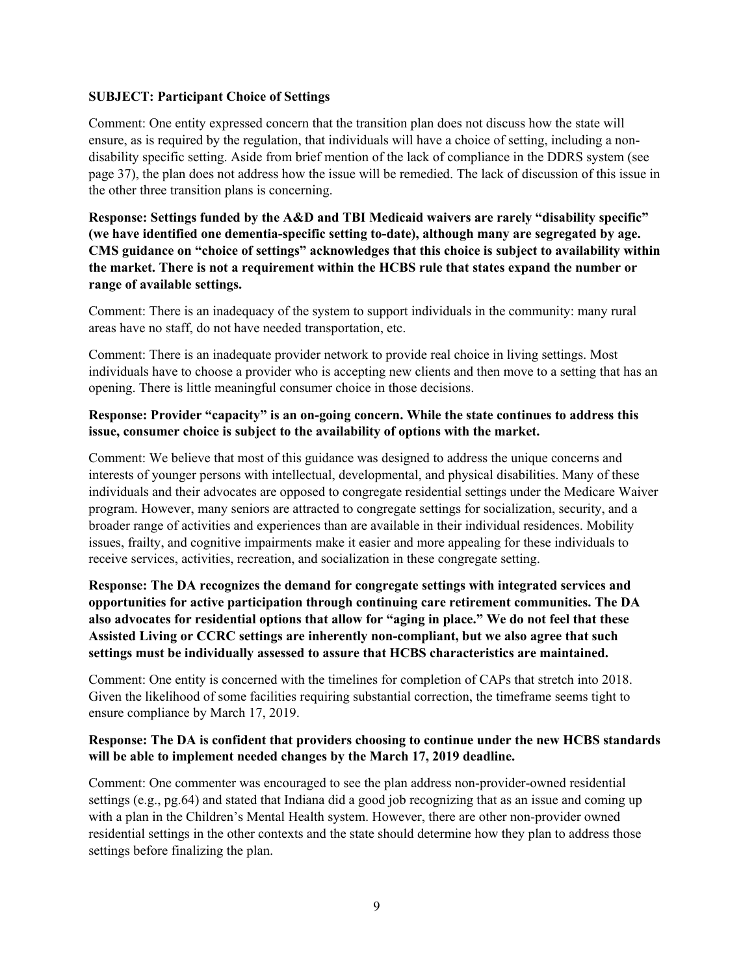#### **SUBJECT: Participant Choice of Settings**

Comment: One entity expressed concern that the transition plan does not discuss how the state will ensure, as is required by the regulation, that individuals will have a choice of setting, including a nondisability specific setting. Aside from brief mention of the lack of compliance in the DDRS system (see page 37), the plan does not address how the issue will be remedied. The lack of discussion of this issue in the other three transition plans is concerning.

**Response: Settings funded by the A&D and TBI Medicaid waivers are rarely "disability specific" (we have identified one dementia-specific setting to-date), although many are segregated by age. CMS guidance on "choice of settings" acknowledges that this choice is subject to availability within the market. There is not a requirement within the HCBS rule that states expand the number or range of available settings.**

Comment: There is an inadequacy of the system to support individuals in the community: many rural areas have no staff, do not have needed transportation, etc.

Comment: There is an inadequate provider network to provide real choice in living settings. Most individuals have to choose a provider who is accepting new clients and then move to a setting that has an opening. There is little meaningful consumer choice in those decisions.

#### **Response: Provider "capacity" is an on-going concern. While the state continues to address this issue, consumer choice is subject to the availability of options with the market.**

Comment: We believe that most of this guidance was designed to address the unique concerns and interests of younger persons with intellectual, developmental, and physical disabilities. Many of these individuals and their advocates are opposed to congregate residential settings under the Medicare Waiver program. However, many seniors are attracted to congregate settings for socialization, security, and a broader range of activities and experiences than are available in their individual residences. Mobility issues, frailty, and cognitive impairments make it easier and more appealing for these individuals to receive services, activities, recreation, and socialization in these congregate setting.

**Response: The DA recognizes the demand for congregate settings with integrated services and opportunities for active participation through continuing care retirement communities. The DA also advocates for residential options that allow for "aging in place." We do not feel that these Assisted Living or CCRC settings are inherently non-compliant, but we also agree that such settings must be individually assessed to assure that HCBS characteristics are maintained.**

Comment: One entity is concerned with the timelines for completion of CAPs that stretch into 2018. Given the likelihood of some facilities requiring substantial correction, the timeframe seems tight to ensure compliance by March 17, 2019.

#### **Response: The DA is confident that providers choosing to continue under the new HCBS standards will be able to implement needed changes by the March 17, 2019 deadline.**

Comment: One commenter was encouraged to see the plan address non-provider-owned residential settings (e.g., pg.64) and stated that Indiana did a good job recognizing that as an issue and coming up with a plan in the Children's Mental Health system. However, there are other non-provider owned residential settings in the other contexts and the state should determine how they plan to address those settings before finalizing the plan.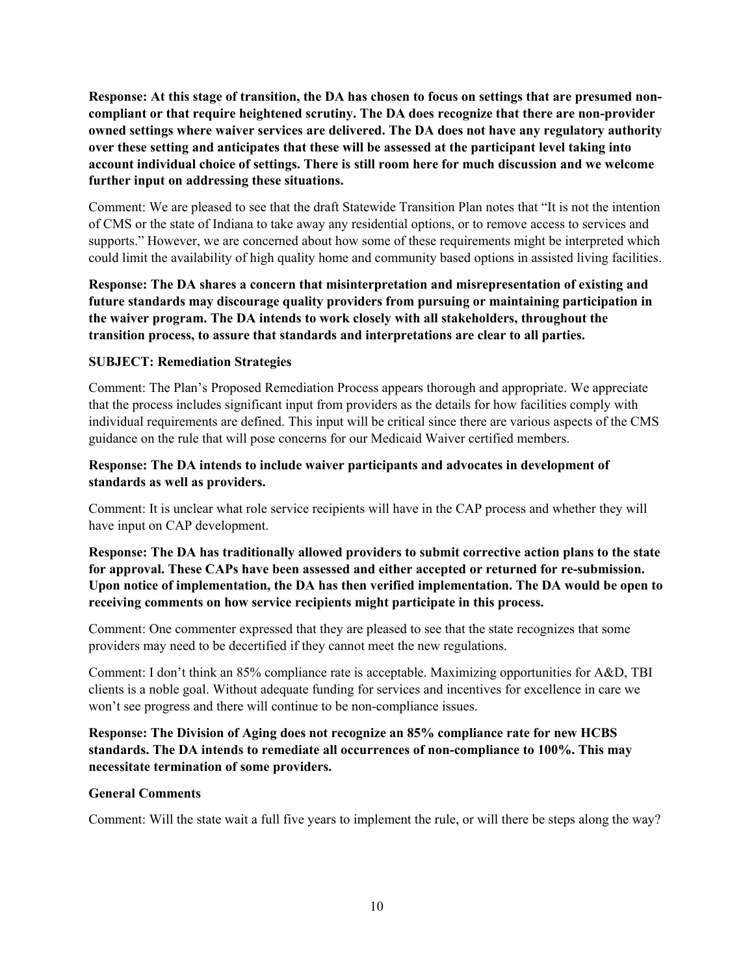**Response: At this stage of transition, the DA has chosen to focus on settings that are presumed noncompliant or that require heightened scrutiny. The DA does recognize that there are non-provider owned settings where waiver services are delivered. The DA does not have any regulatory authority over these setting and anticipates that these will be assessed at the participant level taking into account individual choice of settings. There is still room here for much discussion and we welcome further input on addressing these situations.** 

Comment: We are pleased to see that the draft Statewide Transition Plan notes that "It is not the intention of CMS or the state of Indiana to take away any residential options, or to remove access to services and supports." However, we are concerned about how some of these requirements might be interpreted which could limit the availability of high quality home and community based options in assisted living facilities.

**Response: The DA shares a concern that misinterpretation and misrepresentation of existing and future standards may discourage quality providers from pursuing or maintaining participation in the waiver program. The DA intends to work closely with all stakeholders, throughout the transition process, to assure that standards and interpretations are clear to all parties.**

#### **SUBJECT: Remediation Strategies**

Comment: The Plan's Proposed Remediation Process appears thorough and appropriate. We appreciate that the process includes significant input from providers as the details for how facilities comply with individual requirements are defined. This input will be critical since there are various aspects of the CMS guidance on the rule that will pose concerns for our Medicaid Waiver certified members.

### **Response: The DA intends to include waiver participants and advocates in development of standards as well as providers.**

Comment: It is unclear what role service recipients will have in the CAP process and whether they will have input on CAP development.

### **Response: The DA has traditionally allowed providers to submit corrective action plans to the state for approval. These CAPs have been assessed and either accepted or returned for re-submission. Upon notice of implementation, the DA has then verified implementation. The DA would be open to receiving comments on how service recipients might participate in this process.**

Comment: One commenter expressed that they are pleased to see that the state recognizes that some providers may need to be decertified if they cannot meet the new regulations.

Comment: I don't think an 85% compliance rate is acceptable. Maximizing opportunities for A&D, TBI clients is a noble goal. Without adequate funding for services and incentives for excellence in care we won't see progress and there will continue to be non-compliance issues.

### **Response: The Division of Aging does not recognize an 85% compliance rate for new HCBS standards. The DA intends to remediate all occurrences of non-compliance to 100%. This may necessitate termination of some providers.**

#### **General Comments**

Comment: Will the state wait a full five years to implement the rule, or will there be steps along the way?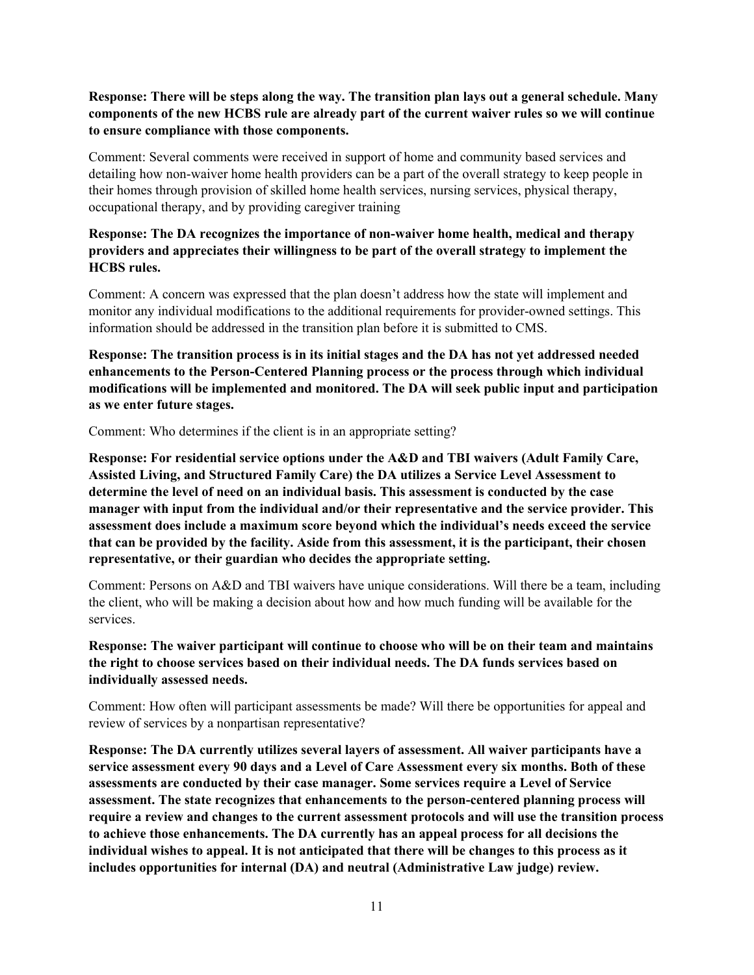#### **Response: There will be steps along the way. The transition plan lays out a general schedule. Many components of the new HCBS rule are already part of the current waiver rules so we will continue to ensure compliance with those components.**

Comment: Several comments were received in support of home and community based services and detailing how non-waiver home health providers can be a part of the overall strategy to keep people in their homes through provision of skilled home health services, nursing services, physical therapy, occupational therapy, and by providing caregiver training

# **Response: The DA recognizes the importance of non-waiver home health, medical and therapy providers and appreciates their willingness to be part of the overall strategy to implement the HCBS rules.**

Comment: A concern was expressed that the plan doesn't address how the state will implement and monitor any individual modifications to the additional requirements for provider-owned settings. This information should be addressed in the transition plan before it is submitted to CMS.

**Response: The transition process is in its initial stages and the DA has not yet addressed needed enhancements to the Person-Centered Planning process or the process through which individual modifications will be implemented and monitored. The DA will seek public input and participation as we enter future stages.**

Comment: Who determines if the client is in an appropriate setting?

**Response: For residential service options under the A&D and TBI waivers (Adult Family Care, Assisted Living, and Structured Family Care) the DA utilizes a Service Level Assessment to determine the level of need on an individual basis. This assessment is conducted by the case manager with input from the individual and/or their representative and the service provider. This assessment does include a maximum score beyond which the individual's needs exceed the service that can be provided by the facility. Aside from this assessment, it is the participant, their chosen representative, or their guardian who decides the appropriate setting.**

Comment: Persons on A&D and TBI waivers have unique considerations. Will there be a team, including the client, who will be making a decision about how and how much funding will be available for the services.

**Response: The waiver participant will continue to choose who will be on their team and maintains the right to choose services based on their individual needs. The DA funds services based on individually assessed needs.**

Comment: How often will participant assessments be made? Will there be opportunities for appeal and review of services by a nonpartisan representative?

**Response: The DA currently utilizes several layers of assessment. All waiver participants have a service assessment every 90 days and a Level of Care Assessment every six months. Both of these assessments are conducted by their case manager. Some services require a Level of Service assessment. The state recognizes that enhancements to the person-centered planning process will require a review and changes to the current assessment protocols and will use the transition process to achieve those enhancements. The DA currently has an appeal process for all decisions the individual wishes to appeal. It is not anticipated that there will be changes to this process as it includes opportunities for internal (DA) and neutral (Administrative Law judge) review.**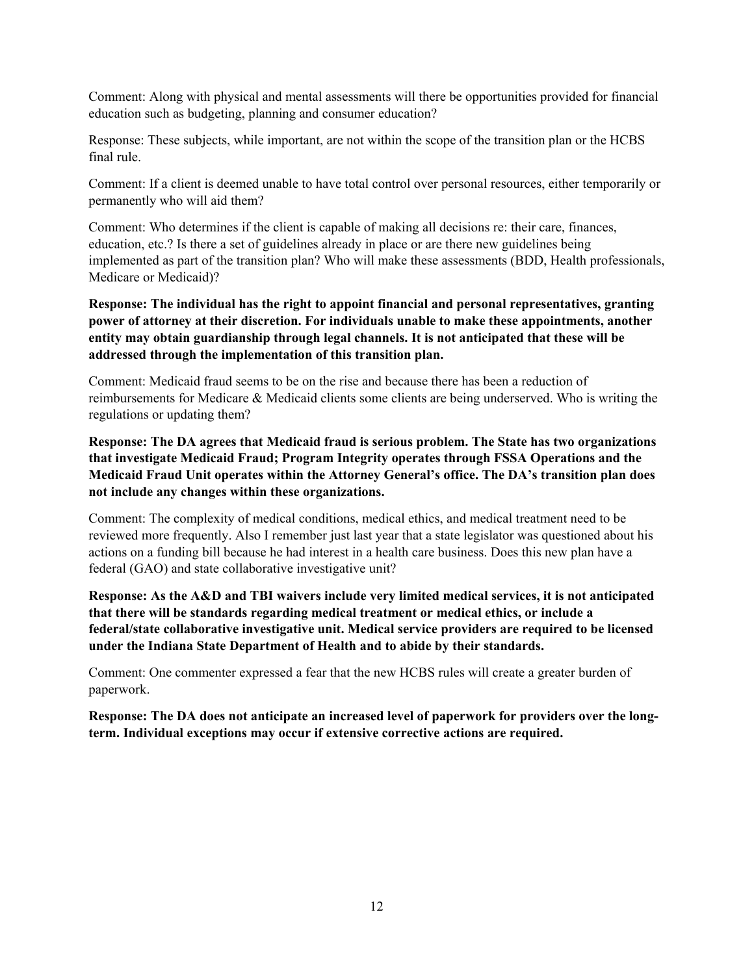Comment: Along with physical and mental assessments will there be opportunities provided for financial education such as budgeting, planning and consumer education?

Response: These subjects, while important, are not within the scope of the transition plan or the HCBS final rule.

Comment: If a client is deemed unable to have total control over personal resources, either temporarily or permanently who will aid them?

Comment: Who determines if the client is capable of making all decisions re: their care, finances, education, etc.? Is there a set of guidelines already in place or are there new guidelines being implemented as part of the transition plan? Who will make these assessments (BDD, Health professionals, Medicare or Medicaid)?

**Response: The individual has the right to appoint financial and personal representatives, granting power of attorney at their discretion. For individuals unable to make these appointments, another entity may obtain guardianship through legal channels. It is not anticipated that these will be addressed through the implementation of this transition plan.**

Comment: Medicaid fraud seems to be on the rise and because there has been a reduction of reimbursements for Medicare & Medicaid clients some clients are being underserved. Who is writing the regulations or updating them?

**Response: The DA agrees that Medicaid fraud is serious problem. The State has two organizations that investigate Medicaid Fraud; Program Integrity operates through FSSA Operations and the Medicaid Fraud Unit operates within the Attorney General's office. The DA's transition plan does not include any changes within these organizations.**

Comment: The complexity of medical conditions, medical ethics, and medical treatment need to be reviewed more frequently. Also I remember just last year that a state legislator was questioned about his actions on a funding bill because he had interest in a health care business. Does this new plan have a federal (GAO) and state collaborative investigative unit?

**Response: As the A&D and TBI waivers include very limited medical services, it is not anticipated that there will be standards regarding medical treatment or medical ethics, or include a federal/state collaborative investigative unit. Medical service providers are required to be licensed under the Indiana State Department of Health and to abide by their standards.**

Comment: One commenter expressed a fear that the new HCBS rules will create a greater burden of paperwork.

**Response: The DA does not anticipate an increased level of paperwork for providers over the longterm. Individual exceptions may occur if extensive corrective actions are required.**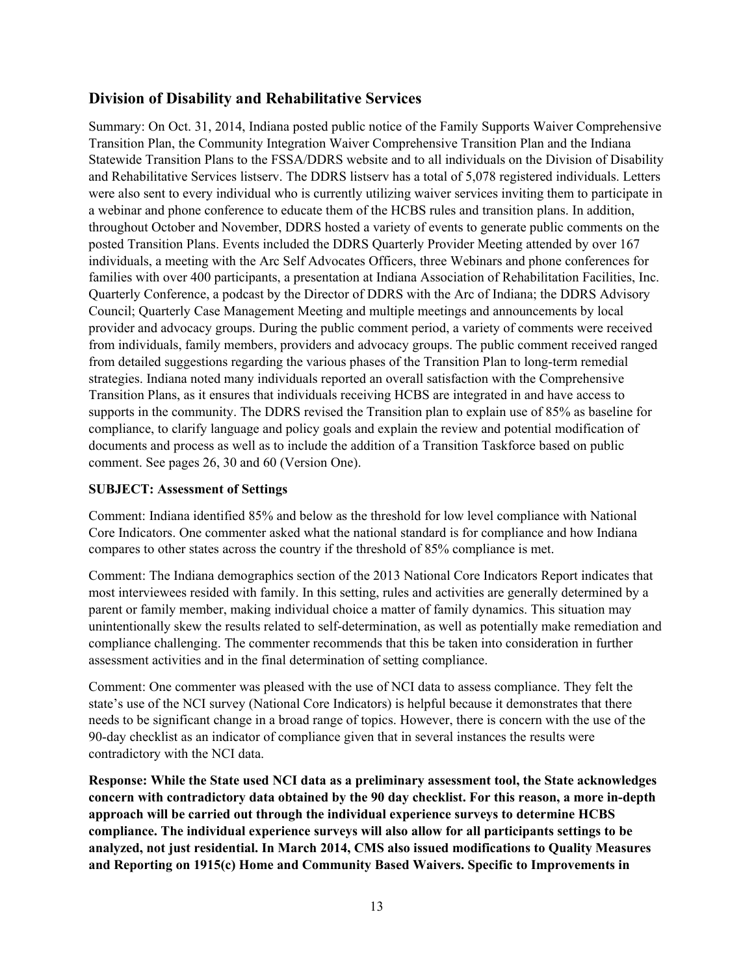# <span id="page-12-0"></span>**Division of Disability and Rehabilitative Services**

Summary: On Oct. 31, 2014, Indiana posted public notice of the Family Supports Waiver Comprehensive Transition Plan, the Community Integration Waiver Comprehensive Transition Plan and the Indiana Statewide Transition Plans to the FSSA/DDRS website and to all individuals on the Division of Disability and Rehabilitative Services listserv. The DDRS listserv has a total of 5,078 registered individuals. Letters were also sent to every individual who is currently utilizing waiver services inviting them to participate in a webinar and phone conference to educate them of the HCBS rules and transition plans. In addition, throughout October and November, DDRS hosted a variety of events to generate public comments on the posted Transition Plans. Events included the DDRS Quarterly Provider Meeting attended by over 167 individuals, a meeting with the Arc Self Advocates Officers, three Webinars and phone conferences for families with over 400 participants, a presentation at Indiana Association of Rehabilitation Facilities, Inc. Quarterly Conference, a podcast by the Director of DDRS with the Arc of Indiana; the DDRS Advisory Council; Quarterly Case Management Meeting and multiple meetings and announcements by local provider and advocacy groups. During the public comment period, a variety of comments were received from individuals, family members, providers and advocacy groups. The public comment received ranged from detailed suggestions regarding the various phases of the Transition Plan to long-term remedial strategies. Indiana noted many individuals reported an overall satisfaction with the Comprehensive Transition Plans, as it ensures that individuals receiving HCBS are integrated in and have access to supports in the community. The DDRS revised the Transition plan to explain use of 85% as baseline for compliance, to clarify language and policy goals and explain the review and potential modification of documents and process as well as to include the addition of a Transition Taskforce based on public comment. See pages 26, 30 and 60 (Version One).

#### **SUBJECT: Assessment of Settings**

Comment: Indiana identified 85% and below as the threshold for low level compliance with National Core Indicators. One commenter asked what the national standard is for compliance and how Indiana compares to other states across the country if the threshold of 85% compliance is met.

Comment: The Indiana demographics section of the 2013 National Core Indicators Report indicates that most interviewees resided with family. In this setting, rules and activities are generally determined by a parent or family member, making individual choice a matter of family dynamics. This situation may unintentionally skew the results related to self-determination, as well as potentially make remediation and compliance challenging. The commenter recommends that this be taken into consideration in further assessment activities and in the final determination of setting compliance.

Comment: One commenter was pleased with the use of NCI data to assess compliance. They felt the state's use of the NCI survey (National Core Indicators) is helpful because it demonstrates that there needs to be significant change in a broad range of topics. However, there is concern with the use of the 90-day checklist as an indicator of compliance given that in several instances the results were contradictory with the NCI data.

**Response: While the State used NCI data as a preliminary assessment tool, the State acknowledges concern with contradictory data obtained by the 90 day checklist. For this reason, a more in-depth approach will be carried out through the individual experience surveys to determine HCBS compliance. The individual experience surveys will also allow for all participants settings to be analyzed, not just residential. In March 2014, CMS also issued modifications to Quality Measures and Reporting on 1915(c) Home and Community Based Waivers. Specific to Improvements in**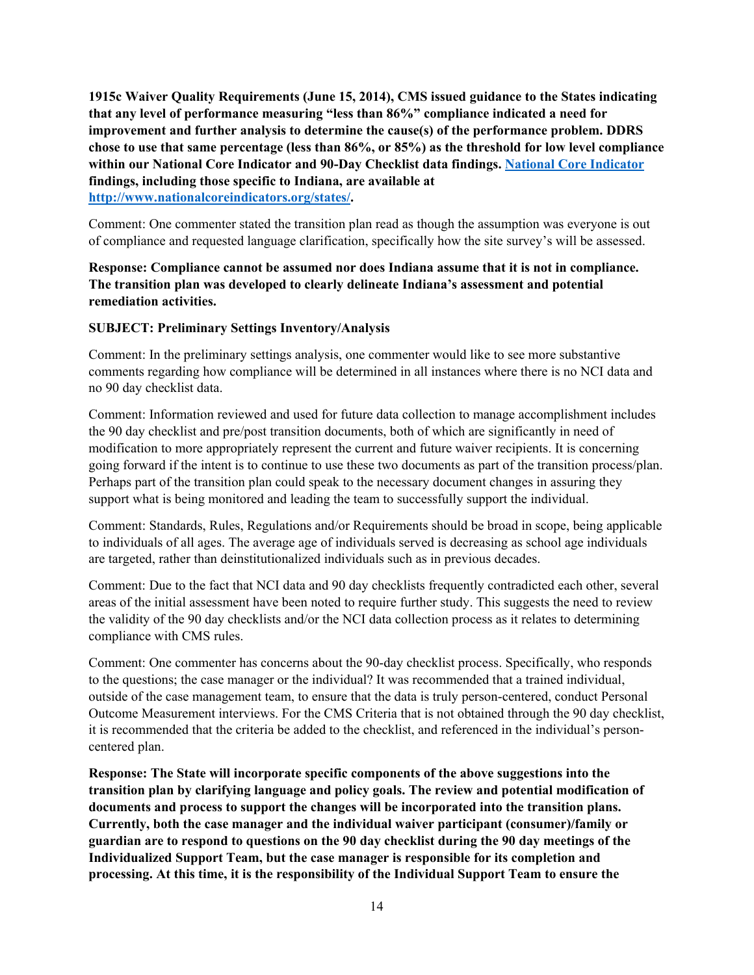**1915c Waiver Quality Requirements (June 15, 2014), CMS issued guidance to the States indicating that any level of performance measuring "less than 86%" compliance indicated a need for improvement and further analysis to determine the cause(s) of the performance problem. DDRS chose to use that same percentage (less than 86%, or 85%) as the threshold for low level compliance within our National Core Indicator and 90-Day Checklist data findings. [National Core Indicator](https://www.nationalcoreindicators.org/states/) findings, including those specific to Indiana, are available at [http://www.nationalcoreindicators.org/states/.](http://www.nationalcoreindicators.org/states/)**

Comment: One commenter stated the transition plan read as though the assumption was everyone is out of compliance and requested language clarification, specifically how the site survey's will be assessed.

### **Response: Compliance cannot be assumed nor does Indiana assume that it is not in compliance. The transition plan was developed to clearly delineate Indiana's assessment and potential remediation activities.**

#### **SUBJECT: Preliminary Settings Inventory/Analysis**

Comment: In the preliminary settings analysis, one commenter would like to see more substantive comments regarding how compliance will be determined in all instances where there is no NCI data and no 90 day checklist data.

Comment: Information reviewed and used for future data collection to manage accomplishment includes the 90 day checklist and pre/post transition documents, both of which are significantly in need of modification to more appropriately represent the current and future waiver recipients. It is concerning going forward if the intent is to continue to use these two documents as part of the transition process/plan. Perhaps part of the transition plan could speak to the necessary document changes in assuring they support what is being monitored and leading the team to successfully support the individual.

Comment: Standards, Rules, Regulations and/or Requirements should be broad in scope, being applicable to individuals of all ages. The average age of individuals served is decreasing as school age individuals are targeted, rather than deinstitutionalized individuals such as in previous decades.

Comment: Due to the fact that NCI data and 90 day checklists frequently contradicted each other, several areas of the initial assessment have been noted to require further study. This suggests the need to review the validity of the 90 day checklists and/or the NCI data collection process as it relates to determining compliance with CMS rules.

Comment: One commenter has concerns about the 90-day checklist process. Specifically, who responds to the questions; the case manager or the individual? It was recommended that a trained individual, outside of the case management team, to ensure that the data is truly person-centered, conduct Personal Outcome Measurement interviews. For the CMS Criteria that is not obtained through the 90 day checklist, it is recommended that the criteria be added to the checklist, and referenced in the individual's personcentered plan.

**Response: The State will incorporate specific components of the above suggestions into the transition plan by clarifying language and policy goals. The review and potential modification of documents and process to support the changes will be incorporated into the transition plans. Currently, both the case manager and the individual waiver participant (consumer)/family or guardian are to respond to questions on the 90 day checklist during the 90 day meetings of the Individualized Support Team, but the case manager is responsible for its completion and processing. At this time, it is the responsibility of the Individual Support Team to ensure the**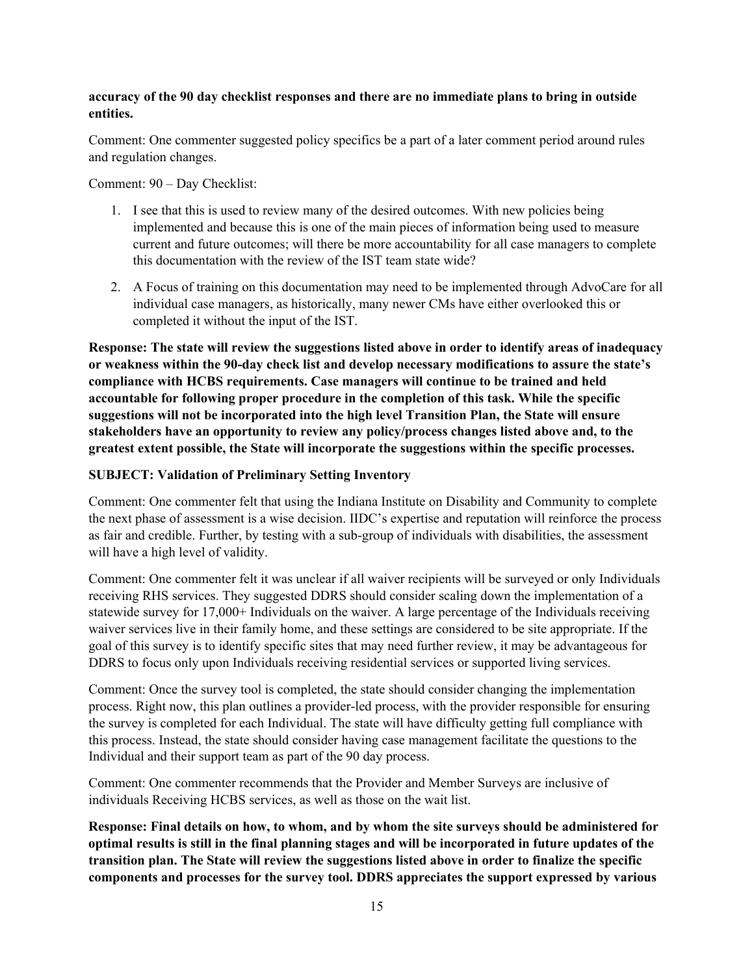#### **accuracy of the 90 day checklist responses and there are no immediate plans to bring in outside entities.**

Comment: One commenter suggested policy specifics be a part of a later comment period around rules and regulation changes.

Comment: 90 – Day Checklist:

- 1. I see that this is used to review many of the desired outcomes. With new policies being implemented and because this is one of the main pieces of information being used to measure current and future outcomes; will there be more accountability for all case managers to complete this documentation with the review of the IST team state wide?
- 2. A Focus of training on this documentation may need to be implemented through AdvoCare for all individual case managers, as historically, many newer CMs have either overlooked this or completed it without the input of the IST.

**Response: The state will review the suggestions listed above in order to identify areas of inadequacy or weakness within the 90-day check list and develop necessary modifications to assure the state's compliance with HCBS requirements. Case managers will continue to be trained and held accountable for following proper procedure in the completion of this task. While the specific suggestions will not be incorporated into the high level Transition Plan, the State will ensure stakeholders have an opportunity to review any policy/process changes listed above and, to the greatest extent possible, the State will incorporate the suggestions within the specific processes.**

#### **SUBJECT: Validation of Preliminary Setting Inventory**

Comment: One commenter felt that using the Indiana Institute on Disability and Community to complete the next phase of assessment is a wise decision. IIDC's expertise and reputation will reinforce the process as fair and credible. Further, by testing with a sub-group of individuals with disabilities, the assessment will have a high level of validity.

Comment: One commenter felt it was unclear if all waiver recipients will be surveyed or only Individuals receiving RHS services. They suggested DDRS should consider scaling down the implementation of a statewide survey for 17,000+ Individuals on the waiver. A large percentage of the Individuals receiving waiver services live in their family home, and these settings are considered to be site appropriate. If the goal of this survey is to identify specific sites that may need further review, it may be advantageous for DDRS to focus only upon Individuals receiving residential services or supported living services.

Comment: Once the survey tool is completed, the state should consider changing the implementation process. Right now, this plan outlines a provider-led process, with the provider responsible for ensuring the survey is completed for each Individual. The state will have difficulty getting full compliance with this process. Instead, the state should consider having case management facilitate the questions to the Individual and their support team as part of the 90 day process.

Comment: One commenter recommends that the Provider and Member Surveys are inclusive of individuals Receiving HCBS services, as well as those on the wait list.

**Response: Final details on how, to whom, and by whom the site surveys should be administered for optimal results is still in the final planning stages and will be incorporated in future updates of the transition plan. The State will review the suggestions listed above in order to finalize the specific components and processes for the survey tool. DDRS appreciates the support expressed by various**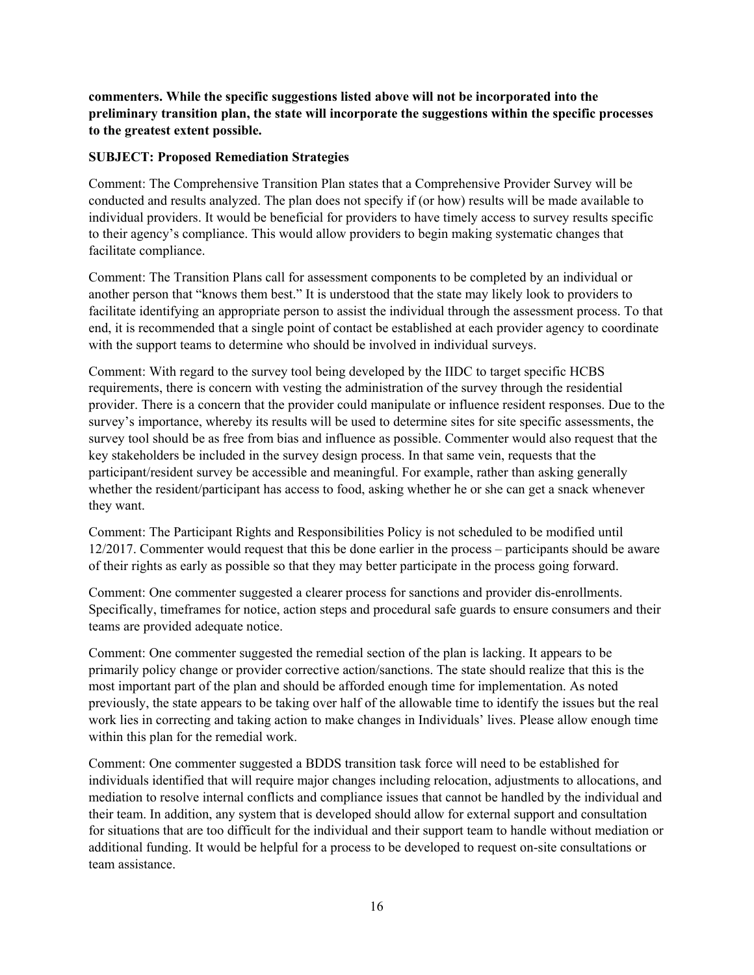**commenters. While the specific suggestions listed above will not be incorporated into the preliminary transition plan, the state will incorporate the suggestions within the specific processes to the greatest extent possible.** 

#### **SUBJECT: Proposed Remediation Strategies**

Comment: The Comprehensive Transition Plan states that a Comprehensive Provider Survey will be conducted and results analyzed. The plan does not specify if (or how) results will be made available to individual providers. It would be beneficial for providers to have timely access to survey results specific to their agency's compliance. This would allow providers to begin making systematic changes that facilitate compliance.

Comment: The Transition Plans call for assessment components to be completed by an individual or another person that "knows them best." It is understood that the state may likely look to providers to facilitate identifying an appropriate person to assist the individual through the assessment process. To that end, it is recommended that a single point of contact be established at each provider agency to coordinate with the support teams to determine who should be involved in individual surveys.

Comment: With regard to the survey tool being developed by the IIDC to target specific HCBS requirements, there is concern with vesting the administration of the survey through the residential provider. There is a concern that the provider could manipulate or influence resident responses. Due to the survey's importance, whereby its results will be used to determine sites for site specific assessments, the survey tool should be as free from bias and influence as possible. Commenter would also request that the key stakeholders be included in the survey design process. In that same vein, requests that the participant/resident survey be accessible and meaningful. For example, rather than asking generally whether the resident/participant has access to food, asking whether he or she can get a snack whenever they want.

Comment: The Participant Rights and Responsibilities Policy is not scheduled to be modified until 12/2017. Commenter would request that this be done earlier in the process – participants should be aware of their rights as early as possible so that they may better participate in the process going forward.

Comment: One commenter suggested a clearer process for sanctions and provider dis-enrollments. Specifically, timeframes for notice, action steps and procedural safe guards to ensure consumers and their teams are provided adequate notice.

Comment: One commenter suggested the remedial section of the plan is lacking. It appears to be primarily policy change or provider corrective action/sanctions. The state should realize that this is the most important part of the plan and should be afforded enough time for implementation. As noted previously, the state appears to be taking over half of the allowable time to identify the issues but the real work lies in correcting and taking action to make changes in Individuals' lives. Please allow enough time within this plan for the remedial work.

Comment: One commenter suggested a BDDS transition task force will need to be established for individuals identified that will require major changes including relocation, adjustments to allocations, and mediation to resolve internal conflicts and compliance issues that cannot be handled by the individual and their team. In addition, any system that is developed should allow for external support and consultation for situations that are too difficult for the individual and their support team to handle without mediation or additional funding. It would be helpful for a process to be developed to request on-site consultations or team assistance.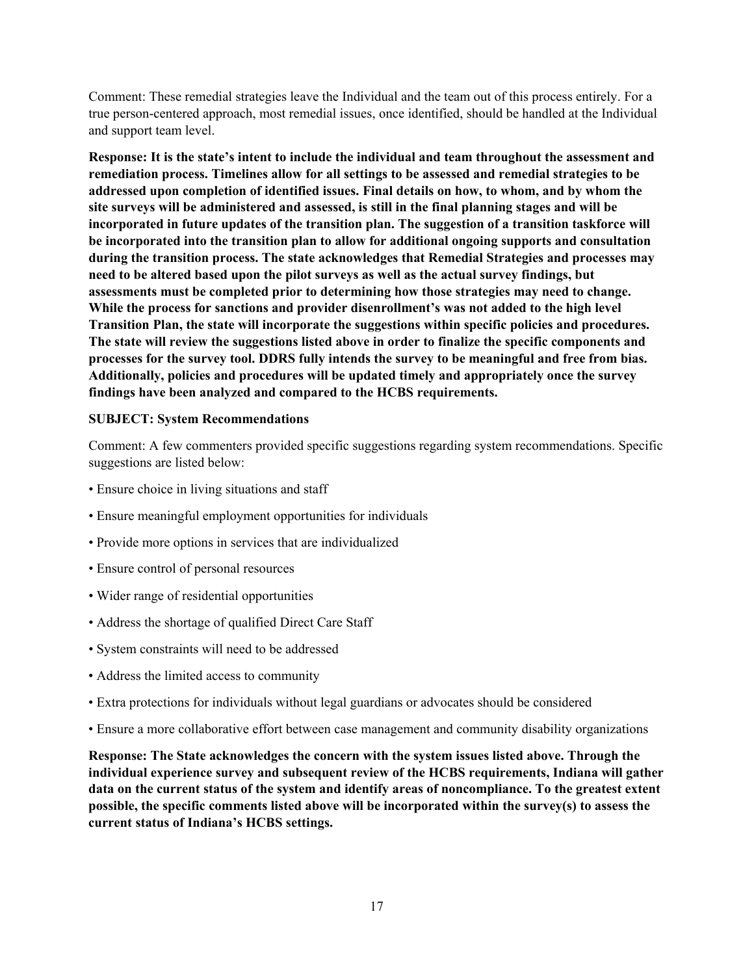Comment: These remedial strategies leave the Individual and the team out of this process entirely. For a true person-centered approach, most remedial issues, once identified, should be handled at the Individual and support team level.

**Response: It is the state's intent to include the individual and team throughout the assessment and remediation process. Timelines allow for all settings to be assessed and remedial strategies to be addressed upon completion of identified issues. Final details on how, to whom, and by whom the site surveys will be administered and assessed, is still in the final planning stages and will be incorporated in future updates of the transition plan. The suggestion of a transition taskforce will be incorporated into the transition plan to allow for additional ongoing supports and consultation during the transition process. The state acknowledges that Remedial Strategies and processes may need to be altered based upon the pilot surveys as well as the actual survey findings, but assessments must be completed prior to determining how those strategies may need to change. While the process for sanctions and provider disenrollment's was not added to the high level Transition Plan, the state will incorporate the suggestions within specific policies and procedures. The state will review the suggestions listed above in order to finalize the specific components and processes for the survey tool. DDRS fully intends the survey to be meaningful and free from bias. Additionally, policies and procedures will be updated timely and appropriately once the survey findings have been analyzed and compared to the HCBS requirements.** 

#### **SUBJECT: System Recommendations**

Comment: A few commenters provided specific suggestions regarding system recommendations. Specific suggestions are listed below:

- Ensure choice in living situations and staff
- Ensure meaningful employment opportunities for individuals
- Provide more options in services that are individualized
- Ensure control of personal resources
- Wider range of residential opportunities
- Address the shortage of qualified Direct Care Staff
- System constraints will need to be addressed
- Address the limited access to community
- Extra protections for individuals without legal guardians or advocates should be considered
- Ensure a more collaborative effort between case management and community disability organizations

**Response: The State acknowledges the concern with the system issues listed above. Through the individual experience survey and subsequent review of the HCBS requirements, Indiana will gather data on the current status of the system and identify areas of noncompliance. To the greatest extent possible, the specific comments listed above will be incorporated within the survey(s) to assess the current status of Indiana's HCBS settings.**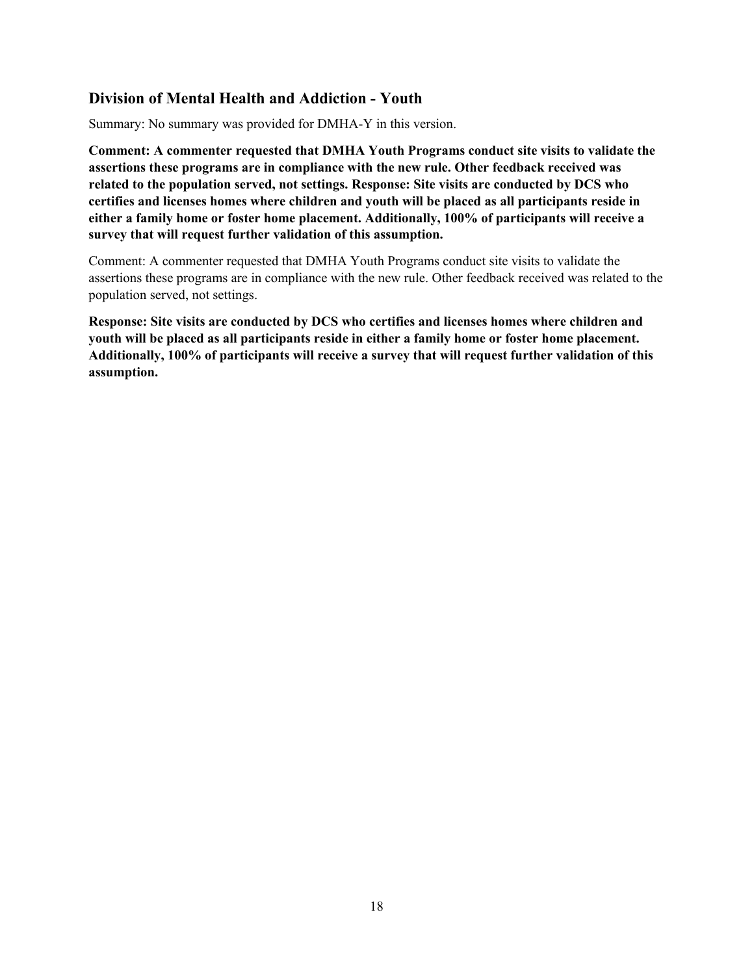# <span id="page-17-0"></span>**Division of Mental Health and Addiction - Youth**

Summary: No summary was provided for DMHA-Y in this version.

**Comment: A commenter requested that DMHA Youth Programs conduct site visits to validate the assertions these programs are in compliance with the new rule. Other feedback received was related to the population served, not settings. Response: Site visits are conducted by DCS who certifies and licenses homes where children and youth will be placed as all participants reside in either a family home or foster home placement. Additionally, 100% of participants will receive a survey that will request further validation of this assumption.**

Comment: A commenter requested that DMHA Youth Programs conduct site visits to validate the assertions these programs are in compliance with the new rule. Other feedback received was related to the population served, not settings.

**Response: Site visits are conducted by DCS who certifies and licenses homes where children and youth will be placed as all participants reside in either a family home or foster home placement. Additionally, 100% of participants will receive a survey that will request further validation of this assumption.**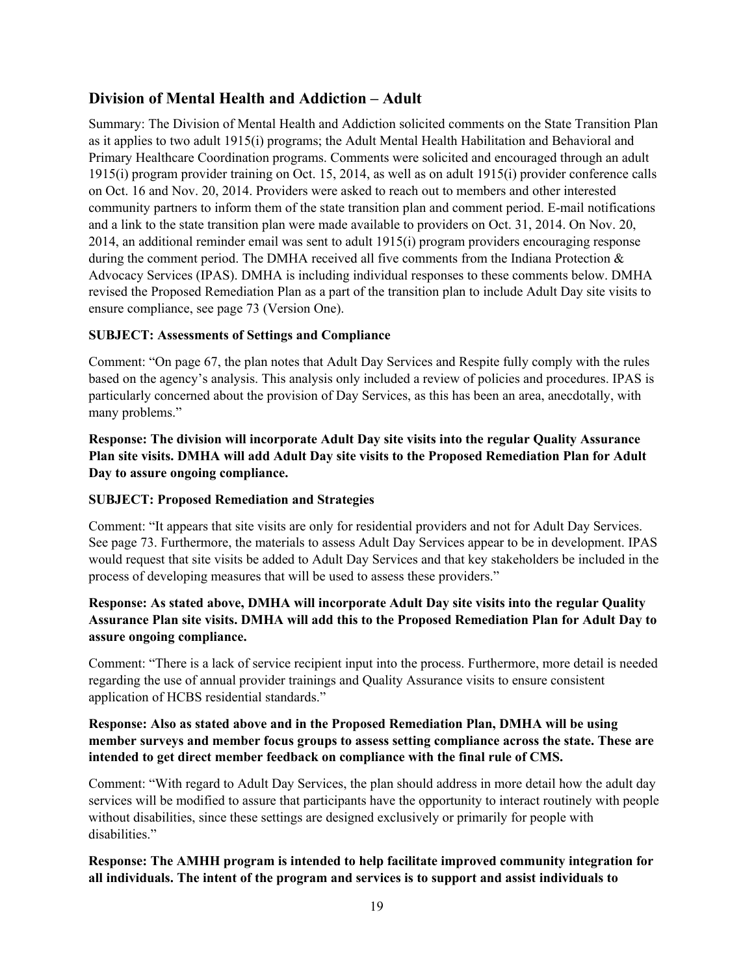# <span id="page-18-0"></span>**Division of Mental Health and Addiction – Adult**

Summary: The Division of Mental Health and Addiction solicited comments on the State Transition Plan as it applies to two adult 1915(i) programs; the Adult Mental Health Habilitation and Behavioral and Primary Healthcare Coordination programs. Comments were solicited and encouraged through an adult 1915(i) program provider training on Oct. 15, 2014, as well as on adult 1915(i) provider conference calls on Oct. 16 and Nov. 20, 2014. Providers were asked to reach out to members and other interested community partners to inform them of the state transition plan and comment period. E-mail notifications and a link to the state transition plan were made available to providers on Oct. 31, 2014. On Nov. 20, 2014, an additional reminder email was sent to adult 1915(i) program providers encouraging response during the comment period. The DMHA received all five comments from the Indiana Protection & Advocacy Services (IPAS). DMHA is including individual responses to these comments below. DMHA revised the Proposed Remediation Plan as a part of the transition plan to include Adult Day site visits to ensure compliance, see page 73 (Version One).

### **SUBJECT: Assessments of Settings and Compliance**

Comment: "On page 67, the plan notes that Adult Day Services and Respite fully comply with the rules based on the agency's analysis. This analysis only included a review of policies and procedures. IPAS is particularly concerned about the provision of Day Services, as this has been an area, anecdotally, with many problems."

**Response: The division will incorporate Adult Day site visits into the regular Quality Assurance Plan site visits. DMHA will add Adult Day site visits to the Proposed Remediation Plan for Adult Day to assure ongoing compliance.**

### **SUBJECT: Proposed Remediation and Strategies**

Comment: "It appears that site visits are only for residential providers and not for Adult Day Services. See page 73. Furthermore, the materials to assess Adult Day Services appear to be in development. IPAS would request that site visits be added to Adult Day Services and that key stakeholders be included in the process of developing measures that will be used to assess these providers."

## **Response: As stated above, DMHA will incorporate Adult Day site visits into the regular Quality Assurance Plan site visits. DMHA will add this to the Proposed Remediation Plan for Adult Day to assure ongoing compliance.**

Comment: "There is a lack of service recipient input into the process. Furthermore, more detail is needed regarding the use of annual provider trainings and Quality Assurance visits to ensure consistent application of HCBS residential standards."

#### **Response: Also as stated above and in the Proposed Remediation Plan, DMHA will be using member surveys and member focus groups to assess setting compliance across the state. These are intended to get direct member feedback on compliance with the final rule of CMS.**

Comment: "With regard to Adult Day Services, the plan should address in more detail how the adult day services will be modified to assure that participants have the opportunity to interact routinely with people without disabilities, since these settings are designed exclusively or primarily for people with disabilities."

# **Response: The AMHH program is intended to help facilitate improved community integration for all individuals. The intent of the program and services is to support and assist individuals to**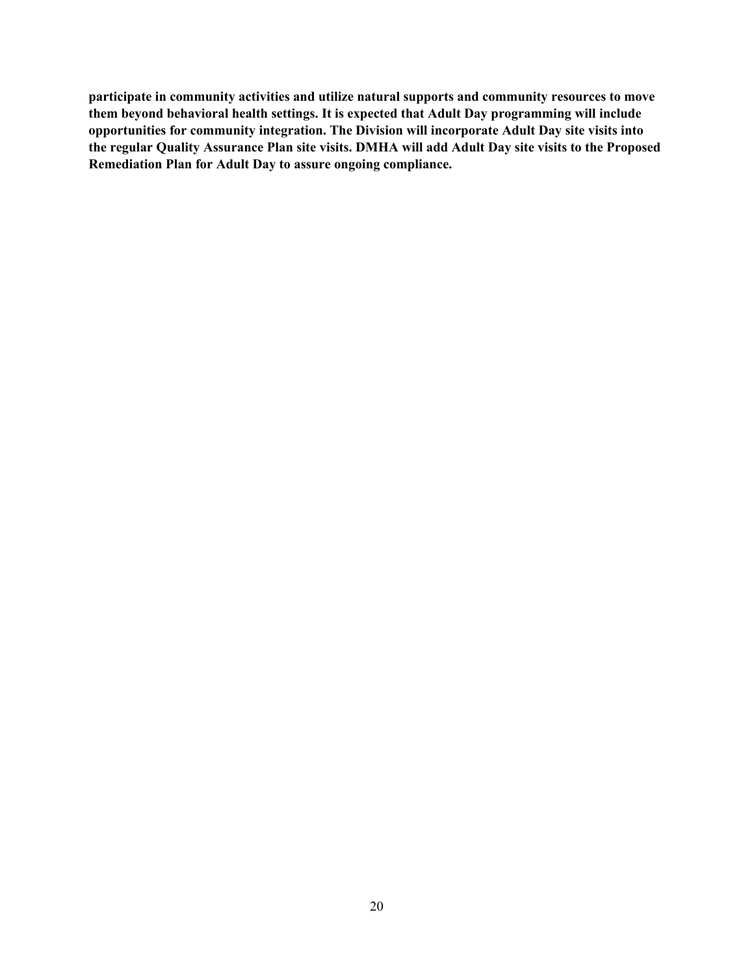**participate in community activities and utilize natural supports and community resources to move them beyond behavioral health settings. It is expected that Adult Day programming will include opportunities for community integration. The Division will incorporate Adult Day site visits into the regular Quality Assurance Plan site visits. DMHA will add Adult Day site visits to the Proposed Remediation Plan for Adult Day to assure ongoing compliance.**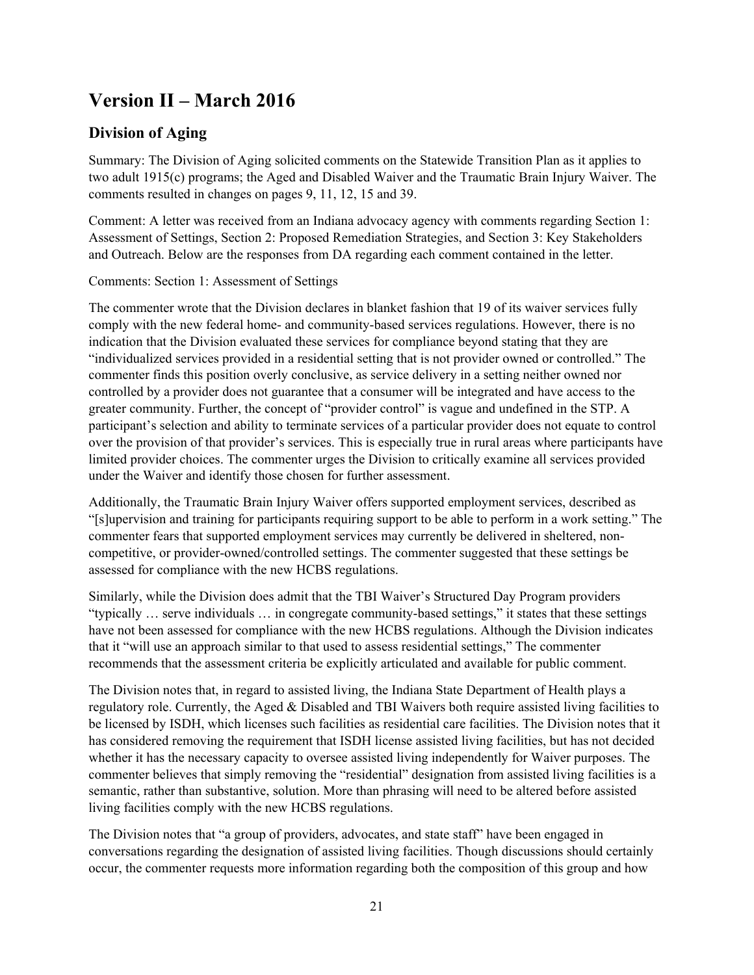# <span id="page-20-0"></span>**Version II – March 2016**

# <span id="page-20-1"></span>**Division of Aging**

Summary: The Division of Aging solicited comments on the Statewide Transition Plan as it applies to two adult 1915(c) programs; the Aged and Disabled Waiver and the Traumatic Brain Injury Waiver. The comments resulted in changes on pages 9, 11, 12, 15 and 39.

Comment: A letter was received from an Indiana advocacy agency with comments regarding Section 1: Assessment of Settings, Section 2: Proposed Remediation Strategies, and Section 3: Key Stakeholders and Outreach. Below are the responses from DA regarding each comment contained in the letter.

### Comments: Section 1: Assessment of Settings

The commenter wrote that the Division declares in blanket fashion that 19 of its waiver services fully comply with the new federal home- and community-based services regulations. However, there is no indication that the Division evaluated these services for compliance beyond stating that they are "individualized services provided in a residential setting that is not provider owned or controlled." The commenter finds this position overly conclusive, as service delivery in a setting neither owned nor controlled by a provider does not guarantee that a consumer will be integrated and have access to the greater community. Further, the concept of "provider control" is vague and undefined in the STP. A participant's selection and ability to terminate services of a particular provider does not equate to control over the provision of that provider's services. This is especially true in rural areas where participants have limited provider choices. The commenter urges the Division to critically examine all services provided under the Waiver and identify those chosen for further assessment.

Additionally, the Traumatic Brain Injury Waiver offers supported employment services, described as "[s]upervision and training for participants requiring support to be able to perform in a work setting." The commenter fears that supported employment services may currently be delivered in sheltered, noncompetitive, or provider-owned/controlled settings. The commenter suggested that these settings be assessed for compliance with the new HCBS regulations.

Similarly, while the Division does admit that the TBI Waiver's Structured Day Program providers "typically … serve individuals … in congregate community-based settings," it states that these settings have not been assessed for compliance with the new HCBS regulations. Although the Division indicates that it "will use an approach similar to that used to assess residential settings," The commenter recommends that the assessment criteria be explicitly articulated and available for public comment.

The Division notes that, in regard to assisted living, the Indiana State Department of Health plays a regulatory role. Currently, the Aged & Disabled and TBI Waivers both require assisted living facilities to be licensed by ISDH, which licenses such facilities as residential care facilities. The Division notes that it has considered removing the requirement that ISDH license assisted living facilities, but has not decided whether it has the necessary capacity to oversee assisted living independently for Waiver purposes. The commenter believes that simply removing the "residential" designation from assisted living facilities is a semantic, rather than substantive, solution. More than phrasing will need to be altered before assisted living facilities comply with the new HCBS regulations.

The Division notes that "a group of providers, advocates, and state staff" have been engaged in conversations regarding the designation of assisted living facilities. Though discussions should certainly occur, the commenter requests more information regarding both the composition of this group and how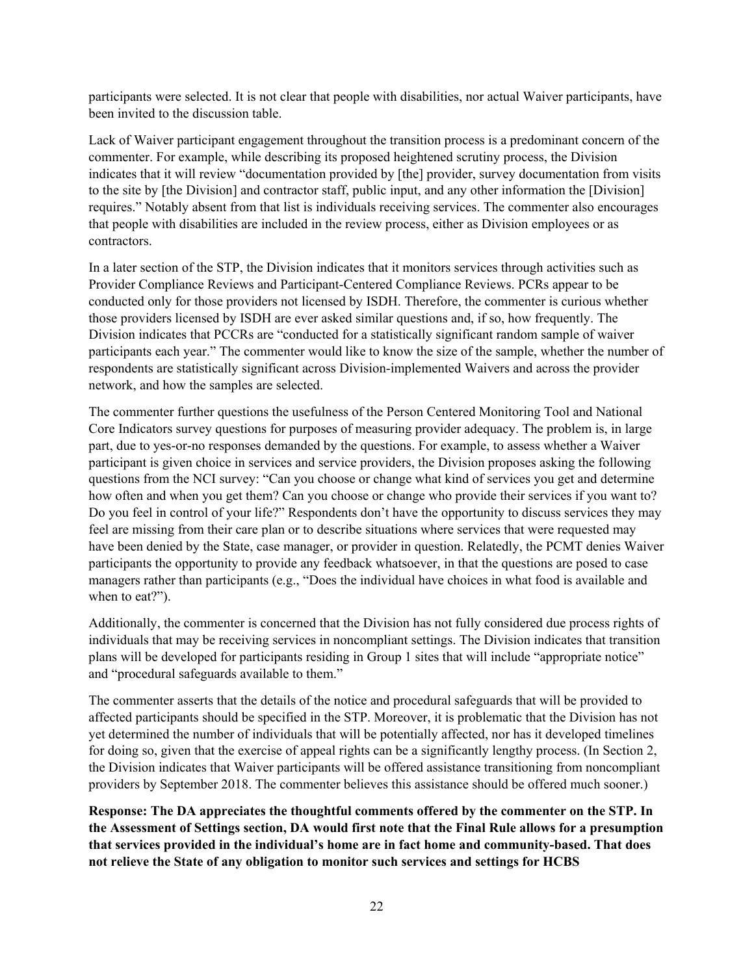participants were selected. It is not clear that people with disabilities, nor actual Waiver participants, have been invited to the discussion table.

Lack of Waiver participant engagement throughout the transition process is a predominant concern of the commenter. For example, while describing its proposed heightened scrutiny process, the Division indicates that it will review "documentation provided by [the] provider, survey documentation from visits to the site by [the Division] and contractor staff, public input, and any other information the [Division] requires." Notably absent from that list is individuals receiving services. The commenter also encourages that people with disabilities are included in the review process, either as Division employees or as contractors.

In a later section of the STP, the Division indicates that it monitors services through activities such as Provider Compliance Reviews and Participant-Centered Compliance Reviews. PCRs appear to be conducted only for those providers not licensed by ISDH. Therefore, the commenter is curious whether those providers licensed by ISDH are ever asked similar questions and, if so, how frequently. The Division indicates that PCCRs are "conducted for a statistically significant random sample of waiver participants each year." The commenter would like to know the size of the sample, whether the number of respondents are statistically significant across Division-implemented Waivers and across the provider network, and how the samples are selected.

The commenter further questions the usefulness of the Person Centered Monitoring Tool and National Core Indicators survey questions for purposes of measuring provider adequacy. The problem is, in large part, due to yes-or-no responses demanded by the questions. For example, to assess whether a Waiver participant is given choice in services and service providers, the Division proposes asking the following questions from the NCI survey: "Can you choose or change what kind of services you get and determine how often and when you get them? Can you choose or change who provide their services if you want to? Do you feel in control of your life?" Respondents don't have the opportunity to discuss services they may feel are missing from their care plan or to describe situations where services that were requested may have been denied by the State, case manager, or provider in question. Relatedly, the PCMT denies Waiver participants the opportunity to provide any feedback whatsoever, in that the questions are posed to case managers rather than participants (e.g., "Does the individual have choices in what food is available and when to eat?").

Additionally, the commenter is concerned that the Division has not fully considered due process rights of individuals that may be receiving services in noncompliant settings. The Division indicates that transition plans will be developed for participants residing in Group 1 sites that will include "appropriate notice" and "procedural safeguards available to them."

The commenter asserts that the details of the notice and procedural safeguards that will be provided to affected participants should be specified in the STP. Moreover, it is problematic that the Division has not yet determined the number of individuals that will be potentially affected, nor has it developed timelines for doing so, given that the exercise of appeal rights can be a significantly lengthy process. (In Section 2, the Division indicates that Waiver participants will be offered assistance transitioning from noncompliant providers by September 2018. The commenter believes this assistance should be offered much sooner.)

**Response: The DA appreciates the thoughtful comments offered by the commenter on the STP. In the Assessment of Settings section, DA would first note that the Final Rule allows for a presumption that services provided in the individual's home are in fact home and community-based. That does not relieve the State of any obligation to monitor such services and settings for HCBS**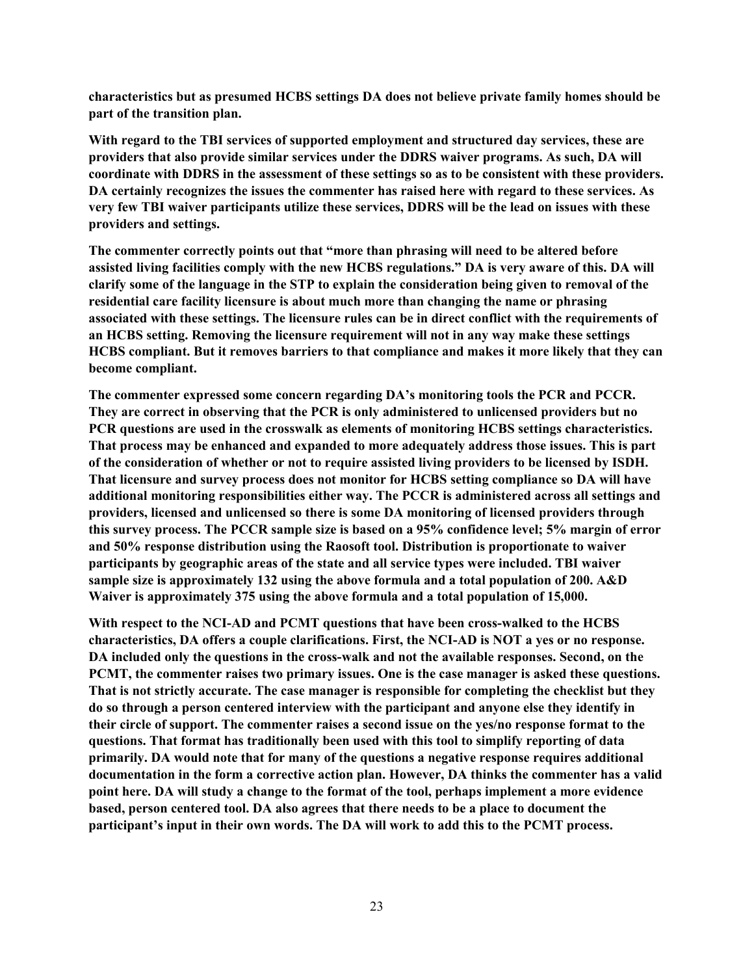**characteristics but as presumed HCBS settings DA does not believe private family homes should be part of the transition plan.**

**With regard to the TBI services of supported employment and structured day services, these are providers that also provide similar services under the DDRS waiver programs. As such, DA will coordinate with DDRS in the assessment of these settings so as to be consistent with these providers. DA certainly recognizes the issues the commenter has raised here with regard to these services. As very few TBI waiver participants utilize these services, DDRS will be the lead on issues with these providers and settings.**

**The commenter correctly points out that "more than phrasing will need to be altered before assisted living facilities comply with the new HCBS regulations." DA is very aware of this. DA will clarify some of the language in the STP to explain the consideration being given to removal of the residential care facility licensure is about much more than changing the name or phrasing associated with these settings. The licensure rules can be in direct conflict with the requirements of an HCBS setting. Removing the licensure requirement will not in any way make these settings HCBS compliant. But it removes barriers to that compliance and makes it more likely that they can become compliant.**

**The commenter expressed some concern regarding DA's monitoring tools the PCR and PCCR. They are correct in observing that the PCR is only administered to unlicensed providers but no PCR questions are used in the crosswalk as elements of monitoring HCBS settings characteristics. That process may be enhanced and expanded to more adequately address those issues. This is part of the consideration of whether or not to require assisted living providers to be licensed by ISDH. That licensure and survey process does not monitor for HCBS setting compliance so DA will have additional monitoring responsibilities either way. The PCCR is administered across all settings and providers, licensed and unlicensed so there is some DA monitoring of licensed providers through this survey process. The PCCR sample size is based on a 95% confidence level; 5% margin of error and 50% response distribution using the Raosoft tool. Distribution is proportionate to waiver participants by geographic areas of the state and all service types were included. TBI waiver sample size is approximately 132 using the above formula and a total population of 200. A&D Waiver is approximately 375 using the above formula and a total population of 15,000.**

**With respect to the NCI-AD and PCMT questions that have been cross-walked to the HCBS characteristics, DA offers a couple clarifications. First, the NCI-AD is NOT a yes or no response. DA included only the questions in the cross-walk and not the available responses. Second, on the PCMT, the commenter raises two primary issues. One is the case manager is asked these questions. That is not strictly accurate. The case manager is responsible for completing the checklist but they do so through a person centered interview with the participant and anyone else they identify in their circle of support. The commenter raises a second issue on the yes/no response format to the questions. That format has traditionally been used with this tool to simplify reporting of data primarily. DA would note that for many of the questions a negative response requires additional documentation in the form a corrective action plan. However, DA thinks the commenter has a valid point here. DA will study a change to the format of the tool, perhaps implement a more evidence based, person centered tool. DA also agrees that there needs to be a place to document the participant's input in their own words. The DA will work to add this to the PCMT process.**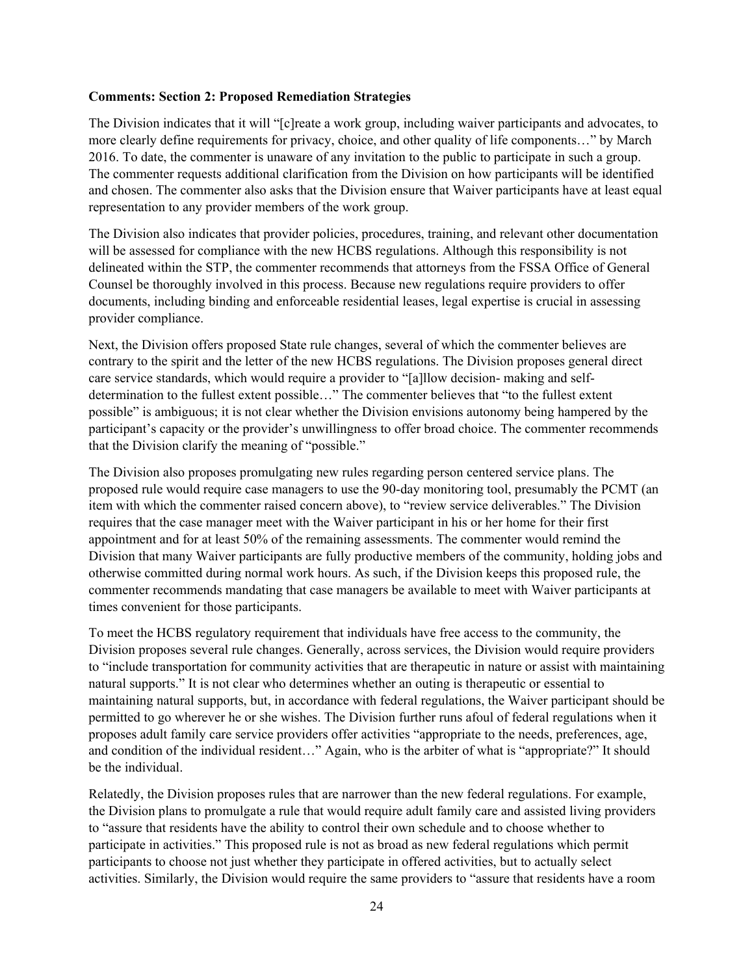#### **Comments: Section 2: Proposed Remediation Strategies**

The Division indicates that it will "[c]reate a work group, including waiver participants and advocates, to more clearly define requirements for privacy, choice, and other quality of life components…" by March 2016. To date, the commenter is unaware of any invitation to the public to participate in such a group. The commenter requests additional clarification from the Division on how participants will be identified and chosen. The commenter also asks that the Division ensure that Waiver participants have at least equal representation to any provider members of the work group.

The Division also indicates that provider policies, procedures, training, and relevant other documentation will be assessed for compliance with the new HCBS regulations. Although this responsibility is not delineated within the STP, the commenter recommends that attorneys from the FSSA Office of General Counsel be thoroughly involved in this process. Because new regulations require providers to offer documents, including binding and enforceable residential leases, legal expertise is crucial in assessing provider compliance.

Next, the Division offers proposed State rule changes, several of which the commenter believes are contrary to the spirit and the letter of the new HCBS regulations. The Division proposes general direct care service standards, which would require a provider to "[a]llow decision- making and selfdetermination to the fullest extent possible…" The commenter believes that "to the fullest extent possible" is ambiguous; it is not clear whether the Division envisions autonomy being hampered by the participant's capacity or the provider's unwillingness to offer broad choice. The commenter recommends that the Division clarify the meaning of "possible."

The Division also proposes promulgating new rules regarding person centered service plans. The proposed rule would require case managers to use the 90-day monitoring tool, presumably the PCMT (an item with which the commenter raised concern above), to "review service deliverables." The Division requires that the case manager meet with the Waiver participant in his or her home for their first appointment and for at least 50% of the remaining assessments. The commenter would remind the Division that many Waiver participants are fully productive members of the community, holding jobs and otherwise committed during normal work hours. As such, if the Division keeps this proposed rule, the commenter recommends mandating that case managers be available to meet with Waiver participants at times convenient for those participants.

To meet the HCBS regulatory requirement that individuals have free access to the community, the Division proposes several rule changes. Generally, across services, the Division would require providers to "include transportation for community activities that are therapeutic in nature or assist with maintaining natural supports." It is not clear who determines whether an outing is therapeutic or essential to maintaining natural supports, but, in accordance with federal regulations, the Waiver participant should be permitted to go wherever he or she wishes. The Division further runs afoul of federal regulations when it proposes adult family care service providers offer activities "appropriate to the needs, preferences, age, and condition of the individual resident…" Again, who is the arbiter of what is "appropriate?" It should be the individual.

Relatedly, the Division proposes rules that are narrower than the new federal regulations. For example, the Division plans to promulgate a rule that would require adult family care and assisted living providers to "assure that residents have the ability to control their own schedule and to choose whether to participate in activities." This proposed rule is not as broad as new federal regulations which permit participants to choose not just whether they participate in offered activities, but to actually select activities. Similarly, the Division would require the same providers to "assure that residents have a room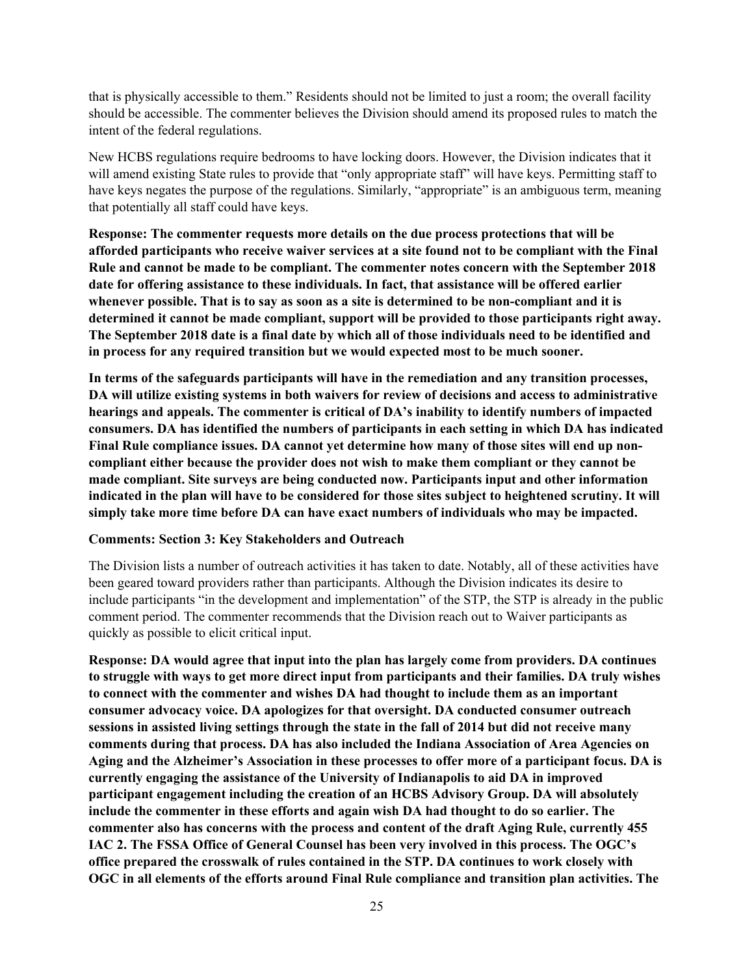that is physically accessible to them." Residents should not be limited to just a room; the overall facility should be accessible. The commenter believes the Division should amend its proposed rules to match the intent of the federal regulations.

New HCBS regulations require bedrooms to have locking doors. However, the Division indicates that it will amend existing State rules to provide that "only appropriate staff" will have keys. Permitting staff to have keys negates the purpose of the regulations. Similarly, "appropriate" is an ambiguous term, meaning that potentially all staff could have keys.

**Response: The commenter requests more details on the due process protections that will be afforded participants who receive waiver services at a site found not to be compliant with the Final Rule and cannot be made to be compliant. The commenter notes concern with the September 2018 date for offering assistance to these individuals. In fact, that assistance will be offered earlier whenever possible. That is to say as soon as a site is determined to be non-compliant and it is determined it cannot be made compliant, support will be provided to those participants right away. The September 2018 date is a final date by which all of those individuals need to be identified and in process for any required transition but we would expected most to be much sooner.**

**In terms of the safeguards participants will have in the remediation and any transition processes, DA will utilize existing systems in both waivers for review of decisions and access to administrative hearings and appeals. The commenter is critical of DA's inability to identify numbers of impacted consumers. DA has identified the numbers of participants in each setting in which DA has indicated Final Rule compliance issues. DA cannot yet determine how many of those sites will end up noncompliant either because the provider does not wish to make them compliant or they cannot be made compliant. Site surveys are being conducted now. Participants input and other information indicated in the plan will have to be considered for those sites subject to heightened scrutiny. It will simply take more time before DA can have exact numbers of individuals who may be impacted.**

#### **Comments: Section 3: Key Stakeholders and Outreach**

The Division lists a number of outreach activities it has taken to date. Notably, all of these activities have been geared toward providers rather than participants. Although the Division indicates its desire to include participants "in the development and implementation" of the STP, the STP is already in the public comment period. The commenter recommends that the Division reach out to Waiver participants as quickly as possible to elicit critical input.

**Response: DA would agree that input into the plan has largely come from providers. DA continues to struggle with ways to get more direct input from participants and their families. DA truly wishes to connect with the commenter and wishes DA had thought to include them as an important consumer advocacy voice. DA apologizes for that oversight. DA conducted consumer outreach sessions in assisted living settings through the state in the fall of 2014 but did not receive many comments during that process. DA has also included the Indiana Association of Area Agencies on Aging and the Alzheimer's Association in these processes to offer more of a participant focus. DA is currently engaging the assistance of the University of Indianapolis to aid DA in improved participant engagement including the creation of an HCBS Advisory Group. DA will absolutely include the commenter in these efforts and again wish DA had thought to do so earlier. The commenter also has concerns with the process and content of the draft Aging Rule, currently 455 IAC 2. The FSSA Office of General Counsel has been very involved in this process. The OGC's office prepared the crosswalk of rules contained in the STP. DA continues to work closely with OGC in all elements of the efforts around Final Rule compliance and transition plan activities. The**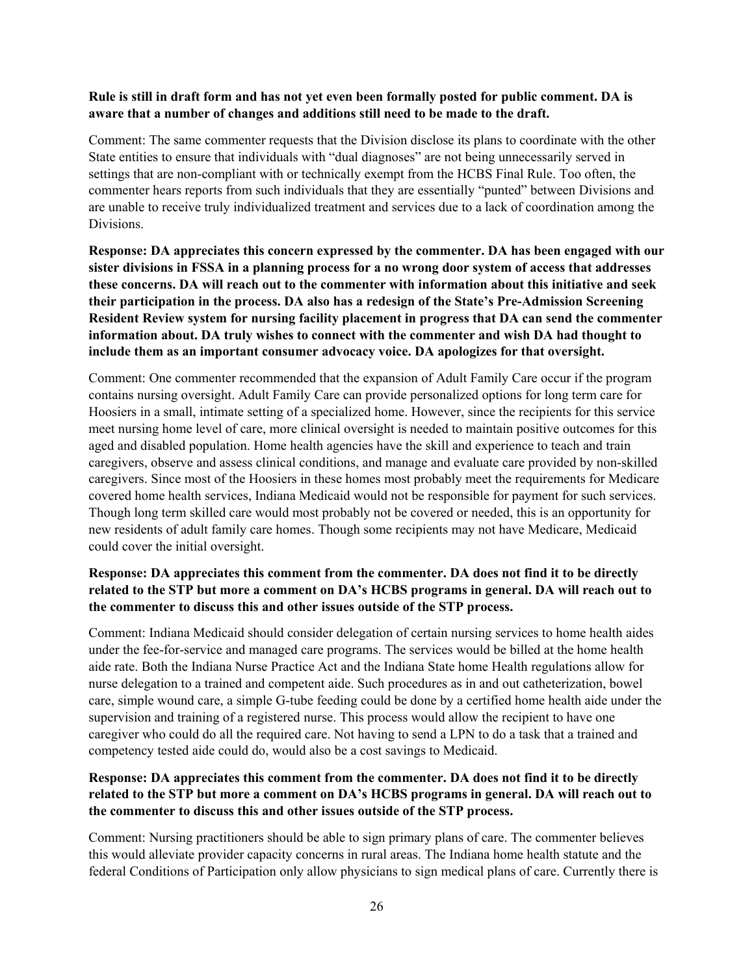#### **Rule is still in draft form and has not yet even been formally posted for public comment. DA is aware that a number of changes and additions still need to be made to the draft.**

Comment: The same commenter requests that the Division disclose its plans to coordinate with the other State entities to ensure that individuals with "dual diagnoses" are not being unnecessarily served in settings that are non-compliant with or technically exempt from the HCBS Final Rule. Too often, the commenter hears reports from such individuals that they are essentially "punted" between Divisions and are unable to receive truly individualized treatment and services due to a lack of coordination among the Divisions.

**Response: DA appreciates this concern expressed by the commenter. DA has been engaged with our sister divisions in FSSA in a planning process for a no wrong door system of access that addresses these concerns. DA will reach out to the commenter with information about this initiative and seek their participation in the process. DA also has a redesign of the State's Pre-Admission Screening Resident Review system for nursing facility placement in progress that DA can send the commenter information about. DA truly wishes to connect with the commenter and wish DA had thought to include them as an important consumer advocacy voice. DA apologizes for that oversight.**

Comment: One commenter recommended that the expansion of Adult Family Care occur if the program contains nursing oversight. Adult Family Care can provide personalized options for long term care for Hoosiers in a small, intimate setting of a specialized home. However, since the recipients for this service meet nursing home level of care, more clinical oversight is needed to maintain positive outcomes for this aged and disabled population. Home health agencies have the skill and experience to teach and train caregivers, observe and assess clinical conditions, and manage and evaluate care provided by non-skilled caregivers. Since most of the Hoosiers in these homes most probably meet the requirements for Medicare covered home health services, Indiana Medicaid would not be responsible for payment for such services. Though long term skilled care would most probably not be covered or needed, this is an opportunity for new residents of adult family care homes. Though some recipients may not have Medicare, Medicaid could cover the initial oversight.

## **Response: DA appreciates this comment from the commenter. DA does not find it to be directly related to the STP but more a comment on DA's HCBS programs in general. DA will reach out to the commenter to discuss this and other issues outside of the STP process.**

Comment: Indiana Medicaid should consider delegation of certain nursing services to home health aides under the fee-for-service and managed care programs. The services would be billed at the home health aide rate. Both the Indiana Nurse Practice Act and the Indiana State home Health regulations allow for nurse delegation to a trained and competent aide. Such procedures as in and out catheterization, bowel care, simple wound care, a simple G-tube feeding could be done by a certified home health aide under the supervision and training of a registered nurse. This process would allow the recipient to have one caregiver who could do all the required care. Not having to send a LPN to do a task that a trained and competency tested aide could do, would also be a cost savings to Medicaid.

### **Response: DA appreciates this comment from the commenter. DA does not find it to be directly related to the STP but more a comment on DA's HCBS programs in general. DA will reach out to the commenter to discuss this and other issues outside of the STP process.**

Comment: Nursing practitioners should be able to sign primary plans of care. The commenter believes this would alleviate provider capacity concerns in rural areas. The Indiana home health statute and the federal Conditions of Participation only allow physicians to sign medical plans of care. Currently there is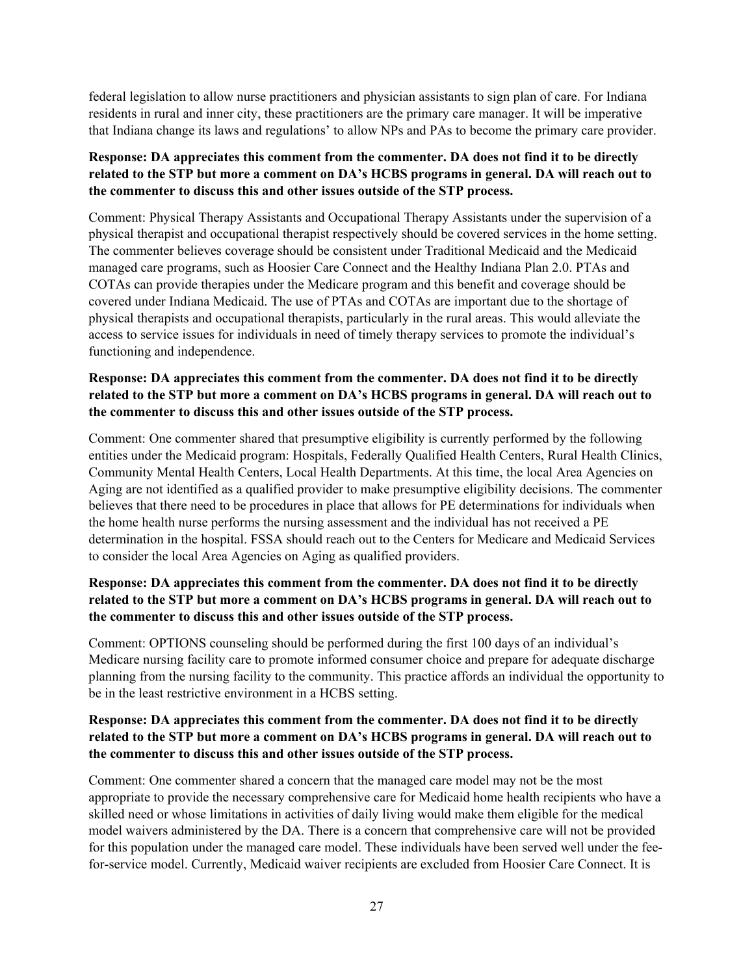federal legislation to allow nurse practitioners and physician assistants to sign plan of care. For Indiana residents in rural and inner city, these practitioners are the primary care manager. It will be imperative that Indiana change its laws and regulations' to allow NPs and PAs to become the primary care provider.

#### **Response: DA appreciates this comment from the commenter. DA does not find it to be directly related to the STP but more a comment on DA's HCBS programs in general. DA will reach out to the commenter to discuss this and other issues outside of the STP process.**

Comment: Physical Therapy Assistants and Occupational Therapy Assistants under the supervision of a physical therapist and occupational therapist respectively should be covered services in the home setting. The commenter believes coverage should be consistent under Traditional Medicaid and the Medicaid managed care programs, such as Hoosier Care Connect and the Healthy Indiana Plan 2.0. PTAs and COTAs can provide therapies under the Medicare program and this benefit and coverage should be covered under Indiana Medicaid. The use of PTAs and COTAs are important due to the shortage of physical therapists and occupational therapists, particularly in the rural areas. This would alleviate the access to service issues for individuals in need of timely therapy services to promote the individual's functioning and independence.

#### **Response: DA appreciates this comment from the commenter. DA does not find it to be directly related to the STP but more a comment on DA's HCBS programs in general. DA will reach out to the commenter to discuss this and other issues outside of the STP process.**

Comment: One commenter shared that presumptive eligibility is currently performed by the following entities under the Medicaid program: Hospitals, Federally Qualified Health Centers, Rural Health Clinics, Community Mental Health Centers, Local Health Departments. At this time, the local Area Agencies on Aging are not identified as a qualified provider to make presumptive eligibility decisions. The commenter believes that there need to be procedures in place that allows for PE determinations for individuals when the home health nurse performs the nursing assessment and the individual has not received a PE determination in the hospital. FSSA should reach out to the Centers for Medicare and Medicaid Services to consider the local Area Agencies on Aging as qualified providers.

## **Response: DA appreciates this comment from the commenter. DA does not find it to be directly related to the STP but more a comment on DA's HCBS programs in general. DA will reach out to the commenter to discuss this and other issues outside of the STP process.**

Comment: OPTIONS counseling should be performed during the first 100 days of an individual's Medicare nursing facility care to promote informed consumer choice and prepare for adequate discharge planning from the nursing facility to the community. This practice affords an individual the opportunity to be in the least restrictive environment in a HCBS setting.

### **Response: DA appreciates this comment from the commenter. DA does not find it to be directly related to the STP but more a comment on DA's HCBS programs in general. DA will reach out to the commenter to discuss this and other issues outside of the STP process.**

Comment: One commenter shared a concern that the managed care model may not be the most appropriate to provide the necessary comprehensive care for Medicaid home health recipients who have a skilled need or whose limitations in activities of daily living would make them eligible for the medical model waivers administered by the DA. There is a concern that comprehensive care will not be provided for this population under the managed care model. These individuals have been served well under the feefor-service model. Currently, Medicaid waiver recipients are excluded from Hoosier Care Connect. It is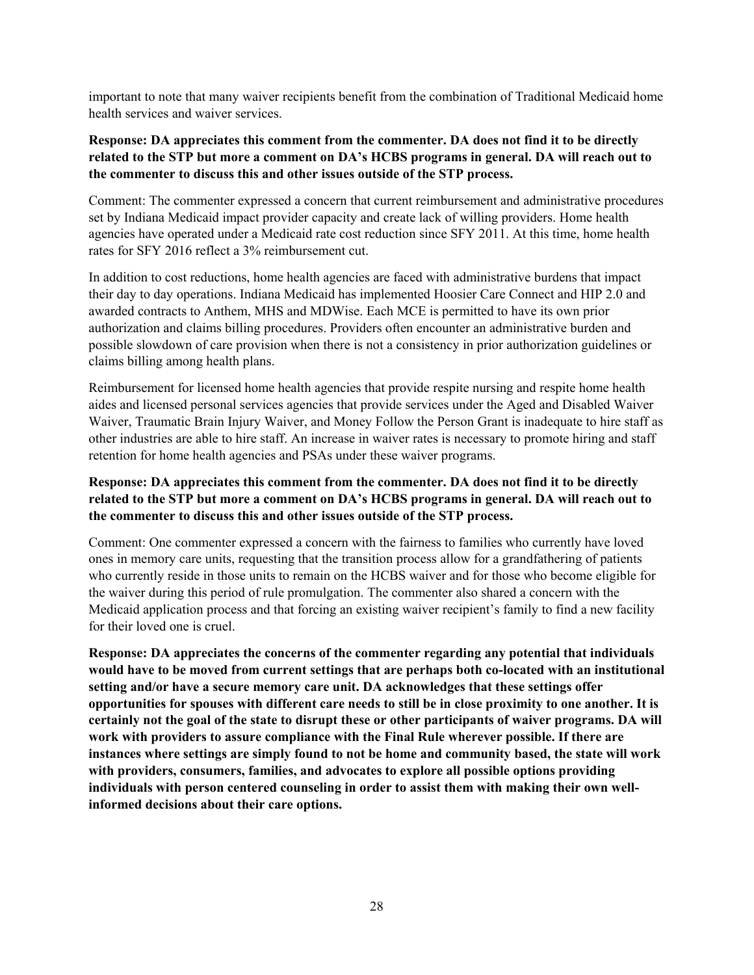important to note that many waiver recipients benefit from the combination of Traditional Medicaid home health services and waiver services.

### **Response: DA appreciates this comment from the commenter. DA does not find it to be directly related to the STP but more a comment on DA's HCBS programs in general. DA will reach out to the commenter to discuss this and other issues outside of the STP process.**

Comment: The commenter expressed a concern that current reimbursement and administrative procedures set by Indiana Medicaid impact provider capacity and create lack of willing providers. Home health agencies have operated under a Medicaid rate cost reduction since SFY 2011. At this time, home health rates for SFY 2016 reflect a 3% reimbursement cut.

In addition to cost reductions, home health agencies are faced with administrative burdens that impact their day to day operations. Indiana Medicaid has implemented Hoosier Care Connect and HIP 2.0 and awarded contracts to Anthem, MHS and MDWise. Each MCE is permitted to have its own prior authorization and claims billing procedures. Providers often encounter an administrative burden and possible slowdown of care provision when there is not a consistency in prior authorization guidelines or claims billing among health plans.

Reimbursement for licensed home health agencies that provide respite nursing and respite home health aides and licensed personal services agencies that provide services under the Aged and Disabled Waiver Waiver, Traumatic Brain Injury Waiver, and Money Follow the Person Grant is inadequate to hire staff as other industries are able to hire staff. An increase in waiver rates is necessary to promote hiring and staff retention for home health agencies and PSAs under these waiver programs.

### **Response: DA appreciates this comment from the commenter. DA does not find it to be directly related to the STP but more a comment on DA's HCBS programs in general. DA will reach out to the commenter to discuss this and other issues outside of the STP process.**

Comment: One commenter expressed a concern with the fairness to families who currently have loved ones in memory care units, requesting that the transition process allow for a grandfathering of patients who currently reside in those units to remain on the HCBS waiver and for those who become eligible for the waiver during this period of rule promulgation. The commenter also shared a concern with the Medicaid application process and that forcing an existing waiver recipient's family to find a new facility for their loved one is cruel.

**Response: DA appreciates the concerns of the commenter regarding any potential that individuals would have to be moved from current settings that are perhaps both co-located with an institutional setting and/or have a secure memory care unit. DA acknowledges that these settings offer opportunities for spouses with different care needs to still be in close proximity to one another. It is certainly not the goal of the state to disrupt these or other participants of waiver programs. DA will work with providers to assure compliance with the Final Rule wherever possible. If there are instances where settings are simply found to not be home and community based, the state will work with providers, consumers, families, and advocates to explore all possible options providing individuals with person centered counseling in order to assist them with making their own wellinformed decisions about their care options.**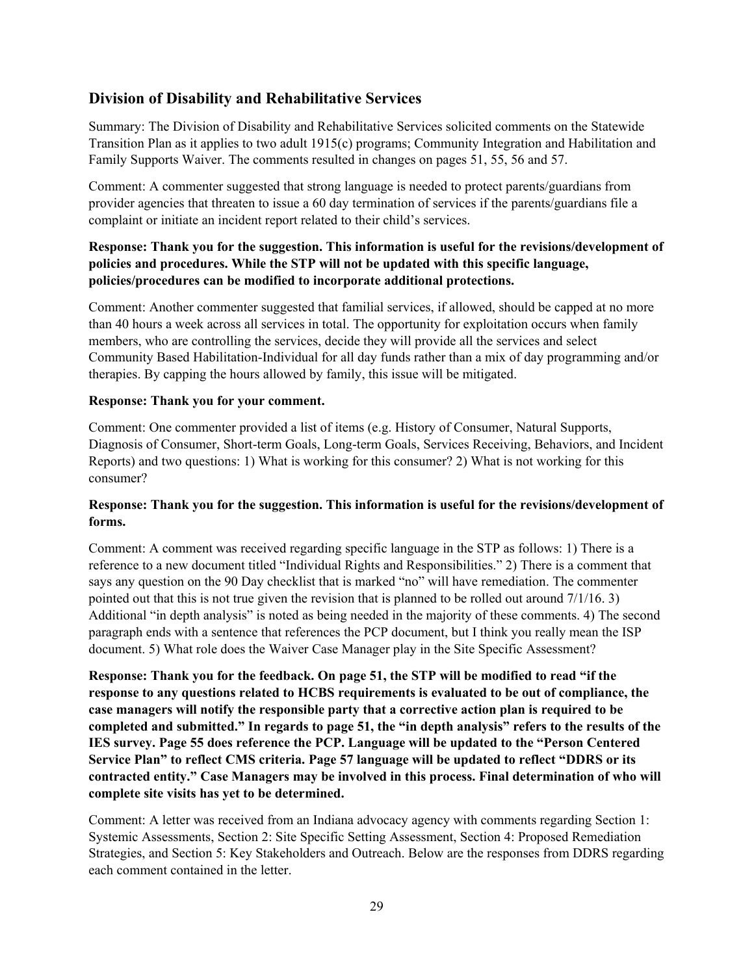# <span id="page-28-0"></span>**Division of Disability and Rehabilitative Services**

Summary: The Division of Disability and Rehabilitative Services solicited comments on the Statewide Transition Plan as it applies to two adult 1915(c) programs; Community Integration and Habilitation and Family Supports Waiver. The comments resulted in changes on pages 51, 55, 56 and 57.

Comment: A commenter suggested that strong language is needed to protect parents/guardians from provider agencies that threaten to issue a 60 day termination of services if the parents/guardians file a complaint or initiate an incident report related to their child's services.

## **Response: Thank you for the suggestion. This information is useful for the revisions/development of policies and procedures. While the STP will not be updated with this specific language, policies/procedures can be modified to incorporate additional protections.**

Comment: Another commenter suggested that familial services, if allowed, should be capped at no more than 40 hours a week across all services in total. The opportunity for exploitation occurs when family members, who are controlling the services, decide they will provide all the services and select Community Based Habilitation-Individual for all day funds rather than a mix of day programming and/or therapies. By capping the hours allowed by family, this issue will be mitigated.

#### **Response: Thank you for your comment.**

Comment: One commenter provided a list of items (e.g. History of Consumer, Natural Supports, Diagnosis of Consumer, Short-term Goals, Long-term Goals, Services Receiving, Behaviors, and Incident Reports) and two questions: 1) What is working for this consumer? 2) What is not working for this consumer?

### **Response: Thank you for the suggestion. This information is useful for the revisions/development of forms.**

Comment: A comment was received regarding specific language in the STP as follows: 1) There is a reference to a new document titled "Individual Rights and Responsibilities." 2) There is a comment that says any question on the 90 Day checklist that is marked "no" will have remediation. The commenter pointed out that this is not true given the revision that is planned to be rolled out around 7/1/16. 3) Additional "in depth analysis" is noted as being needed in the majority of these comments. 4) The second paragraph ends with a sentence that references the PCP document, but I think you really mean the ISP document. 5) What role does the Waiver Case Manager play in the Site Specific Assessment?

**Response: Thank you for the feedback. On page 51, the STP will be modified to read "if the response to any questions related to HCBS requirements is evaluated to be out of compliance, the case managers will notify the responsible party that a corrective action plan is required to be completed and submitted." In regards to page 51, the "in depth analysis" refers to the results of the IES survey. Page 55 does reference the PCP. Language will be updated to the "Person Centered Service Plan" to reflect CMS criteria. Page 57 language will be updated to reflect "DDRS or its contracted entity." Case Managers may be involved in this process. Final determination of who will complete site visits has yet to be determined.**

Comment: A letter was received from an Indiana advocacy agency with comments regarding Section 1: Systemic Assessments, Section 2: Site Specific Setting Assessment, Section 4: Proposed Remediation Strategies, and Section 5: Key Stakeholders and Outreach. Below are the responses from DDRS regarding each comment contained in the letter.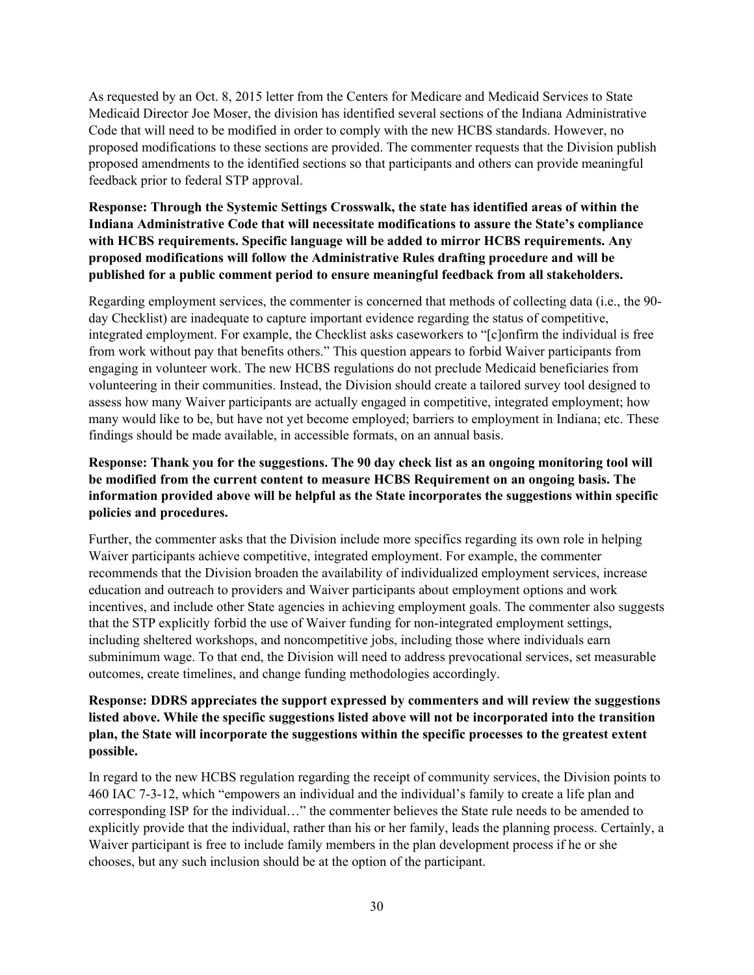As requested by an Oct. 8, 2015 letter from the Centers for Medicare and Medicaid Services to State Medicaid Director Joe Moser, the division has identified several sections of the Indiana Administrative Code that will need to be modified in order to comply with the new HCBS standards. However, no proposed modifications to these sections are provided. The commenter requests that the Division publish proposed amendments to the identified sections so that participants and others can provide meaningful feedback prior to federal STP approval.

### **Response: Through the Systemic Settings Crosswalk, the state has identified areas of within the Indiana Administrative Code that will necessitate modifications to assure the State's compliance with HCBS requirements. Specific language will be added to mirror HCBS requirements. Any proposed modifications will follow the Administrative Rules drafting procedure and will be published for a public comment period to ensure meaningful feedback from all stakeholders.**

Regarding employment services, the commenter is concerned that methods of collecting data (i.e., the 90 day Checklist) are inadequate to capture important evidence regarding the status of competitive, integrated employment. For example, the Checklist asks caseworkers to "[c]onfirm the individual is free from work without pay that benefits others." This question appears to forbid Waiver participants from engaging in volunteer work. The new HCBS regulations do not preclude Medicaid beneficiaries from volunteering in their communities. Instead, the Division should create a tailored survey tool designed to assess how many Waiver participants are actually engaged in competitive, integrated employment; how many would like to be, but have not yet become employed; barriers to employment in Indiana; etc. These findings should be made available, in accessible formats, on an annual basis.

## **Response: Thank you for the suggestions. The 90 day check list as an ongoing monitoring tool will be modified from the current content to measure HCBS Requirement on an ongoing basis. The information provided above will be helpful as the State incorporates the suggestions within specific policies and procedures.**

Further, the commenter asks that the Division include more specifics regarding its own role in helping Waiver participants achieve competitive, integrated employment. For example, the commenter recommends that the Division broaden the availability of individualized employment services, increase education and outreach to providers and Waiver participants about employment options and work incentives, and include other State agencies in achieving employment goals. The commenter also suggests that the STP explicitly forbid the use of Waiver funding for non-integrated employment settings, including sheltered workshops, and noncompetitive jobs, including those where individuals earn subminimum wage. To that end, the Division will need to address prevocational services, set measurable outcomes, create timelines, and change funding methodologies accordingly.

## **Response: DDRS appreciates the support expressed by commenters and will review the suggestions listed above. While the specific suggestions listed above will not be incorporated into the transition plan, the State will incorporate the suggestions within the specific processes to the greatest extent possible.**

In regard to the new HCBS regulation regarding the receipt of community services, the Division points to 460 IAC 7-3-12, which "empowers an individual and the individual's family to create a life plan and corresponding ISP for the individual…" the commenter believes the State rule needs to be amended to explicitly provide that the individual, rather than his or her family, leads the planning process. Certainly, a Waiver participant is free to include family members in the plan development process if he or she chooses, but any such inclusion should be at the option of the participant.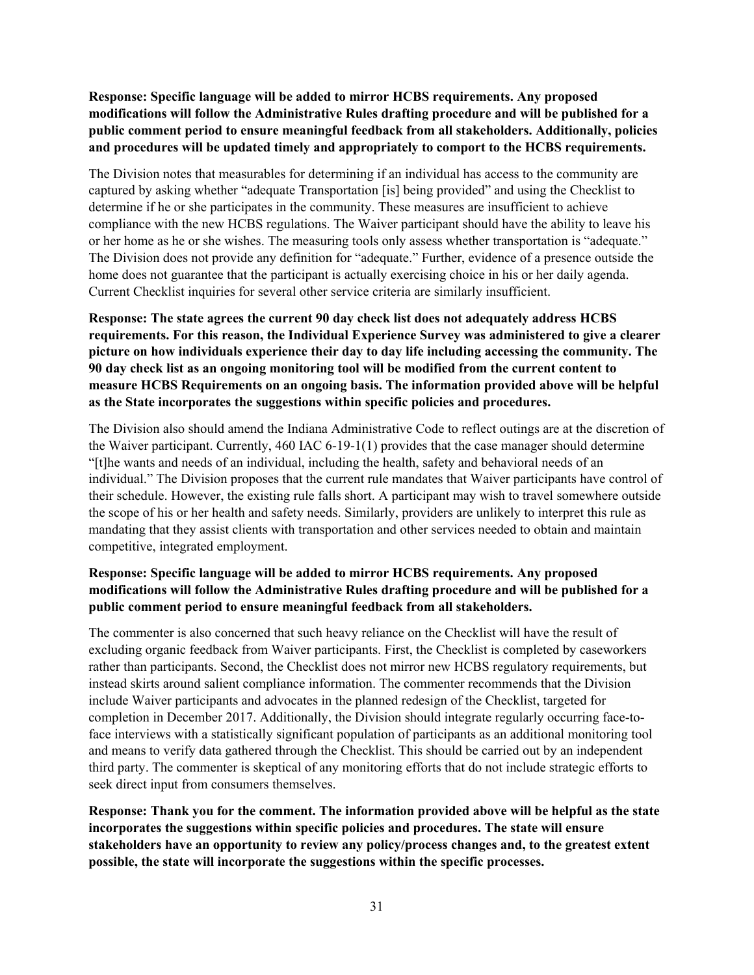**Response: Specific language will be added to mirror HCBS requirements. Any proposed modifications will follow the Administrative Rules drafting procedure and will be published for a public comment period to ensure meaningful feedback from all stakeholders. Additionally, policies and procedures will be updated timely and appropriately to comport to the HCBS requirements.**

The Division notes that measurables for determining if an individual has access to the community are captured by asking whether "adequate Transportation [is] being provided" and using the Checklist to determine if he or she participates in the community. These measures are insufficient to achieve compliance with the new HCBS regulations. The Waiver participant should have the ability to leave his or her home as he or she wishes. The measuring tools only assess whether transportation is "adequate." The Division does not provide any definition for "adequate." Further, evidence of a presence outside the home does not guarantee that the participant is actually exercising choice in his or her daily agenda. Current Checklist inquiries for several other service criteria are similarly insufficient.

**Response: The state agrees the current 90 day check list does not adequately address HCBS requirements. For this reason, the Individual Experience Survey was administered to give a clearer picture on how individuals experience their day to day life including accessing the community. The 90 day check list as an ongoing monitoring tool will be modified from the current content to measure HCBS Requirements on an ongoing basis. The information provided above will be helpful as the State incorporates the suggestions within specific policies and procedures.**

The Division also should amend the Indiana Administrative Code to reflect outings are at the discretion of the Waiver participant. Currently, 460 IAC 6-19-1(1) provides that the case manager should determine "[t]he wants and needs of an individual, including the health, safety and behavioral needs of an individual." The Division proposes that the current rule mandates that Waiver participants have control of their schedule. However, the existing rule falls short. A participant may wish to travel somewhere outside the scope of his or her health and safety needs. Similarly, providers are unlikely to interpret this rule as mandating that they assist clients with transportation and other services needed to obtain and maintain competitive, integrated employment.

## **Response: Specific language will be added to mirror HCBS requirements. Any proposed modifications will follow the Administrative Rules drafting procedure and will be published for a public comment period to ensure meaningful feedback from all stakeholders.**

The commenter is also concerned that such heavy reliance on the Checklist will have the result of excluding organic feedback from Waiver participants. First, the Checklist is completed by caseworkers rather than participants. Second, the Checklist does not mirror new HCBS regulatory requirements, but instead skirts around salient compliance information. The commenter recommends that the Division include Waiver participants and advocates in the planned redesign of the Checklist, targeted for completion in December 2017. Additionally, the Division should integrate regularly occurring face-toface interviews with a statistically significant population of participants as an additional monitoring tool and means to verify data gathered through the Checklist. This should be carried out by an independent third party. The commenter is skeptical of any monitoring efforts that do not include strategic efforts to seek direct input from consumers themselves.

**Response: Thank you for the comment. The information provided above will be helpful as the state incorporates the suggestions within specific policies and procedures. The state will ensure stakeholders have an opportunity to review any policy/process changes and, to the greatest extent possible, the state will incorporate the suggestions within the specific processes.**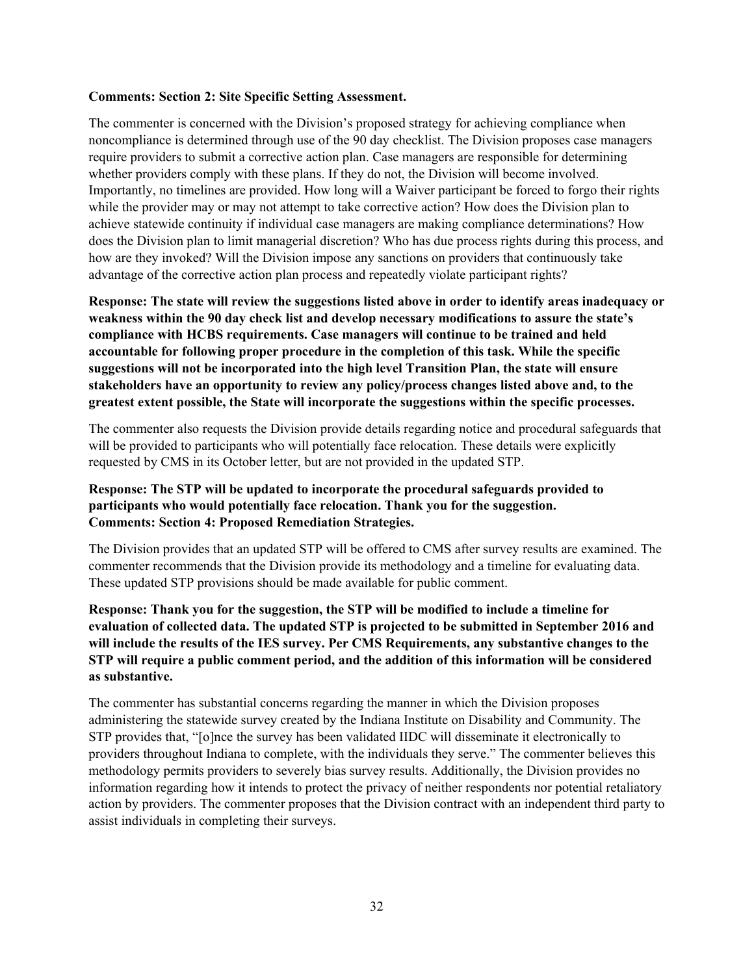#### **Comments: Section 2: Site Specific Setting Assessment.**

The commenter is concerned with the Division's proposed strategy for achieving compliance when noncompliance is determined through use of the 90 day checklist. The Division proposes case managers require providers to submit a corrective action plan. Case managers are responsible for determining whether providers comply with these plans. If they do not, the Division will become involved. Importantly, no timelines are provided. How long will a Waiver participant be forced to forgo their rights while the provider may or may not attempt to take corrective action? How does the Division plan to achieve statewide continuity if individual case managers are making compliance determinations? How does the Division plan to limit managerial discretion? Who has due process rights during this process, and how are they invoked? Will the Division impose any sanctions on providers that continuously take advantage of the corrective action plan process and repeatedly violate participant rights?

**Response: The state will review the suggestions listed above in order to identify areas inadequacy or weakness within the 90 day check list and develop necessary modifications to assure the state's compliance with HCBS requirements. Case managers will continue to be trained and held accountable for following proper procedure in the completion of this task. While the specific suggestions will not be incorporated into the high level Transition Plan, the state will ensure stakeholders have an opportunity to review any policy/process changes listed above and, to the greatest extent possible, the State will incorporate the suggestions within the specific processes.**

The commenter also requests the Division provide details regarding notice and procedural safeguards that will be provided to participants who will potentially face relocation. These details were explicitly requested by CMS in its October letter, but are not provided in the updated STP.

### **Response: The STP will be updated to incorporate the procedural safeguards provided to participants who would potentially face relocation. Thank you for the suggestion. Comments: Section 4: Proposed Remediation Strategies.**

The Division provides that an updated STP will be offered to CMS after survey results are examined. The commenter recommends that the Division provide its methodology and a timeline for evaluating data. These updated STP provisions should be made available for public comment.

# **Response: Thank you for the suggestion, the STP will be modified to include a timeline for evaluation of collected data. The updated STP is projected to be submitted in September 2016 and will include the results of the IES survey. Per CMS Requirements, any substantive changes to the STP will require a public comment period, and the addition of this information will be considered as substantive.**

The commenter has substantial concerns regarding the manner in which the Division proposes administering the statewide survey created by the Indiana Institute on Disability and Community. The STP provides that, "[o]nce the survey has been validated IIDC will disseminate it electronically to providers throughout Indiana to complete, with the individuals they serve." The commenter believes this methodology permits providers to severely bias survey results. Additionally, the Division provides no information regarding how it intends to protect the privacy of neither respondents nor potential retaliatory action by providers. The commenter proposes that the Division contract with an independent third party to assist individuals in completing their surveys.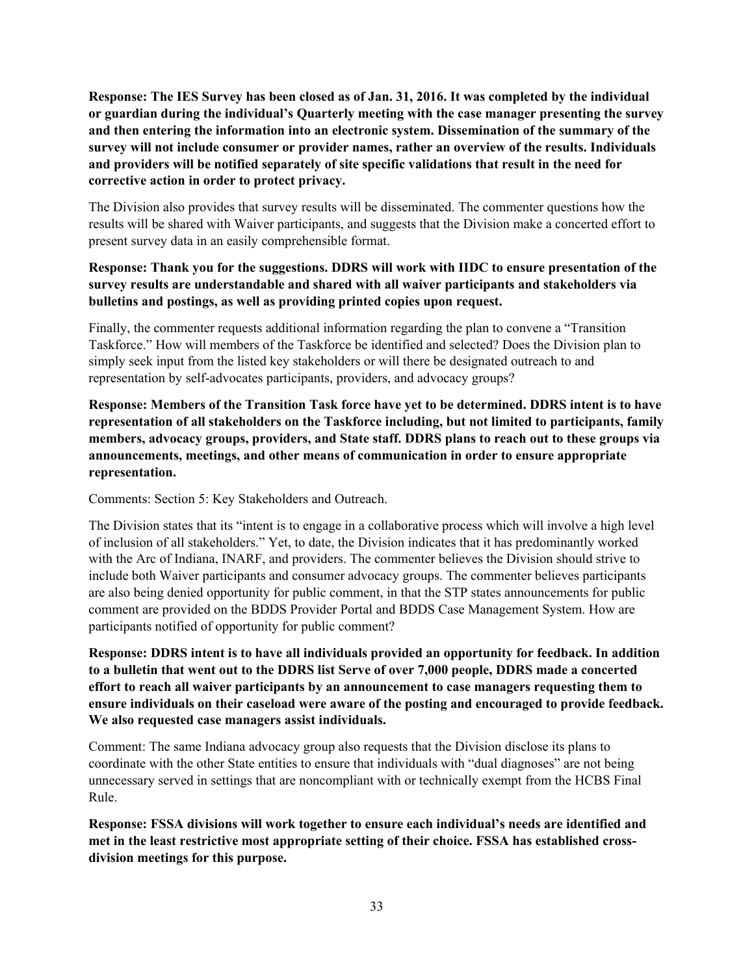**Response: The IES Survey has been closed as of Jan. 31, 2016. It was completed by the individual or guardian during the individual's Quarterly meeting with the case manager presenting the survey and then entering the information into an electronic system. Dissemination of the summary of the survey will not include consumer or provider names, rather an overview of the results. Individuals and providers will be notified separately of site specific validations that result in the need for corrective action in order to protect privacy.**

The Division also provides that survey results will be disseminated. The commenter questions how the results will be shared with Waiver participants, and suggests that the Division make a concerted effort to present survey data in an easily comprehensible format.

## **Response: Thank you for the suggestions. DDRS will work with IIDC to ensure presentation of the survey results are understandable and shared with all waiver participants and stakeholders via bulletins and postings, as well as providing printed copies upon request.**

Finally, the commenter requests additional information regarding the plan to convene a "Transition Taskforce." How will members of the Taskforce be identified and selected? Does the Division plan to simply seek input from the listed key stakeholders or will there be designated outreach to and representation by self-advocates participants, providers, and advocacy groups?

**Response: Members of the Transition Task force have yet to be determined. DDRS intent is to have representation of all stakeholders on the Taskforce including, but not limited to participants, family members, advocacy groups, providers, and State staff. DDRS plans to reach out to these groups via announcements, meetings, and other means of communication in order to ensure appropriate representation.**

Comments: Section 5: Key Stakeholders and Outreach.

The Division states that its "intent is to engage in a collaborative process which will involve a high level of inclusion of all stakeholders." Yet, to date, the Division indicates that it has predominantly worked with the Arc of Indiana, INARF, and providers. The commenter believes the Division should strive to include both Waiver participants and consumer advocacy groups. The commenter believes participants are also being denied opportunity for public comment, in that the STP states announcements for public comment are provided on the BDDS Provider Portal and BDDS Case Management System. How are participants notified of opportunity for public comment?

**Response: DDRS intent is to have all individuals provided an opportunity for feedback. In addition to a bulletin that went out to the DDRS list Serve of over 7,000 people, DDRS made a concerted effort to reach all waiver participants by an announcement to case managers requesting them to ensure individuals on their caseload were aware of the posting and encouraged to provide feedback. We also requested case managers assist individuals.**

Comment: The same Indiana advocacy group also requests that the Division disclose its plans to coordinate with the other State entities to ensure that individuals with "dual diagnoses" are not being unnecessary served in settings that are noncompliant with or technically exempt from the HCBS Final Rule.

**Response: FSSA divisions will work together to ensure each individual's needs are identified and met in the least restrictive most appropriate setting of their choice. FSSA has established crossdivision meetings for this purpose.**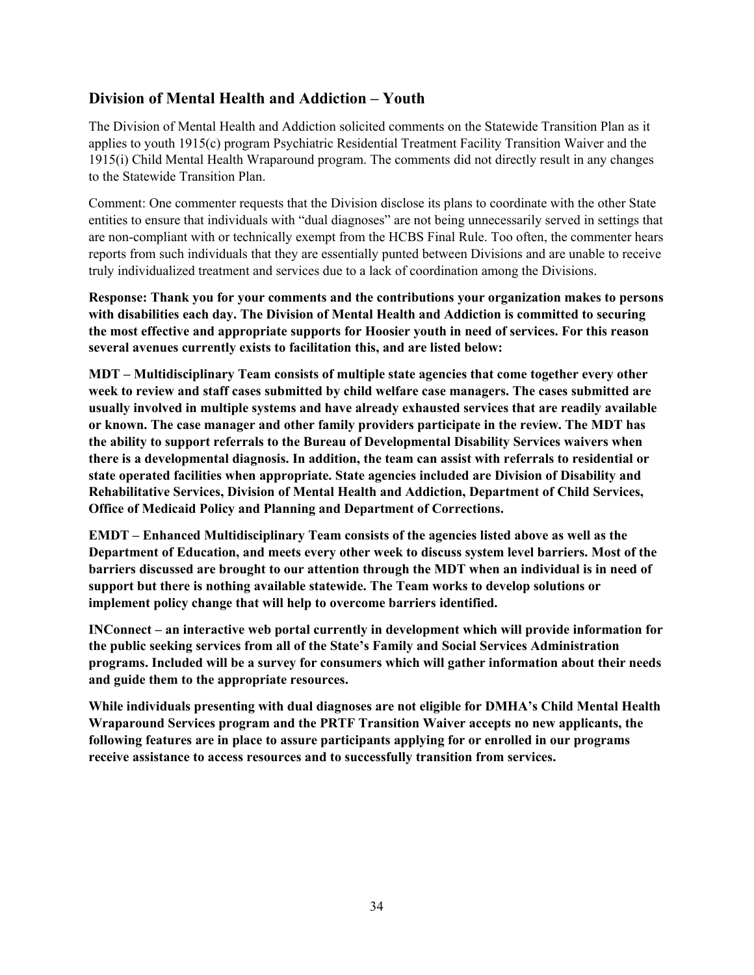# <span id="page-33-0"></span>**Division of Mental Health and Addiction – Youth**

The Division of Mental Health and Addiction solicited comments on the Statewide Transition Plan as it applies to youth 1915(c) program Psychiatric Residential Treatment Facility Transition Waiver and the 1915(i) Child Mental Health Wraparound program. The comments did not directly result in any changes to the Statewide Transition Plan.

Comment: One commenter requests that the Division disclose its plans to coordinate with the other State entities to ensure that individuals with "dual diagnoses" are not being unnecessarily served in settings that are non-compliant with or technically exempt from the HCBS Final Rule. Too often, the commenter hears reports from such individuals that they are essentially punted between Divisions and are unable to receive truly individualized treatment and services due to a lack of coordination among the Divisions.

**Response: Thank you for your comments and the contributions your organization makes to persons with disabilities each day. The Division of Mental Health and Addiction is committed to securing the most effective and appropriate supports for Hoosier youth in need of services. For this reason several avenues currently exists to facilitation this, and are listed below:**

**MDT – Multidisciplinary Team consists of multiple state agencies that come together every other week to review and staff cases submitted by child welfare case managers. The cases submitted are usually involved in multiple systems and have already exhausted services that are readily available or known. The case manager and other family providers participate in the review. The MDT has the ability to support referrals to the Bureau of Developmental Disability Services waivers when there is a developmental diagnosis. In addition, the team can assist with referrals to residential or state operated facilities when appropriate. State agencies included are Division of Disability and Rehabilitative Services, Division of Mental Health and Addiction, Department of Child Services, Office of Medicaid Policy and Planning and Department of Corrections.**

**EMDT – Enhanced Multidisciplinary Team consists of the agencies listed above as well as the Department of Education, and meets every other week to discuss system level barriers. Most of the barriers discussed are brought to our attention through the MDT when an individual is in need of support but there is nothing available statewide. The Team works to develop solutions or implement policy change that will help to overcome barriers identified.**

**INConnect – an interactive web portal currently in development which will provide information for the public seeking services from all of the State's Family and Social Services Administration programs. Included will be a survey for consumers which will gather information about their needs and guide them to the appropriate resources.**

**While individuals presenting with dual diagnoses are not eligible for DMHA's Child Mental Health Wraparound Services program and the PRTF Transition Waiver accepts no new applicants, the following features are in place to assure participants applying for or enrolled in our programs receive assistance to access resources and to successfully transition from services.**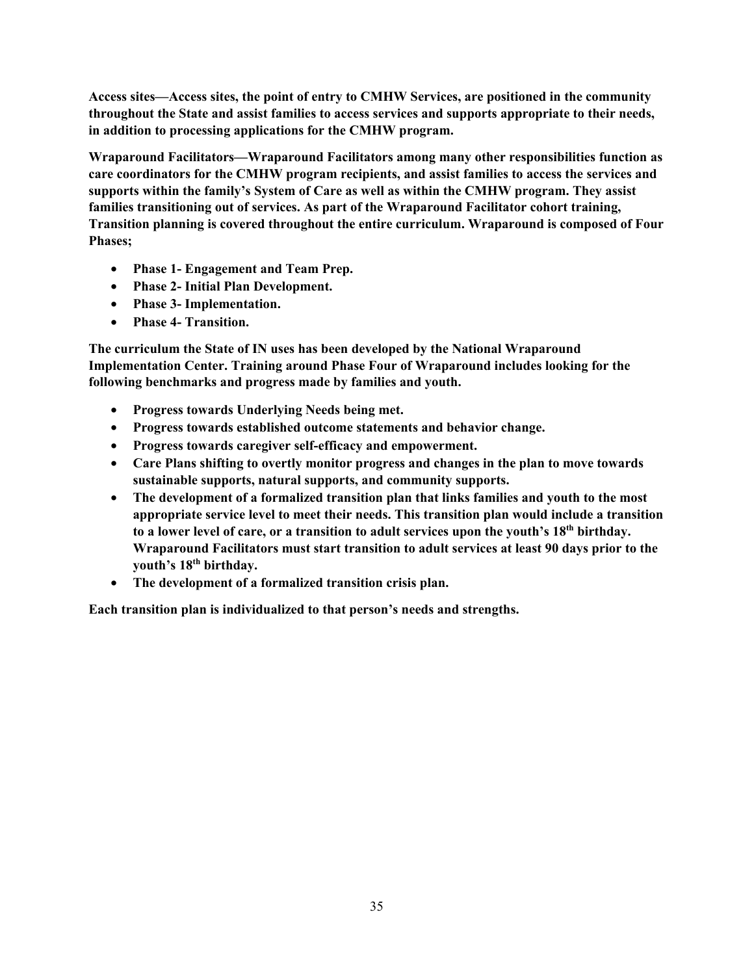**Access sites—Access sites, the point of entry to CMHW Services, are positioned in the community throughout the State and assist families to access services and supports appropriate to their needs, in addition to processing applications for the CMHW program.**

**Wraparound Facilitators—Wraparound Facilitators among many other responsibilities function as care coordinators for the CMHW program recipients, and assist families to access the services and supports within the family's System of Care as well as within the CMHW program. They assist families transitioning out of services. As part of the Wraparound Facilitator cohort training, Transition planning is covered throughout the entire curriculum. Wraparound is composed of Four Phases;**

- **Phase 1- Engagement and Team Prep.**
- **Phase 2- Initial Plan Development.**
- **Phase 3- Implementation.**
- **Phase 4- Transition.**

**The curriculum the State of IN uses has been developed by the National Wraparound Implementation Center. Training around Phase Four of Wraparound includes looking for the following benchmarks and progress made by families and youth.**

- **Progress towards Underlying Needs being met.**
- **Progress towards established outcome statements and behavior change.**
- **Progress towards caregiver self-efficacy and empowerment.**
- **Care Plans shifting to overtly monitor progress and changes in the plan to move towards sustainable supports, natural supports, and community supports.**
- **The development of a formalized transition plan that links families and youth to the most appropriate service level to meet their needs. This transition plan would include a transition to a lower level of care, or a transition to adult services upon the youth's 18th birthday. Wraparound Facilitators must start transition to adult services at least 90 days prior to the youth's 18th birthday.**
- **The development of a formalized transition crisis plan.**

**Each transition plan is individualized to that person's needs and strengths.**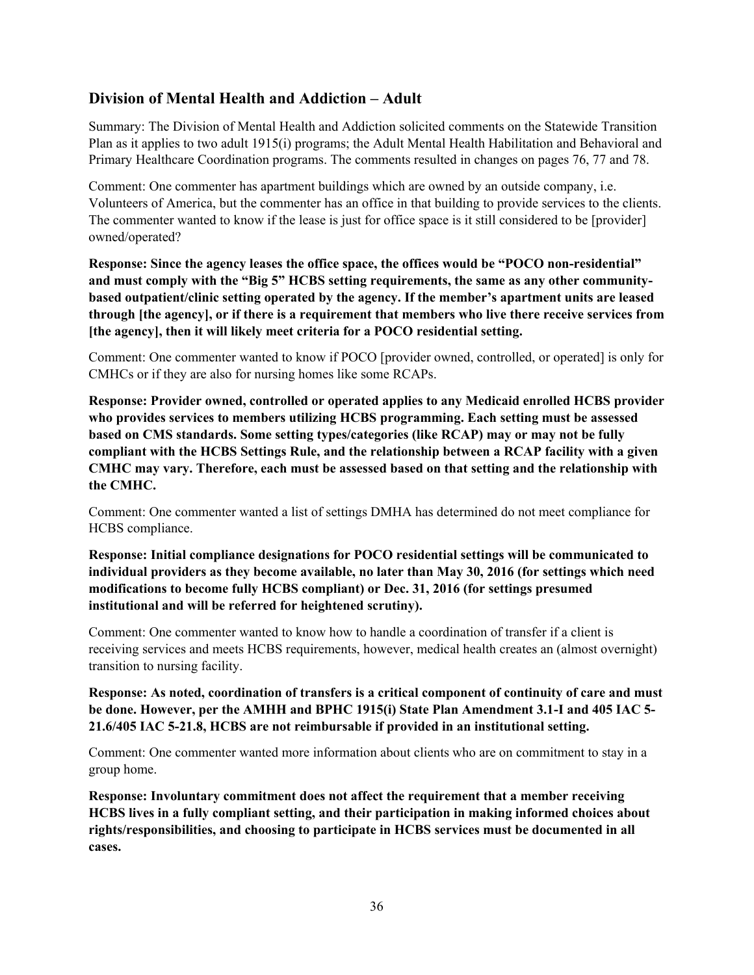# <span id="page-35-0"></span>**Division of Mental Health and Addiction – Adult**

Summary: The Division of Mental Health and Addiction solicited comments on the Statewide Transition Plan as it applies to two adult 1915(i) programs; the Adult Mental Health Habilitation and Behavioral and Primary Healthcare Coordination programs. The comments resulted in changes on pages 76, 77 and 78.

Comment: One commenter has apartment buildings which are owned by an outside company, i.e. Volunteers of America, but the commenter has an office in that building to provide services to the clients. The commenter wanted to know if the lease is just for office space is it still considered to be [provider] owned/operated?

**Response: Since the agency leases the office space, the offices would be "POCO non-residential" and must comply with the "Big 5" HCBS setting requirements, the same as any other communitybased outpatient/clinic setting operated by the agency. If the member's apartment units are leased through [the agency], or if there is a requirement that members who live there receive services from [the agency], then it will likely meet criteria for a POCO residential setting.**

Comment: One commenter wanted to know if POCO [provider owned, controlled, or operated] is only for CMHCs or if they are also for nursing homes like some RCAPs.

**Response: Provider owned, controlled or operated applies to any Medicaid enrolled HCBS provider who provides services to members utilizing HCBS programming. Each setting must be assessed based on CMS standards. Some setting types/categories (like RCAP) may or may not be fully compliant with the HCBS Settings Rule, and the relationship between a RCAP facility with a given CMHC may vary. Therefore, each must be assessed based on that setting and the relationship with the CMHC.** 

Comment: One commenter wanted a list of settings DMHA has determined do not meet compliance for HCBS compliance.

**Response: Initial compliance designations for POCO residential settings will be communicated to individual providers as they become available, no later than May 30, 2016 (for settings which need modifications to become fully HCBS compliant) or Dec. 31, 2016 (for settings presumed institutional and will be referred for heightened scrutiny).**

Comment: One commenter wanted to know how to handle a coordination of transfer if a client is receiving services and meets HCBS requirements, however, medical health creates an (almost overnight) transition to nursing facility.

**Response: As noted, coordination of transfers is a critical component of continuity of care and must be done. However, per the AMHH and BPHC 1915(i) State Plan Amendment 3.1-I and 405 IAC 5- 21.6/405 IAC 5-21.8, HCBS are not reimbursable if provided in an institutional setting.**

Comment: One commenter wanted more information about clients who are on commitment to stay in a group home.

**Response: Involuntary commitment does not affect the requirement that a member receiving HCBS lives in a fully compliant setting, and their participation in making informed choices about rights/responsibilities, and choosing to participate in HCBS services must be documented in all cases.**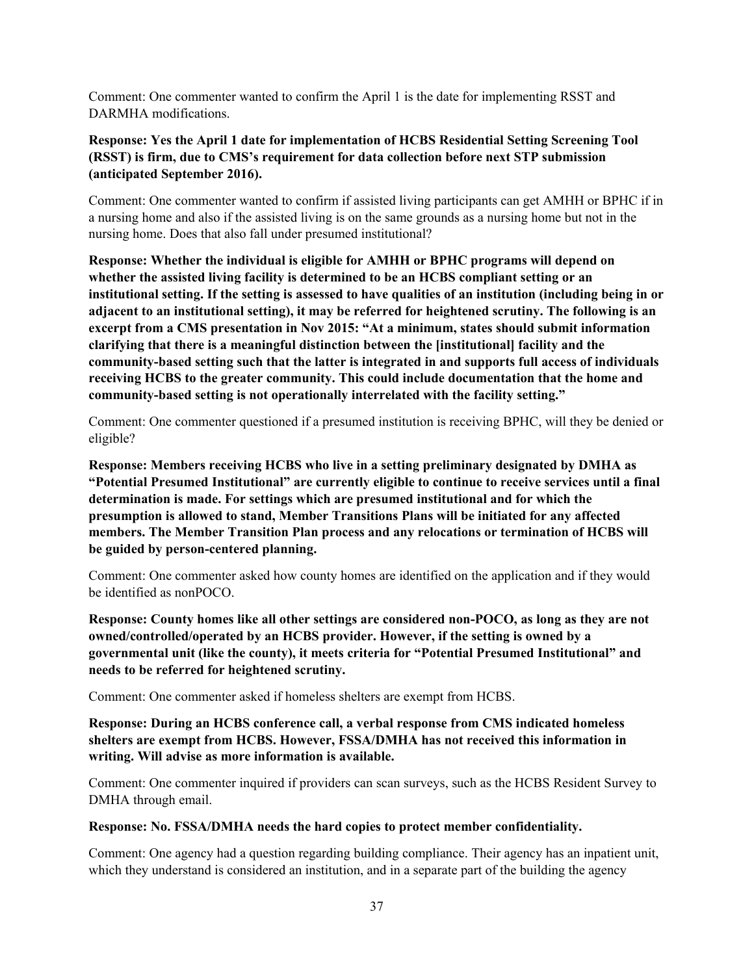Comment: One commenter wanted to confirm the April 1 is the date for implementing RSST and DARMHA modifications.

# **Response: Yes the April 1 date for implementation of HCBS Residential Setting Screening Tool (RSST) is firm, due to CMS's requirement for data collection before next STP submission (anticipated September 2016).**

Comment: One commenter wanted to confirm if assisted living participants can get AMHH or BPHC if in a nursing home and also if the assisted living is on the same grounds as a nursing home but not in the nursing home. Does that also fall under presumed institutional?

**Response: Whether the individual is eligible for AMHH or BPHC programs will depend on whether the assisted living facility is determined to be an HCBS compliant setting or an institutional setting. If the setting is assessed to have qualities of an institution (including being in or adjacent to an institutional setting), it may be referred for heightened scrutiny. The following is an excerpt from a CMS presentation in Nov 2015: "At a minimum, states should submit information clarifying that there is a meaningful distinction between the [institutional] facility and the community-based setting such that the latter is integrated in and supports full access of individuals receiving HCBS to the greater community. This could include documentation that the home and community-based setting is not operationally interrelated with the facility setting."**

Comment: One commenter questioned if a presumed institution is receiving BPHC, will they be denied or eligible?

**Response: Members receiving HCBS who live in a setting preliminary designated by DMHA as "Potential Presumed Institutional" are currently eligible to continue to receive services until a final determination is made. For settings which are presumed institutional and for which the presumption is allowed to stand, Member Transitions Plans will be initiated for any affected members. The Member Transition Plan process and any relocations or termination of HCBS will be guided by person-centered planning.**

Comment: One commenter asked how county homes are identified on the application and if they would be identified as nonPOCO.

**Response: County homes like all other settings are considered non-POCO, as long as they are not owned/controlled/operated by an HCBS provider. However, if the setting is owned by a governmental unit (like the county), it meets criteria for "Potential Presumed Institutional" and needs to be referred for heightened scrutiny.**

Comment: One commenter asked if homeless shelters are exempt from HCBS.

**Response: During an HCBS conference call, a verbal response from CMS indicated homeless shelters are exempt from HCBS. However, FSSA/DMHA has not received this information in writing. Will advise as more information is available.**

Comment: One commenter inquired if providers can scan surveys, such as the HCBS Resident Survey to DMHA through email.

#### **Response: No. FSSA/DMHA needs the hard copies to protect member confidentiality.**

Comment: One agency had a question regarding building compliance. Their agency has an inpatient unit, which they understand is considered an institution, and in a separate part of the building the agency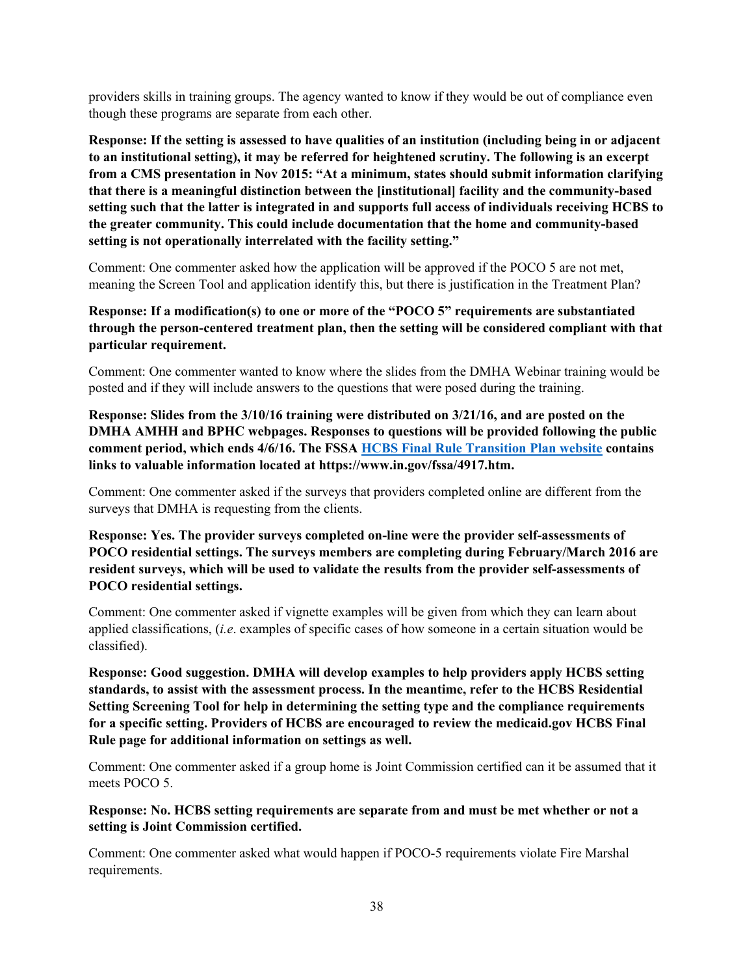providers skills in training groups. The agency wanted to know if they would be out of compliance even though these programs are separate from each other.

**Response: If the setting is assessed to have qualities of an institution (including being in or adjacent to an institutional setting), it may be referred for heightened scrutiny. The following is an excerpt from a CMS presentation in Nov 2015: "At a minimum, states should submit information clarifying that there is a meaningful distinction between the [institutional] facility and the community-based setting such that the latter is integrated in and supports full access of individuals receiving HCBS to the greater community. This could include documentation that the home and community-based setting is not operationally interrelated with the facility setting."**

Comment: One commenter asked how the application will be approved if the POCO 5 are not met, meaning the Screen Tool and application identify this, but there is justification in the Treatment Plan?

**Response: If a modification(s) to one or more of the "POCO 5" requirements are substantiated through the person-centered treatment plan, then the setting will be considered compliant with that particular requirement.**

Comment: One commenter wanted to know where the slides from the DMHA Webinar training would be posted and if they will include answers to the questions that were posed during the training.

**Response: Slides from the 3/10/16 training were distributed on 3/21/16, and are posted on the DMHA AMHH and BPHC webpages. Responses to questions will be provided following the public comment period, which ends 4/6/16. The FSSA [HCBS Final Rule Transition Plan website](https://www.in.gov/fssa/da/4917.htm) contains links to valuable information located at https://www.in.gov/fssa/4917.htm.** 

Comment: One commenter asked if the surveys that providers completed online are different from the surveys that DMHA is requesting from the clients.

**Response: Yes. The provider surveys completed on-line were the provider self-assessments of POCO residential settings. The surveys members are completing during February/March 2016 are resident surveys, which will be used to validate the results from the provider self-assessments of POCO residential settings.**

Comment: One commenter asked if vignette examples will be given from which they can learn about applied classifications, (*i.e*. examples of specific cases of how someone in a certain situation would be classified).

**Response: Good suggestion. DMHA will develop examples to help providers apply HCBS setting standards, to assist with the assessment process. In the meantime, refer to the HCBS Residential Setting Screening Tool for help in determining the setting type and the compliance requirements for a specific setting. Providers of HCBS are encouraged to review the medicaid.gov HCBS Final Rule page for additional information on settings as well.**

Comment: One commenter asked if a group home is Joint Commission certified can it be assumed that it meets POCO 5.

**Response: No. HCBS setting requirements are separate from and must be met whether or not a setting is Joint Commission certified.**

Comment: One commenter asked what would happen if POCO-5 requirements violate Fire Marshal requirements.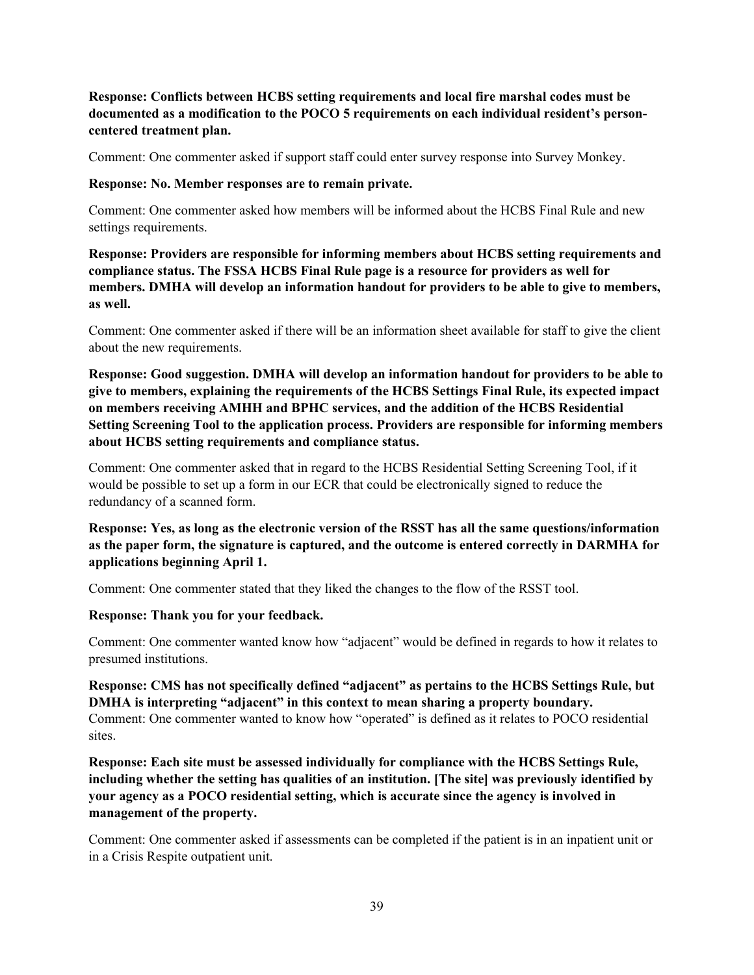## **Response: Conflicts between HCBS setting requirements and local fire marshal codes must be documented as a modification to the POCO 5 requirements on each individual resident's personcentered treatment plan.**

Comment: One commenter asked if support staff could enter survey response into Survey Monkey.

#### **Response: No. Member responses are to remain private.**

Comment: One commenter asked how members will be informed about the HCBS Final Rule and new settings requirements.

**Response: Providers are responsible for informing members about HCBS setting requirements and compliance status. The FSSA HCBS Final Rule page is a resource for providers as well for members. DMHA will develop an information handout for providers to be able to give to members, as well.**

Comment: One commenter asked if there will be an information sheet available for staff to give the client about the new requirements.

**Response: Good suggestion. DMHA will develop an information handout for providers to be able to give to members, explaining the requirements of the HCBS Settings Final Rule, its expected impact on members receiving AMHH and BPHC services, and the addition of the HCBS Residential Setting Screening Tool to the application process. Providers are responsible for informing members about HCBS setting requirements and compliance status.**

Comment: One commenter asked that in regard to the HCBS Residential Setting Screening Tool, if it would be possible to set up a form in our ECR that could be electronically signed to reduce the redundancy of a scanned form.

**Response: Yes, as long as the electronic version of the RSST has all the same questions/information as the paper form, the signature is captured, and the outcome is entered correctly in DARMHA for applications beginning April 1.**

Comment: One commenter stated that they liked the changes to the flow of the RSST tool.

**Response: Thank you for your feedback.**

Comment: One commenter wanted know how "adjacent" would be defined in regards to how it relates to presumed institutions.

# **Response: CMS has not specifically defined "adjacent" as pertains to the HCBS Settings Rule, but DMHA is interpreting "adjacent" in this context to mean sharing a property boundary.**

Comment: One commenter wanted to know how "operated" is defined as it relates to POCO residential sites.

**Response: Each site must be assessed individually for compliance with the HCBS Settings Rule, including whether the setting has qualities of an institution. [The site] was previously identified by your agency as a POCO residential setting, which is accurate since the agency is involved in management of the property.**

Comment: One commenter asked if assessments can be completed if the patient is in an inpatient unit or in a Crisis Respite outpatient unit.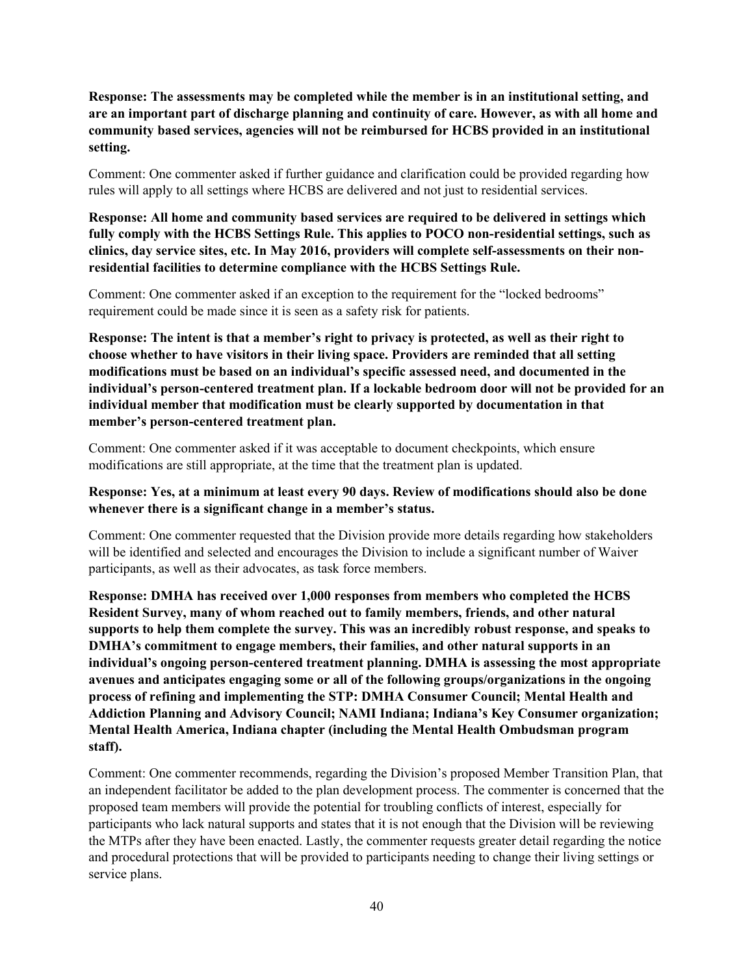**Response: The assessments may be completed while the member is in an institutional setting, and are an important part of discharge planning and continuity of care. However, as with all home and community based services, agencies will not be reimbursed for HCBS provided in an institutional setting.**

Comment: One commenter asked if further guidance and clarification could be provided regarding how rules will apply to all settings where HCBS are delivered and not just to residential services.

**Response: All home and community based services are required to be delivered in settings which fully comply with the HCBS Settings Rule. This applies to POCO non-residential settings, such as clinics, day service sites, etc. In May 2016, providers will complete self-assessments on their nonresidential facilities to determine compliance with the HCBS Settings Rule.**

Comment: One commenter asked if an exception to the requirement for the "locked bedrooms" requirement could be made since it is seen as a safety risk for patients.

**Response: The intent is that a member's right to privacy is protected, as well as their right to choose whether to have visitors in their living space. Providers are reminded that all setting modifications must be based on an individual's specific assessed need, and documented in the individual's person-centered treatment plan. If a lockable bedroom door will not be provided for an individual member that modification must be clearly supported by documentation in that member's person-centered treatment plan.**

Comment: One commenter asked if it was acceptable to document checkpoints, which ensure modifications are still appropriate, at the time that the treatment plan is updated.

#### **Response: Yes, at a minimum at least every 90 days. Review of modifications should also be done whenever there is a significant change in a member's status.**

Comment: One commenter requested that the Division provide more details regarding how stakeholders will be identified and selected and encourages the Division to include a significant number of Waiver participants, as well as their advocates, as task force members.

**Response: DMHA has received over 1,000 responses from members who completed the HCBS Resident Survey, many of whom reached out to family members, friends, and other natural supports to help them complete the survey. This was an incredibly robust response, and speaks to DMHA's commitment to engage members, their families, and other natural supports in an individual's ongoing person-centered treatment planning. DMHA is assessing the most appropriate avenues and anticipates engaging some or all of the following groups/organizations in the ongoing process of refining and implementing the STP: DMHA Consumer Council; Mental Health and Addiction Planning and Advisory Council; NAMI Indiana; Indiana's Key Consumer organization; Mental Health America, Indiana chapter (including the Mental Health Ombudsman program staff).**

Comment: One commenter recommends, regarding the Division's proposed Member Transition Plan, that an independent facilitator be added to the plan development process. The commenter is concerned that the proposed team members will provide the potential for troubling conflicts of interest, especially for participants who lack natural supports and states that it is not enough that the Division will be reviewing the MTPs after they have been enacted. Lastly, the commenter requests greater detail regarding the notice and procedural protections that will be provided to participants needing to change their living settings or service plans.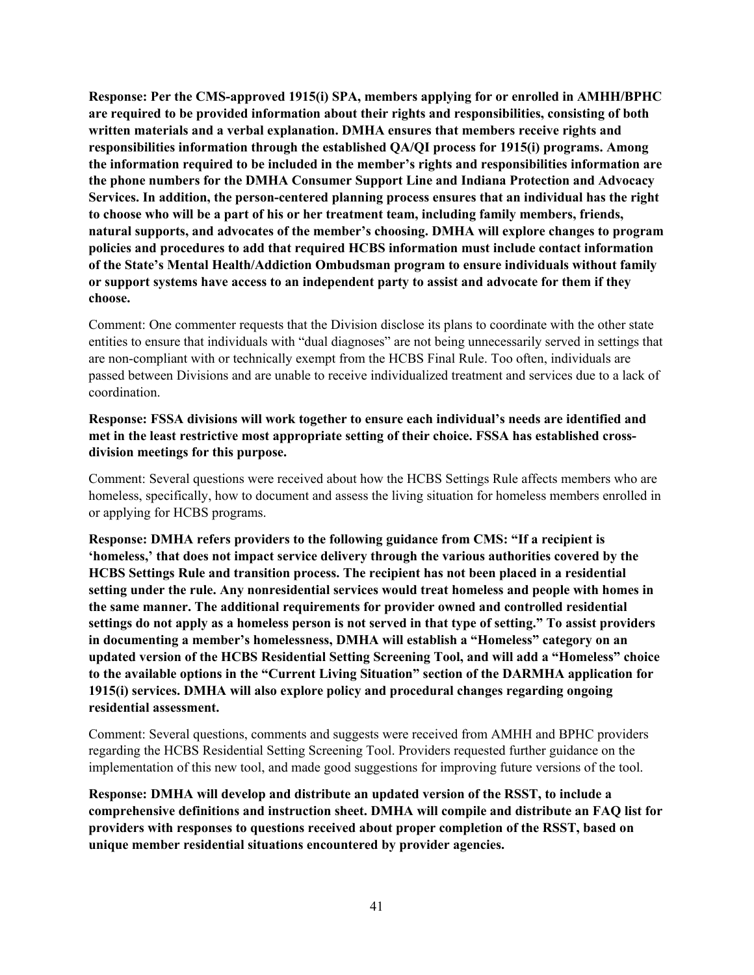**Response: Per the CMS-approved 1915(i) SPA, members applying for or enrolled in AMHH/BPHC are required to be provided information about their rights and responsibilities, consisting of both written materials and a verbal explanation. DMHA ensures that members receive rights and responsibilities information through the established QA/QI process for 1915(i) programs. Among the information required to be included in the member's rights and responsibilities information are the phone numbers for the DMHA Consumer Support Line and Indiana Protection and Advocacy Services. In addition, the person-centered planning process ensures that an individual has the right to choose who will be a part of his or her treatment team, including family members, friends, natural supports, and advocates of the member's choosing. DMHA will explore changes to program policies and procedures to add that required HCBS information must include contact information of the State's Mental Health/Addiction Ombudsman program to ensure individuals without family or support systems have access to an independent party to assist and advocate for them if they choose.**

Comment: One commenter requests that the Division disclose its plans to coordinate with the other state entities to ensure that individuals with "dual diagnoses" are not being unnecessarily served in settings that are non-compliant with or technically exempt from the HCBS Final Rule. Too often, individuals are passed between Divisions and are unable to receive individualized treatment and services due to a lack of coordination.

## **Response: FSSA divisions will work together to ensure each individual's needs are identified and met in the least restrictive most appropriate setting of their choice. FSSA has established crossdivision meetings for this purpose.**

Comment: Several questions were received about how the HCBS Settings Rule affects members who are homeless, specifically, how to document and assess the living situation for homeless members enrolled in or applying for HCBS programs.

**Response: DMHA refers providers to the following guidance from CMS: "If a recipient is 'homeless,' that does not impact service delivery through the various authorities covered by the HCBS Settings Rule and transition process. The recipient has not been placed in a residential setting under the rule. Any nonresidential services would treat homeless and people with homes in the same manner. The additional requirements for provider owned and controlled residential settings do not apply as a homeless person is not served in that type of setting." To assist providers in documenting a member's homelessness, DMHA will establish a "Homeless" category on an updated version of the HCBS Residential Setting Screening Tool, and will add a "Homeless" choice to the available options in the "Current Living Situation" section of the DARMHA application for 1915(i) services. DMHA will also explore policy and procedural changes regarding ongoing residential assessment.**

Comment: Several questions, comments and suggests were received from AMHH and BPHC providers regarding the HCBS Residential Setting Screening Tool. Providers requested further guidance on the implementation of this new tool, and made good suggestions for improving future versions of the tool.

**Response: DMHA will develop and distribute an updated version of the RSST, to include a comprehensive definitions and instruction sheet. DMHA will compile and distribute an FAQ list for providers with responses to questions received about proper completion of the RSST, based on unique member residential situations encountered by provider agencies.**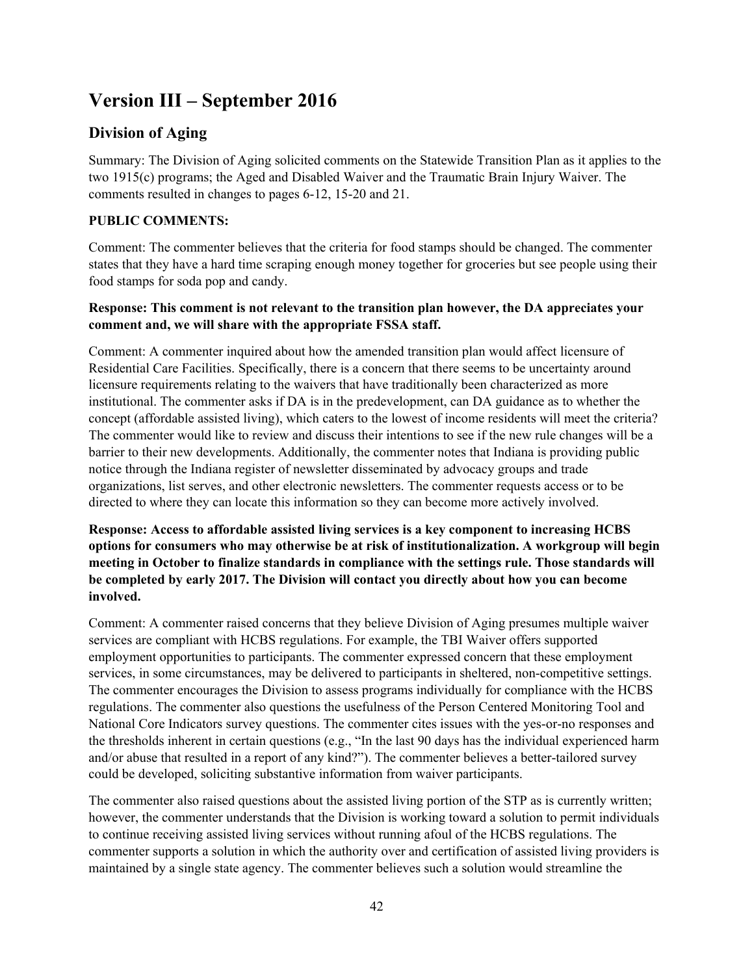# **Version III – September 2016**

# **Division of Aging**

Summary: The Division of Aging solicited comments on the Statewide Transition Plan as it applies to the two 1915(c) programs; the Aged and Disabled Waiver and the Traumatic Brain Injury Waiver. The comments resulted in changes to pages 6-12, 15-20 and 21.

# **PUBLIC COMMENTS:**

Comment: The commenter believes that the criteria for food stamps should be changed. The commenter states that they have a hard time scraping enough money together for groceries but see people using their food stamps for soda pop and candy.

# **Response: This comment is not relevant to the transition plan however, the DA appreciates your comment and, we will share with the appropriate FSSA staff.**

Comment: A commenter inquired about how the amended transition plan would affect licensure of Residential Care Facilities. Specifically, there is a concern that there seems to be uncertainty around licensure requirements relating to the waivers that have traditionally been characterized as more institutional. The commenter asks if DA is in the predevelopment, can DA guidance as to whether the concept (affordable assisted living), which caters to the lowest of income residents will meet the criteria? The commenter would like to review and discuss their intentions to see if the new rule changes will be a barrier to their new developments. Additionally, the commenter notes that Indiana is providing public notice through the Indiana register of newsletter disseminated by advocacy groups and trade organizations, list serves, and other electronic newsletters. The commenter requests access or to be directed to where they can locate this information so they can become more actively involved.

# **Response: Access to affordable assisted living services is a key component to increasing HCBS options for consumers who may otherwise be at risk of institutionalization. A workgroup will begin meeting in October to finalize standards in compliance with the settings rule. Those standards will be completed by early 2017. The Division will contact you directly about how you can become involved.**

Comment: A commenter raised concerns that they believe Division of Aging presumes multiple waiver services are compliant with HCBS regulations. For example, the TBI Waiver offers supported employment opportunities to participants. The commenter expressed concern that these employment services, in some circumstances, may be delivered to participants in sheltered, non-competitive settings. The commenter encourages the Division to assess programs individually for compliance with the HCBS regulations. The commenter also questions the usefulness of the Person Centered Monitoring Tool and National Core Indicators survey questions. The commenter cites issues with the yes-or-no responses and the thresholds inherent in certain questions (e.g., "In the last 90 days has the individual experienced harm and/or abuse that resulted in a report of any kind?"). The commenter believes a better-tailored survey could be developed, soliciting substantive information from waiver participants.

The commenter also raised questions about the assisted living portion of the STP as is currently written; however, the commenter understands that the Division is working toward a solution to permit individuals to continue receiving assisted living services without running afoul of the HCBS regulations. The commenter supports a solution in which the authority over and certification of assisted living providers is maintained by a single state agency. The commenter believes such a solution would streamline the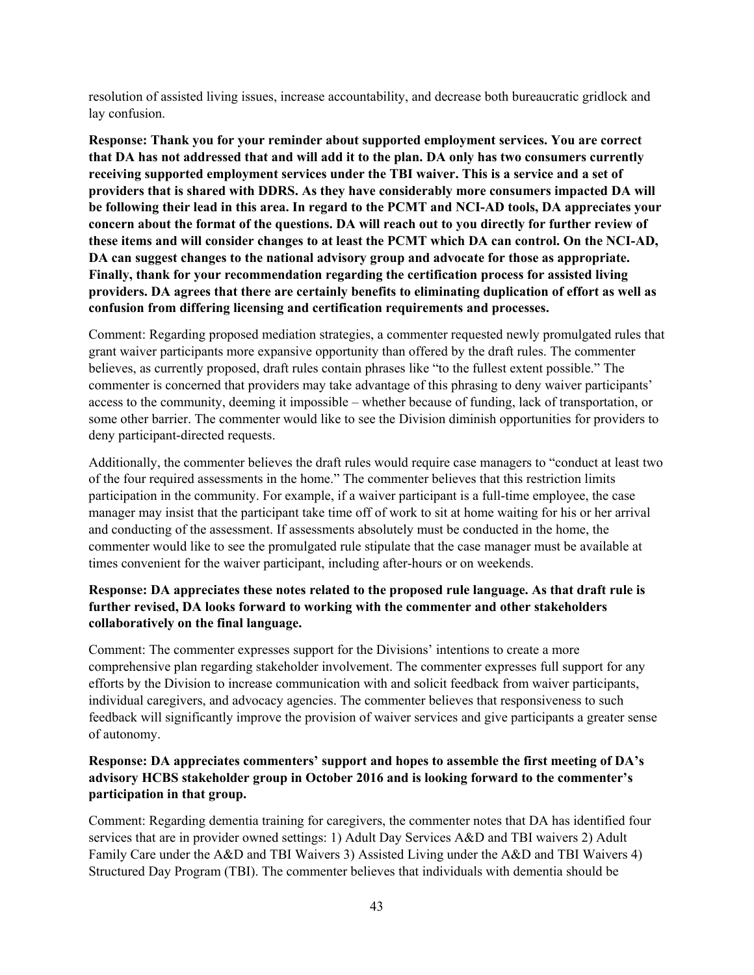resolution of assisted living issues, increase accountability, and decrease both bureaucratic gridlock and lay confusion.

**Response: Thank you for your reminder about supported employment services. You are correct that DA has not addressed that and will add it to the plan. DA only has two consumers currently receiving supported employment services under the TBI waiver. This is a service and a set of providers that is shared with DDRS. As they have considerably more consumers impacted DA will be following their lead in this area. In regard to the PCMT and NCI-AD tools, DA appreciates your concern about the format of the questions. DA will reach out to you directly for further review of these items and will consider changes to at least the PCMT which DA can control. On the NCI-AD, DA can suggest changes to the national advisory group and advocate for those as appropriate. Finally, thank for your recommendation regarding the certification process for assisted living providers. DA agrees that there are certainly benefits to eliminating duplication of effort as well as confusion from differing licensing and certification requirements and processes.**

Comment: Regarding proposed mediation strategies, a commenter requested newly promulgated rules that grant waiver participants more expansive opportunity than offered by the draft rules. The commenter believes, as currently proposed, draft rules contain phrases like "to the fullest extent possible." The commenter is concerned that providers may take advantage of this phrasing to deny waiver participants' access to the community, deeming it impossible – whether because of funding, lack of transportation, or some other barrier. The commenter would like to see the Division diminish opportunities for providers to deny participant-directed requests.

Additionally, the commenter believes the draft rules would require case managers to "conduct at least two of the four required assessments in the home." The commenter believes that this restriction limits participation in the community. For example, if a waiver participant is a full-time employee, the case manager may insist that the participant take time off of work to sit at home waiting for his or her arrival and conducting of the assessment. If assessments absolutely must be conducted in the home, the commenter would like to see the promulgated rule stipulate that the case manager must be available at times convenient for the waiver participant, including after-hours or on weekends.

# **Response: DA appreciates these notes related to the proposed rule language. As that draft rule is further revised, DA looks forward to working with the commenter and other stakeholders collaboratively on the final language.**

Comment: The commenter expresses support for the Divisions' intentions to create a more comprehensive plan regarding stakeholder involvement. The commenter expresses full support for any efforts by the Division to increase communication with and solicit feedback from waiver participants, individual caregivers, and advocacy agencies. The commenter believes that responsiveness to such feedback will significantly improve the provision of waiver services and give participants a greater sense of autonomy.

# **Response: DA appreciates commenters' support and hopes to assemble the first meeting of DA's advisory HCBS stakeholder group in October 2016 and is looking forward to the commenter's participation in that group.**

Comment: Regarding dementia training for caregivers, the commenter notes that DA has identified four services that are in provider owned settings: 1) Adult Day Services A&D and TBI waivers 2) Adult Family Care under the A&D and TBI Waivers 3) Assisted Living under the A&D and TBI Waivers 4) Structured Day Program (TBI). The commenter believes that individuals with dementia should be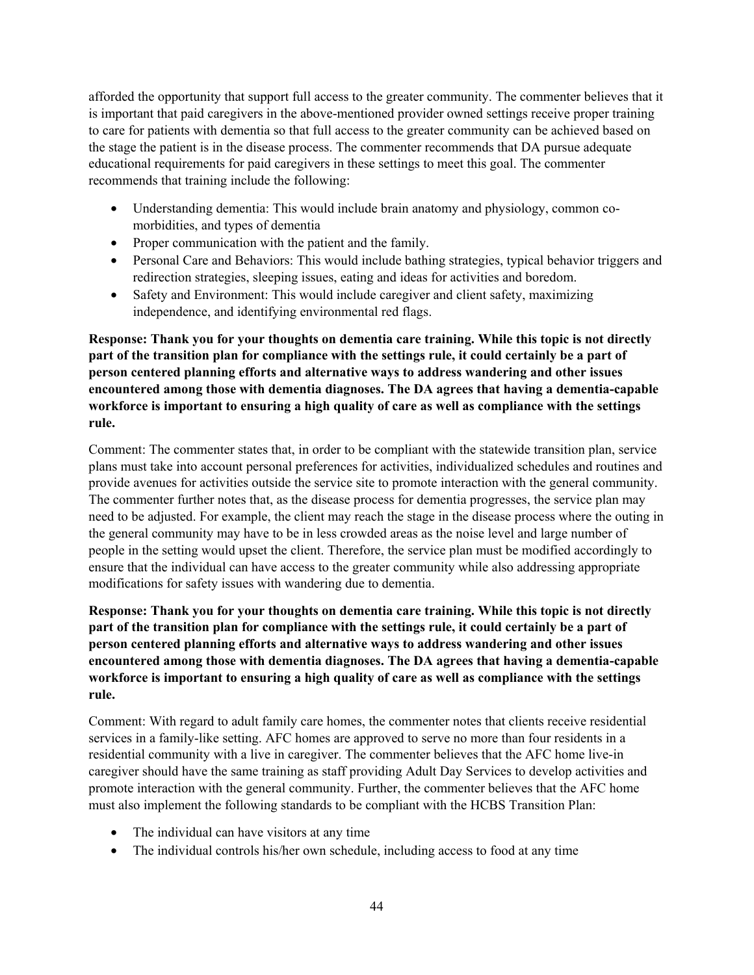afforded the opportunity that support full access to the greater community. The commenter believes that it is important that paid caregivers in the above-mentioned provider owned settings receive proper training to care for patients with dementia so that full access to the greater community can be achieved based on the stage the patient is in the disease process. The commenter recommends that DA pursue adequate educational requirements for paid caregivers in these settings to meet this goal. The commenter recommends that training include the following:

- Understanding dementia: This would include brain anatomy and physiology, common comorbidities, and types of dementia
- Proper communication with the patient and the family.
- Personal Care and Behaviors: This would include bathing strategies, typical behavior triggers and redirection strategies, sleeping issues, eating and ideas for activities and boredom.
- Safety and Environment: This would include caregiver and client safety, maximizing independence, and identifying environmental red flags.

**Response: Thank you for your thoughts on dementia care training. While this topic is not directly part of the transition plan for compliance with the settings rule, it could certainly be a part of person centered planning efforts and alternative ways to address wandering and other issues encountered among those with dementia diagnoses. The DA agrees that having a dementia-capable workforce is important to ensuring a high quality of care as well as compliance with the settings rule.**

Comment: The commenter states that, in order to be compliant with the statewide transition plan, service plans must take into account personal preferences for activities, individualized schedules and routines and provide avenues for activities outside the service site to promote interaction with the general community. The commenter further notes that, as the disease process for dementia progresses, the service plan may need to be adjusted. For example, the client may reach the stage in the disease process where the outing in the general community may have to be in less crowded areas as the noise level and large number of people in the setting would upset the client. Therefore, the service plan must be modified accordingly to ensure that the individual can have access to the greater community while also addressing appropriate modifications for safety issues with wandering due to dementia.

**Response: Thank you for your thoughts on dementia care training. While this topic is not directly part of the transition plan for compliance with the settings rule, it could certainly be a part of person centered planning efforts and alternative ways to address wandering and other issues encountered among those with dementia diagnoses. The DA agrees that having a dementia-capable workforce is important to ensuring a high quality of care as well as compliance with the settings rule.**

Comment: With regard to adult family care homes, the commenter notes that clients receive residential services in a family-like setting. AFC homes are approved to serve no more than four residents in a residential community with a live in caregiver. The commenter believes that the AFC home live-in caregiver should have the same training as staff providing Adult Day Services to develop activities and promote interaction with the general community. Further, the commenter believes that the AFC home must also implement the following standards to be compliant with the HCBS Transition Plan:

- The individual can have visitors at any time
- The individual controls his/her own schedule, including access to food at any time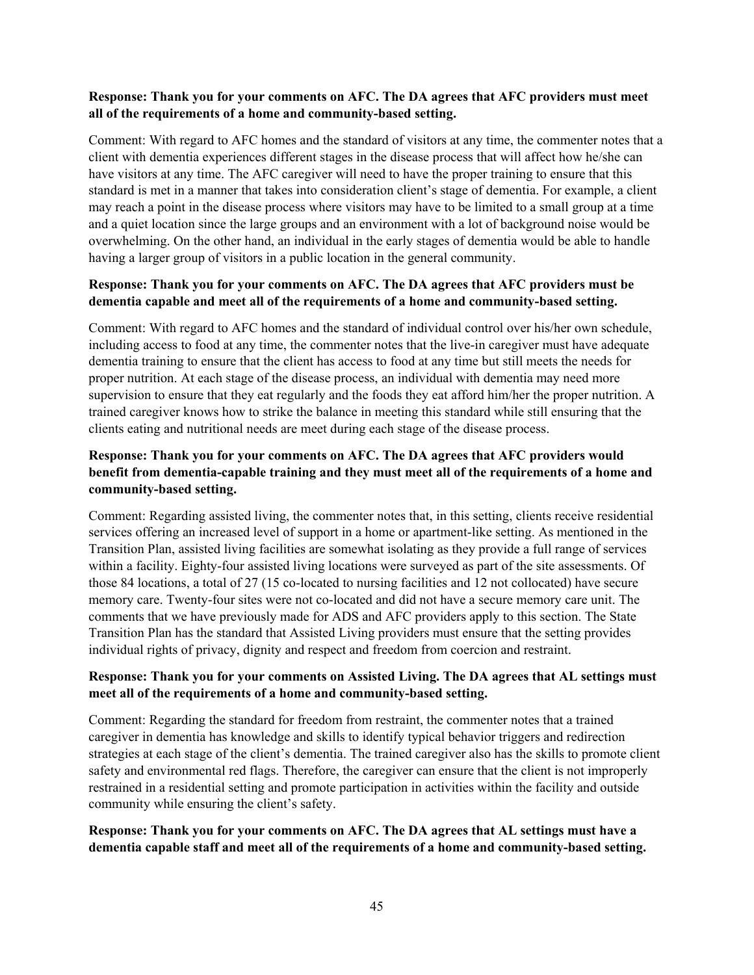#### **Response: Thank you for your comments on AFC. The DA agrees that AFC providers must meet all of the requirements of a home and community-based setting.**

Comment: With regard to AFC homes and the standard of visitors at any time, the commenter notes that a client with dementia experiences different stages in the disease process that will affect how he/she can have visitors at any time. The AFC caregiver will need to have the proper training to ensure that this standard is met in a manner that takes into consideration client's stage of dementia. For example, a client may reach a point in the disease process where visitors may have to be limited to a small group at a time and a quiet location since the large groups and an environment with a lot of background noise would be overwhelming. On the other hand, an individual in the early stages of dementia would be able to handle having a larger group of visitors in a public location in the general community.

# **Response: Thank you for your comments on AFC. The DA agrees that AFC providers must be dementia capable and meet all of the requirements of a home and community-based setting.**

Comment: With regard to AFC homes and the standard of individual control over his/her own schedule, including access to food at any time, the commenter notes that the live-in caregiver must have adequate dementia training to ensure that the client has access to food at any time but still meets the needs for proper nutrition. At each stage of the disease process, an individual with dementia may need more supervision to ensure that they eat regularly and the foods they eat afford him/her the proper nutrition. A trained caregiver knows how to strike the balance in meeting this standard while still ensuring that the clients eating and nutritional needs are meet during each stage of the disease process.

# **Response: Thank you for your comments on AFC. The DA agrees that AFC providers would benefit from dementia-capable training and they must meet all of the requirements of a home and community-based setting.**

Comment: Regarding assisted living, the commenter notes that, in this setting, clients receive residential services offering an increased level of support in a home or apartment-like setting. As mentioned in the Transition Plan, assisted living facilities are somewhat isolating as they provide a full range of services within a facility. Eighty-four assisted living locations were surveyed as part of the site assessments. Of those 84 locations, a total of 27 (15 co-located to nursing facilities and 12 not collocated) have secure memory care. Twenty-four sites were not co-located and did not have a secure memory care unit. The comments that we have previously made for ADS and AFC providers apply to this section. The State Transition Plan has the standard that Assisted Living providers must ensure that the setting provides individual rights of privacy, dignity and respect and freedom from coercion and restraint.

# **Response: Thank you for your comments on Assisted Living. The DA agrees that AL settings must meet all of the requirements of a home and community-based setting.**

Comment: Regarding the standard for freedom from restraint, the commenter notes that a trained caregiver in dementia has knowledge and skills to identify typical behavior triggers and redirection strategies at each stage of the client's dementia. The trained caregiver also has the skills to promote client safety and environmental red flags. Therefore, the caregiver can ensure that the client is not improperly restrained in a residential setting and promote participation in activities within the facility and outside community while ensuring the client's safety.

#### **Response: Thank you for your comments on AFC. The DA agrees that AL settings must have a dementia capable staff and meet all of the requirements of a home and community-based setting.**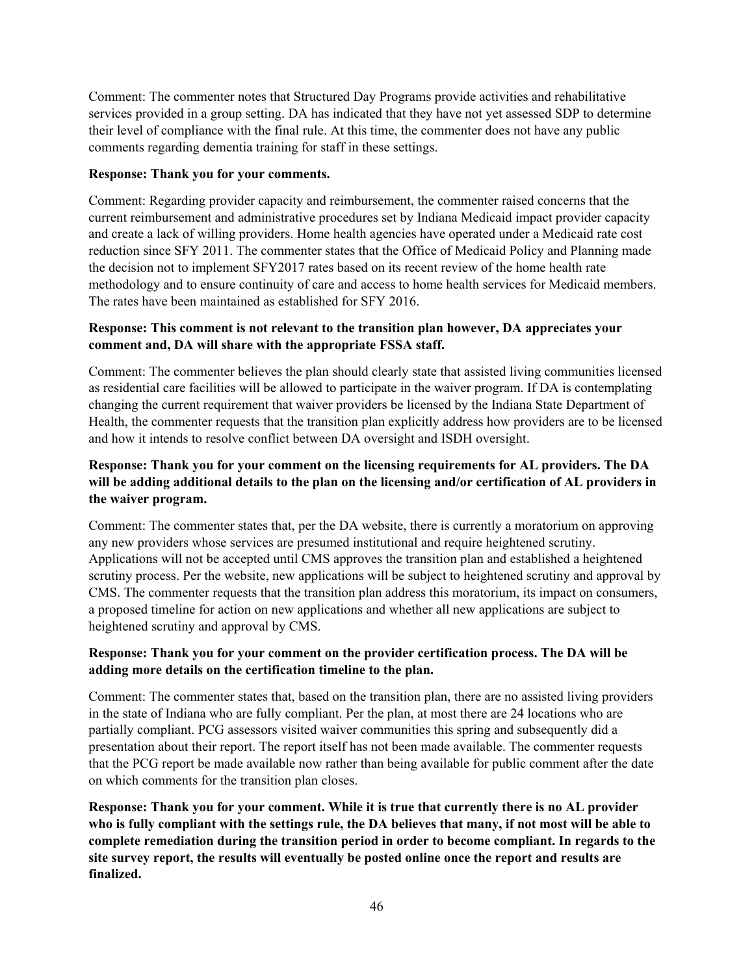Comment: The commenter notes that Structured Day Programs provide activities and rehabilitative services provided in a group setting. DA has indicated that they have not yet assessed SDP to determine their level of compliance with the final rule. At this time, the commenter does not have any public comments regarding dementia training for staff in these settings.

#### **Response: Thank you for your comments.**

Comment: Regarding provider capacity and reimbursement, the commenter raised concerns that the current reimbursement and administrative procedures set by Indiana Medicaid impact provider capacity and create a lack of willing providers. Home health agencies have operated under a Medicaid rate cost reduction since SFY 2011. The commenter states that the Office of Medicaid Policy and Planning made the decision not to implement SFY2017 rates based on its recent review of the home health rate methodology and to ensure continuity of care and access to home health services for Medicaid members. The rates have been maintained as established for SFY 2016.

# **Response: This comment is not relevant to the transition plan however, DA appreciates your comment and, DA will share with the appropriate FSSA staff.**

Comment: The commenter believes the plan should clearly state that assisted living communities licensed as residential care facilities will be allowed to participate in the waiver program. If DA is contemplating changing the current requirement that waiver providers be licensed by the Indiana State Department of Health, the commenter requests that the transition plan explicitly address how providers are to be licensed and how it intends to resolve conflict between DA oversight and ISDH oversight.

# **Response: Thank you for your comment on the licensing requirements for AL providers. The DA will be adding additional details to the plan on the licensing and/or certification of AL providers in the waiver program.**

Comment: The commenter states that, per the DA website, there is currently a moratorium on approving any new providers whose services are presumed institutional and require heightened scrutiny. Applications will not be accepted until CMS approves the transition plan and established a heightened scrutiny process. Per the website, new applications will be subject to heightened scrutiny and approval by CMS. The commenter requests that the transition plan address this moratorium, its impact on consumers, a proposed timeline for action on new applications and whether all new applications are subject to heightened scrutiny and approval by CMS.

# **Response: Thank you for your comment on the provider certification process. The DA will be adding more details on the certification timeline to the plan.**

Comment: The commenter states that, based on the transition plan, there are no assisted living providers in the state of Indiana who are fully compliant. Per the plan, at most there are 24 locations who are partially compliant. PCG assessors visited waiver communities this spring and subsequently did a presentation about their report. The report itself has not been made available. The commenter requests that the PCG report be made available now rather than being available for public comment after the date on which comments for the transition plan closes.

**Response: Thank you for your comment. While it is true that currently there is no AL provider who is fully compliant with the settings rule, the DA believes that many, if not most will be able to complete remediation during the transition period in order to become compliant. In regards to the site survey report, the results will eventually be posted online once the report and results are finalized.**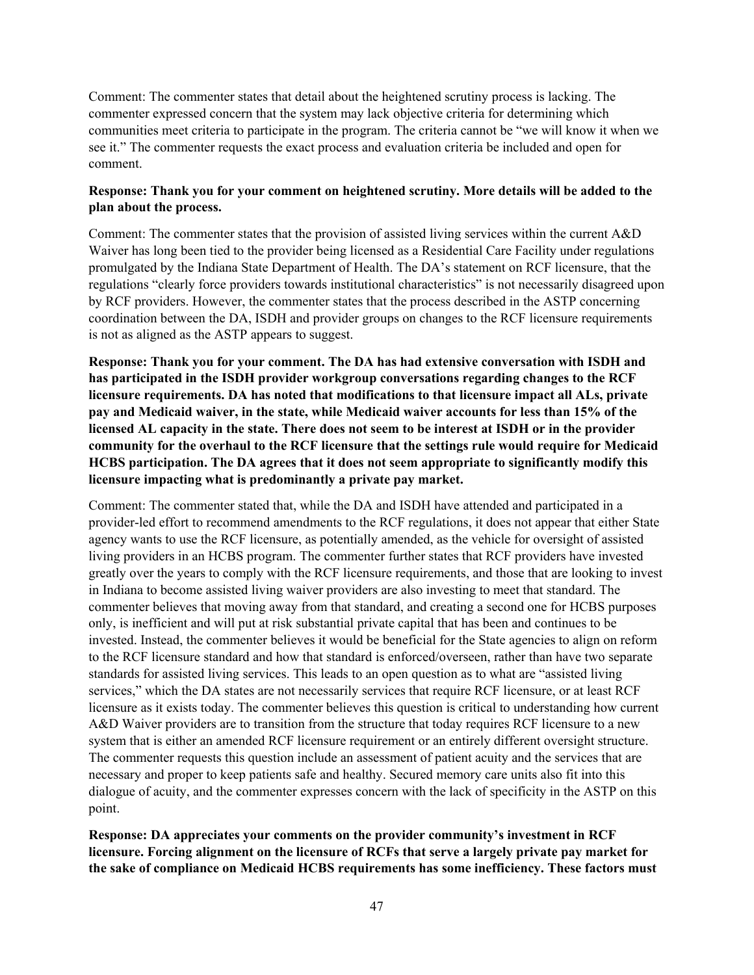Comment: The commenter states that detail about the heightened scrutiny process is lacking. The commenter expressed concern that the system may lack objective criteria for determining which communities meet criteria to participate in the program. The criteria cannot be "we will know it when we see it." The commenter requests the exact process and evaluation criteria be included and open for comment.

#### **Response: Thank you for your comment on heightened scrutiny. More details will be added to the plan about the process.**

Comment: The commenter states that the provision of assisted living services within the current A&D Waiver has long been tied to the provider being licensed as a Residential Care Facility under regulations promulgated by the Indiana State Department of Health. The DA's statement on RCF licensure, that the regulations "clearly force providers towards institutional characteristics" is not necessarily disagreed upon by RCF providers. However, the commenter states that the process described in the ASTP concerning coordination between the DA, ISDH and provider groups on changes to the RCF licensure requirements is not as aligned as the ASTP appears to suggest.

**Response: Thank you for your comment. The DA has had extensive conversation with ISDH and has participated in the ISDH provider workgroup conversations regarding changes to the RCF licensure requirements. DA has noted that modifications to that licensure impact all ALs, private pay and Medicaid waiver, in the state, while Medicaid waiver accounts for less than 15% of the licensed AL capacity in the state. There does not seem to be interest at ISDH or in the provider community for the overhaul to the RCF licensure that the settings rule would require for Medicaid HCBS participation. The DA agrees that it does not seem appropriate to significantly modify this licensure impacting what is predominantly a private pay market.**

Comment: The commenter stated that, while the DA and ISDH have attended and participated in a provider-led effort to recommend amendments to the RCF regulations, it does not appear that either State agency wants to use the RCF licensure, as potentially amended, as the vehicle for oversight of assisted living providers in an HCBS program. The commenter further states that RCF providers have invested greatly over the years to comply with the RCF licensure requirements, and those that are looking to invest in Indiana to become assisted living waiver providers are also investing to meet that standard. The commenter believes that moving away from that standard, and creating a second one for HCBS purposes only, is inefficient and will put at risk substantial private capital that has been and continues to be invested. Instead, the commenter believes it would be beneficial for the State agencies to align on reform to the RCF licensure standard and how that standard is enforced/overseen, rather than have two separate standards for assisted living services. This leads to an open question as to what are "assisted living services," which the DA states are not necessarily services that require RCF licensure, or at least RCF licensure as it exists today. The commenter believes this question is critical to understanding how current A&D Waiver providers are to transition from the structure that today requires RCF licensure to a new system that is either an amended RCF licensure requirement or an entirely different oversight structure. The commenter requests this question include an assessment of patient acuity and the services that are necessary and proper to keep patients safe and healthy. Secured memory care units also fit into this dialogue of acuity, and the commenter expresses concern with the lack of specificity in the ASTP on this point.

**Response: DA appreciates your comments on the provider community's investment in RCF licensure. Forcing alignment on the licensure of RCFs that serve a largely private pay market for the sake of compliance on Medicaid HCBS requirements has some inefficiency. These factors must**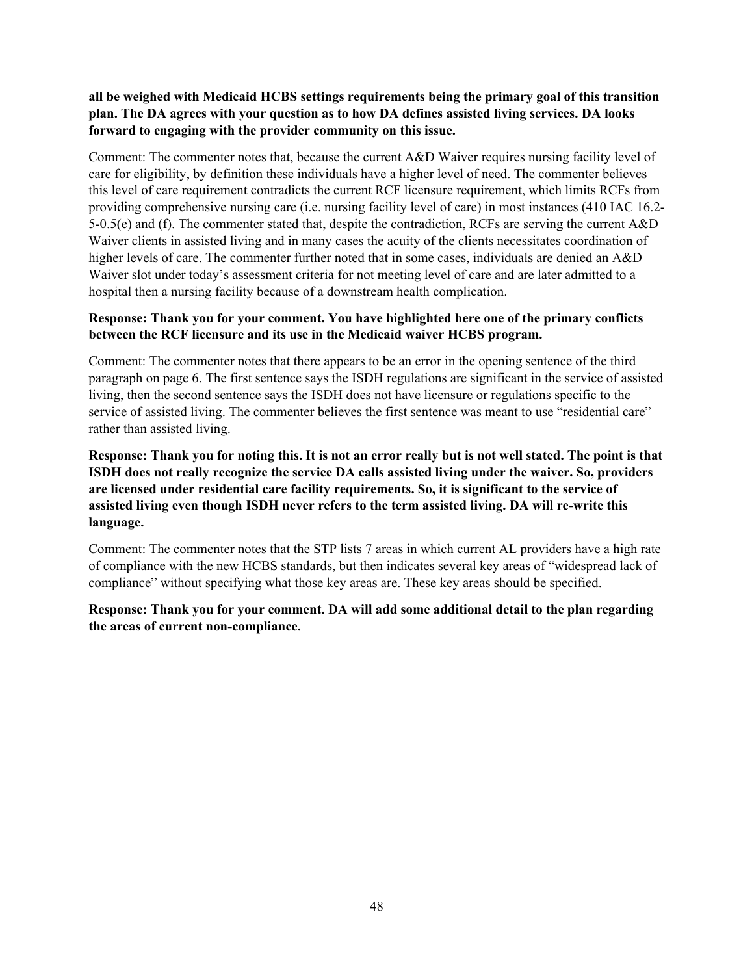## **all be weighed with Medicaid HCBS settings requirements being the primary goal of this transition plan. The DA agrees with your question as to how DA defines assisted living services. DA looks forward to engaging with the provider community on this issue.**

Comment: The commenter notes that, because the current A&D Waiver requires nursing facility level of care for eligibility, by definition these individuals have a higher level of need. The commenter believes this level of care requirement contradicts the current RCF licensure requirement, which limits RCFs from providing comprehensive nursing care (i.e. nursing facility level of care) in most instances (410 IAC 16.2- 5-0.5(e) and (f). The commenter stated that, despite the contradiction, RCFs are serving the current A&D Waiver clients in assisted living and in many cases the acuity of the clients necessitates coordination of higher levels of care. The commenter further noted that in some cases, individuals are denied an A&D Waiver slot under today's assessment criteria for not meeting level of care and are later admitted to a hospital then a nursing facility because of a downstream health complication.

#### **Response: Thank you for your comment. You have highlighted here one of the primary conflicts between the RCF licensure and its use in the Medicaid waiver HCBS program.**

Comment: The commenter notes that there appears to be an error in the opening sentence of the third paragraph on page 6. The first sentence says the ISDH regulations are significant in the service of assisted living, then the second sentence says the ISDH does not have licensure or regulations specific to the service of assisted living. The commenter believes the first sentence was meant to use "residential care" rather than assisted living.

# **Response: Thank you for noting this. It is not an error really but is not well stated. The point is that ISDH does not really recognize the service DA calls assisted living under the waiver. So, providers are licensed under residential care facility requirements. So, it is significant to the service of assisted living even though ISDH never refers to the term assisted living. DA will re-write this language.**

Comment: The commenter notes that the STP lists 7 areas in which current AL providers have a high rate of compliance with the new HCBS standards, but then indicates several key areas of "widespread lack of compliance" without specifying what those key areas are. These key areas should be specified.

# **Response: Thank you for your comment. DA will add some additional detail to the plan regarding the areas of current non-compliance.**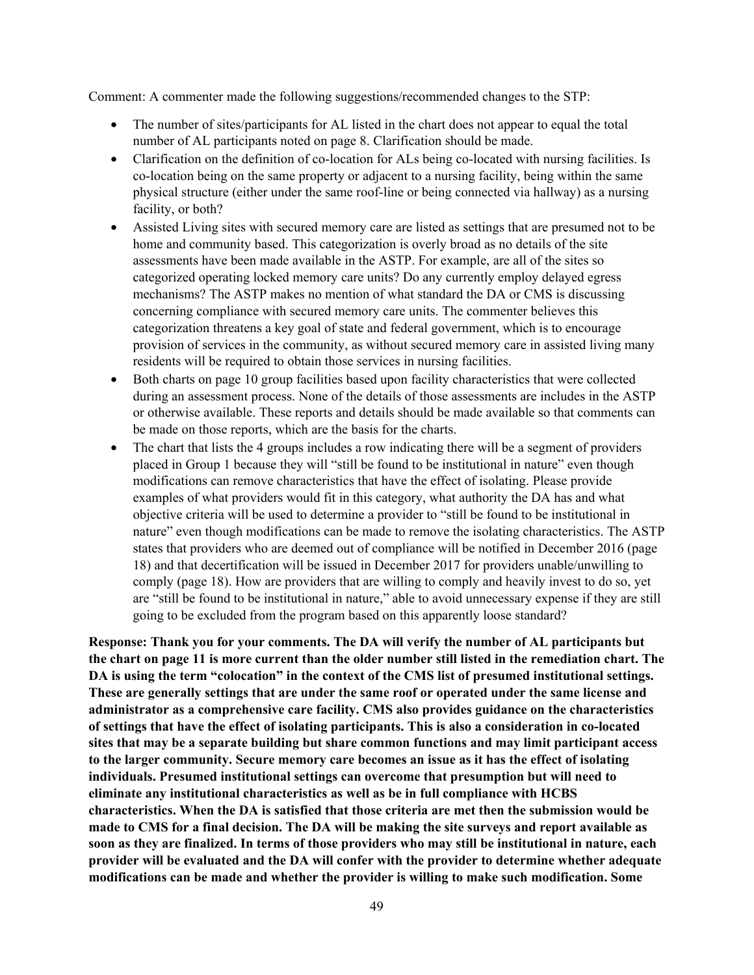Comment: A commenter made the following suggestions/recommended changes to the STP:

- The number of sites/participants for AL listed in the chart does not appear to equal the total number of AL participants noted on page 8. Clarification should be made.
- Clarification on the definition of co-location for ALs being co-located with nursing facilities. Is co-location being on the same property or adjacent to a nursing facility, being within the same physical structure (either under the same roof-line or being connected via hallway) as a nursing facility, or both?
- Assisted Living sites with secured memory care are listed as settings that are presumed not to be home and community based. This categorization is overly broad as no details of the site assessments have been made available in the ASTP. For example, are all of the sites so categorized operating locked memory care units? Do any currently employ delayed egress mechanisms? The ASTP makes no mention of what standard the DA or CMS is discussing concerning compliance with secured memory care units. The commenter believes this categorization threatens a key goal of state and federal government, which is to encourage provision of services in the community, as without secured memory care in assisted living many residents will be required to obtain those services in nursing facilities.
- Both charts on page 10 group facilities based upon facility characteristics that were collected during an assessment process. None of the details of those assessments are includes in the ASTP or otherwise available. These reports and details should be made available so that comments can be made on those reports, which are the basis for the charts.
- The chart that lists the 4 groups includes a row indicating there will be a segment of providers placed in Group 1 because they will "still be found to be institutional in nature" even though modifications can remove characteristics that have the effect of isolating. Please provide examples of what providers would fit in this category, what authority the DA has and what objective criteria will be used to determine a provider to "still be found to be institutional in nature" even though modifications can be made to remove the isolating characteristics. The ASTP states that providers who are deemed out of compliance will be notified in December 2016 (page 18) and that decertification will be issued in December 2017 for providers unable/unwilling to comply (page 18). How are providers that are willing to comply and heavily invest to do so, yet are "still be found to be institutional in nature," able to avoid unnecessary expense if they are still going to be excluded from the program based on this apparently loose standard?

**Response: Thank you for your comments. The DA will verify the number of AL participants but the chart on page 11 is more current than the older number still listed in the remediation chart. The DA is using the term "colocation" in the context of the CMS list of presumed institutional settings. These are generally settings that are under the same roof or operated under the same license and administrator as a comprehensive care facility. CMS also provides guidance on the characteristics of settings that have the effect of isolating participants. This is also a consideration in co-located sites that may be a separate building but share common functions and may limit participant access to the larger community. Secure memory care becomes an issue as it has the effect of isolating individuals. Presumed institutional settings can overcome that presumption but will need to eliminate any institutional characteristics as well as be in full compliance with HCBS characteristics. When the DA is satisfied that those criteria are met then the submission would be made to CMS for a final decision. The DA will be making the site surveys and report available as soon as they are finalized. In terms of those providers who may still be institutional in nature, each provider will be evaluated and the DA will confer with the provider to determine whether adequate modifications can be made and whether the provider is willing to make such modification. Some**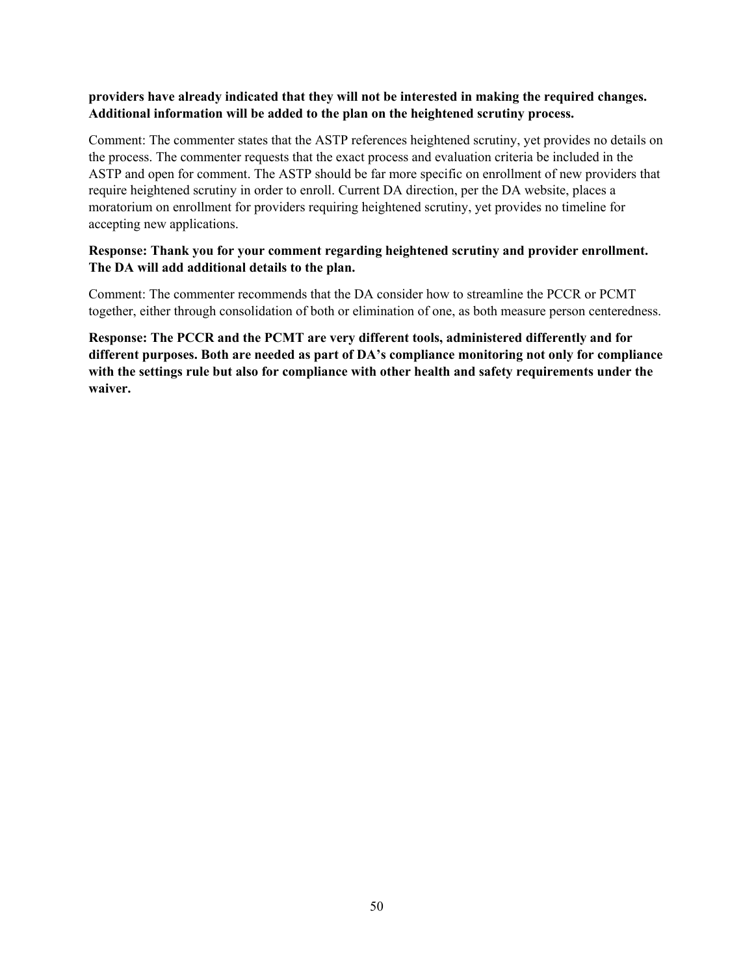#### **providers have already indicated that they will not be interested in making the required changes. Additional information will be added to the plan on the heightened scrutiny process.**

Comment: The commenter states that the ASTP references heightened scrutiny, yet provides no details on the process. The commenter requests that the exact process and evaluation criteria be included in the ASTP and open for comment. The ASTP should be far more specific on enrollment of new providers that require heightened scrutiny in order to enroll. Current DA direction, per the DA website, places a moratorium on enrollment for providers requiring heightened scrutiny, yet provides no timeline for accepting new applications.

#### **Response: Thank you for your comment regarding heightened scrutiny and provider enrollment. The DA will add additional details to the plan.**

Comment: The commenter recommends that the DA consider how to streamline the PCCR or PCMT together, either through consolidation of both or elimination of one, as both measure person centeredness.

**Response: The PCCR and the PCMT are very different tools, administered differently and for different purposes. Both are needed as part of DA's compliance monitoring not only for compliance with the settings rule but also for compliance with other health and safety requirements under the waiver.**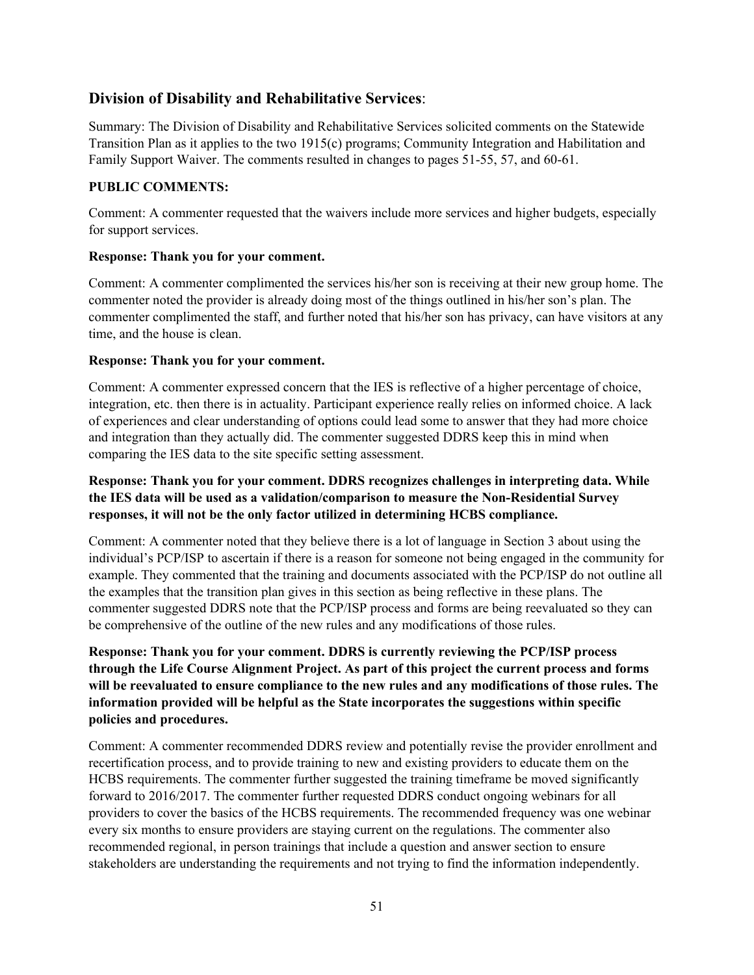# **Division of Disability and Rehabilitative Services**:

Summary: The Division of Disability and Rehabilitative Services solicited comments on the Statewide Transition Plan as it applies to the two 1915(c) programs; Community Integration and Habilitation and Family Support Waiver. The comments resulted in changes to pages 51-55, 57, and 60-61.

# **PUBLIC COMMENTS:**

Comment: A commenter requested that the waivers include more services and higher budgets, especially for support services.

# **Response: Thank you for your comment.**

Comment: A commenter complimented the services his/her son is receiving at their new group home. The commenter noted the provider is already doing most of the things outlined in his/her son's plan. The commenter complimented the staff, and further noted that his/her son has privacy, can have visitors at any time, and the house is clean.

#### **Response: Thank you for your comment.**

Comment: A commenter expressed concern that the IES is reflective of a higher percentage of choice, integration, etc. then there is in actuality. Participant experience really relies on informed choice. A lack of experiences and clear understanding of options could lead some to answer that they had more choice and integration than they actually did. The commenter suggested DDRS keep this in mind when comparing the IES data to the site specific setting assessment.

# **Response: Thank you for your comment. DDRS recognizes challenges in interpreting data. While the IES data will be used as a validation/comparison to measure the Non-Residential Survey responses, it will not be the only factor utilized in determining HCBS compliance.**

Comment: A commenter noted that they believe there is a lot of language in Section 3 about using the individual's PCP/ISP to ascertain if there is a reason for someone not being engaged in the community for example. They commented that the training and documents associated with the PCP/ISP do not outline all the examples that the transition plan gives in this section as being reflective in these plans. The commenter suggested DDRS note that the PCP/ISP process and forms are being reevaluated so they can be comprehensive of the outline of the new rules and any modifications of those rules.

**Response: Thank you for your comment. DDRS is currently reviewing the PCP/ISP process through the Life Course Alignment Project. As part of this project the current process and forms will be reevaluated to ensure compliance to the new rules and any modifications of those rules. The information provided will be helpful as the State incorporates the suggestions within specific policies and procedures.**

Comment: A commenter recommended DDRS review and potentially revise the provider enrollment and recertification process, and to provide training to new and existing providers to educate them on the HCBS requirements. The commenter further suggested the training timeframe be moved significantly forward to 2016/2017. The commenter further requested DDRS conduct ongoing webinars for all providers to cover the basics of the HCBS requirements. The recommended frequency was one webinar every six months to ensure providers are staying current on the regulations. The commenter also recommended regional, in person trainings that include a question and answer section to ensure stakeholders are understanding the requirements and not trying to find the information independently.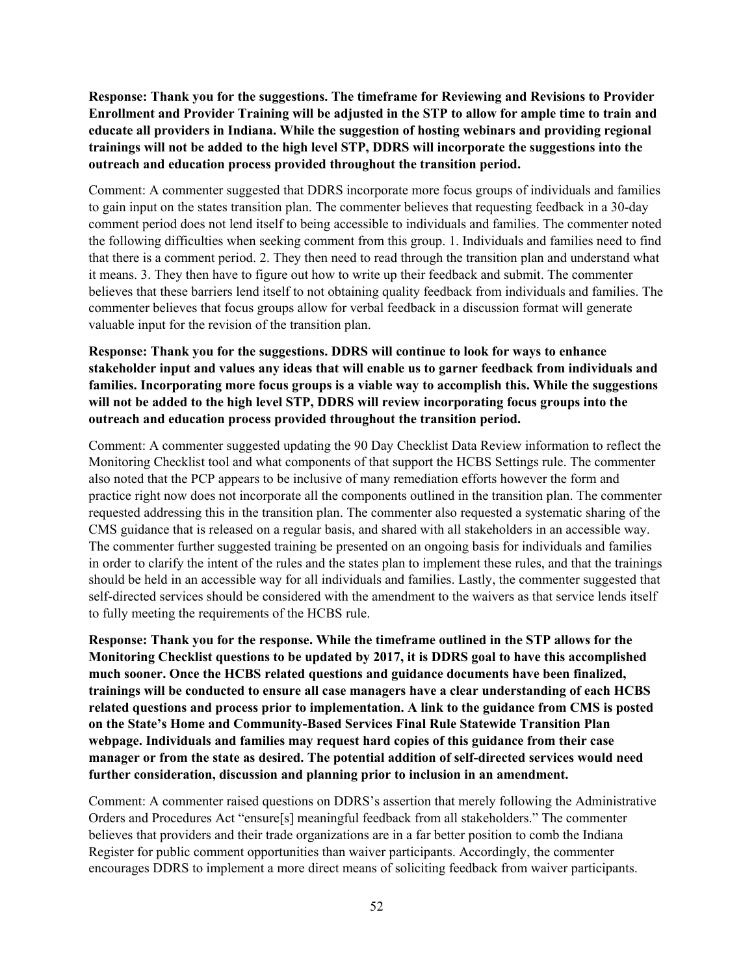**Response: Thank you for the suggestions. The timeframe for Reviewing and Revisions to Provider Enrollment and Provider Training will be adjusted in the STP to allow for ample time to train and educate all providers in Indiana. While the suggestion of hosting webinars and providing regional trainings will not be added to the high level STP, DDRS will incorporate the suggestions into the outreach and education process provided throughout the transition period.**

Comment: A commenter suggested that DDRS incorporate more focus groups of individuals and families to gain input on the states transition plan. The commenter believes that requesting feedback in a 30-day comment period does not lend itself to being accessible to individuals and families. The commenter noted the following difficulties when seeking comment from this group. 1. Individuals and families need to find that there is a comment period. 2. They then need to read through the transition plan and understand what it means. 3. They then have to figure out how to write up their feedback and submit. The commenter believes that these barriers lend itself to not obtaining quality feedback from individuals and families. The commenter believes that focus groups allow for verbal feedback in a discussion format will generate valuable input for the revision of the transition plan.

**Response: Thank you for the suggestions. DDRS will continue to look for ways to enhance stakeholder input and values any ideas that will enable us to garner feedback from individuals and families. Incorporating more focus groups is a viable way to accomplish this. While the suggestions will not be added to the high level STP, DDRS will review incorporating focus groups into the outreach and education process provided throughout the transition period.**

Comment: A commenter suggested updating the 90 Day Checklist Data Review information to reflect the Monitoring Checklist tool and what components of that support the HCBS Settings rule. The commenter also noted that the PCP appears to be inclusive of many remediation efforts however the form and practice right now does not incorporate all the components outlined in the transition plan. The commenter requested addressing this in the transition plan. The commenter also requested a systematic sharing of the CMS guidance that is released on a regular basis, and shared with all stakeholders in an accessible way. The commenter further suggested training be presented on an ongoing basis for individuals and families in order to clarify the intent of the rules and the states plan to implement these rules, and that the trainings should be held in an accessible way for all individuals and families. Lastly, the commenter suggested that self-directed services should be considered with the amendment to the waivers as that service lends itself to fully meeting the requirements of the HCBS rule.

**Response: Thank you for the response. While the timeframe outlined in the STP allows for the Monitoring Checklist questions to be updated by 2017, it is DDRS goal to have this accomplished much sooner. Once the HCBS related questions and guidance documents have been finalized, trainings will be conducted to ensure all case managers have a clear understanding of each HCBS related questions and process prior to implementation. A link to the guidance from CMS is posted on the State's Home and Community-Based Services Final Rule Statewide Transition Plan webpage. Individuals and families may request hard copies of this guidance from their case manager or from the state as desired. The potential addition of self-directed services would need further consideration, discussion and planning prior to inclusion in an amendment.**

Comment: A commenter raised questions on DDRS's assertion that merely following the Administrative Orders and Procedures Act "ensure[s] meaningful feedback from all stakeholders." The commenter believes that providers and their trade organizations are in a far better position to comb the Indiana Register for public comment opportunities than waiver participants. Accordingly, the commenter encourages DDRS to implement a more direct means of soliciting feedback from waiver participants.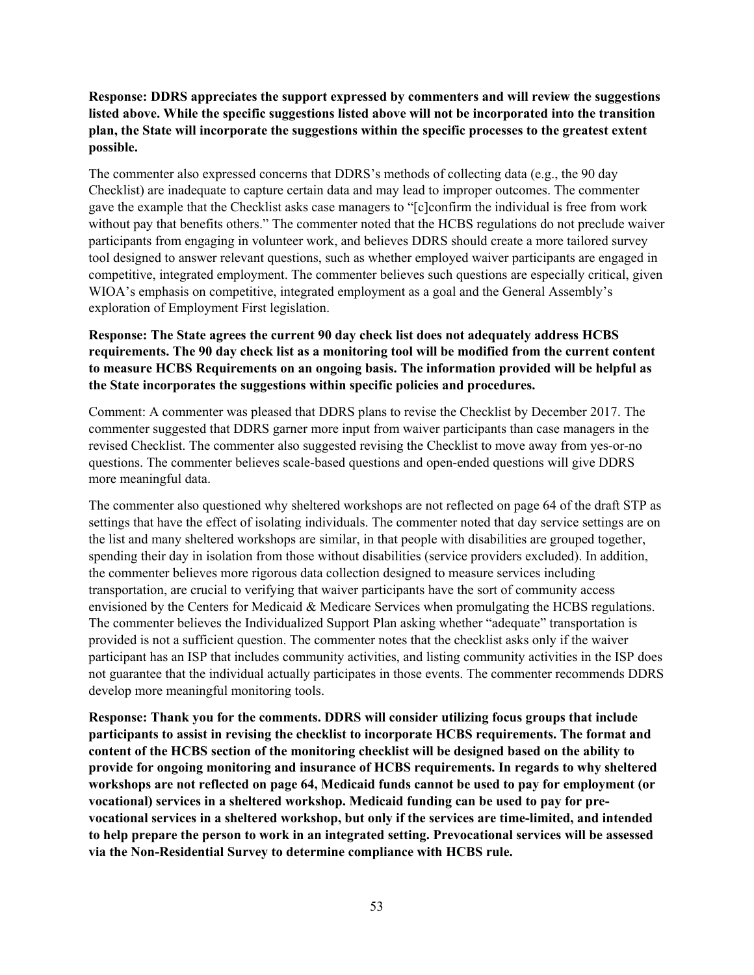## **Response: DDRS appreciates the support expressed by commenters and will review the suggestions listed above. While the specific suggestions listed above will not be incorporated into the transition plan, the State will incorporate the suggestions within the specific processes to the greatest extent possible.**

The commenter also expressed concerns that DDRS's methods of collecting data (e.g., the 90 day Checklist) are inadequate to capture certain data and may lead to improper outcomes. The commenter gave the example that the Checklist asks case managers to "[c]confirm the individual is free from work without pay that benefits others." The commenter noted that the HCBS regulations do not preclude waiver participants from engaging in volunteer work, and believes DDRS should create a more tailored survey tool designed to answer relevant questions, such as whether employed waiver participants are engaged in competitive, integrated employment. The commenter believes such questions are especially critical, given WIOA's emphasis on competitive, integrated employment as a goal and the General Assembly's exploration of Employment First legislation.

# **Response: The State agrees the current 90 day check list does not adequately address HCBS requirements. The 90 day check list as a monitoring tool will be modified from the current content to measure HCBS Requirements on an ongoing basis. The information provided will be helpful as the State incorporates the suggestions within specific policies and procedures.**

Comment: A commenter was pleased that DDRS plans to revise the Checklist by December 2017. The commenter suggested that DDRS garner more input from waiver participants than case managers in the revised Checklist. The commenter also suggested revising the Checklist to move away from yes-or-no questions. The commenter believes scale-based questions and open-ended questions will give DDRS more meaningful data.

The commenter also questioned why sheltered workshops are not reflected on page 64 of the draft STP as settings that have the effect of isolating individuals. The commenter noted that day service settings are on the list and many sheltered workshops are similar, in that people with disabilities are grouped together, spending their day in isolation from those without disabilities (service providers excluded). In addition, the commenter believes more rigorous data collection designed to measure services including transportation, are crucial to verifying that waiver participants have the sort of community access envisioned by the Centers for Medicaid & Medicare Services when promulgating the HCBS regulations. The commenter believes the Individualized Support Plan asking whether "adequate" transportation is provided is not a sufficient question. The commenter notes that the checklist asks only if the waiver participant has an ISP that includes community activities, and listing community activities in the ISP does not guarantee that the individual actually participates in those events. The commenter recommends DDRS develop more meaningful monitoring tools.

**Response: Thank you for the comments. DDRS will consider utilizing focus groups that include participants to assist in revising the checklist to incorporate HCBS requirements. The format and content of the HCBS section of the monitoring checklist will be designed based on the ability to provide for ongoing monitoring and insurance of HCBS requirements. In regards to why sheltered workshops are not reflected on page 64, Medicaid funds cannot be used to pay for employment (or vocational) services in a sheltered workshop. Medicaid funding can be used to pay for prevocational services in a sheltered workshop, but only if the services are time-limited, and intended to help prepare the person to work in an integrated setting. Prevocational services will be assessed via the Non-Residential Survey to determine compliance with HCBS rule.**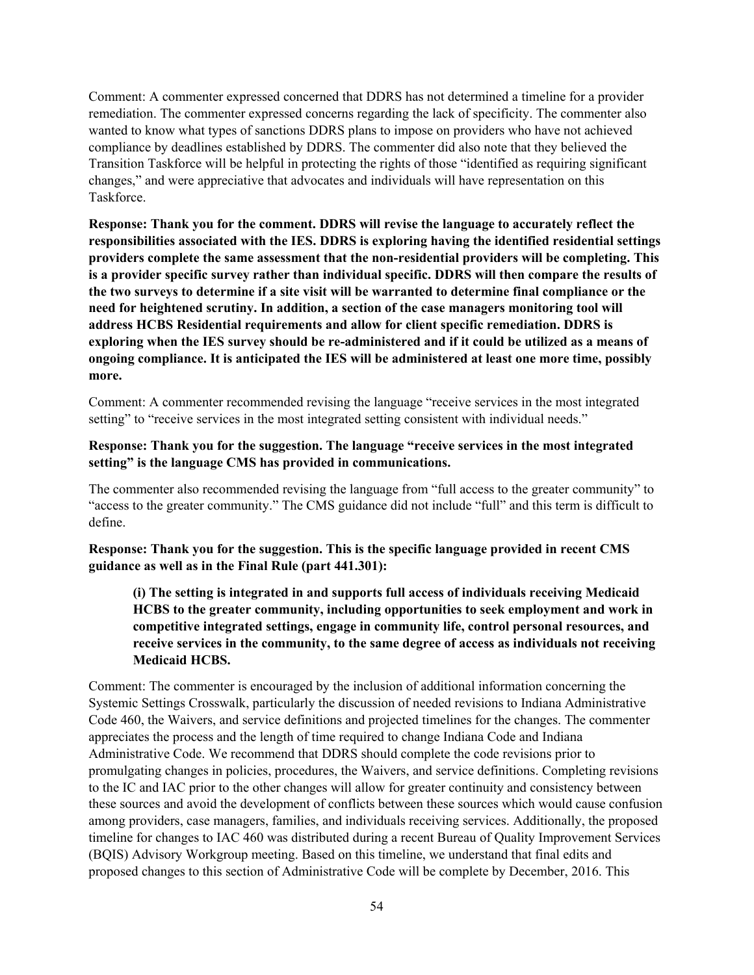Comment: A commenter expressed concerned that DDRS has not determined a timeline for a provider remediation. The commenter expressed concerns regarding the lack of specificity. The commenter also wanted to know what types of sanctions DDRS plans to impose on providers who have not achieved compliance by deadlines established by DDRS. The commenter did also note that they believed the Transition Taskforce will be helpful in protecting the rights of those "identified as requiring significant changes," and were appreciative that advocates and individuals will have representation on this Taskforce.

**Response: Thank you for the comment. DDRS will revise the language to accurately reflect the responsibilities associated with the IES. DDRS is exploring having the identified residential settings providers complete the same assessment that the non-residential providers will be completing. This is a provider specific survey rather than individual specific. DDRS will then compare the results of the two surveys to determine if a site visit will be warranted to determine final compliance or the need for heightened scrutiny. In addition, a section of the case managers monitoring tool will address HCBS Residential requirements and allow for client specific remediation. DDRS is exploring when the IES survey should be re-administered and if it could be utilized as a means of ongoing compliance. It is anticipated the IES will be administered at least one more time, possibly more.**

Comment: A commenter recommended revising the language "receive services in the most integrated setting" to "receive services in the most integrated setting consistent with individual needs."

#### **Response: Thank you for the suggestion. The language "receive services in the most integrated setting" is the language CMS has provided in communications.**

The commenter also recommended revising the language from "full access to the greater community" to "access to the greater community." The CMS guidance did not include "full" and this term is difficult to define.

**Response: Thank you for the suggestion. This is the specific language provided in recent CMS guidance as well as in the Final Rule (part 441.301):**

**(i) The setting is integrated in and supports full access of individuals receiving Medicaid HCBS to the greater community, including opportunities to seek employment and work in competitive integrated settings, engage in community life, control personal resources, and receive services in the community, to the same degree of access as individuals not receiving Medicaid HCBS.**

Comment: The commenter is encouraged by the inclusion of additional information concerning the Systemic Settings Crosswalk, particularly the discussion of needed revisions to Indiana Administrative Code 460, the Waivers, and service definitions and projected timelines for the changes. The commenter appreciates the process and the length of time required to change Indiana Code and Indiana Administrative Code. We recommend that DDRS should complete the code revisions prior to promulgating changes in policies, procedures, the Waivers, and service definitions. Completing revisions to the IC and IAC prior to the other changes will allow for greater continuity and consistency between these sources and avoid the development of conflicts between these sources which would cause confusion among providers, case managers, families, and individuals receiving services. Additionally, the proposed timeline for changes to IAC 460 was distributed during a recent Bureau of Quality Improvement Services (BQIS) Advisory Workgroup meeting. Based on this timeline, we understand that final edits and proposed changes to this section of Administrative Code will be complete by December, 2016. This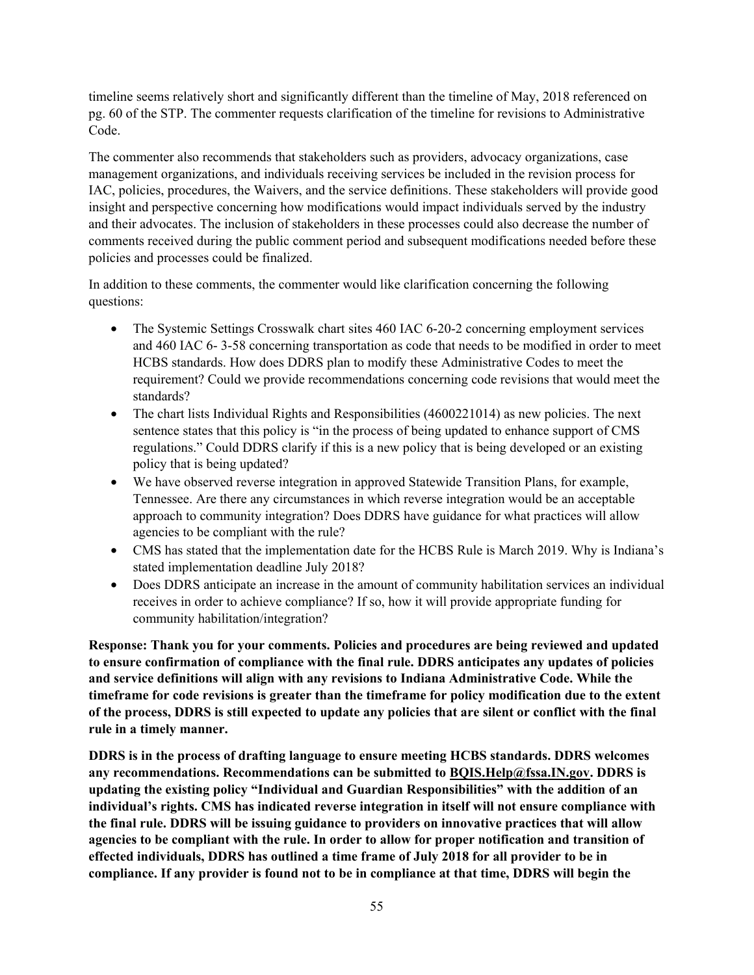timeline seems relatively short and significantly different than the timeline of May, 2018 referenced on pg. 60 of the STP. The commenter requests clarification of the timeline for revisions to Administrative Code.

The commenter also recommends that stakeholders such as providers, advocacy organizations, case management organizations, and individuals receiving services be included in the revision process for IAC, policies, procedures, the Waivers, and the service definitions. These stakeholders will provide good insight and perspective concerning how modifications would impact individuals served by the industry and their advocates. The inclusion of stakeholders in these processes could also decrease the number of comments received during the public comment period and subsequent modifications needed before these policies and processes could be finalized.

In addition to these comments, the commenter would like clarification concerning the following questions:

- The Systemic Settings Crosswalk chart sites 460 IAC 6-20-2 concerning employment services and 460 IAC 6- 3-58 concerning transportation as code that needs to be modified in order to meet HCBS standards. How does DDRS plan to modify these Administrative Codes to meet the requirement? Could we provide recommendations concerning code revisions that would meet the standards?
- The chart lists Individual Rights and Responsibilities (4600221014) as new policies. The next sentence states that this policy is "in the process of being updated to enhance support of CMS regulations." Could DDRS clarify if this is a new policy that is being developed or an existing policy that is being updated?
- We have observed reverse integration in approved Statewide Transition Plans, for example, Tennessee. Are there any circumstances in which reverse integration would be an acceptable approach to community integration? Does DDRS have guidance for what practices will allow agencies to be compliant with the rule?
- CMS has stated that the implementation date for the HCBS Rule is March 2019. Why is Indiana's stated implementation deadline July 2018?
- Does DDRS anticipate an increase in the amount of community habilitation services an individual receives in order to achieve compliance? If so, how it will provide appropriate funding for community habilitation/integration?

**Response: Thank you for your comments. Policies and procedures are being reviewed and updated to ensure confirmation of compliance with the final rule. DDRS anticipates any updates of policies and service definitions will align with any revisions to Indiana Administrative Code. While the timeframe for code revisions is greater than the timeframe for policy modification due to the extent of the process, DDRS is still expected to update any policies that are silent or conflict with the final rule in a timely manner.**

**DDRS is in the process of drafting language to ensure meeting HCBS standards. DDRS welcomes any recommendations. Recommendations can be submitted to [BQIS.Help@fssa.IN.gov.](mailto:BQIS.Help@fssa.IN.gov) DDRS is updating the existing policy "Individual and Guardian Responsibilities" with the addition of an individual's rights. CMS has indicated reverse integration in itself will not ensure compliance with the final rule. DDRS will be issuing guidance to providers on innovative practices that will allow agencies to be compliant with the rule. In order to allow for proper notification and transition of effected individuals, DDRS has outlined a time frame of July 2018 for all provider to be in compliance. If any provider is found not to be in compliance at that time, DDRS will begin the**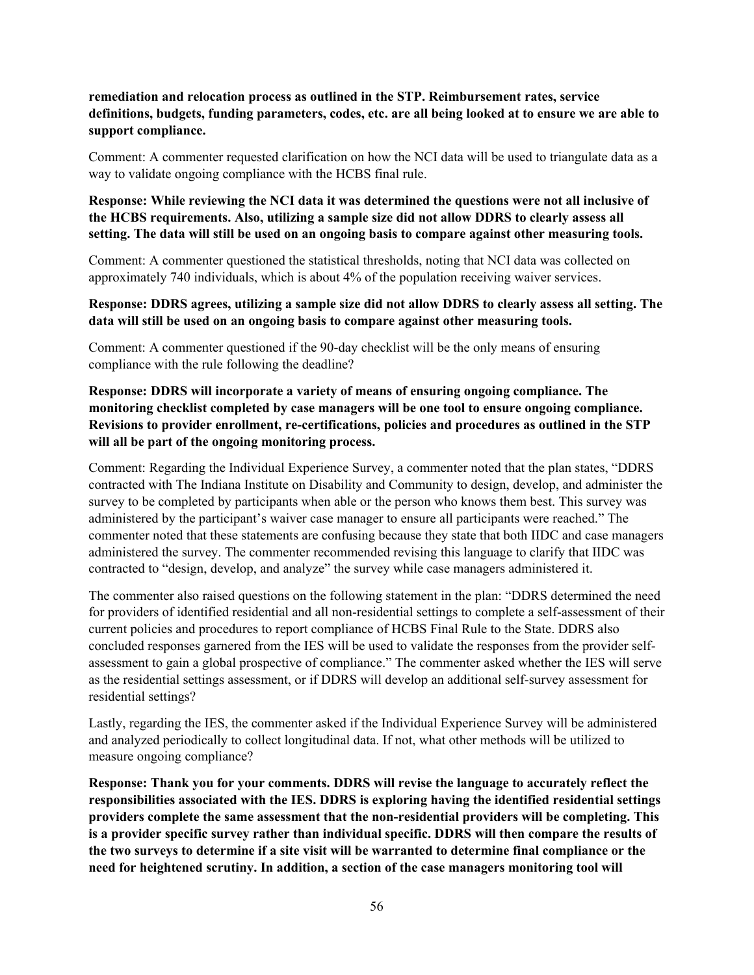**remediation and relocation process as outlined in the STP. Reimbursement rates, service definitions, budgets, funding parameters, codes, etc. are all being looked at to ensure we are able to support compliance.**

Comment: A commenter requested clarification on how the NCI data will be used to triangulate data as a way to validate ongoing compliance with the HCBS final rule.

**Response: While reviewing the NCI data it was determined the questions were not all inclusive of the HCBS requirements. Also, utilizing a sample size did not allow DDRS to clearly assess all setting. The data will still be used on an ongoing basis to compare against other measuring tools.**

Comment: A commenter questioned the statistical thresholds, noting that NCI data was collected on approximately 740 individuals, which is about 4% of the population receiving waiver services.

#### **Response: DDRS agrees, utilizing a sample size did not allow DDRS to clearly assess all setting. The data will still be used on an ongoing basis to compare against other measuring tools.**

Comment: A commenter questioned if the 90-day checklist will be the only means of ensuring compliance with the rule following the deadline?

# **Response: DDRS will incorporate a variety of means of ensuring ongoing compliance. The monitoring checklist completed by case managers will be one tool to ensure ongoing compliance. Revisions to provider enrollment, re-certifications, policies and procedures as outlined in the STP will all be part of the ongoing monitoring process.**

Comment: Regarding the Individual Experience Survey, a commenter noted that the plan states, "DDRS contracted with The Indiana Institute on Disability and Community to design, develop, and administer the survey to be completed by participants when able or the person who knows them best. This survey was administered by the participant's waiver case manager to ensure all participants were reached." The commenter noted that these statements are confusing because they state that both IIDC and case managers administered the survey. The commenter recommended revising this language to clarify that IIDC was contracted to "design, develop, and analyze" the survey while case managers administered it.

The commenter also raised questions on the following statement in the plan: "DDRS determined the need for providers of identified residential and all non-residential settings to complete a self-assessment of their current policies and procedures to report compliance of HCBS Final Rule to the State. DDRS also concluded responses garnered from the IES will be used to validate the responses from the provider selfassessment to gain a global prospective of compliance." The commenter asked whether the IES will serve as the residential settings assessment, or if DDRS will develop an additional self-survey assessment for residential settings?

Lastly, regarding the IES, the commenter asked if the Individual Experience Survey will be administered and analyzed periodically to collect longitudinal data. If not, what other methods will be utilized to measure ongoing compliance?

**Response: Thank you for your comments. DDRS will revise the language to accurately reflect the responsibilities associated with the IES. DDRS is exploring having the identified residential settings providers complete the same assessment that the non-residential providers will be completing. This is a provider specific survey rather than individual specific. DDRS will then compare the results of the two surveys to determine if a site visit will be warranted to determine final compliance or the need for heightened scrutiny. In addition, a section of the case managers monitoring tool will**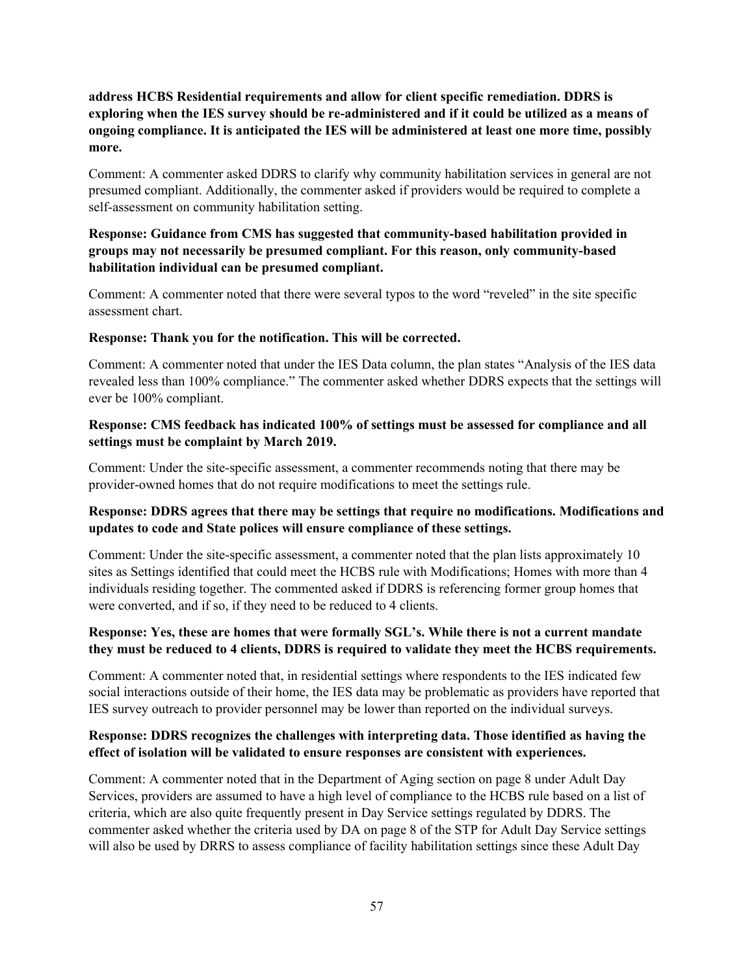**address HCBS Residential requirements and allow for client specific remediation. DDRS is exploring when the IES survey should be re-administered and if it could be utilized as a means of ongoing compliance. It is anticipated the IES will be administered at least one more time, possibly more.**

Comment: A commenter asked DDRS to clarify why community habilitation services in general are not presumed compliant. Additionally, the commenter asked if providers would be required to complete a self-assessment on community habilitation setting.

# **Response: Guidance from CMS has suggested that community-based habilitation provided in groups may not necessarily be presumed compliant. For this reason, only community-based habilitation individual can be presumed compliant.**

Comment: A commenter noted that there were several typos to the word "reveled" in the site specific assessment chart.

#### **Response: Thank you for the notification. This will be corrected.**

Comment: A commenter noted that under the IES Data column, the plan states "Analysis of the IES data revealed less than 100% compliance." The commenter asked whether DDRS expects that the settings will ever be 100% compliant.

#### **Response: CMS feedback has indicated 100% of settings must be assessed for compliance and all settings must be complaint by March 2019.**

Comment: Under the site-specific assessment, a commenter recommends noting that there may be provider-owned homes that do not require modifications to meet the settings rule.

# **Response: DDRS agrees that there may be settings that require no modifications. Modifications and updates to code and State polices will ensure compliance of these settings.**

Comment: Under the site-specific assessment, a commenter noted that the plan lists approximately 10 sites as Settings identified that could meet the HCBS rule with Modifications; Homes with more than 4 individuals residing together. The commented asked if DDRS is referencing former group homes that were converted, and if so, if they need to be reduced to 4 clients.

# **Response: Yes, these are homes that were formally SGL's. While there is not a current mandate they must be reduced to 4 clients, DDRS is required to validate they meet the HCBS requirements.**

Comment: A commenter noted that, in residential settings where respondents to the IES indicated few social interactions outside of their home, the IES data may be problematic as providers have reported that IES survey outreach to provider personnel may be lower than reported on the individual surveys.

#### **Response: DDRS recognizes the challenges with interpreting data. Those identified as having the effect of isolation will be validated to ensure responses are consistent with experiences.**

Comment: A commenter noted that in the Department of Aging section on page 8 under Adult Day Services, providers are assumed to have a high level of compliance to the HCBS rule based on a list of criteria, which are also quite frequently present in Day Service settings regulated by DDRS. The commenter asked whether the criteria used by DA on page 8 of the STP for Adult Day Service settings will also be used by DRRS to assess compliance of facility habilitation settings since these Adult Day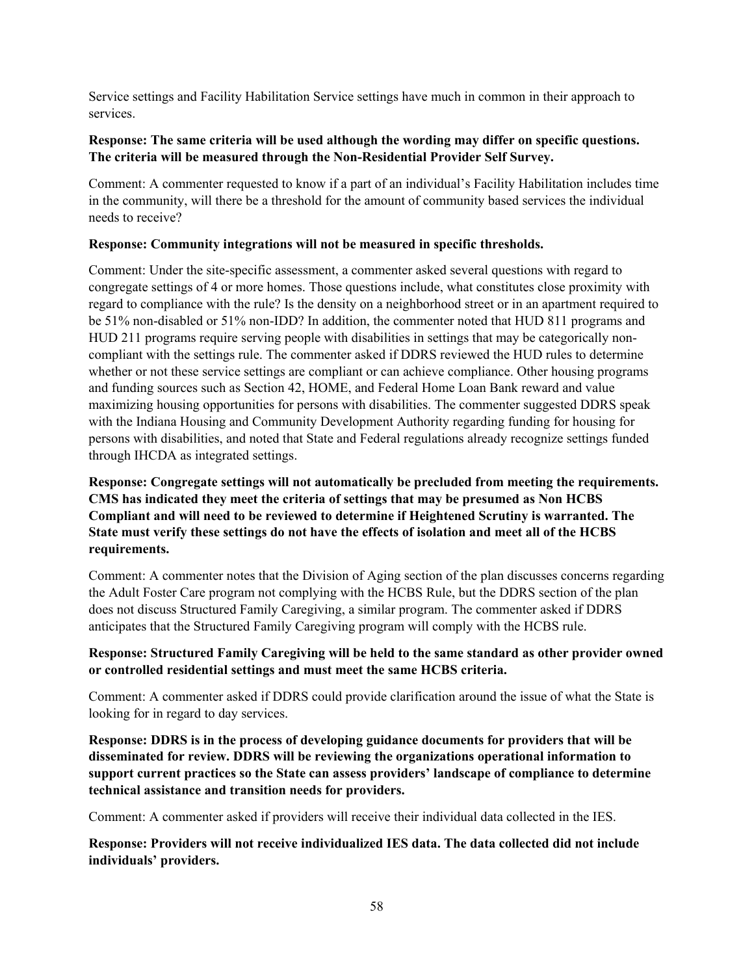Service settings and Facility Habilitation Service settings have much in common in their approach to services.

#### **Response: The same criteria will be used although the wording may differ on specific questions. The criteria will be measured through the Non-Residential Provider Self Survey.**

Comment: A commenter requested to know if a part of an individual's Facility Habilitation includes time in the community, will there be a threshold for the amount of community based services the individual needs to receive?

## **Response: Community integrations will not be measured in specific thresholds.**

Comment: Under the site-specific assessment, a commenter asked several questions with regard to congregate settings of 4 or more homes. Those questions include, what constitutes close proximity with regard to compliance with the rule? Is the density on a neighborhood street or in an apartment required to be 51% non-disabled or 51% non-IDD? In addition, the commenter noted that HUD 811 programs and HUD 211 programs require serving people with disabilities in settings that may be categorically noncompliant with the settings rule. The commenter asked if DDRS reviewed the HUD rules to determine whether or not these service settings are compliant or can achieve compliance. Other housing programs and funding sources such as Section 42, HOME, and Federal Home Loan Bank reward and value maximizing housing opportunities for persons with disabilities. The commenter suggested DDRS speak with the Indiana Housing and Community Development Authority regarding funding for housing for persons with disabilities, and noted that State and Federal regulations already recognize settings funded through IHCDA as integrated settings.

# **Response: Congregate settings will not automatically be precluded from meeting the requirements. CMS has indicated they meet the criteria of settings that may be presumed as Non HCBS Compliant and will need to be reviewed to determine if Heightened Scrutiny is warranted. The State must verify these settings do not have the effects of isolation and meet all of the HCBS requirements.**

Comment: A commenter notes that the Division of Aging section of the plan discusses concerns regarding the Adult Foster Care program not complying with the HCBS Rule, but the DDRS section of the plan does not discuss Structured Family Caregiving, a similar program. The commenter asked if DDRS anticipates that the Structured Family Caregiving program will comply with the HCBS rule.

# **Response: Structured Family Caregiving will be held to the same standard as other provider owned or controlled residential settings and must meet the same HCBS criteria.**

Comment: A commenter asked if DDRS could provide clarification around the issue of what the State is looking for in regard to day services.

**Response: DDRS is in the process of developing guidance documents for providers that will be disseminated for review. DDRS will be reviewing the organizations operational information to support current practices so the State can assess providers' landscape of compliance to determine technical assistance and transition needs for providers.**

Comment: A commenter asked if providers will receive their individual data collected in the IES.

**Response: Providers will not receive individualized IES data. The data collected did not include individuals' providers.**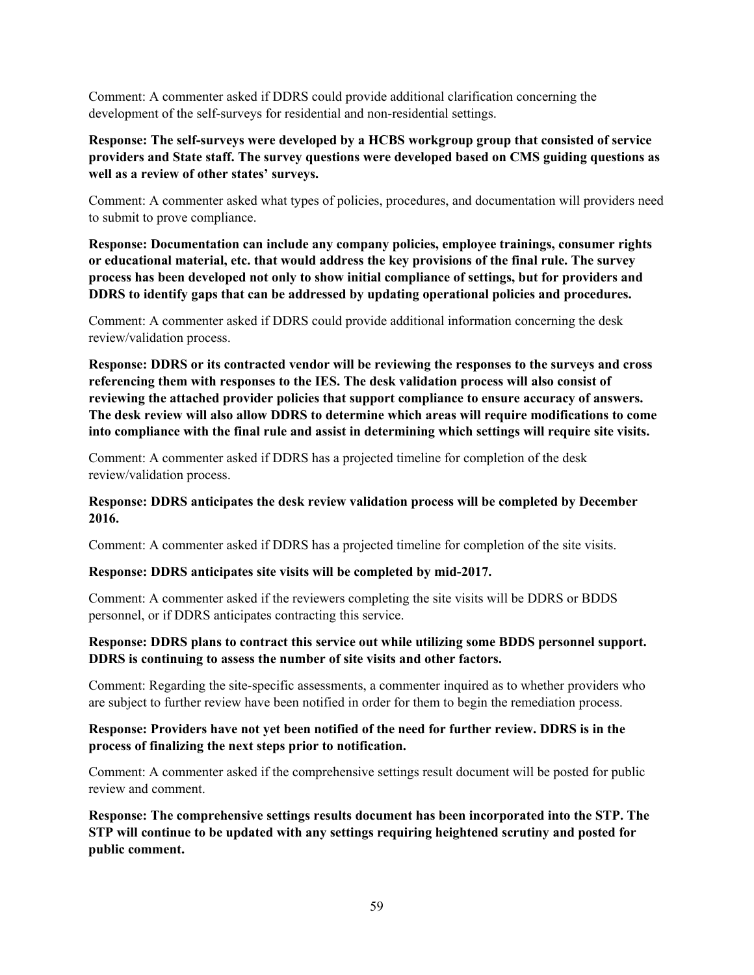Comment: A commenter asked if DDRS could provide additional clarification concerning the development of the self-surveys for residential and non-residential settings.

## **Response: The self-surveys were developed by a HCBS workgroup group that consisted of service providers and State staff. The survey questions were developed based on CMS guiding questions as well as a review of other states' surveys.**

Comment: A commenter asked what types of policies, procedures, and documentation will providers need to submit to prove compliance.

**Response: Documentation can include any company policies, employee trainings, consumer rights or educational material, etc. that would address the key provisions of the final rule. The survey process has been developed not only to show initial compliance of settings, but for providers and DDRS to identify gaps that can be addressed by updating operational policies and procedures.**

Comment: A commenter asked if DDRS could provide additional information concerning the desk review/validation process.

**Response: DDRS or its contracted vendor will be reviewing the responses to the surveys and cross referencing them with responses to the IES. The desk validation process will also consist of reviewing the attached provider policies that support compliance to ensure accuracy of answers. The desk review will also allow DDRS to determine which areas will require modifications to come into compliance with the final rule and assist in determining which settings will require site visits.**

Comment: A commenter asked if DDRS has a projected timeline for completion of the desk review/validation process.

#### **Response: DDRS anticipates the desk review validation process will be completed by December 2016.**

Comment: A commenter asked if DDRS has a projected timeline for completion of the site visits.

#### **Response: DDRS anticipates site visits will be completed by mid-2017.**

Comment: A commenter asked if the reviewers completing the site visits will be DDRS or BDDS personnel, or if DDRS anticipates contracting this service.

#### **Response: DDRS plans to contract this service out while utilizing some BDDS personnel support. DDRS is continuing to assess the number of site visits and other factors.**

Comment: Regarding the site-specific assessments, a commenter inquired as to whether providers who are subject to further review have been notified in order for them to begin the remediation process.

#### **Response: Providers have not yet been notified of the need for further review. DDRS is in the process of finalizing the next steps prior to notification.**

Comment: A commenter asked if the comprehensive settings result document will be posted for public review and comment.

**Response: The comprehensive settings results document has been incorporated into the STP. The STP will continue to be updated with any settings requiring heightened scrutiny and posted for public comment.**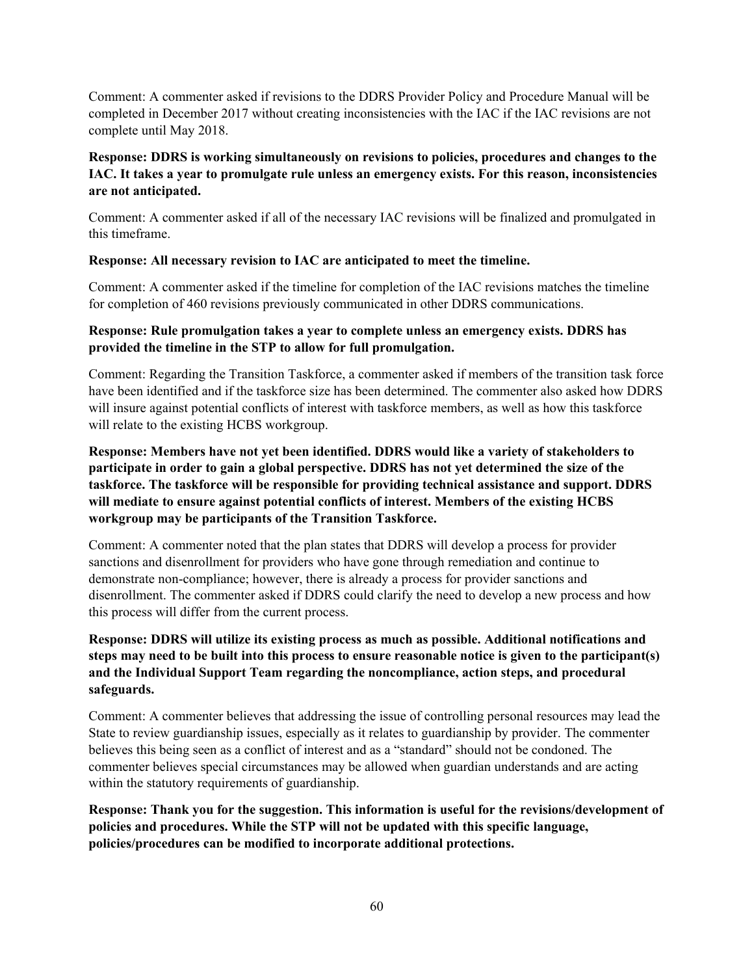Comment: A commenter asked if revisions to the DDRS Provider Policy and Procedure Manual will be completed in December 2017 without creating inconsistencies with the IAC if the IAC revisions are not complete until May 2018.

# **Response: DDRS is working simultaneously on revisions to policies, procedures and changes to the IAC. It takes a year to promulgate rule unless an emergency exists. For this reason, inconsistencies are not anticipated.**

Comment: A commenter asked if all of the necessary IAC revisions will be finalized and promulgated in this timeframe.

#### **Response: All necessary revision to IAC are anticipated to meet the timeline.**

Comment: A commenter asked if the timeline for completion of the IAC revisions matches the timeline for completion of 460 revisions previously communicated in other DDRS communications.

#### **Response: Rule promulgation takes a year to complete unless an emergency exists. DDRS has provided the timeline in the STP to allow for full promulgation.**

Comment: Regarding the Transition Taskforce, a commenter asked if members of the transition task force have been identified and if the taskforce size has been determined. The commenter also asked how DDRS will insure against potential conflicts of interest with taskforce members, as well as how this taskforce will relate to the existing HCBS workgroup.

# **Response: Members have not yet been identified. DDRS would like a variety of stakeholders to participate in order to gain a global perspective. DDRS has not yet determined the size of the taskforce. The taskforce will be responsible for providing technical assistance and support. DDRS will mediate to ensure against potential conflicts of interest. Members of the existing HCBS workgroup may be participants of the Transition Taskforce.**

Comment: A commenter noted that the plan states that DDRS will develop a process for provider sanctions and disenrollment for providers who have gone through remediation and continue to demonstrate non-compliance; however, there is already a process for provider sanctions and disenrollment. The commenter asked if DDRS could clarify the need to develop a new process and how this process will differ from the current process.

# **Response: DDRS will utilize its existing process as much as possible. Additional notifications and steps may need to be built into this process to ensure reasonable notice is given to the participant(s) and the Individual Support Team regarding the noncompliance, action steps, and procedural safeguards.**

Comment: A commenter believes that addressing the issue of controlling personal resources may lead the State to review guardianship issues, especially as it relates to guardianship by provider. The commenter believes this being seen as a conflict of interest and as a "standard" should not be condoned. The commenter believes special circumstances may be allowed when guardian understands and are acting within the statutory requirements of guardianship.

**Response: Thank you for the suggestion. This information is useful for the revisions/development of policies and procedures. While the STP will not be updated with this specific language, policies/procedures can be modified to incorporate additional protections.**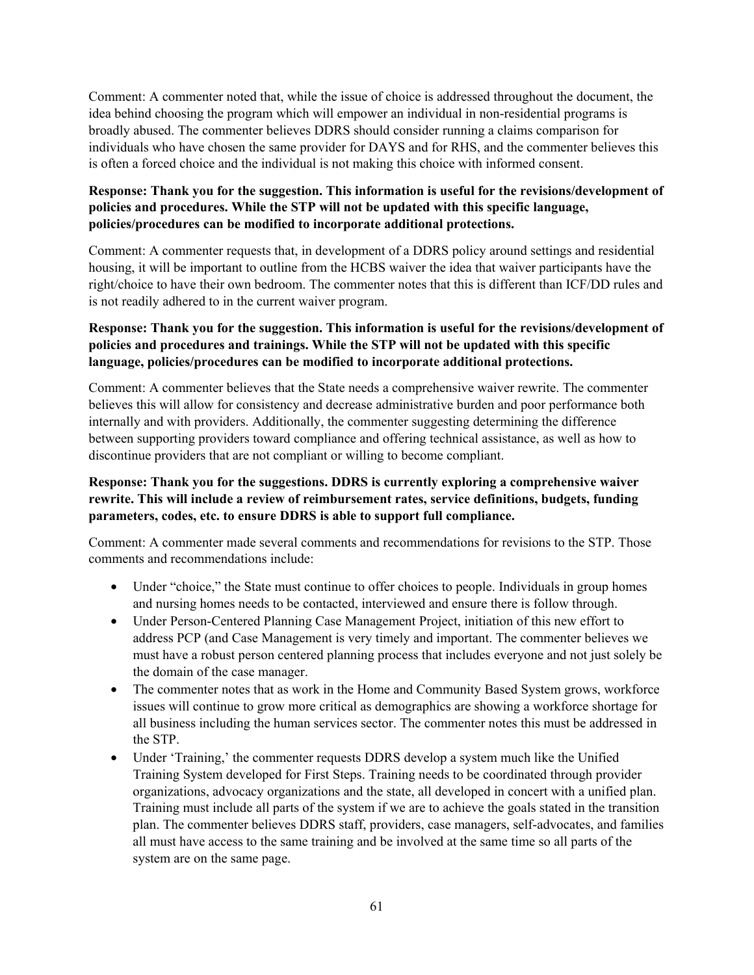Comment: A commenter noted that, while the issue of choice is addressed throughout the document, the idea behind choosing the program which will empower an individual in non-residential programs is broadly abused. The commenter believes DDRS should consider running a claims comparison for individuals who have chosen the same provider for DAYS and for RHS, and the commenter believes this is often a forced choice and the individual is not making this choice with informed consent.

# **Response: Thank you for the suggestion. This information is useful for the revisions/development of policies and procedures. While the STP will not be updated with this specific language, policies/procedures can be modified to incorporate additional protections.**

Comment: A commenter requests that, in development of a DDRS policy around settings and residential housing, it will be important to outline from the HCBS waiver the idea that waiver participants have the right/choice to have their own bedroom. The commenter notes that this is different than ICF/DD rules and is not readily adhered to in the current waiver program.

# **Response: Thank you for the suggestion. This information is useful for the revisions/development of policies and procedures and trainings. While the STP will not be updated with this specific language, policies/procedures can be modified to incorporate additional protections.**

Comment: A commenter believes that the State needs a comprehensive waiver rewrite. The commenter believes this will allow for consistency and decrease administrative burden and poor performance both internally and with providers. Additionally, the commenter suggesting determining the difference between supporting providers toward compliance and offering technical assistance, as well as how to discontinue providers that are not compliant or willing to become compliant.

## **Response: Thank you for the suggestions. DDRS is currently exploring a comprehensive waiver rewrite. This will include a review of reimbursement rates, service definitions, budgets, funding parameters, codes, etc. to ensure DDRS is able to support full compliance.**

Comment: A commenter made several comments and recommendations for revisions to the STP. Those comments and recommendations include:

- Under "choice," the State must continue to offer choices to people. Individuals in group homes and nursing homes needs to be contacted, interviewed and ensure there is follow through.
- Under Person-Centered Planning Case Management Project, initiation of this new effort to address PCP (and Case Management is very timely and important. The commenter believes we must have a robust person centered planning process that includes everyone and not just solely be the domain of the case manager.
- The commenter notes that as work in the Home and Community Based System grows, workforce issues will continue to grow more critical as demographics are showing a workforce shortage for all business including the human services sector. The commenter notes this must be addressed in the STP.
- Under 'Training,' the commenter requests DDRS develop a system much like the Unified Training System developed for First Steps. Training needs to be coordinated through provider organizations, advocacy organizations and the state, all developed in concert with a unified plan. Training must include all parts of the system if we are to achieve the goals stated in the transition plan. The commenter believes DDRS staff, providers, case managers, self-advocates, and families all must have access to the same training and be involved at the same time so all parts of the system are on the same page.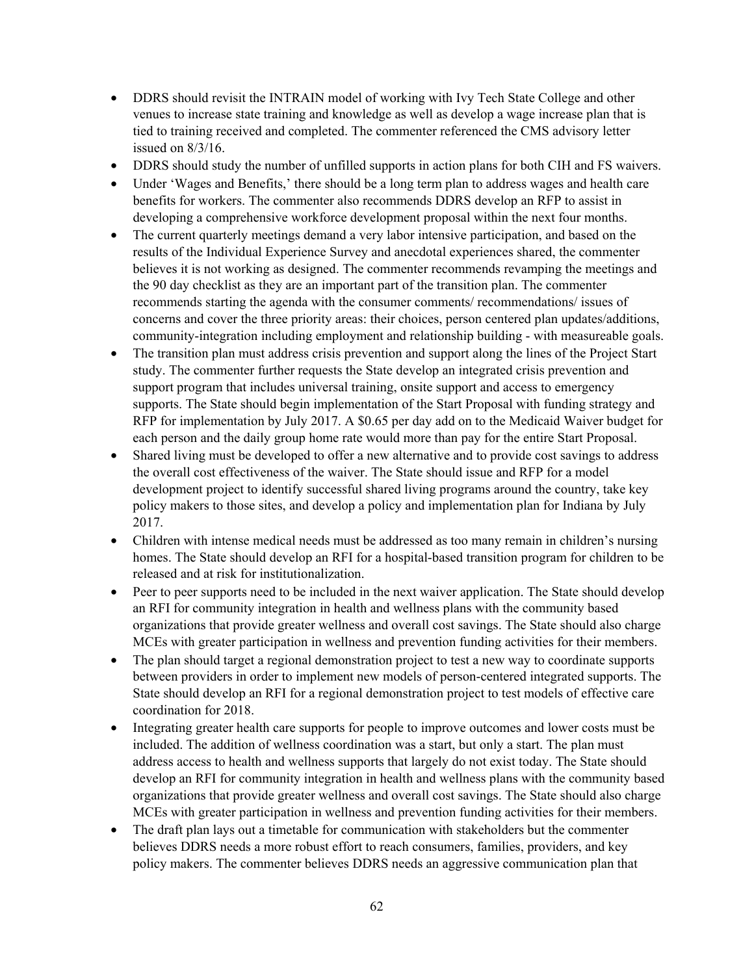- DDRS should revisit the INTRAIN model of working with Ivy Tech State College and other venues to increase state training and knowledge as well as develop a wage increase plan that is tied to training received and completed. The commenter referenced the CMS advisory letter issued on 8/3/16.
- DDRS should study the number of unfilled supports in action plans for both CIH and FS waivers.
- Under 'Wages and Benefits,' there should be a long term plan to address wages and health care benefits for workers. The commenter also recommends DDRS develop an RFP to assist in developing a comprehensive workforce development proposal within the next four months.
- The current quarterly meetings demand a very labor intensive participation, and based on the results of the Individual Experience Survey and anecdotal experiences shared, the commenter believes it is not working as designed. The commenter recommends revamping the meetings and the 90 day checklist as they are an important part of the transition plan. The commenter recommends starting the agenda with the consumer comments/ recommendations/ issues of concerns and cover the three priority areas: their choices, person centered plan updates/additions, community-integration including employment and relationship building - with measureable goals.
- The transition plan must address crisis prevention and support along the lines of the Project Start study. The commenter further requests the State develop an integrated crisis prevention and support program that includes universal training, onsite support and access to emergency supports. The State should begin implementation of the Start Proposal with funding strategy and RFP for implementation by July 2017. A \$0.65 per day add on to the Medicaid Waiver budget for each person and the daily group home rate would more than pay for the entire Start Proposal.
- Shared living must be developed to offer a new alternative and to provide cost savings to address the overall cost effectiveness of the waiver. The State should issue and RFP for a model development project to identify successful shared living programs around the country, take key policy makers to those sites, and develop a policy and implementation plan for Indiana by July 2017.
- Children with intense medical needs must be addressed as too many remain in children's nursing homes. The State should develop an RFI for a hospital-based transition program for children to be released and at risk for institutionalization.
- Peer to peer supports need to be included in the next waiver application. The State should develop an RFI for community integration in health and wellness plans with the community based organizations that provide greater wellness and overall cost savings. The State should also charge MCEs with greater participation in wellness and prevention funding activities for their members.
- The plan should target a regional demonstration project to test a new way to coordinate supports between providers in order to implement new models of person-centered integrated supports. The State should develop an RFI for a regional demonstration project to test models of effective care coordination for 2018.
- Integrating greater health care supports for people to improve outcomes and lower costs must be included. The addition of wellness coordination was a start, but only a start. The plan must address access to health and wellness supports that largely do not exist today. The State should develop an RFI for community integration in health and wellness plans with the community based organizations that provide greater wellness and overall cost savings. The State should also charge MCEs with greater participation in wellness and prevention funding activities for their members.
- The draft plan lays out a timetable for communication with stakeholders but the commenter believes DDRS needs a more robust effort to reach consumers, families, providers, and key policy makers. The commenter believes DDRS needs an aggressive communication plan that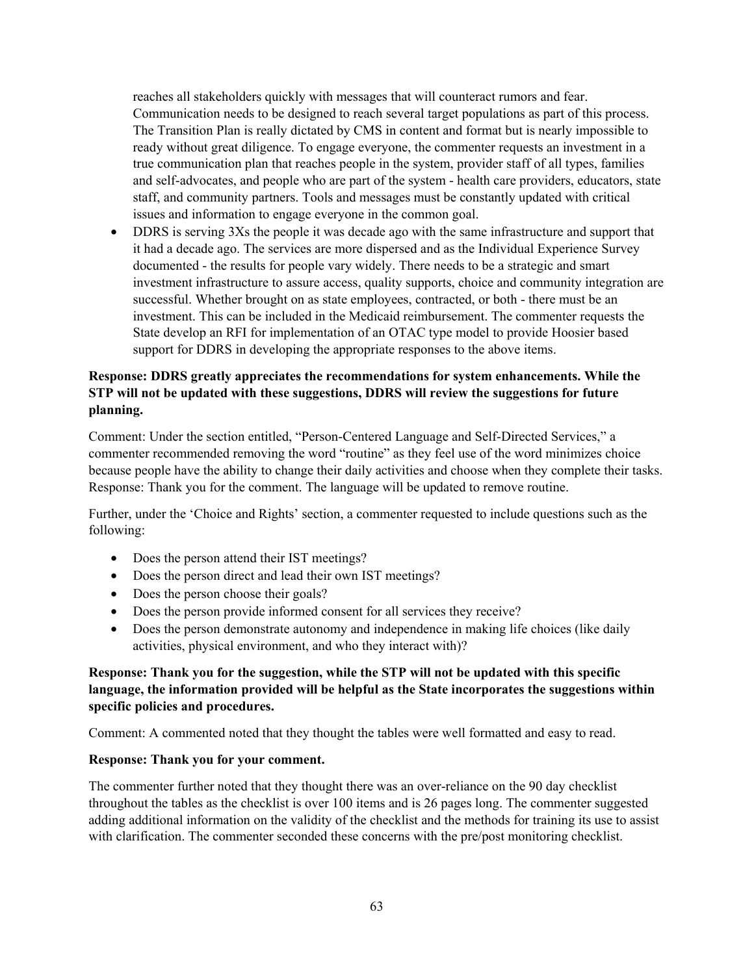reaches all stakeholders quickly with messages that will counteract rumors and fear. Communication needs to be designed to reach several target populations as part of this process. The Transition Plan is really dictated by CMS in content and format but is nearly impossible to ready without great diligence. To engage everyone, the commenter requests an investment in a true communication plan that reaches people in the system, provider staff of all types, families and self-advocates, and people who are part of the system - health care providers, educators, state staff, and community partners. Tools and messages must be constantly updated with critical issues and information to engage everyone in the common goal.

• DDRS is serving 3Xs the people it was decade ago with the same infrastructure and support that it had a decade ago. The services are more dispersed and as the Individual Experience Survey documented - the results for people vary widely. There needs to be a strategic and smart investment infrastructure to assure access, quality supports, choice and community integration are successful. Whether brought on as state employees, contracted, or both - there must be an investment. This can be included in the Medicaid reimbursement. The commenter requests the State develop an RFI for implementation of an OTAC type model to provide Hoosier based support for DDRS in developing the appropriate responses to the above items.

# **Response: DDRS greatly appreciates the recommendations for system enhancements. While the STP will not be updated with these suggestions, DDRS will review the suggestions for future planning.**

Comment: Under the section entitled, "Person-Centered Language and Self-Directed Services," a commenter recommended removing the word "routine" as they feel use of the word minimizes choice because people have the ability to change their daily activities and choose when they complete their tasks. Response: Thank you for the comment. The language will be updated to remove routine.

Further, under the 'Choice and Rights' section, a commenter requested to include questions such as the following:

- Does the person attend their IST meetings?
- Does the person direct and lead their own IST meetings?
- Does the person choose their goals?
- Does the person provide informed consent for all services they receive?
- Does the person demonstrate autonomy and independence in making life choices (like daily activities, physical environment, and who they interact with)?

# **Response: Thank you for the suggestion, while the STP will not be updated with this specific language, the information provided will be helpful as the State incorporates the suggestions within specific policies and procedures.**

Comment: A commented noted that they thought the tables were well formatted and easy to read.

#### **Response: Thank you for your comment.**

The commenter further noted that they thought there was an over-reliance on the 90 day checklist throughout the tables as the checklist is over 100 items and is 26 pages long. The commenter suggested adding additional information on the validity of the checklist and the methods for training its use to assist with clarification. The commenter seconded these concerns with the pre/post monitoring checklist.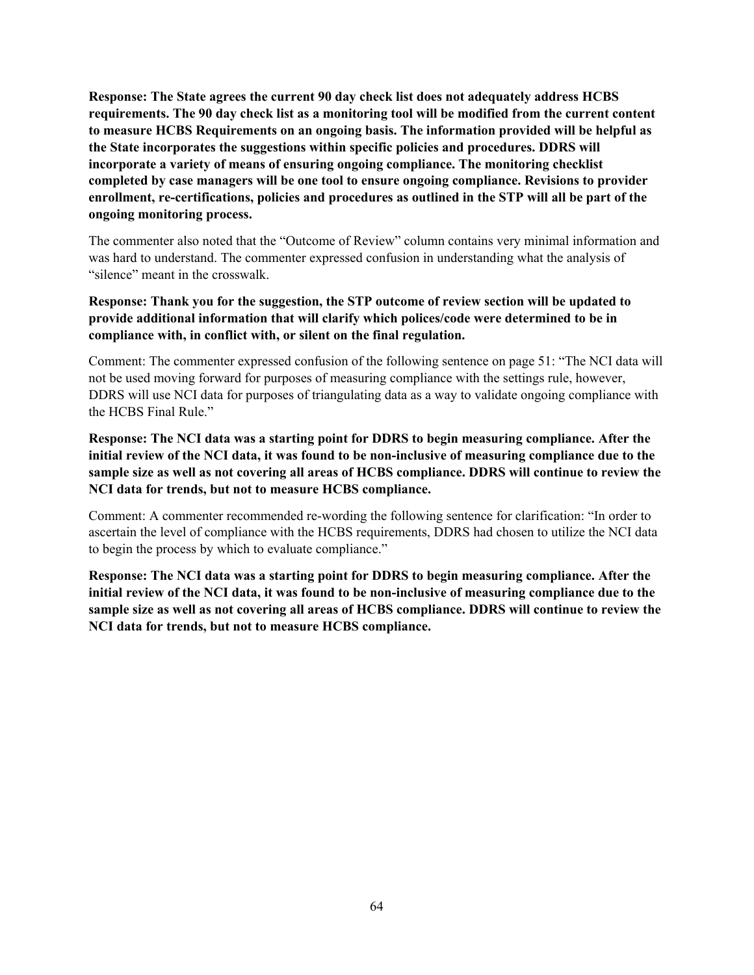**Response: The State agrees the current 90 day check list does not adequately address HCBS requirements. The 90 day check list as a monitoring tool will be modified from the current content to measure HCBS Requirements on an ongoing basis. The information provided will be helpful as the State incorporates the suggestions within specific policies and procedures. DDRS will incorporate a variety of means of ensuring ongoing compliance. The monitoring checklist completed by case managers will be one tool to ensure ongoing compliance. Revisions to provider enrollment, re-certifications, policies and procedures as outlined in the STP will all be part of the ongoing monitoring process.**

The commenter also noted that the "Outcome of Review" column contains very minimal information and was hard to understand. The commenter expressed confusion in understanding what the analysis of "silence" meant in the crosswalk.

# **Response: Thank you for the suggestion, the STP outcome of review section will be updated to provide additional information that will clarify which polices/code were determined to be in compliance with, in conflict with, or silent on the final regulation.**

Comment: The commenter expressed confusion of the following sentence on page 51: "The NCI data will not be used moving forward for purposes of measuring compliance with the settings rule, however, DDRS will use NCI data for purposes of triangulating data as a way to validate ongoing compliance with the HCBS Final Rule."

**Response: The NCI data was a starting point for DDRS to begin measuring compliance. After the initial review of the NCI data, it was found to be non-inclusive of measuring compliance due to the sample size as well as not covering all areas of HCBS compliance. DDRS will continue to review the NCI data for trends, but not to measure HCBS compliance.**

Comment: A commenter recommended re-wording the following sentence for clarification: "In order to ascertain the level of compliance with the HCBS requirements, DDRS had chosen to utilize the NCI data to begin the process by which to evaluate compliance."

**Response: The NCI data was a starting point for DDRS to begin measuring compliance. After the initial review of the NCI data, it was found to be non-inclusive of measuring compliance due to the sample size as well as not covering all areas of HCBS compliance. DDRS will continue to review the NCI data for trends, but not to measure HCBS compliance.**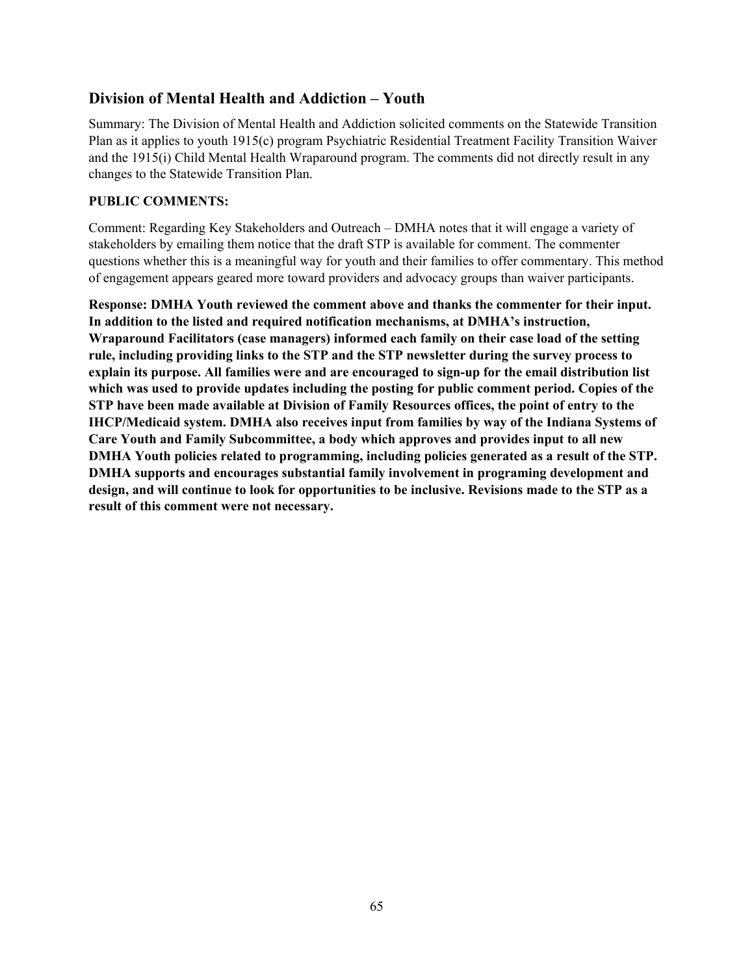# **Division of Mental Health and Addiction – Youth**

Summary: The Division of Mental Health and Addiction solicited comments on the Statewide Transition Plan as it applies to youth 1915(c) program Psychiatric Residential Treatment Facility Transition Waiver and the 1915(i) Child Mental Health Wraparound program. The comments did not directly result in any changes to the Statewide Transition Plan.

# **PUBLIC COMMENTS:**

Comment: Regarding Key Stakeholders and Outreach – DMHA notes that it will engage a variety of stakeholders by emailing them notice that the draft STP is available for comment. The commenter questions whether this is a meaningful way for youth and their families to offer commentary. This method of engagement appears geared more toward providers and advocacy groups than waiver participants.

**Response: DMHA Youth reviewed the comment above and thanks the commenter for their input. In addition to the listed and required notification mechanisms, at DMHA's instruction, Wraparound Facilitators (case managers) informed each family on their case load of the setting rule, including providing links to the STP and the STP newsletter during the survey process to explain its purpose. All families were and are encouraged to sign-up for the email distribution list which was used to provide updates including the posting for public comment period. Copies of the STP have been made available at Division of Family Resources offices, the point of entry to the IHCP/Medicaid system. DMHA also receives input from families by way of the Indiana Systems of Care Youth and Family Subcommittee, a body which approves and provides input to all new DMHA Youth policies related to programming, including policies generated as a result of the STP. DMHA supports and encourages substantial family involvement in programing development and design, and will continue to look for opportunities to be inclusive. Revisions made to the STP as a result of this comment were not necessary.**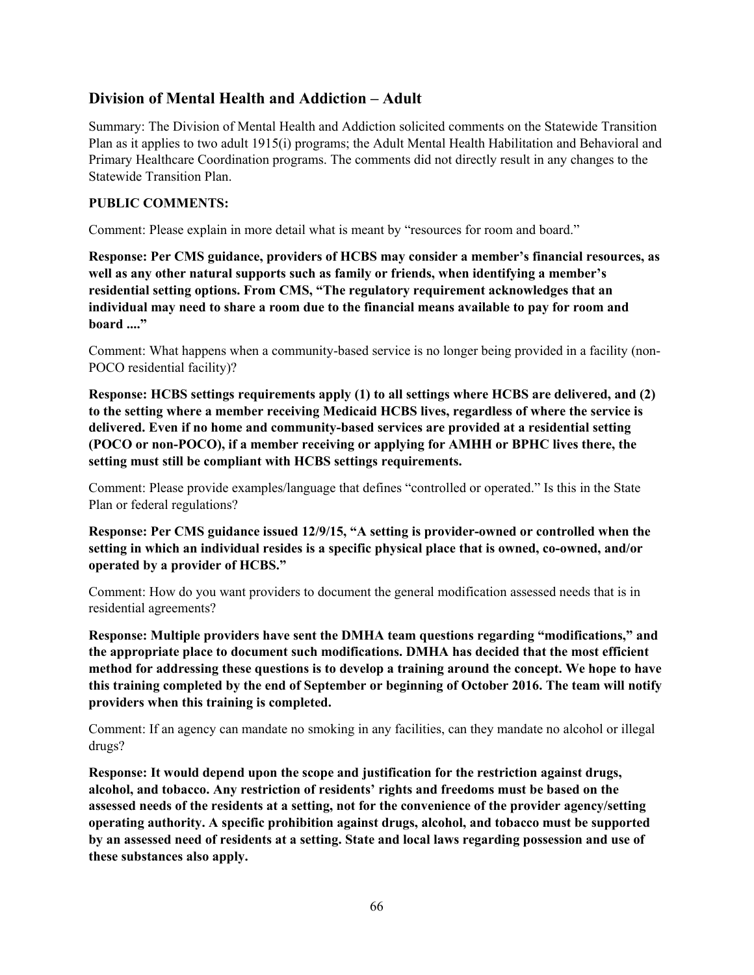# **Division of Mental Health and Addiction – Adult**

Summary: The Division of Mental Health and Addiction solicited comments on the Statewide Transition Plan as it applies to two adult 1915(i) programs; the Adult Mental Health Habilitation and Behavioral and Primary Healthcare Coordination programs. The comments did not directly result in any changes to the Statewide Transition Plan.

# **PUBLIC COMMENTS:**

Comment: Please explain in more detail what is meant by "resources for room and board."

**Response: Per CMS guidance, providers of HCBS may consider a member's financial resources, as well as any other natural supports such as family or friends, when identifying a member's residential setting options. From CMS, "The regulatory requirement acknowledges that an individual may need to share a room due to the financial means available to pay for room and board ...."**

Comment: What happens when a community-based service is no longer being provided in a facility (non-POCO residential facility)?

**Response: HCBS settings requirements apply (1) to all settings where HCBS are delivered, and (2) to the setting where a member receiving Medicaid HCBS lives, regardless of where the service is delivered. Even if no home and community-based services are provided at a residential setting (POCO or non-POCO), if a member receiving or applying for AMHH or BPHC lives there, the setting must still be compliant with HCBS settings requirements.**

Comment: Please provide examples/language that defines "controlled or operated." Is this in the State Plan or federal regulations?

**Response: Per CMS guidance issued 12/9/15, "A setting is provider-owned or controlled when the setting in which an individual resides is a specific physical place that is owned, co-owned, and/or operated by a provider of HCBS."**

Comment: How do you want providers to document the general modification assessed needs that is in residential agreements?

**Response: Multiple providers have sent the DMHA team questions regarding "modifications," and the appropriate place to document such modifications. DMHA has decided that the most efficient method for addressing these questions is to develop a training around the concept. We hope to have this training completed by the end of September or beginning of October 2016. The team will notify providers when this training is completed.**

Comment: If an agency can mandate no smoking in any facilities, can they mandate no alcohol or illegal drugs?

**Response: It would depend upon the scope and justification for the restriction against drugs, alcohol, and tobacco. Any restriction of residents' rights and freedoms must be based on the assessed needs of the residents at a setting, not for the convenience of the provider agency/setting operating authority. A specific prohibition against drugs, alcohol, and tobacco must be supported by an assessed need of residents at a setting. State and local laws regarding possession and use of these substances also apply.**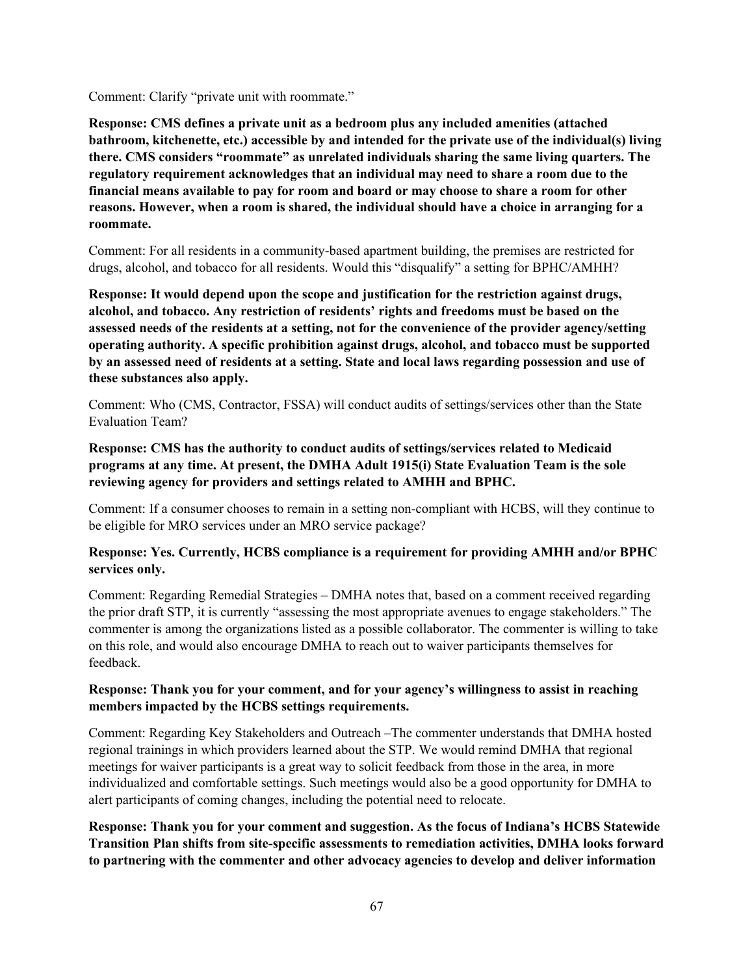Comment: Clarify "private unit with roommate."

**Response: CMS defines a private unit as a bedroom plus any included amenities (attached bathroom, kitchenette, etc.) accessible by and intended for the private use of the individual(s) living there. CMS considers "roommate" as unrelated individuals sharing the same living quarters. The regulatory requirement acknowledges that an individual may need to share a room due to the financial means available to pay for room and board or may choose to share a room for other reasons. However, when a room is shared, the individual should have a choice in arranging for a roommate.**

Comment: For all residents in a community-based apartment building, the premises are restricted for drugs, alcohol, and tobacco for all residents. Would this "disqualify" a setting for BPHC/AMHH?

**Response: It would depend upon the scope and justification for the restriction against drugs, alcohol, and tobacco. Any restriction of residents' rights and freedoms must be based on the assessed needs of the residents at a setting, not for the convenience of the provider agency/setting operating authority. A specific prohibition against drugs, alcohol, and tobacco must be supported by an assessed need of residents at a setting. State and local laws regarding possession and use of these substances also apply.**

Comment: Who (CMS, Contractor, FSSA) will conduct audits of settings/services other than the State Evaluation Team?

# **Response: CMS has the authority to conduct audits of settings/services related to Medicaid programs at any time. At present, the DMHA Adult 1915(i) State Evaluation Team is the sole reviewing agency for providers and settings related to AMHH and BPHC.**

Comment: If a consumer chooses to remain in a setting non-compliant with HCBS, will they continue to be eligible for MRO services under an MRO service package?

# **Response: Yes. Currently, HCBS compliance is a requirement for providing AMHH and/or BPHC services only.**

Comment: Regarding Remedial Strategies – DMHA notes that, based on a comment received regarding the prior draft STP, it is currently "assessing the most appropriate avenues to engage stakeholders." The commenter is among the organizations listed as a possible collaborator. The commenter is willing to take on this role, and would also encourage DMHA to reach out to waiver participants themselves for feedback.

#### **Response: Thank you for your comment, and for your agency's willingness to assist in reaching members impacted by the HCBS settings requirements.**

Comment: Regarding Key Stakeholders and Outreach –The commenter understands that DMHA hosted regional trainings in which providers learned about the STP. We would remind DMHA that regional meetings for waiver participants is a great way to solicit feedback from those in the area, in more individualized and comfortable settings. Such meetings would also be a good opportunity for DMHA to alert participants of coming changes, including the potential need to relocate.

**Response: Thank you for your comment and suggestion. As the focus of Indiana's HCBS Statewide Transition Plan shifts from site-specific assessments to remediation activities, DMHA looks forward to partnering with the commenter and other advocacy agencies to develop and deliver information**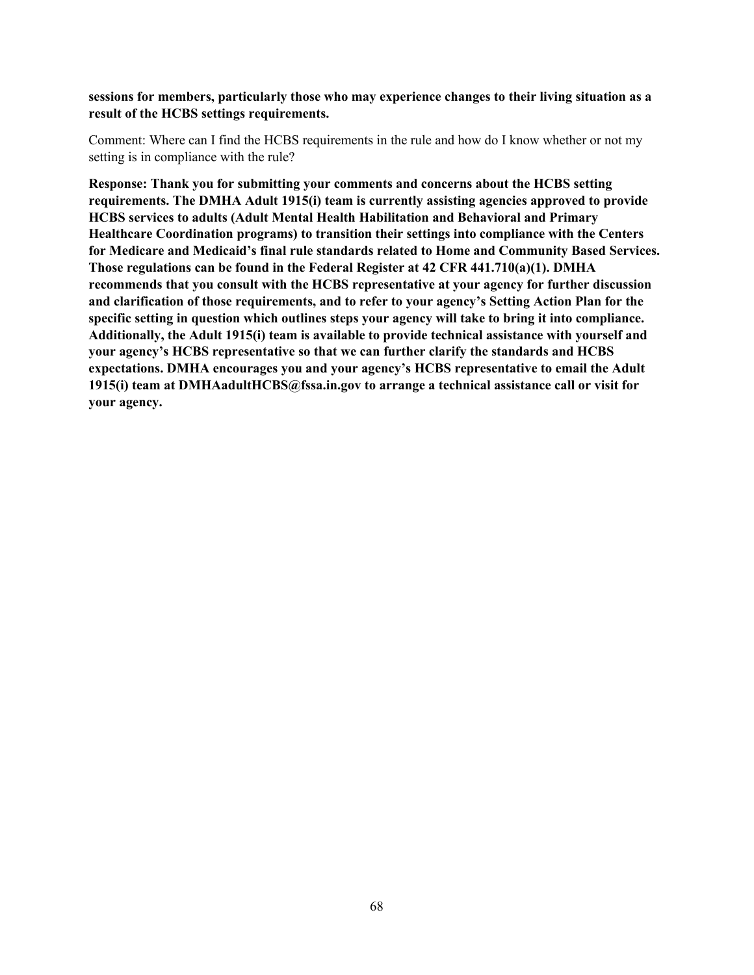**sessions for members, particularly those who may experience changes to their living situation as a result of the HCBS settings requirements.**

Comment: Where can I find the HCBS requirements in the rule and how do I know whether or not my setting is in compliance with the rule?

**Response: Thank you for submitting your comments and concerns about the HCBS setting requirements. The DMHA Adult 1915(i) team is currently assisting agencies approved to provide HCBS services to adults (Adult Mental Health Habilitation and Behavioral and Primary Healthcare Coordination programs) to transition their settings into compliance with the Centers for Medicare and Medicaid's final rule standards related to Home and Community Based Services. Those regulations can be found in the Federal Register at 42 CFR 441.710(a)(1). DMHA recommends that you consult with the HCBS representative at your agency for further discussion and clarification of those requirements, and to refer to your agency's Setting Action Plan for the specific setting in question which outlines steps your agency will take to bring it into compliance. Additionally, the Adult 1915(i) team is available to provide technical assistance with yourself and your agency's HCBS representative so that we can further clarify the standards and HCBS expectations. DMHA encourages you and your agency's HCBS representative to email the Adult 1915(i) team at DMHAadultHCBS@fssa.in.gov to arrange a technical assistance call or visit for your agency.**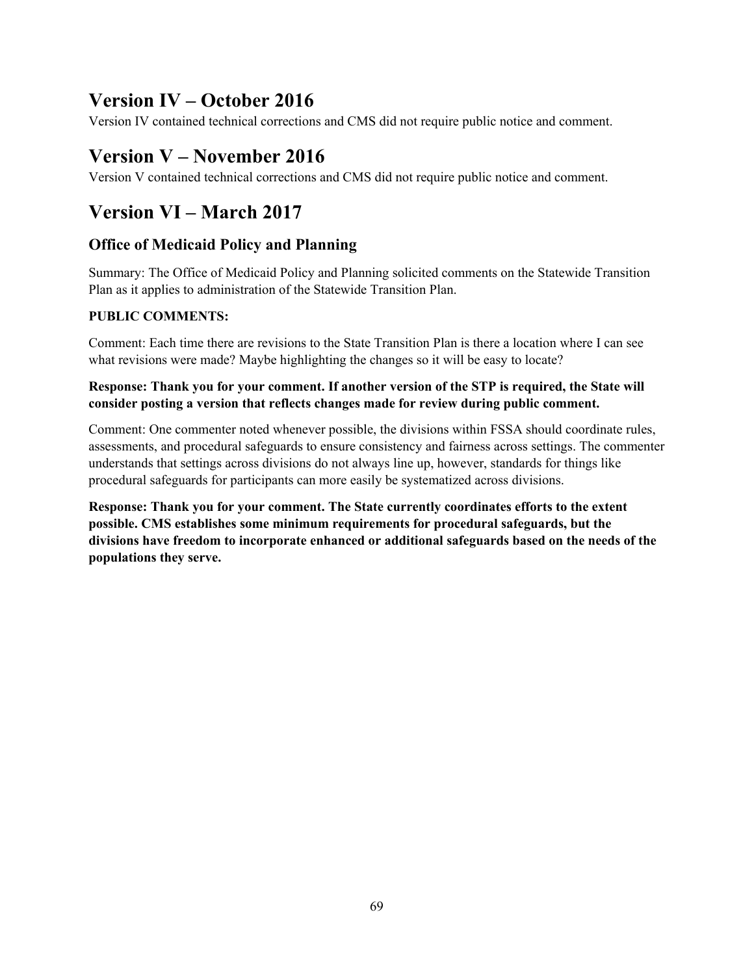# **Version IV – October 2016**

Version IV contained technical corrections and CMS did not require public notice and comment.

# **Version V – November 2016**

Version V contained technical corrections and CMS did not require public notice and comment.

# **Version VI – March 2017**

# **Office of Medicaid Policy and Planning**

Summary: The Office of Medicaid Policy and Planning solicited comments on the Statewide Transition Plan as it applies to administration of the Statewide Transition Plan.

# **PUBLIC COMMENTS:**

Comment: Each time there are revisions to the State Transition Plan is there a location where I can see what revisions were made? Maybe highlighting the changes so it will be easy to locate?

# **Response: Thank you for your comment. If another version of the STP is required, the State will consider posting a version that reflects changes made for review during public comment.**

Comment: One commenter noted whenever possible, the divisions within FSSA should coordinate rules, assessments, and procedural safeguards to ensure consistency and fairness across settings. The commenter understands that settings across divisions do not always line up, however, standards for things like procedural safeguards for participants can more easily be systematized across divisions.

**Response: Thank you for your comment. The State currently coordinates efforts to the extent possible. CMS establishes some minimum requirements for procedural safeguards, but the divisions have freedom to incorporate enhanced or additional safeguards based on the needs of the populations they serve.**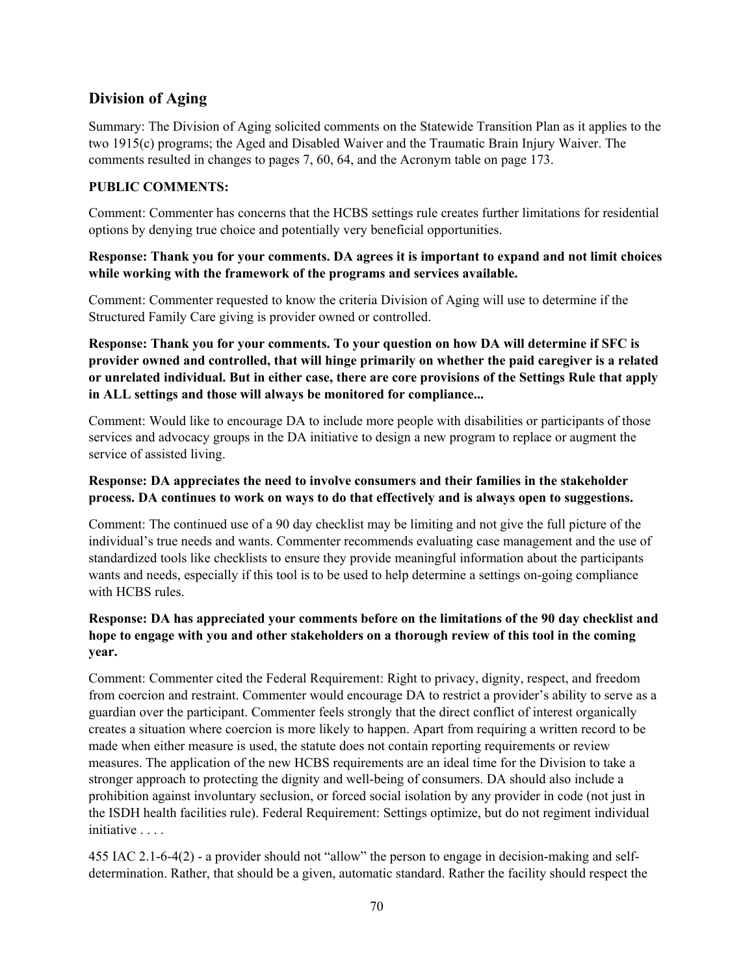# **Division of Aging**

Summary: The Division of Aging solicited comments on the Statewide Transition Plan as it applies to the two 1915(c) programs; the Aged and Disabled Waiver and the Traumatic Brain Injury Waiver. The comments resulted in changes to pages 7, 60, 64, and the Acronym table on page 173.

# **PUBLIC COMMENTS:**

Comment: Commenter has concerns that the HCBS settings rule creates further limitations for residential options by denying true choice and potentially very beneficial opportunities.

#### **Response: Thank you for your comments. DA agrees it is important to expand and not limit choices while working with the framework of the programs and services available.**

Comment: Commenter requested to know the criteria Division of Aging will use to determine if the Structured Family Care giving is provider owned or controlled.

**Response: Thank you for your comments. To your question on how DA will determine if SFC is provider owned and controlled, that will hinge primarily on whether the paid caregiver is a related or unrelated individual. But in either case, there are core provisions of the Settings Rule that apply in ALL settings and those will always be monitored for compliance...**

Comment: Would like to encourage DA to include more people with disabilities or participants of those services and advocacy groups in the DA initiative to design a new program to replace or augment the service of assisted living.

#### **Response: DA appreciates the need to involve consumers and their families in the stakeholder process. DA continues to work on ways to do that effectively and is always open to suggestions.**

Comment: The continued use of a 90 day checklist may be limiting and not give the full picture of the individual's true needs and wants. Commenter recommends evaluating case management and the use of standardized tools like checklists to ensure they provide meaningful information about the participants wants and needs, especially if this tool is to be used to help determine a settings on-going compliance with HCBS rules.

#### **Response: DA has appreciated your comments before on the limitations of the 90 day checklist and hope to engage with you and other stakeholders on a thorough review of this tool in the coming year.**

Comment: Commenter cited the Federal Requirement: Right to privacy, dignity, respect, and freedom from coercion and restraint. Commenter would encourage DA to restrict a provider's ability to serve as a guardian over the participant. Commenter feels strongly that the direct conflict of interest organically creates a situation where coercion is more likely to happen. Apart from requiring a written record to be made when either measure is used, the statute does not contain reporting requirements or review measures. The application of the new HCBS requirements are an ideal time for the Division to take a stronger approach to protecting the dignity and well-being of consumers. DA should also include a prohibition against involuntary seclusion, or forced social isolation by any provider in code (not just in the ISDH health facilities rule). Federal Requirement: Settings optimize, but do not regiment individual initiative . . . .

455 IAC 2.1-6-4(2) - a provider should not "allow" the person to engage in decision-making and selfdetermination. Rather, that should be a given, automatic standard. Rather the facility should respect the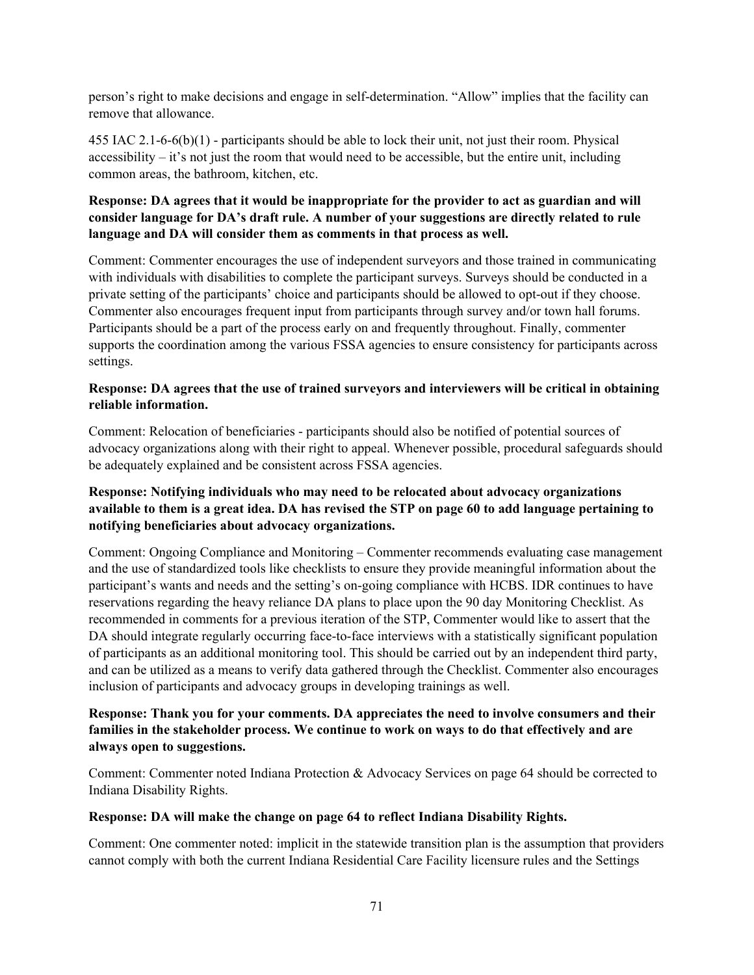person's right to make decisions and engage in self-determination. "Allow" implies that the facility can remove that allowance.

455 IAC 2.1-6-6(b)(1) - participants should be able to lock their unit, not just their room. Physical accessibility – it's not just the room that would need to be accessible, but the entire unit, including common areas, the bathroom, kitchen, etc.

# **Response: DA agrees that it would be inappropriate for the provider to act as guardian and will consider language for DA's draft rule. A number of your suggestions are directly related to rule language and DA will consider them as comments in that process as well.**

Comment: Commenter encourages the use of independent surveyors and those trained in communicating with individuals with disabilities to complete the participant surveys. Surveys should be conducted in a private setting of the participants' choice and participants should be allowed to opt-out if they choose. Commenter also encourages frequent input from participants through survey and/or town hall forums. Participants should be a part of the process early on and frequently throughout. Finally, commenter supports the coordination among the various FSSA agencies to ensure consistency for participants across settings.

#### **Response: DA agrees that the use of trained surveyors and interviewers will be critical in obtaining reliable information.**

Comment: Relocation of beneficiaries - participants should also be notified of potential sources of advocacy organizations along with their right to appeal. Whenever possible, procedural safeguards should be adequately explained and be consistent across FSSA agencies.

# **Response: Notifying individuals who may need to be relocated about advocacy organizations available to them is a great idea. DA has revised the STP on page 60 to add language pertaining to notifying beneficiaries about advocacy organizations.**

Comment: Ongoing Compliance and Monitoring – Commenter recommends evaluating case management and the use of standardized tools like checklists to ensure they provide meaningful information about the participant's wants and needs and the setting's on-going compliance with HCBS. IDR continues to have reservations regarding the heavy reliance DA plans to place upon the 90 day Monitoring Checklist. As recommended in comments for a previous iteration of the STP, Commenter would like to assert that the DA should integrate regularly occurring face-to-face interviews with a statistically significant population of participants as an additional monitoring tool. This should be carried out by an independent third party, and can be utilized as a means to verify data gathered through the Checklist. Commenter also encourages inclusion of participants and advocacy groups in developing trainings as well.

# **Response: Thank you for your comments. DA appreciates the need to involve consumers and their families in the stakeholder process. We continue to work on ways to do that effectively and are always open to suggestions.**

Comment: Commenter noted Indiana Protection & Advocacy Services on page 64 should be corrected to Indiana Disability Rights.

# **Response: DA will make the change on page 64 to reflect Indiana Disability Rights.**

Comment: One commenter noted: implicit in the statewide transition plan is the assumption that providers cannot comply with both the current Indiana Residential Care Facility licensure rules and the Settings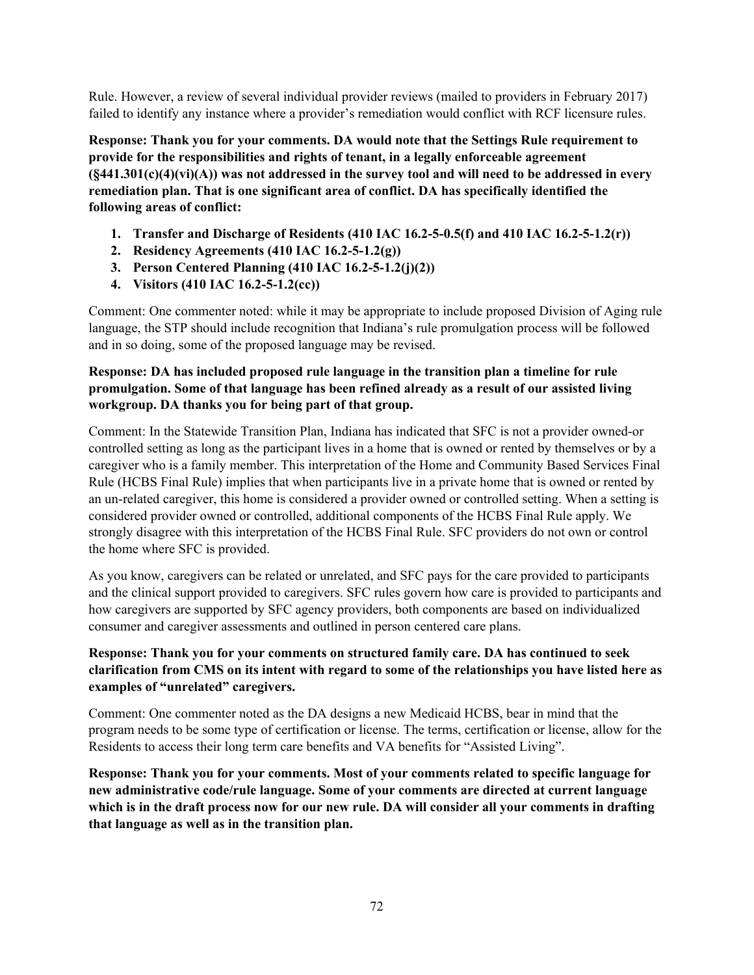Rule. However, a review of several individual provider reviews (mailed to providers in February 2017) failed to identify any instance where a provider's remediation would conflict with RCF licensure rules.

**Response: Thank you for your comments. DA would note that the Settings Rule requirement to provide for the responsibilities and rights of tenant, in a legally enforceable agreement (§441.301(c)(4)(vi)(A)) was not addressed in the survey tool and will need to be addressed in every remediation plan. That is one significant area of conflict. DA has specifically identified the following areas of conflict:**

- **1. Transfer and Discharge of Residents (410 IAC 16.2-5-0.5(f) and 410 IAC 16.2-5-1.2(r))**
- **2. Residency Agreements (410 IAC 16.2-5-1.2(g))**
- **3. Person Centered Planning (410 IAC 16.2-5-1.2(j)(2))**
- **4. Visitors (410 IAC 16.2-5-1.2(cc))**

Comment: One commenter noted: while it may be appropriate to include proposed Division of Aging rule language, the STP should include recognition that Indiana's rule promulgation process will be followed and in so doing, some of the proposed language may be revised.

## **Response: DA has included proposed rule language in the transition plan a timeline for rule promulgation. Some of that language has been refined already as a result of our assisted living workgroup. DA thanks you for being part of that group.**

Comment: In the Statewide Transition Plan, Indiana has indicated that SFC is not a provider owned-or controlled setting as long as the participant lives in a home that is owned or rented by themselves or by a caregiver who is a family member. This interpretation of the Home and Community Based Services Final Rule (HCBS Final Rule) implies that when participants live in a private home that is owned or rented by an un-related caregiver, this home is considered a provider owned or controlled setting. When a setting is considered provider owned or controlled, additional components of the HCBS Final Rule apply. We strongly disagree with this interpretation of the HCBS Final Rule. SFC providers do not own or control the home where SFC is provided.

As you know, caregivers can be related or unrelated, and SFC pays for the care provided to participants and the clinical support provided to caregivers. SFC rules govern how care is provided to participants and how caregivers are supported by SFC agency providers, both components are based on individualized consumer and caregiver assessments and outlined in person centered care plans.

# **Response: Thank you for your comments on structured family care. DA has continued to seek clarification from CMS on its intent with regard to some of the relationships you have listed here as examples of "unrelated" caregivers.**

Comment: One commenter noted as the DA designs a new Medicaid HCBS, bear in mind that the program needs to be some type of certification or license. The terms, certification or license, allow for the Residents to access their long term care benefits and VA benefits for "Assisted Living".

**Response: Thank you for your comments. Most of your comments related to specific language for new administrative code/rule language. Some of your comments are directed at current language which is in the draft process now for our new rule. DA will consider all your comments in drafting that language as well as in the transition plan.**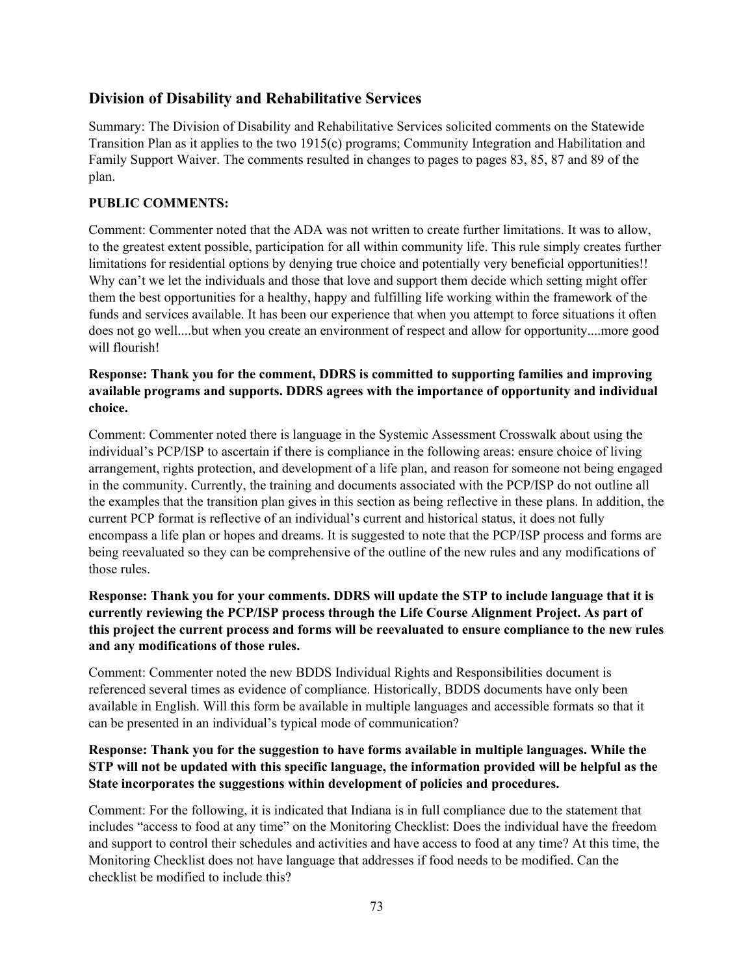# **Division of Disability and Rehabilitative Services**

Summary: The Division of Disability and Rehabilitative Services solicited comments on the Statewide Transition Plan as it applies to the two 1915(c) programs; Community Integration and Habilitation and Family Support Waiver. The comments resulted in changes to pages to pages 83, 85, 87 and 89 of the plan.

## **PUBLIC COMMENTS:**

Comment: Commenter noted that the ADA was not written to create further limitations. It was to allow, to the greatest extent possible, participation for all within community life. This rule simply creates further limitations for residential options by denying true choice and potentially very beneficial opportunities!! Why can't we let the individuals and those that love and support them decide which setting might offer them the best opportunities for a healthy, happy and fulfilling life working within the framework of the funds and services available. It has been our experience that when you attempt to force situations it often does not go well....but when you create an environment of respect and allow for opportunity....more good will flourish!

## **Response: Thank you for the comment, DDRS is committed to supporting families and improving available programs and supports. DDRS agrees with the importance of opportunity and individual choice.**

Comment: Commenter noted there is language in the Systemic Assessment Crosswalk about using the individual's PCP/ISP to ascertain if there is compliance in the following areas: ensure choice of living arrangement, rights protection, and development of a life plan, and reason for someone not being engaged in the community. Currently, the training and documents associated with the PCP/ISP do not outline all the examples that the transition plan gives in this section as being reflective in these plans. In addition, the current PCP format is reflective of an individual's current and historical status, it does not fully encompass a life plan or hopes and dreams. It is suggested to note that the PCP/ISP process and forms are being reevaluated so they can be comprehensive of the outline of the new rules and any modifications of those rules.

## **Response: Thank you for your comments. DDRS will update the STP to include language that it is currently reviewing the PCP/ISP process through the Life Course Alignment Project. As part of this project the current process and forms will be reevaluated to ensure compliance to the new rules and any modifications of those rules.**

Comment: Commenter noted the new BDDS Individual Rights and Responsibilities document is referenced several times as evidence of compliance. Historically, BDDS documents have only been available in English. Will this form be available in multiple languages and accessible formats so that it can be presented in an individual's typical mode of communication?

## **Response: Thank you for the suggestion to have forms available in multiple languages. While the STP will not be updated with this specific language, the information provided will be helpful as the State incorporates the suggestions within development of policies and procedures.**

Comment: For the following, it is indicated that Indiana is in full compliance due to the statement that includes "access to food at any time" on the Monitoring Checklist: Does the individual have the freedom and support to control their schedules and activities and have access to food at any time? At this time, the Monitoring Checklist does not have language that addresses if food needs to be modified. Can the checklist be modified to include this?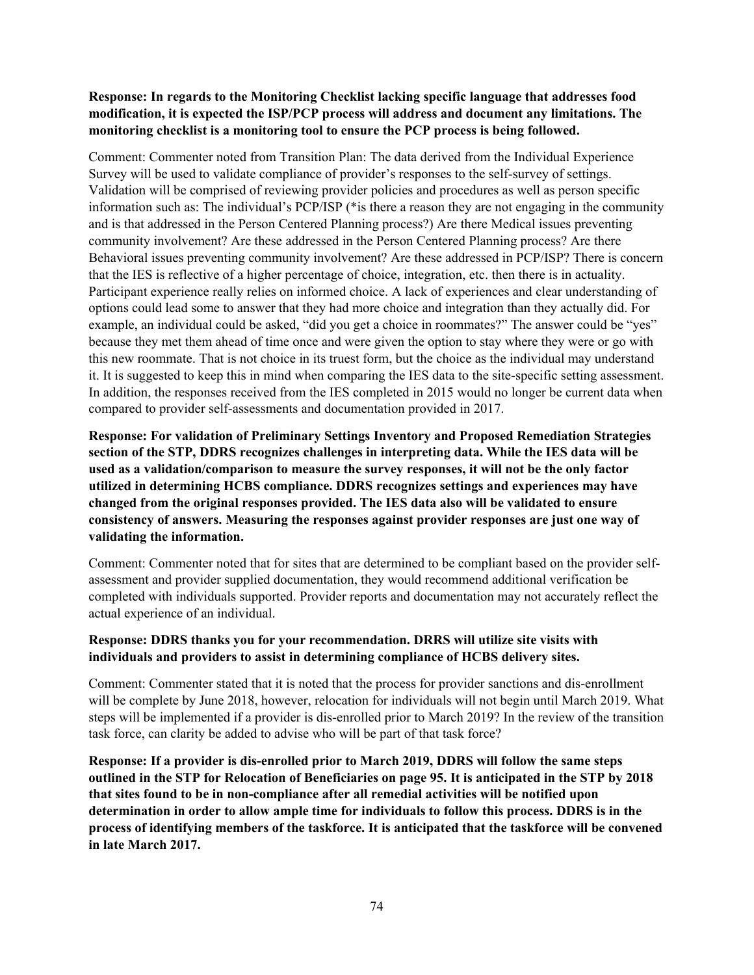## **Response: In regards to the Monitoring Checklist lacking specific language that addresses food modification, it is expected the ISP/PCP process will address and document any limitations. The monitoring checklist is a monitoring tool to ensure the PCP process is being followed.**

Comment: Commenter noted from Transition Plan: The data derived from the Individual Experience Survey will be used to validate compliance of provider's responses to the self-survey of settings. Validation will be comprised of reviewing provider policies and procedures as well as person specific information such as: The individual's PCP/ISP (\*is there a reason they are not engaging in the community and is that addressed in the Person Centered Planning process?) Are there Medical issues preventing community involvement? Are these addressed in the Person Centered Planning process? Are there Behavioral issues preventing community involvement? Are these addressed in PCP/ISP? There is concern that the IES is reflective of a higher percentage of choice, integration, etc. then there is in actuality. Participant experience really relies on informed choice. A lack of experiences and clear understanding of options could lead some to answer that they had more choice and integration than they actually did. For example, an individual could be asked, "did you get a choice in roommates?" The answer could be "yes" because they met them ahead of time once and were given the option to stay where they were or go with this new roommate. That is not choice in its truest form, but the choice as the individual may understand it. It is suggested to keep this in mind when comparing the IES data to the site-specific setting assessment. In addition, the responses received from the IES completed in 2015 would no longer be current data when compared to provider self-assessments and documentation provided in 2017.

**Response: For validation of Preliminary Settings Inventory and Proposed Remediation Strategies section of the STP, DDRS recognizes challenges in interpreting data. While the IES data will be used as a validation/comparison to measure the survey responses, it will not be the only factor utilized in determining HCBS compliance. DDRS recognizes settings and experiences may have changed from the original responses provided. The IES data also will be validated to ensure consistency of answers. Measuring the responses against provider responses are just one way of validating the information.**

Comment: Commenter noted that for sites that are determined to be compliant based on the provider selfassessment and provider supplied documentation, they would recommend additional verification be completed with individuals supported. Provider reports and documentation may not accurately reflect the actual experience of an individual.

#### **Response: DDRS thanks you for your recommendation. DRRS will utilize site visits with individuals and providers to assist in determining compliance of HCBS delivery sites.**

Comment: Commenter stated that it is noted that the process for provider sanctions and dis-enrollment will be complete by June 2018, however, relocation for individuals will not begin until March 2019. What steps will be implemented if a provider is dis-enrolled prior to March 2019? In the review of the transition task force, can clarity be added to advise who will be part of that task force?

**Response: If a provider is dis-enrolled prior to March 2019, DDRS will follow the same steps outlined in the STP for Relocation of Beneficiaries on page 95. It is anticipated in the STP by 2018 that sites found to be in non-compliance after all remedial activities will be notified upon determination in order to allow ample time for individuals to follow this process. DDRS is in the process of identifying members of the taskforce. It is anticipated that the taskforce will be convened in late March 2017.**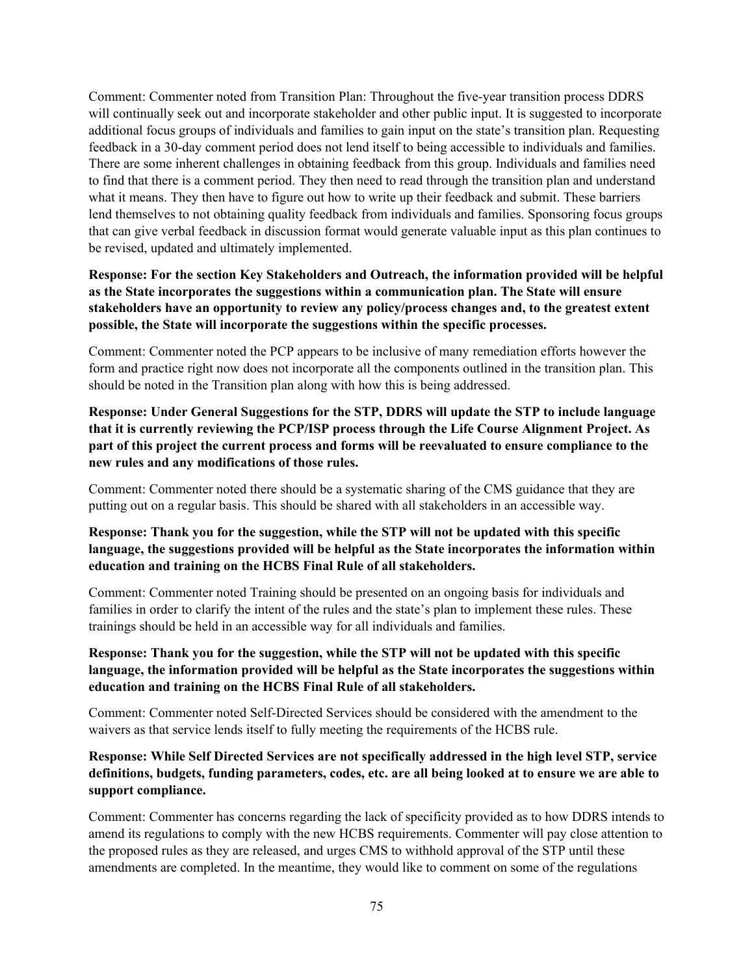Comment: Commenter noted from Transition Plan: Throughout the five-year transition process DDRS will continually seek out and incorporate stakeholder and other public input. It is suggested to incorporate additional focus groups of individuals and families to gain input on the state's transition plan. Requesting feedback in a 30-day comment period does not lend itself to being accessible to individuals and families. There are some inherent challenges in obtaining feedback from this group. Individuals and families need to find that there is a comment period. They then need to read through the transition plan and understand what it means. They then have to figure out how to write up their feedback and submit. These barriers lend themselves to not obtaining quality feedback from individuals and families. Sponsoring focus groups that can give verbal feedback in discussion format would generate valuable input as this plan continues to be revised, updated and ultimately implemented.

**Response: For the section Key Stakeholders and Outreach, the information provided will be helpful as the State incorporates the suggestions within a communication plan. The State will ensure stakeholders have an opportunity to review any policy/process changes and, to the greatest extent possible, the State will incorporate the suggestions within the specific processes.** 

Comment: Commenter noted the PCP appears to be inclusive of many remediation efforts however the form and practice right now does not incorporate all the components outlined in the transition plan. This should be noted in the Transition plan along with how this is being addressed.

**Response: Under General Suggestions for the STP, DDRS will update the STP to include language that it is currently reviewing the PCP/ISP process through the Life Course Alignment Project. As part of this project the current process and forms will be reevaluated to ensure compliance to the new rules and any modifications of those rules.**

Comment: Commenter noted there should be a systematic sharing of the CMS guidance that they are putting out on a regular basis. This should be shared with all stakeholders in an accessible way.

## **Response: Thank you for the suggestion, while the STP will not be updated with this specific language, the suggestions provided will be helpful as the State incorporates the information within education and training on the HCBS Final Rule of all stakeholders.**

Comment: Commenter noted Training should be presented on an ongoing basis for individuals and families in order to clarify the intent of the rules and the state's plan to implement these rules. These trainings should be held in an accessible way for all individuals and families.

## **Response: Thank you for the suggestion, while the STP will not be updated with this specific language, the information provided will be helpful as the State incorporates the suggestions within education and training on the HCBS Final Rule of all stakeholders.**

Comment: Commenter noted Self-Directed Services should be considered with the amendment to the waivers as that service lends itself to fully meeting the requirements of the HCBS rule.

## **Response: While Self Directed Services are not specifically addressed in the high level STP, service definitions, budgets, funding parameters, codes, etc. are all being looked at to ensure we are able to support compliance.**

Comment: Commenter has concerns regarding the lack of specificity provided as to how DDRS intends to amend its regulations to comply with the new HCBS requirements. Commenter will pay close attention to the proposed rules as they are released, and urges CMS to withhold approval of the STP until these amendments are completed. In the meantime, they would like to comment on some of the regulations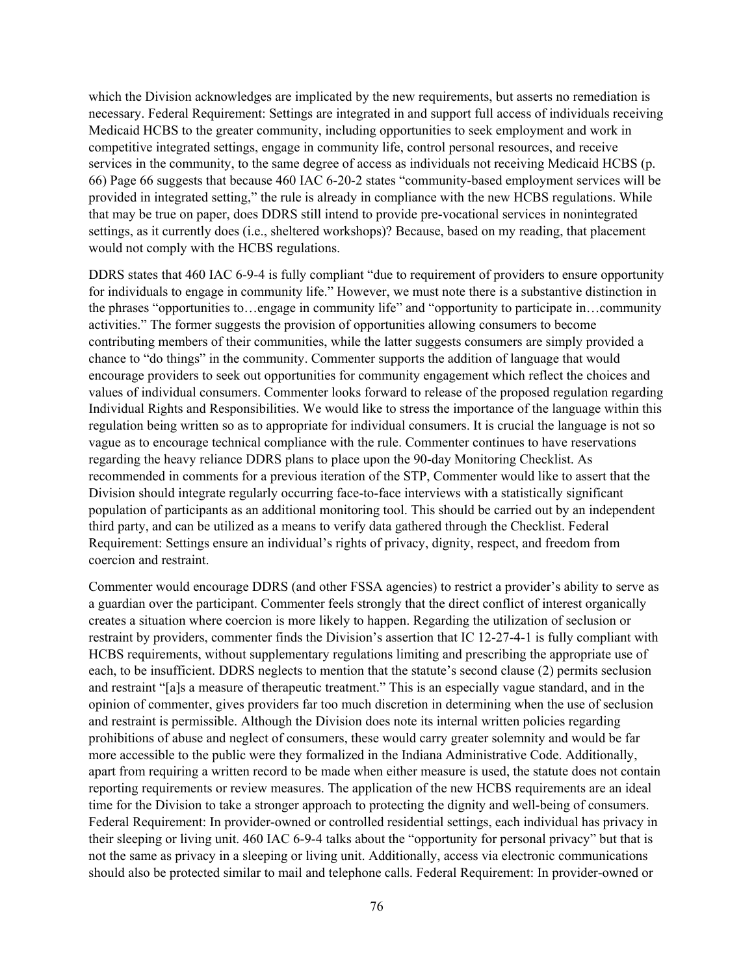which the Division acknowledges are implicated by the new requirements, but asserts no remediation is necessary. Federal Requirement: Settings are integrated in and support full access of individuals receiving Medicaid HCBS to the greater community, including opportunities to seek employment and work in competitive integrated settings, engage in community life, control personal resources, and receive services in the community, to the same degree of access as individuals not receiving Medicaid HCBS (p. 66) Page 66 suggests that because 460 IAC 6-20-2 states "community-based employment services will be provided in integrated setting," the rule is already in compliance with the new HCBS regulations. While that may be true on paper, does DDRS still intend to provide pre-vocational services in nonintegrated settings, as it currently does (i.e., sheltered workshops)? Because, based on my reading, that placement would not comply with the HCBS regulations.

DDRS states that 460 IAC 6-9-4 is fully compliant "due to requirement of providers to ensure opportunity for individuals to engage in community life." However, we must note there is a substantive distinction in the phrases "opportunities to…engage in community life" and "opportunity to participate in…community activities." The former suggests the provision of opportunities allowing consumers to become contributing members of their communities, while the latter suggests consumers are simply provided a chance to "do things" in the community. Commenter supports the addition of language that would encourage providers to seek out opportunities for community engagement which reflect the choices and values of individual consumers. Commenter looks forward to release of the proposed regulation regarding Individual Rights and Responsibilities. We would like to stress the importance of the language within this regulation being written so as to appropriate for individual consumers. It is crucial the language is not so vague as to encourage technical compliance with the rule. Commenter continues to have reservations regarding the heavy reliance DDRS plans to place upon the 90-day Monitoring Checklist. As recommended in comments for a previous iteration of the STP, Commenter would like to assert that the Division should integrate regularly occurring face-to-face interviews with a statistically significant population of participants as an additional monitoring tool. This should be carried out by an independent third party, and can be utilized as a means to verify data gathered through the Checklist. Federal Requirement: Settings ensure an individual's rights of privacy, dignity, respect, and freedom from coercion and restraint.

Commenter would encourage DDRS (and other FSSA agencies) to restrict a provider's ability to serve as a guardian over the participant. Commenter feels strongly that the direct conflict of interest organically creates a situation where coercion is more likely to happen. Regarding the utilization of seclusion or restraint by providers, commenter finds the Division's assertion that IC 12-27-4-1 is fully compliant with HCBS requirements, without supplementary regulations limiting and prescribing the appropriate use of each, to be insufficient. DDRS neglects to mention that the statute's second clause (2) permits seclusion and restraint "[a]s a measure of therapeutic treatment." This is an especially vague standard, and in the opinion of commenter, gives providers far too much discretion in determining when the use of seclusion and restraint is permissible. Although the Division does note its internal written policies regarding prohibitions of abuse and neglect of consumers, these would carry greater solemnity and would be far more accessible to the public were they formalized in the Indiana Administrative Code. Additionally, apart from requiring a written record to be made when either measure is used, the statute does not contain reporting requirements or review measures. The application of the new HCBS requirements are an ideal time for the Division to take a stronger approach to protecting the dignity and well-being of consumers. Federal Requirement: In provider-owned or controlled residential settings, each individual has privacy in their sleeping or living unit. 460 IAC 6-9-4 talks about the "opportunity for personal privacy" but that is not the same as privacy in a sleeping or living unit. Additionally, access via electronic communications should also be protected similar to mail and telephone calls. Federal Requirement: In provider-owned or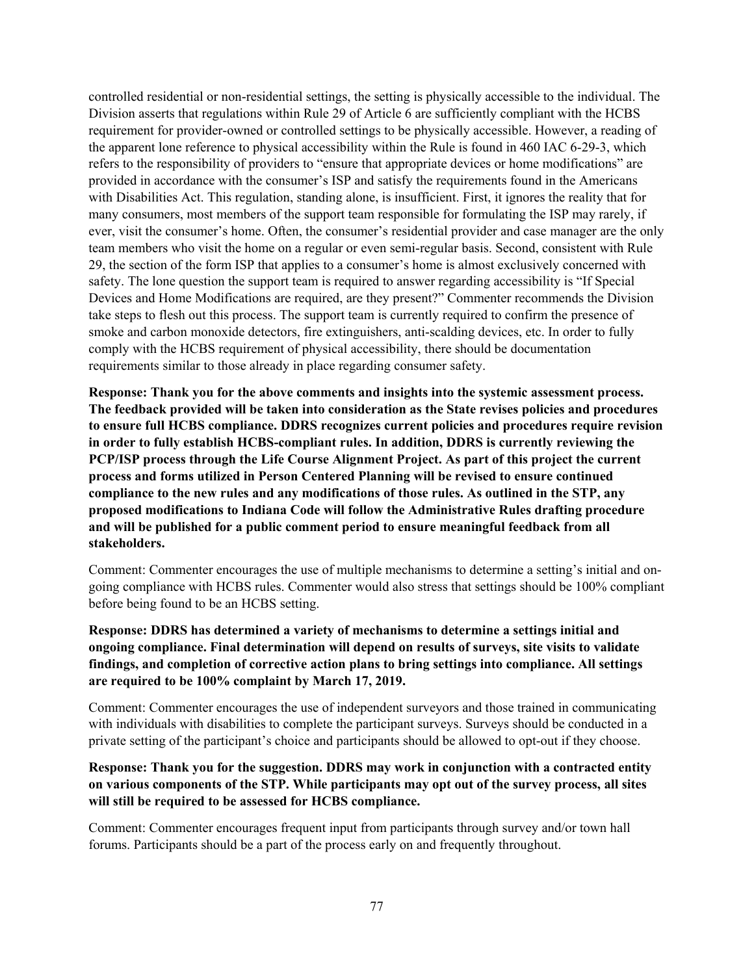controlled residential or non-residential settings, the setting is physically accessible to the individual. The Division asserts that regulations within Rule 29 of Article 6 are sufficiently compliant with the HCBS requirement for provider-owned or controlled settings to be physically accessible. However, a reading of the apparent lone reference to physical accessibility within the Rule is found in 460 IAC 6-29-3, which refers to the responsibility of providers to "ensure that appropriate devices or home modifications" are provided in accordance with the consumer's ISP and satisfy the requirements found in the Americans with Disabilities Act. This regulation, standing alone, is insufficient. First, it ignores the reality that for many consumers, most members of the support team responsible for formulating the ISP may rarely, if ever, visit the consumer's home. Often, the consumer's residential provider and case manager are the only team members who visit the home on a regular or even semi-regular basis. Second, consistent with Rule 29, the section of the form ISP that applies to a consumer's home is almost exclusively concerned with safety. The lone question the support team is required to answer regarding accessibility is "If Special Devices and Home Modifications are required, are they present?" Commenter recommends the Division take steps to flesh out this process. The support team is currently required to confirm the presence of smoke and carbon monoxide detectors, fire extinguishers, anti-scalding devices, etc. In order to fully comply with the HCBS requirement of physical accessibility, there should be documentation requirements similar to those already in place regarding consumer safety.

**Response: Thank you for the above comments and insights into the systemic assessment process. The feedback provided will be taken into consideration as the State revises policies and procedures to ensure full HCBS compliance. DDRS recognizes current policies and procedures require revision in order to fully establish HCBS-compliant rules. In addition, DDRS is currently reviewing the PCP/ISP process through the Life Course Alignment Project. As part of this project the current process and forms utilized in Person Centered Planning will be revised to ensure continued compliance to the new rules and any modifications of those rules. As outlined in the STP, any proposed modifications to Indiana Code will follow the Administrative Rules drafting procedure and will be published for a public comment period to ensure meaningful feedback from all stakeholders.**

Comment: Commenter encourages the use of multiple mechanisms to determine a setting's initial and ongoing compliance with HCBS rules. Commenter would also stress that settings should be 100% compliant before being found to be an HCBS setting.

**Response: DDRS has determined a variety of mechanisms to determine a settings initial and ongoing compliance. Final determination will depend on results of surveys, site visits to validate findings, and completion of corrective action plans to bring settings into compliance. All settings are required to be 100% complaint by March 17, 2019.**

Comment: Commenter encourages the use of independent surveyors and those trained in communicating with individuals with disabilities to complete the participant surveys. Surveys should be conducted in a private setting of the participant's choice and participants should be allowed to opt-out if they choose.

## **Response: Thank you for the suggestion. DDRS may work in conjunction with a contracted entity on various components of the STP. While participants may opt out of the survey process, all sites will still be required to be assessed for HCBS compliance.**

Comment: Commenter encourages frequent input from participants through survey and/or town hall forums. Participants should be a part of the process early on and frequently throughout.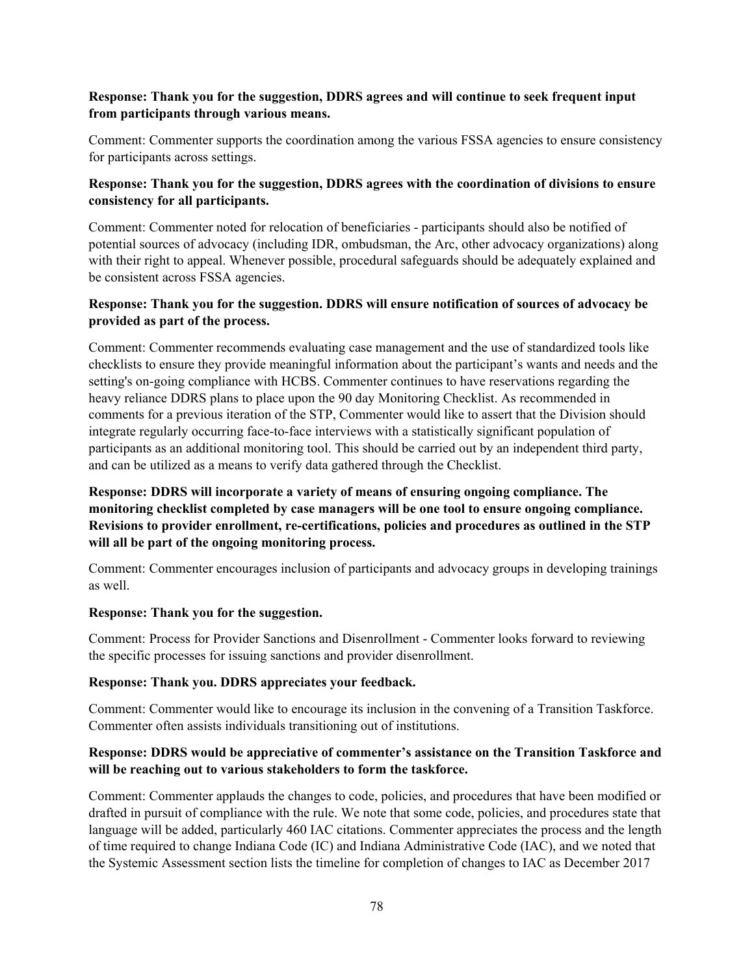## **Response: Thank you for the suggestion, DDRS agrees and will continue to seek frequent input from participants through various means.**

Comment: Commenter supports the coordination among the various FSSA agencies to ensure consistency for participants across settings.

## **Response: Thank you for the suggestion, DDRS agrees with the coordination of divisions to ensure consistency for all participants.**

Comment: Commenter noted for relocation of beneficiaries - participants should also be notified of potential sources of advocacy (including IDR, ombudsman, the Arc, other advocacy organizations) along with their right to appeal. Whenever possible, procedural safeguards should be adequately explained and be consistent across FSSA agencies.

## **Response: Thank you for the suggestion. DDRS will ensure notification of sources of advocacy be provided as part of the process.**

Comment: Commenter recommends evaluating case management and the use of standardized tools like checklists to ensure they provide meaningful information about the participant's wants and needs and the setting's on-going compliance with HCBS. Commenter continues to have reservations regarding the heavy reliance DDRS plans to place upon the 90 day Monitoring Checklist. As recommended in comments for a previous iteration of the STP, Commenter would like to assert that the Division should integrate regularly occurring face-to-face interviews with a statistically significant population of participants as an additional monitoring tool. This should be carried out by an independent third party, and can be utilized as a means to verify data gathered through the Checklist.

## **Response: DDRS will incorporate a variety of means of ensuring ongoing compliance. The monitoring checklist completed by case managers will be one tool to ensure ongoing compliance. Revisions to provider enrollment, re-certifications, policies and procedures as outlined in the STP will all be part of the ongoing monitoring process.**

Comment: Commenter encourages inclusion of participants and advocacy groups in developing trainings as well.

#### **Response: Thank you for the suggestion.**

Comment: Process for Provider Sanctions and Disenrollment - Commenter looks forward to reviewing the specific processes for issuing sanctions and provider disenrollment.

#### **Response: Thank you. DDRS appreciates your feedback.**

Comment: Commenter would like to encourage its inclusion in the convening of a Transition Taskforce. Commenter often assists individuals transitioning out of institutions.

#### **Response: DDRS would be appreciative of commenter's assistance on the Transition Taskforce and will be reaching out to various stakeholders to form the taskforce.**

Comment: Commenter applauds the changes to code, policies, and procedures that have been modified or drafted in pursuit of compliance with the rule. We note that some code, policies, and procedures state that language will be added, particularly 460 IAC citations. Commenter appreciates the process and the length of time required to change Indiana Code (IC) and Indiana Administrative Code (IAC), and we noted that the Systemic Assessment section lists the timeline for completion of changes to IAC as December 2017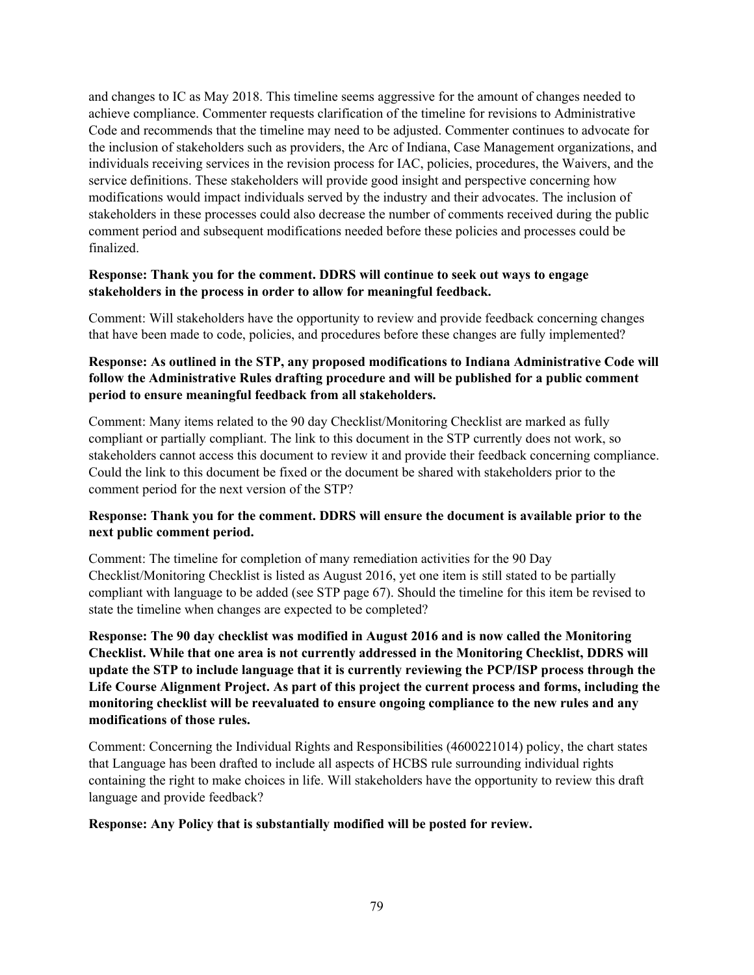and changes to IC as May 2018. This timeline seems aggressive for the amount of changes needed to achieve compliance. Commenter requests clarification of the timeline for revisions to Administrative Code and recommends that the timeline may need to be adjusted. Commenter continues to advocate for the inclusion of stakeholders such as providers, the Arc of Indiana, Case Management organizations, and individuals receiving services in the revision process for IAC, policies, procedures, the Waivers, and the service definitions. These stakeholders will provide good insight and perspective concerning how modifications would impact individuals served by the industry and their advocates. The inclusion of stakeholders in these processes could also decrease the number of comments received during the public comment period and subsequent modifications needed before these policies and processes could be finalized.

#### **Response: Thank you for the comment. DDRS will continue to seek out ways to engage stakeholders in the process in order to allow for meaningful feedback.**

Comment: Will stakeholders have the opportunity to review and provide feedback concerning changes that have been made to code, policies, and procedures before these changes are fully implemented?

## **Response: As outlined in the STP, any proposed modifications to Indiana Administrative Code will follow the Administrative Rules drafting procedure and will be published for a public comment period to ensure meaningful feedback from all stakeholders.**

Comment: Many items related to the 90 day Checklist/Monitoring Checklist are marked as fully compliant or partially compliant. The link to this document in the STP currently does not work, so stakeholders cannot access this document to review it and provide their feedback concerning compliance. Could the link to this document be fixed or the document be shared with stakeholders prior to the comment period for the next version of the STP?

## **Response: Thank you for the comment. DDRS will ensure the document is available prior to the next public comment period.**

Comment: The timeline for completion of many remediation activities for the 90 Day Checklist/Monitoring Checklist is listed as August 2016, yet one item is still stated to be partially compliant with language to be added (see STP page 67). Should the timeline for this item be revised to state the timeline when changes are expected to be completed?

**Response: The 90 day checklist was modified in August 2016 and is now called the Monitoring Checklist. While that one area is not currently addressed in the Monitoring Checklist, DDRS will update the STP to include language that it is currently reviewing the PCP/ISP process through the Life Course Alignment Project. As part of this project the current process and forms, including the monitoring checklist will be reevaluated to ensure ongoing compliance to the new rules and any modifications of those rules.**

Comment: Concerning the Individual Rights and Responsibilities (4600221014) policy, the chart states that Language has been drafted to include all aspects of HCBS rule surrounding individual rights containing the right to make choices in life. Will stakeholders have the opportunity to review this draft language and provide feedback?

#### **Response: Any Policy that is substantially modified will be posted for review.**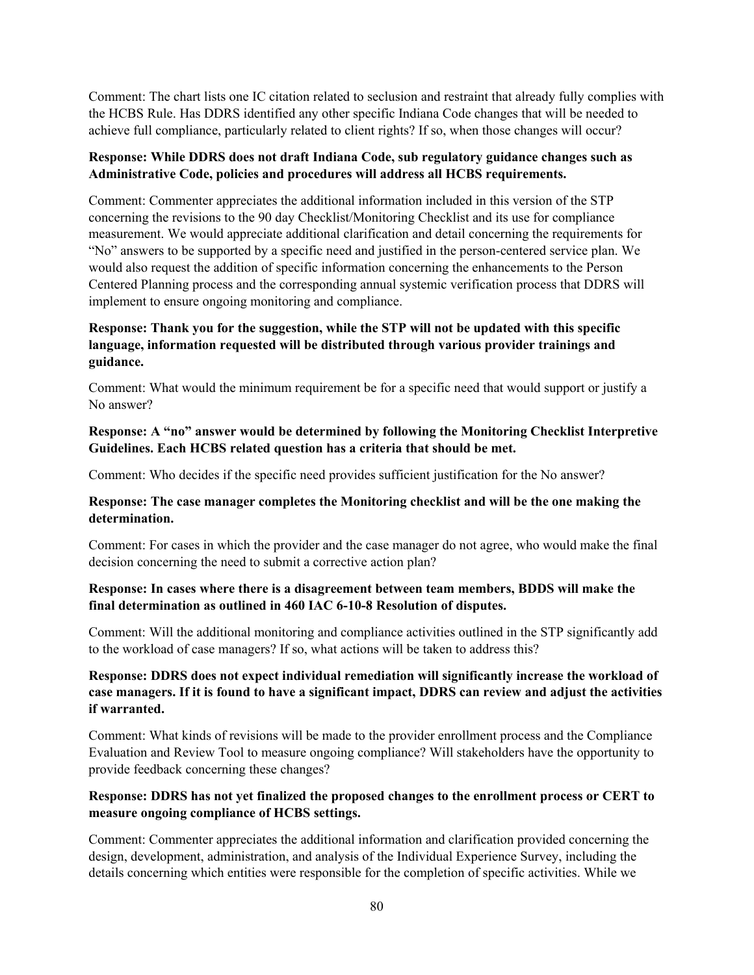Comment: The chart lists one IC citation related to seclusion and restraint that already fully complies with the HCBS Rule. Has DDRS identified any other specific Indiana Code changes that will be needed to achieve full compliance, particularly related to client rights? If so, when those changes will occur?

#### **Response: While DDRS does not draft Indiana Code, sub regulatory guidance changes such as Administrative Code, policies and procedures will address all HCBS requirements.**

Comment: Commenter appreciates the additional information included in this version of the STP concerning the revisions to the 90 day Checklist/Monitoring Checklist and its use for compliance measurement. We would appreciate additional clarification and detail concerning the requirements for "No" answers to be supported by a specific need and justified in the person-centered service plan. We would also request the addition of specific information concerning the enhancements to the Person Centered Planning process and the corresponding annual systemic verification process that DDRS will implement to ensure ongoing monitoring and compliance.

## **Response: Thank you for the suggestion, while the STP will not be updated with this specific language, information requested will be distributed through various provider trainings and guidance.**

Comment: What would the minimum requirement be for a specific need that would support or justify a No answer?

#### **Response: A "no" answer would be determined by following the Monitoring Checklist Interpretive Guidelines. Each HCBS related question has a criteria that should be met.**

Comment: Who decides if the specific need provides sufficient justification for the No answer?

#### **Response: The case manager completes the Monitoring checklist and will be the one making the determination.**

Comment: For cases in which the provider and the case manager do not agree, who would make the final decision concerning the need to submit a corrective action plan?

#### **Response: In cases where there is a disagreement between team members, BDDS will make the final determination as outlined in 460 IAC 6-10-8 Resolution of disputes.**

Comment: Will the additional monitoring and compliance activities outlined in the STP significantly add to the workload of case managers? If so, what actions will be taken to address this?

## **Response: DDRS does not expect individual remediation will significantly increase the workload of case managers. If it is found to have a significant impact, DDRS can review and adjust the activities if warranted.**

Comment: What kinds of revisions will be made to the provider enrollment process and the Compliance Evaluation and Review Tool to measure ongoing compliance? Will stakeholders have the opportunity to provide feedback concerning these changes?

## **Response: DDRS has not yet finalized the proposed changes to the enrollment process or CERT to measure ongoing compliance of HCBS settings.**

Comment: Commenter appreciates the additional information and clarification provided concerning the design, development, administration, and analysis of the Individual Experience Survey, including the details concerning which entities were responsible for the completion of specific activities. While we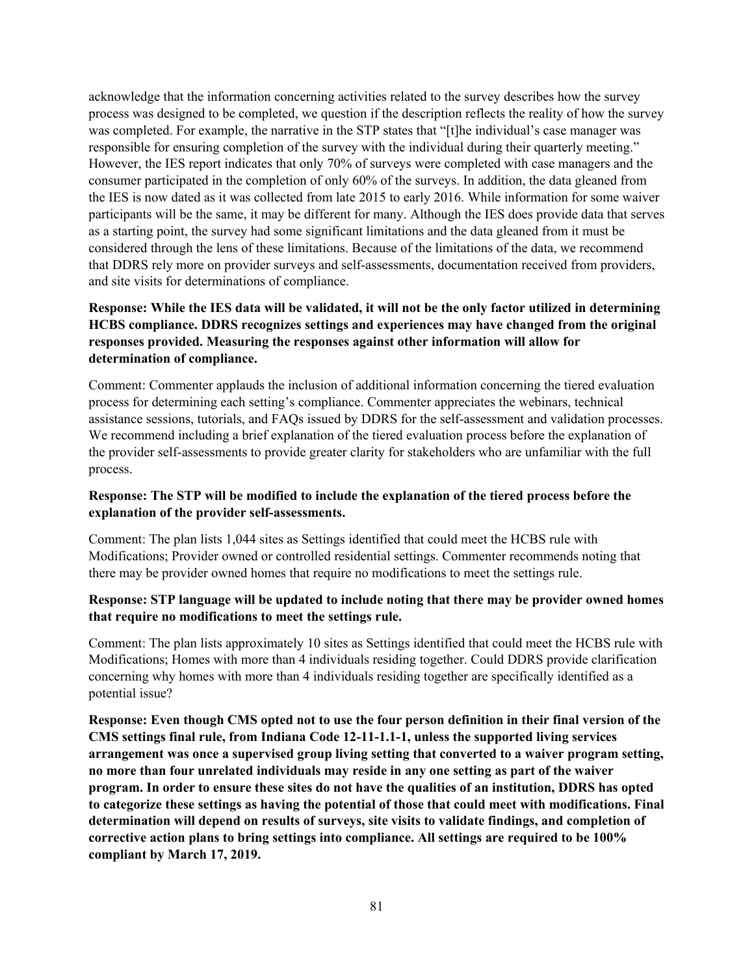acknowledge that the information concerning activities related to the survey describes how the survey process was designed to be completed, we question if the description reflects the reality of how the survey was completed. For example, the narrative in the STP states that "[t]he individual's case manager was responsible for ensuring completion of the survey with the individual during their quarterly meeting." However, the IES report indicates that only 70% of surveys were completed with case managers and the consumer participated in the completion of only 60% of the surveys. In addition, the data gleaned from the IES is now dated as it was collected from late 2015 to early 2016. While information for some waiver participants will be the same, it may be different for many. Although the IES does provide data that serves as a starting point, the survey had some significant limitations and the data gleaned from it must be considered through the lens of these limitations. Because of the limitations of the data, we recommend that DDRS rely more on provider surveys and self-assessments, documentation received from providers, and site visits for determinations of compliance.

## **Response: While the IES data will be validated, it will not be the only factor utilized in determining HCBS compliance. DDRS recognizes settings and experiences may have changed from the original responses provided. Measuring the responses against other information will allow for determination of compliance.**

Comment: Commenter applauds the inclusion of additional information concerning the tiered evaluation process for determining each setting's compliance. Commenter appreciates the webinars, technical assistance sessions, tutorials, and FAQs issued by DDRS for the self-assessment and validation processes. We recommend including a brief explanation of the tiered evaluation process before the explanation of the provider self-assessments to provide greater clarity for stakeholders who are unfamiliar with the full process.

## **Response: The STP will be modified to include the explanation of the tiered process before the explanation of the provider self-assessments.**

Comment: The plan lists 1,044 sites as Settings identified that could meet the HCBS rule with Modifications; Provider owned or controlled residential settings. Commenter recommends noting that there may be provider owned homes that require no modifications to meet the settings rule.

#### **Response: STP language will be updated to include noting that there may be provider owned homes that require no modifications to meet the settings rule.**

Comment: The plan lists approximately 10 sites as Settings identified that could meet the HCBS rule with Modifications; Homes with more than 4 individuals residing together. Could DDRS provide clarification concerning why homes with more than 4 individuals residing together are specifically identified as a potential issue?

**Response: Even though CMS opted not to use the four person definition in their final version of the CMS settings final rule, from Indiana Code 12-11-1.1-1, unless the supported living services arrangement was once a supervised group living setting that converted to a waiver program setting, no more than four unrelated individuals may reside in any one setting as part of the waiver program. In order to ensure these sites do not have the qualities of an institution, DDRS has opted to categorize these settings as having the potential of those that could meet with modifications. Final determination will depend on results of surveys, site visits to validate findings, and completion of corrective action plans to bring settings into compliance. All settings are required to be 100% compliant by March 17, 2019.**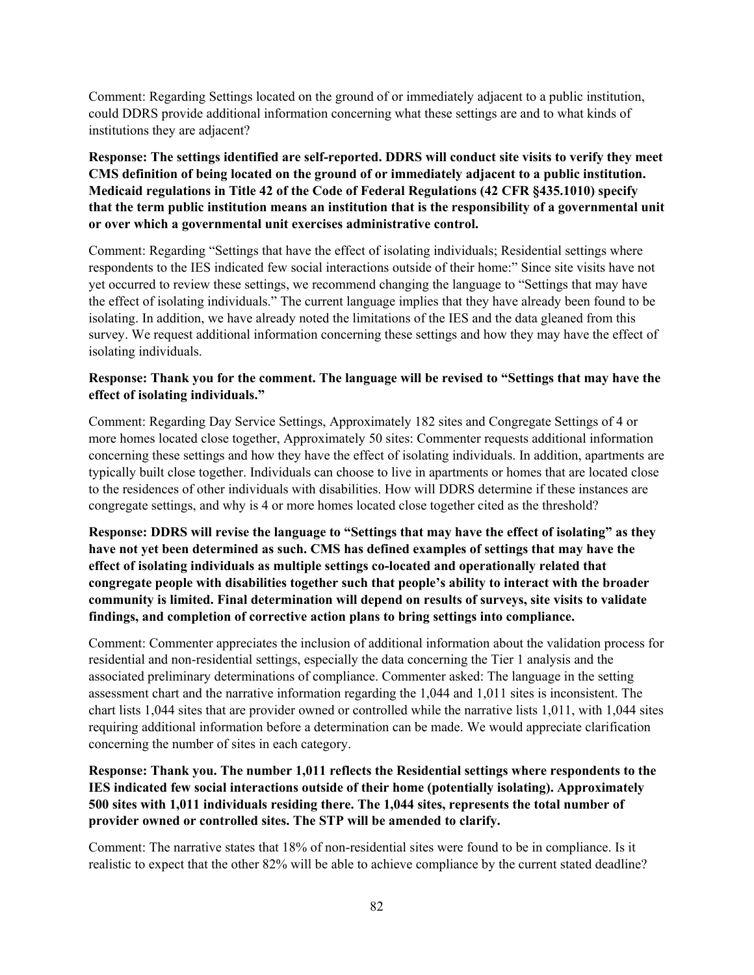Comment: Regarding Settings located on the ground of or immediately adjacent to a public institution, could DDRS provide additional information concerning what these settings are and to what kinds of institutions they are adjacent?

**Response: The settings identified are self-reported. DDRS will conduct site visits to verify they meet CMS definition of being located on the ground of or immediately adjacent to a public institution. Medicaid regulations in Title 42 of the Code of Federal Regulations (42 CFR §435.1010) specify that the term public institution means an institution that is the responsibility of a governmental unit or over which a governmental unit exercises administrative control.**

Comment: Regarding "Settings that have the effect of isolating individuals; Residential settings where respondents to the IES indicated few social interactions outside of their home:" Since site visits have not yet occurred to review these settings, we recommend changing the language to "Settings that may have the effect of isolating individuals." The current language implies that they have already been found to be isolating. In addition, we have already noted the limitations of the IES and the data gleaned from this survey. We request additional information concerning these settings and how they may have the effect of isolating individuals.

## **Response: Thank you for the comment. The language will be revised to "Settings that may have the effect of isolating individuals."**

Comment: Regarding Day Service Settings, Approximately 182 sites and Congregate Settings of 4 or more homes located close together, Approximately 50 sites: Commenter requests additional information concerning these settings and how they have the effect of isolating individuals. In addition, apartments are typically built close together. Individuals can choose to live in apartments or homes that are located close to the residences of other individuals with disabilities. How will DDRS determine if these instances are congregate settings, and why is 4 or more homes located close together cited as the threshold?

**Response: DDRS will revise the language to "Settings that may have the effect of isolating" as they have not yet been determined as such. CMS has defined examples of settings that may have the effect of isolating individuals as multiple settings co-located and operationally related that congregate people with disabilities together such that people's ability to interact with the broader community is limited. Final determination will depend on results of surveys, site visits to validate findings, and completion of corrective action plans to bring settings into compliance.**

Comment: Commenter appreciates the inclusion of additional information about the validation process for residential and non-residential settings, especially the data concerning the Tier 1 analysis and the associated preliminary determinations of compliance. Commenter asked: The language in the setting assessment chart and the narrative information regarding the 1,044 and 1,011 sites is inconsistent. The chart lists 1,044 sites that are provider owned or controlled while the narrative lists 1,011, with 1,044 sites requiring additional information before a determination can be made. We would appreciate clarification concerning the number of sites in each category.

**Response: Thank you. The number 1,011 reflects the Residential settings where respondents to the IES indicated few social interactions outside of their home (potentially isolating). Approximately 500 sites with 1,011 individuals residing there. The 1,044 sites, represents the total number of provider owned or controlled sites. The STP will be amended to clarify.**

Comment: The narrative states that 18% of non-residential sites were found to be in compliance. Is it realistic to expect that the other 82% will be able to achieve compliance by the current stated deadline?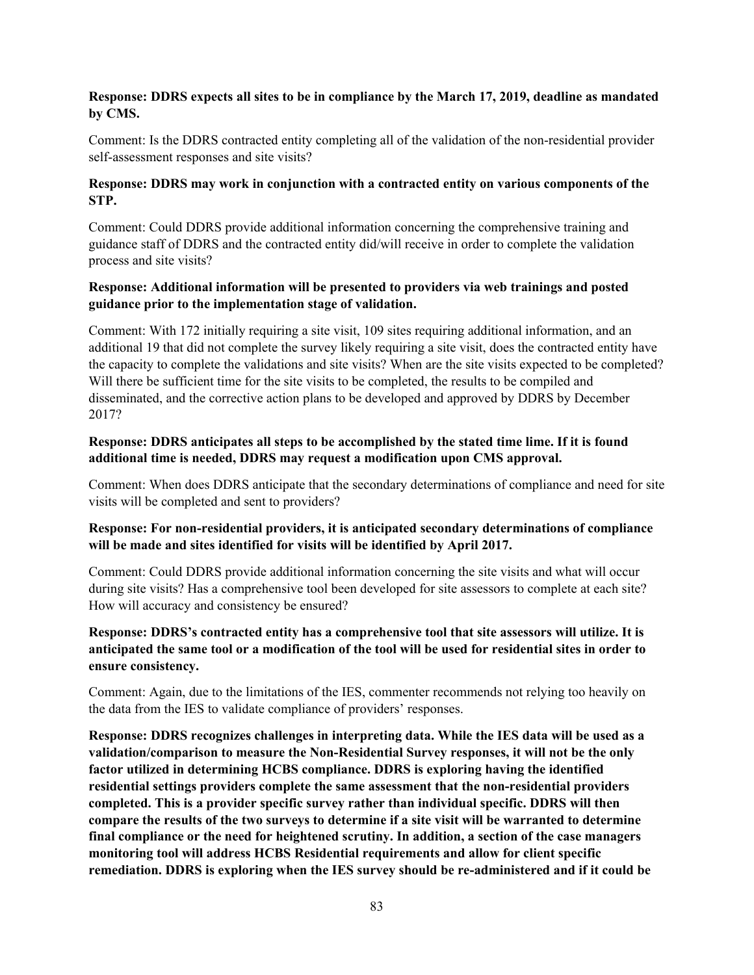## **Response: DDRS expects all sites to be in compliance by the March 17, 2019, deadline as mandated by CMS.**

Comment: Is the DDRS contracted entity completing all of the validation of the non-residential provider self-assessment responses and site visits?

## **Response: DDRS may work in conjunction with a contracted entity on various components of the STP.**

Comment: Could DDRS provide additional information concerning the comprehensive training and guidance staff of DDRS and the contracted entity did/will receive in order to complete the validation process and site visits?

## **Response: Additional information will be presented to providers via web trainings and posted guidance prior to the implementation stage of validation.**

Comment: With 172 initially requiring a site visit, 109 sites requiring additional information, and an additional 19 that did not complete the survey likely requiring a site visit, does the contracted entity have the capacity to complete the validations and site visits? When are the site visits expected to be completed? Will there be sufficient time for the site visits to be completed, the results to be compiled and disseminated, and the corrective action plans to be developed and approved by DDRS by December 2017?

## **Response: DDRS anticipates all steps to be accomplished by the stated time lime. If it is found additional time is needed, DDRS may request a modification upon CMS approval.**

Comment: When does DDRS anticipate that the secondary determinations of compliance and need for site visits will be completed and sent to providers?

## **Response: For non-residential providers, it is anticipated secondary determinations of compliance will be made and sites identified for visits will be identified by April 2017.**

Comment: Could DDRS provide additional information concerning the site visits and what will occur during site visits? Has a comprehensive tool been developed for site assessors to complete at each site? How will accuracy and consistency be ensured?

## **Response: DDRS's contracted entity has a comprehensive tool that site assessors will utilize. It is anticipated the same tool or a modification of the tool will be used for residential sites in order to ensure consistency.**

Comment: Again, due to the limitations of the IES, commenter recommends not relying too heavily on the data from the IES to validate compliance of providers' responses.

**Response: DDRS recognizes challenges in interpreting data. While the IES data will be used as a validation/comparison to measure the Non-Residential Survey responses, it will not be the only factor utilized in determining HCBS compliance. DDRS is exploring having the identified residential settings providers complete the same assessment that the non-residential providers completed. This is a provider specific survey rather than individual specific. DDRS will then compare the results of the two surveys to determine if a site visit will be warranted to determine final compliance or the need for heightened scrutiny. In addition, a section of the case managers monitoring tool will address HCBS Residential requirements and allow for client specific remediation. DDRS is exploring when the IES survey should be re-administered and if it could be**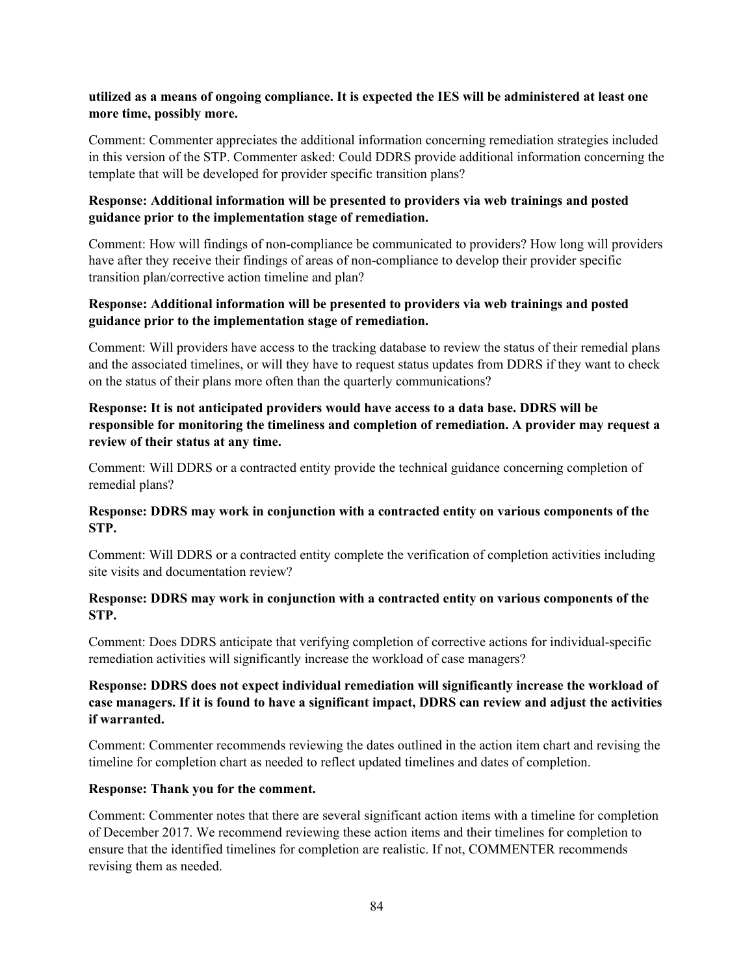#### **utilized as a means of ongoing compliance. It is expected the IES will be administered at least one more time, possibly more.**

Comment: Commenter appreciates the additional information concerning remediation strategies included in this version of the STP. Commenter asked: Could DDRS provide additional information concerning the template that will be developed for provider specific transition plans?

#### **Response: Additional information will be presented to providers via web trainings and posted guidance prior to the implementation stage of remediation.**

Comment: How will findings of non-compliance be communicated to providers? How long will providers have after they receive their findings of areas of non-compliance to develop their provider specific transition plan/corrective action timeline and plan?

#### **Response: Additional information will be presented to providers via web trainings and posted guidance prior to the implementation stage of remediation.**

Comment: Will providers have access to the tracking database to review the status of their remedial plans and the associated timelines, or will they have to request status updates from DDRS if they want to check on the status of their plans more often than the quarterly communications?

## **Response: It is not anticipated providers would have access to a data base. DDRS will be responsible for monitoring the timeliness and completion of remediation. A provider may request a review of their status at any time.**

Comment: Will DDRS or a contracted entity provide the technical guidance concerning completion of remedial plans?

#### **Response: DDRS may work in conjunction with a contracted entity on various components of the STP.**

Comment: Will DDRS or a contracted entity complete the verification of completion activities including site visits and documentation review?

#### **Response: DDRS may work in conjunction with a contracted entity on various components of the STP.**

Comment: Does DDRS anticipate that verifying completion of corrective actions for individual-specific remediation activities will significantly increase the workload of case managers?

## **Response: DDRS does not expect individual remediation will significantly increase the workload of case managers. If it is found to have a significant impact, DDRS can review and adjust the activities if warranted.**

Comment: Commenter recommends reviewing the dates outlined in the action item chart and revising the timeline for completion chart as needed to reflect updated timelines and dates of completion.

#### **Response: Thank you for the comment.**

Comment: Commenter notes that there are several significant action items with a timeline for completion of December 2017. We recommend reviewing these action items and their timelines for completion to ensure that the identified timelines for completion are realistic. If not, COMMENTER recommends revising them as needed.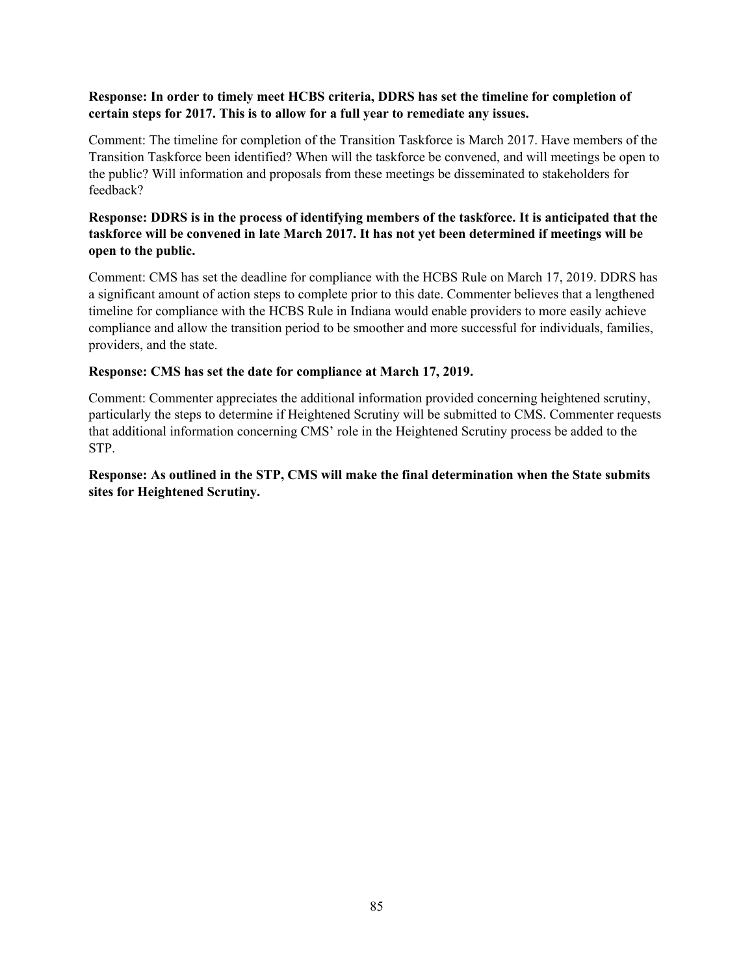### **Response: In order to timely meet HCBS criteria, DDRS has set the timeline for completion of certain steps for 2017. This is to allow for a full year to remediate any issues.**

Comment: The timeline for completion of the Transition Taskforce is March 2017. Have members of the Transition Taskforce been identified? When will the taskforce be convened, and will meetings be open to the public? Will information and proposals from these meetings be disseminated to stakeholders for feedback?

## **Response: DDRS is in the process of identifying members of the taskforce. It is anticipated that the taskforce will be convened in late March 2017. It has not yet been determined if meetings will be open to the public.**

Comment: CMS has set the deadline for compliance with the HCBS Rule on March 17, 2019. DDRS has a significant amount of action steps to complete prior to this date. Commenter believes that a lengthened timeline for compliance with the HCBS Rule in Indiana would enable providers to more easily achieve compliance and allow the transition period to be smoother and more successful for individuals, families, providers, and the state.

#### **Response: CMS has set the date for compliance at March 17, 2019.**

Comment: Commenter appreciates the additional information provided concerning heightened scrutiny, particularly the steps to determine if Heightened Scrutiny will be submitted to CMS. Commenter requests that additional information concerning CMS' role in the Heightened Scrutiny process be added to the STP.

## **Response: As outlined in the STP, CMS will make the final determination when the State submits sites for Heightened Scrutiny.**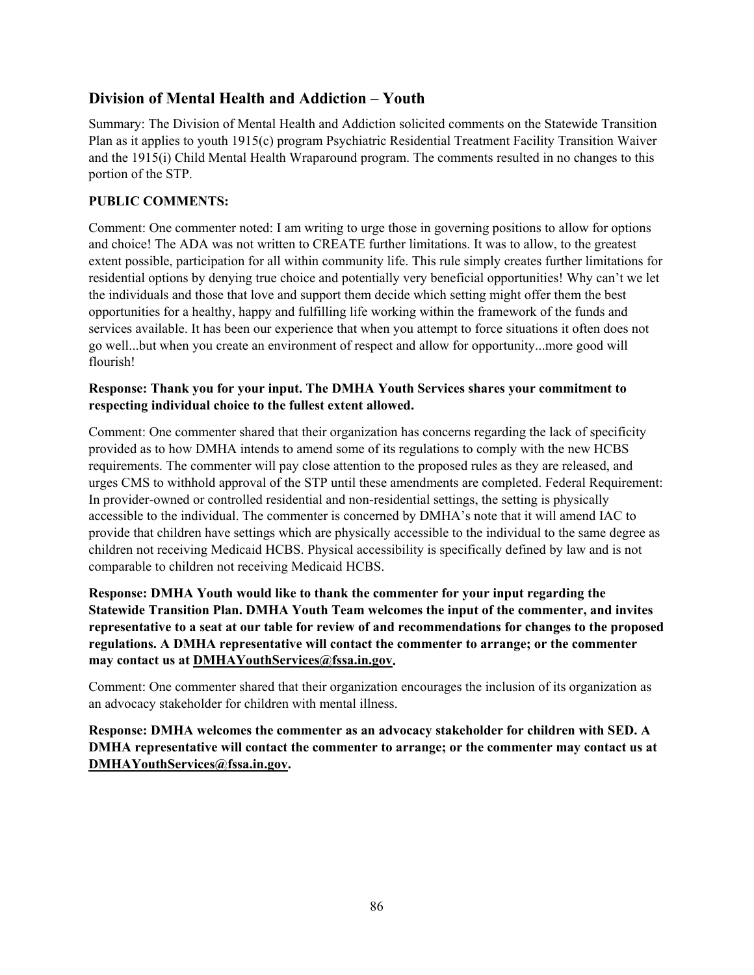# **Division of Mental Health and Addiction – Youth**

Summary: The Division of Mental Health and Addiction solicited comments on the Statewide Transition Plan as it applies to youth 1915(c) program Psychiatric Residential Treatment Facility Transition Waiver and the 1915(i) Child Mental Health Wraparound program. The comments resulted in no changes to this portion of the STP.

## **PUBLIC COMMENTS:**

Comment: One commenter noted: I am writing to urge those in governing positions to allow for options and choice! The ADA was not written to CREATE further limitations. It was to allow, to the greatest extent possible, participation for all within community life. This rule simply creates further limitations for residential options by denying true choice and potentially very beneficial opportunities! Why can't we let the individuals and those that love and support them decide which setting might offer them the best opportunities for a healthy, happy and fulfilling life working within the framework of the funds and services available. It has been our experience that when you attempt to force situations it often does not go well...but when you create an environment of respect and allow for opportunity...more good will flourish!

## **Response: Thank you for your input. The DMHA Youth Services shares your commitment to respecting individual choice to the fullest extent allowed.**

Comment: One commenter shared that their organization has concerns regarding the lack of specificity provided as to how DMHA intends to amend some of its regulations to comply with the new HCBS requirements. The commenter will pay close attention to the proposed rules as they are released, and urges CMS to withhold approval of the STP until these amendments are completed. Federal Requirement: In provider-owned or controlled residential and non-residential settings, the setting is physically accessible to the individual. The commenter is concerned by DMHA's note that it will amend IAC to provide that children have settings which are physically accessible to the individual to the same degree as children not receiving Medicaid HCBS. Physical accessibility is specifically defined by law and is not comparable to children not receiving Medicaid HCBS.

**Response: DMHA Youth would like to thank the commenter for your input regarding the Statewide Transition Plan. DMHA Youth Team welcomes the input of the commenter, and invites representative to a seat at our table for review of and recommendations for changes to the proposed regulations. A DMHA representative will contact the commenter to arrange; or the commenter may contact us at [DMHAYouthServices@fssa.in.gov.](mailto:DMHAYouthServices@fssa.in.gov)**

Comment: One commenter shared that their organization encourages the inclusion of its organization as an advocacy stakeholder for children with mental illness.

**Response: DMHA welcomes the commenter as an advocacy stakeholder for children with SED. A DMHA representative will contact the commenter to arrange; or the commenter may contact us at [DMHAYouthServices@fssa.in.gov.](mailto:DMHAYouthServices@fssa.in.gov)**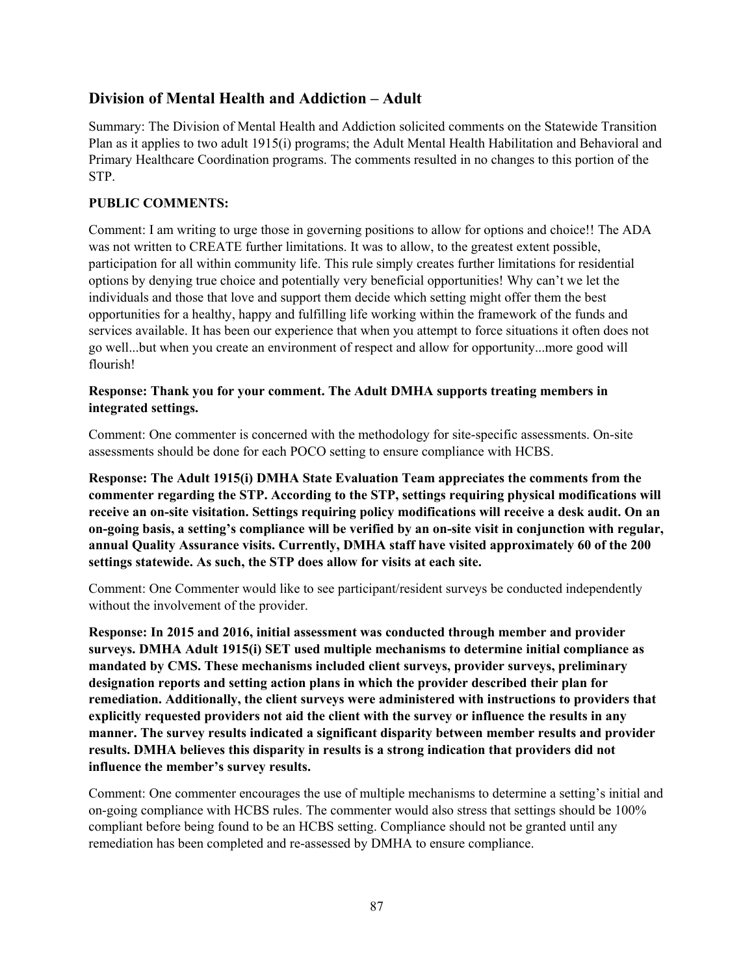## **Division of Mental Health and Addiction – Adult**

Summary: The Division of Mental Health and Addiction solicited comments on the Statewide Transition Plan as it applies to two adult 1915(i) programs; the Adult Mental Health Habilitation and Behavioral and Primary Healthcare Coordination programs. The comments resulted in no changes to this portion of the STP.

## **PUBLIC COMMENTS:**

Comment: I am writing to urge those in governing positions to allow for options and choice!! The ADA was not written to CREATE further limitations. It was to allow, to the greatest extent possible, participation for all within community life. This rule simply creates further limitations for residential options by denying true choice and potentially very beneficial opportunities! Why can't we let the individuals and those that love and support them decide which setting might offer them the best opportunities for a healthy, happy and fulfilling life working within the framework of the funds and services available. It has been our experience that when you attempt to force situations it often does not go well...but when you create an environment of respect and allow for opportunity...more good will flourish!

## **Response: Thank you for your comment. The Adult DMHA supports treating members in integrated settings.**

Comment: One commenter is concerned with the methodology for site-specific assessments. On-site assessments should be done for each POCO setting to ensure compliance with HCBS.

**Response: The Adult 1915(i) DMHA State Evaluation Team appreciates the comments from the commenter regarding the STP. According to the STP, settings requiring physical modifications will receive an on-site visitation. Settings requiring policy modifications will receive a desk audit. On an on-going basis, a setting's compliance will be verified by an on-site visit in conjunction with regular, annual Quality Assurance visits. Currently, DMHA staff have visited approximately 60 of the 200 settings statewide. As such, the STP does allow for visits at each site.**

Comment: One Commenter would like to see participant/resident surveys be conducted independently without the involvement of the provider.

**Response: In 2015 and 2016, initial assessment was conducted through member and provider surveys. DMHA Adult 1915(i) SET used multiple mechanisms to determine initial compliance as mandated by CMS. These mechanisms included client surveys, provider surveys, preliminary designation reports and setting action plans in which the provider described their plan for remediation. Additionally, the client surveys were administered with instructions to providers that explicitly requested providers not aid the client with the survey or influence the results in any manner. The survey results indicated a significant disparity between member results and provider results. DMHA believes this disparity in results is a strong indication that providers did not influence the member's survey results.**

Comment: One commenter encourages the use of multiple mechanisms to determine a setting's initial and on-going compliance with HCBS rules. The commenter would also stress that settings should be 100% compliant before being found to be an HCBS setting. Compliance should not be granted until any remediation has been completed and re-assessed by DMHA to ensure compliance.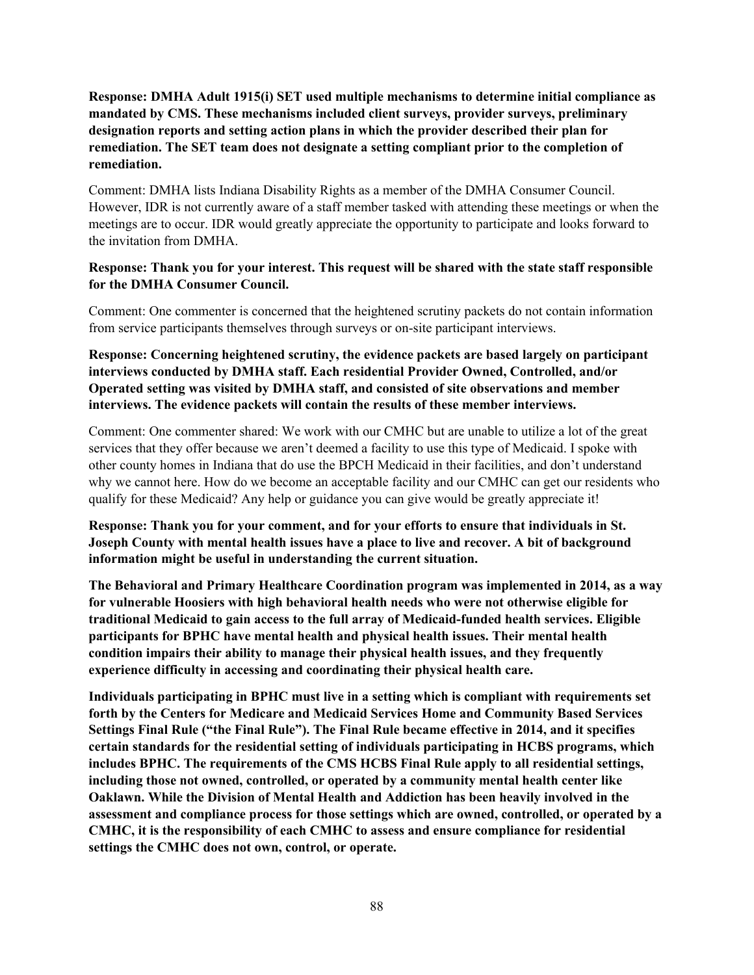**Response: DMHA Adult 1915(i) SET used multiple mechanisms to determine initial compliance as mandated by CMS. These mechanisms included client surveys, provider surveys, preliminary designation reports and setting action plans in which the provider described their plan for remediation. The SET team does not designate a setting compliant prior to the completion of remediation.**

Comment: DMHA lists Indiana Disability Rights as a member of the DMHA Consumer Council. However, IDR is not currently aware of a staff member tasked with attending these meetings or when the meetings are to occur. IDR would greatly appreciate the opportunity to participate and looks forward to the invitation from DMHA.

#### **Response: Thank you for your interest. This request will be shared with the state staff responsible for the DMHA Consumer Council.**

Comment: One commenter is concerned that the heightened scrutiny packets do not contain information from service participants themselves through surveys or on-site participant interviews.

**Response: Concerning heightened scrutiny, the evidence packets are based largely on participant interviews conducted by DMHA staff. Each residential Provider Owned, Controlled, and/or Operated setting was visited by DMHA staff, and consisted of site observations and member interviews. The evidence packets will contain the results of these member interviews.**

Comment: One commenter shared: We work with our CMHC but are unable to utilize a lot of the great services that they offer because we aren't deemed a facility to use this type of Medicaid. I spoke with other county homes in Indiana that do use the BPCH Medicaid in their facilities, and don't understand why we cannot here. How do we become an acceptable facility and our CMHC can get our residents who qualify for these Medicaid? Any help or guidance you can give would be greatly appreciate it!

**Response: Thank you for your comment, and for your efforts to ensure that individuals in St. Joseph County with mental health issues have a place to live and recover. A bit of background information might be useful in understanding the current situation.**

**The Behavioral and Primary Healthcare Coordination program was implemented in 2014, as a way for vulnerable Hoosiers with high behavioral health needs who were not otherwise eligible for traditional Medicaid to gain access to the full array of Medicaid-funded health services. Eligible participants for BPHC have mental health and physical health issues. Their mental health condition impairs their ability to manage their physical health issues, and they frequently experience difficulty in accessing and coordinating their physical health care.**

**Individuals participating in BPHC must live in a setting which is compliant with requirements set forth by the Centers for Medicare and Medicaid Services Home and Community Based Services Settings Final Rule ("the Final Rule"). The Final Rule became effective in 2014, and it specifies certain standards for the residential setting of individuals participating in HCBS programs, which includes BPHC. The requirements of the CMS HCBS Final Rule apply to all residential settings, including those not owned, controlled, or operated by a community mental health center like Oaklawn. While the Division of Mental Health and Addiction has been heavily involved in the assessment and compliance process for those settings which are owned, controlled, or operated by a CMHC, it is the responsibility of each CMHC to assess and ensure compliance for residential settings the CMHC does not own, control, or operate.**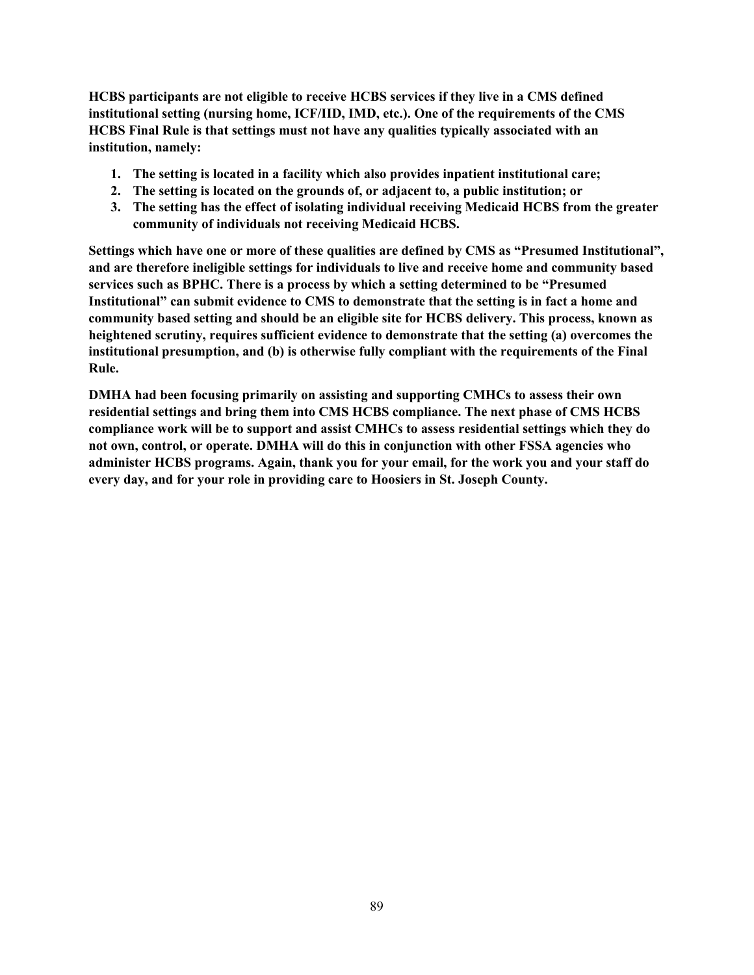**HCBS participants are not eligible to receive HCBS services if they live in a CMS defined institutional setting (nursing home, ICF/IID, IMD, etc.). One of the requirements of the CMS HCBS Final Rule is that settings must not have any qualities typically associated with an institution, namely:**

- **1. The setting is located in a facility which also provides inpatient institutional care;**
- **2. The setting is located on the grounds of, or adjacent to, a public institution; or**
- **3. The setting has the effect of isolating individual receiving Medicaid HCBS from the greater community of individuals not receiving Medicaid HCBS.**

**Settings which have one or more of these qualities are defined by CMS as "Presumed Institutional", and are therefore ineligible settings for individuals to live and receive home and community based services such as BPHC. There is a process by which a setting determined to be "Presumed Institutional" can submit evidence to CMS to demonstrate that the setting is in fact a home and community based setting and should be an eligible site for HCBS delivery. This process, known as heightened scrutiny, requires sufficient evidence to demonstrate that the setting (a) overcomes the institutional presumption, and (b) is otherwise fully compliant with the requirements of the Final Rule.**

**DMHA had been focusing primarily on assisting and supporting CMHCs to assess their own residential settings and bring them into CMS HCBS compliance. The next phase of CMS HCBS compliance work will be to support and assist CMHCs to assess residential settings which they do not own, control, or operate. DMHA will do this in conjunction with other FSSA agencies who administer HCBS programs. Again, thank you for your email, for the work you and your staff do every day, and for your role in providing care to Hoosiers in St. Joseph County.**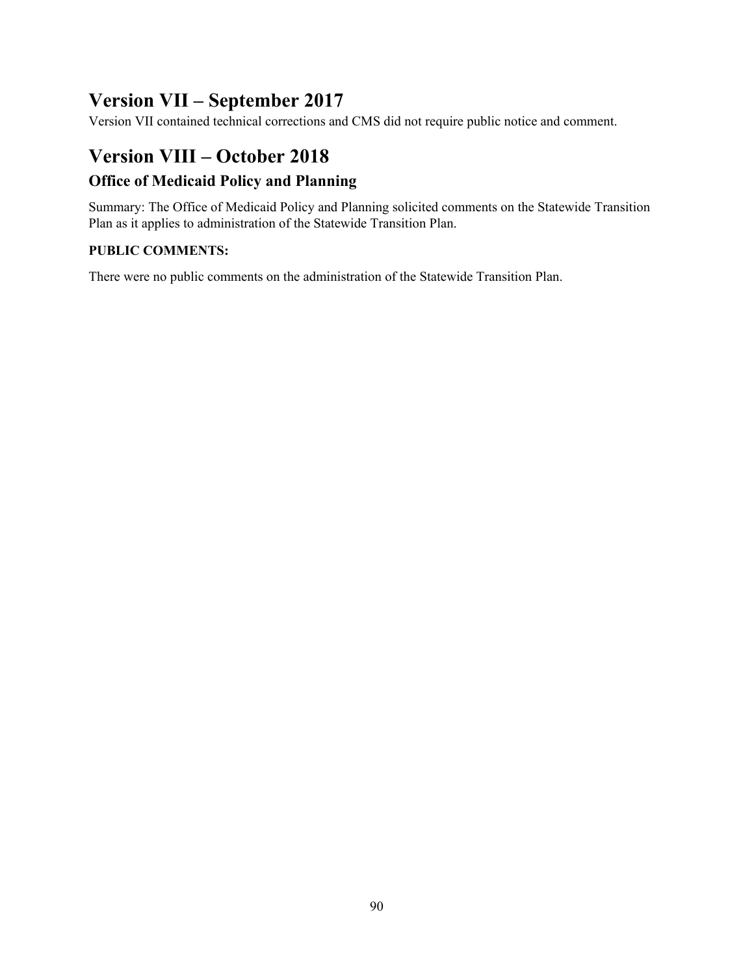# **Version VII – September 2017**

Version VII contained technical corrections and CMS did not require public notice and comment.

# **Version VIII – October 2018**

# **Office of Medicaid Policy and Planning**

Summary: The Office of Medicaid Policy and Planning solicited comments on the Statewide Transition Plan as it applies to administration of the Statewide Transition Plan.

## **PUBLIC COMMENTS:**

There were no public comments on the administration of the Statewide Transition Plan.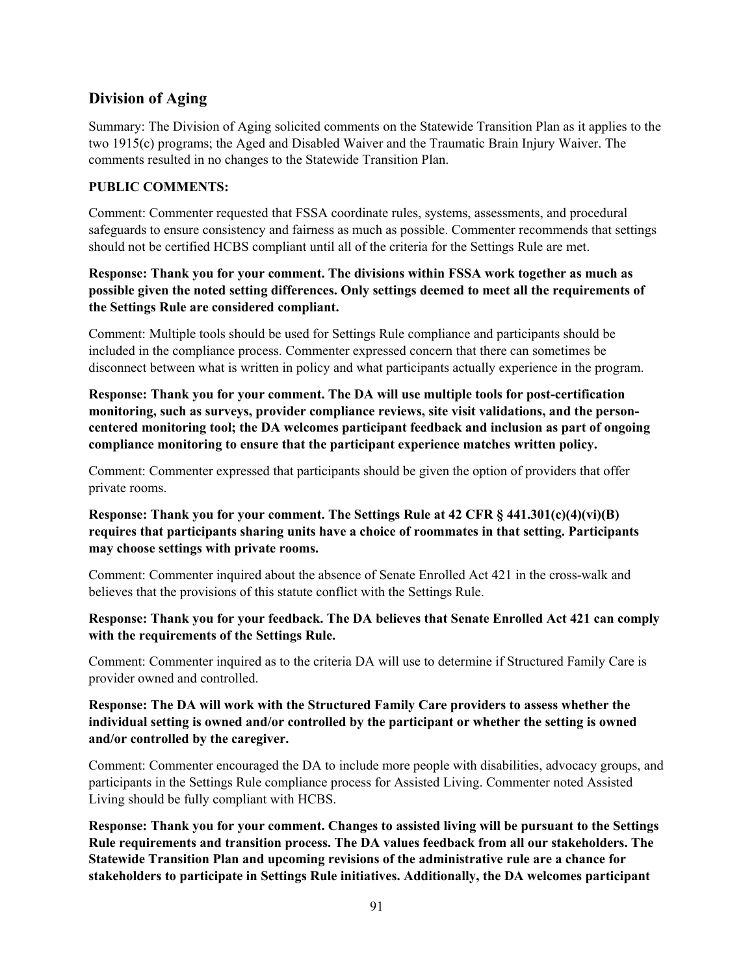# **Division of Aging**

Summary: The Division of Aging solicited comments on the Statewide Transition Plan as it applies to the two 1915(c) programs; the Aged and Disabled Waiver and the Traumatic Brain Injury Waiver. The comments resulted in no changes to the Statewide Transition Plan.

## **PUBLIC COMMENTS:**

Comment: Commenter requested that FSSA coordinate rules, systems, assessments, and procedural safeguards to ensure consistency and fairness as much as possible. Commenter recommends that settings should not be certified HCBS compliant until all of the criteria for the Settings Rule are met.

## **Response: Thank you for your comment. The divisions within FSSA work together as much as possible given the noted setting differences. Only settings deemed to meet all the requirements of the Settings Rule are considered compliant.**

Comment: Multiple tools should be used for Settings Rule compliance and participants should be included in the compliance process. Commenter expressed concern that there can sometimes be disconnect between what is written in policy and what participants actually experience in the program.

**Response: Thank you for your comment. The DA will use multiple tools for post-certification monitoring, such as surveys, provider compliance reviews, site visit validations, and the personcentered monitoring tool; the DA welcomes participant feedback and inclusion as part of ongoing compliance monitoring to ensure that the participant experience matches written policy.**

Comment: Commenter expressed that participants should be given the option of providers that offer private rooms.

## **Response: Thank you for your comment. The Settings Rule at 42 CFR § 441.301(c)(4)(vi)(B) requires that participants sharing units have a choice of roommates in that setting. Participants may choose settings with private rooms.**

Comment: Commenter inquired about the absence of Senate Enrolled Act 421 in the cross-walk and believes that the provisions of this statute conflict with the Settings Rule.

#### **Response: Thank you for your feedback. The DA believes that Senate Enrolled Act 421 can comply with the requirements of the Settings Rule.**

Comment: Commenter inquired as to the criteria DA will use to determine if Structured Family Care is provider owned and controlled.

### **Response: The DA will work with the Structured Family Care providers to assess whether the individual setting is owned and/or controlled by the participant or whether the setting is owned and/or controlled by the caregiver.**

Comment: Commenter encouraged the DA to include more people with disabilities, advocacy groups, and participants in the Settings Rule compliance process for Assisted Living. Commenter noted Assisted Living should be fully compliant with HCBS.

**Response: Thank you for your comment. Changes to assisted living will be pursuant to the Settings Rule requirements and transition process. The DA values feedback from all our stakeholders. The Statewide Transition Plan and upcoming revisions of the administrative rule are a chance for stakeholders to participate in Settings Rule initiatives. Additionally, the DA welcomes participant**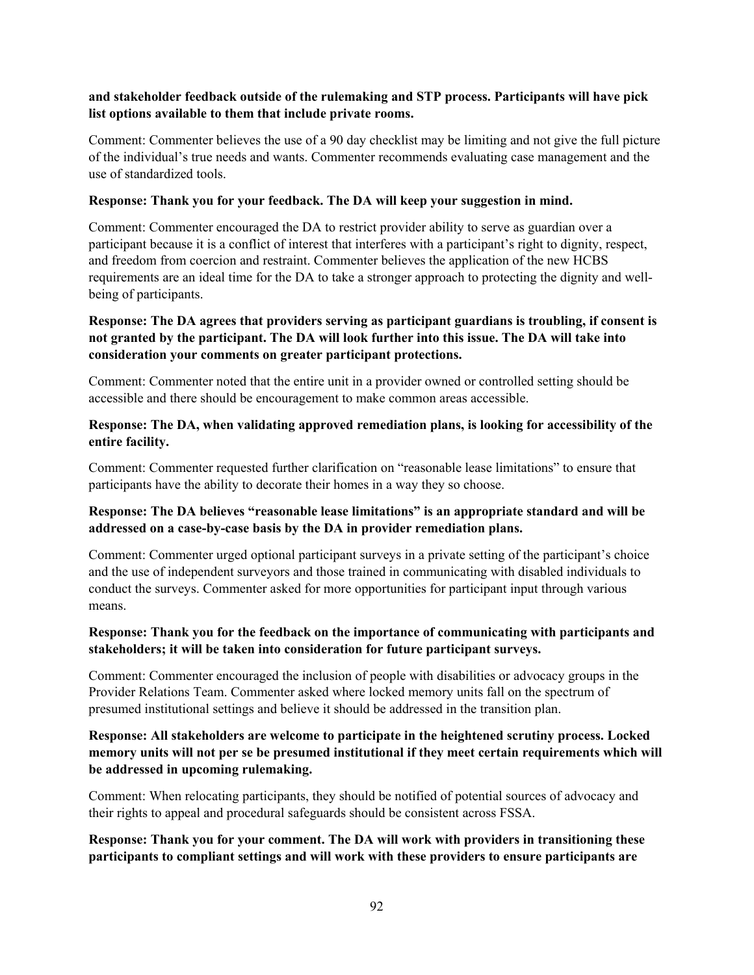### **and stakeholder feedback outside of the rulemaking and STP process. Participants will have pick list options available to them that include private rooms.**

Comment: Commenter believes the use of a 90 day checklist may be limiting and not give the full picture of the individual's true needs and wants. Commenter recommends evaluating case management and the use of standardized tools.

#### **Response: Thank you for your feedback. The DA will keep your suggestion in mind.**

Comment: Commenter encouraged the DA to restrict provider ability to serve as guardian over a participant because it is a conflict of interest that interferes with a participant's right to dignity, respect, and freedom from coercion and restraint. Commenter believes the application of the new HCBS requirements are an ideal time for the DA to take a stronger approach to protecting the dignity and wellbeing of participants.

## **Response: The DA agrees that providers serving as participant guardians is troubling, if consent is not granted by the participant. The DA will look further into this issue. The DA will take into consideration your comments on greater participant protections.**

Comment: Commenter noted that the entire unit in a provider owned or controlled setting should be accessible and there should be encouragement to make common areas accessible.

#### **Response: The DA, when validating approved remediation plans, is looking for accessibility of the entire facility.**

Comment: Commenter requested further clarification on "reasonable lease limitations" to ensure that participants have the ability to decorate their homes in a way they so choose.

## **Response: The DA believes "reasonable lease limitations" is an appropriate standard and will be addressed on a case-by-case basis by the DA in provider remediation plans.**

Comment: Commenter urged optional participant surveys in a private setting of the participant's choice and the use of independent surveyors and those trained in communicating with disabled individuals to conduct the surveys. Commenter asked for more opportunities for participant input through various means.

## **Response: Thank you for the feedback on the importance of communicating with participants and stakeholders; it will be taken into consideration for future participant surveys.**

Comment: Commenter encouraged the inclusion of people with disabilities or advocacy groups in the Provider Relations Team. Commenter asked where locked memory units fall on the spectrum of presumed institutional settings and believe it should be addressed in the transition plan.

### **Response: All stakeholders are welcome to participate in the heightened scrutiny process. Locked memory units will not per se be presumed institutional if they meet certain requirements which will be addressed in upcoming rulemaking.**

Comment: When relocating participants, they should be notified of potential sources of advocacy and their rights to appeal and procedural safeguards should be consistent across FSSA.

### **Response: Thank you for your comment. The DA will work with providers in transitioning these participants to compliant settings and will work with these providers to ensure participants are**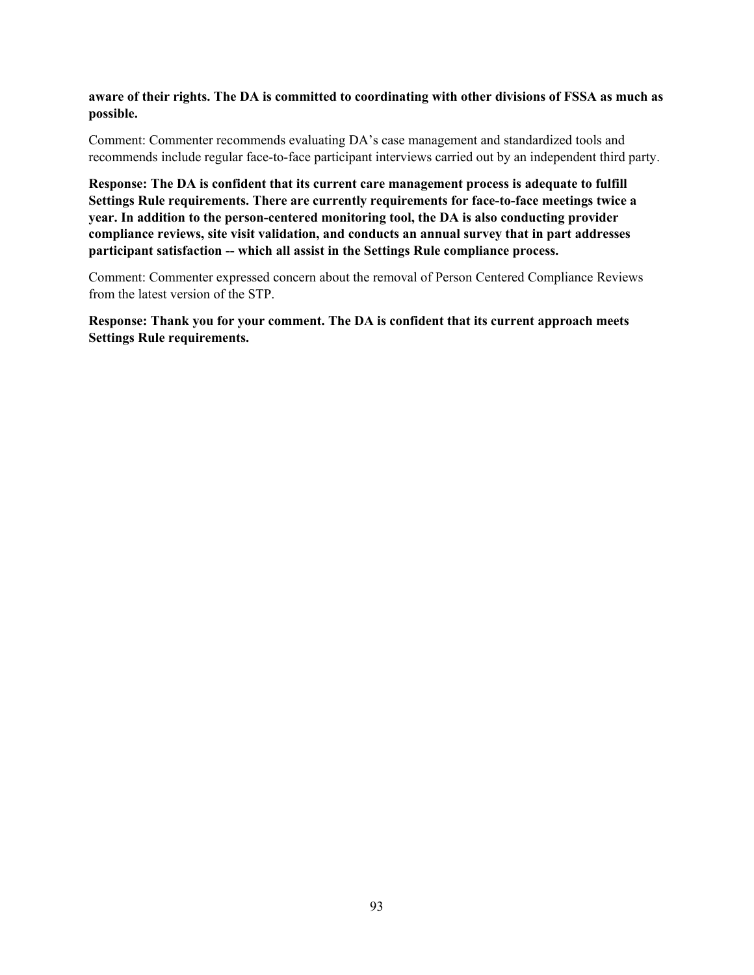#### **aware of their rights. The DA is committed to coordinating with other divisions of FSSA as much as possible.**

Comment: Commenter recommends evaluating DA's case management and standardized tools and recommends include regular face-to-face participant interviews carried out by an independent third party.

**Response: The DA is confident that its current care management process is adequate to fulfill Settings Rule requirements. There are currently requirements for face-to-face meetings twice a year. In addition to the person-centered monitoring tool, the DA is also conducting provider compliance reviews, site visit validation, and conducts an annual survey that in part addresses participant satisfaction -- which all assist in the Settings Rule compliance process.**

Comment: Commenter expressed concern about the removal of Person Centered Compliance Reviews from the latest version of the STP.

**Response: Thank you for your comment. The DA is confident that its current approach meets Settings Rule requirements.**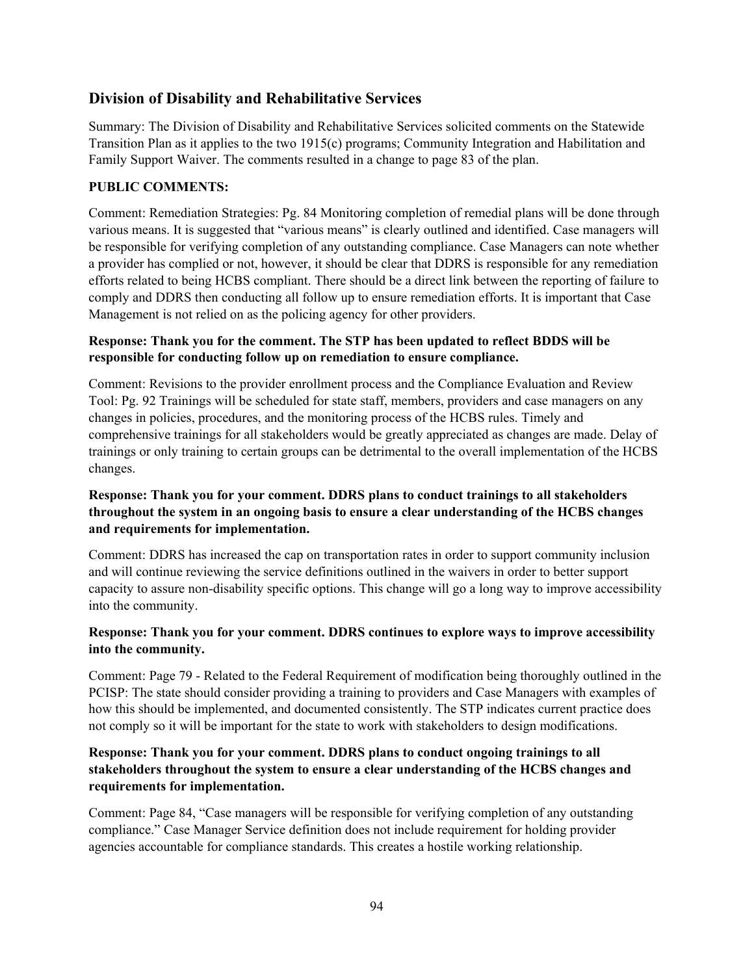# **Division of Disability and Rehabilitative Services**

Summary: The Division of Disability and Rehabilitative Services solicited comments on the Statewide Transition Plan as it applies to the two 1915(c) programs; Community Integration and Habilitation and Family Support Waiver. The comments resulted in a change to page 83 of the plan.

## **PUBLIC COMMENTS:**

Comment: Remediation Strategies: Pg. 84 Monitoring completion of remedial plans will be done through various means. It is suggested that "various means" is clearly outlined and identified. Case managers will be responsible for verifying completion of any outstanding compliance. Case Managers can note whether a provider has complied or not, however, it should be clear that DDRS is responsible for any remediation efforts related to being HCBS compliant. There should be a direct link between the reporting of failure to comply and DDRS then conducting all follow up to ensure remediation efforts. It is important that Case Management is not relied on as the policing agency for other providers.

## **Response: Thank you for the comment. The STP has been updated to reflect BDDS will be responsible for conducting follow up on remediation to ensure compliance.**

Comment: Revisions to the provider enrollment process and the Compliance Evaluation and Review Tool: Pg. 92 Trainings will be scheduled for state staff, members, providers and case managers on any changes in policies, procedures, and the monitoring process of the HCBS rules. Timely and comprehensive trainings for all stakeholders would be greatly appreciated as changes are made. Delay of trainings or only training to certain groups can be detrimental to the overall implementation of the HCBS changes.

## **Response: Thank you for your comment. DDRS plans to conduct trainings to all stakeholders throughout the system in an ongoing basis to ensure a clear understanding of the HCBS changes and requirements for implementation.**

Comment: DDRS has increased the cap on transportation rates in order to support community inclusion and will continue reviewing the service definitions outlined in the waivers in order to better support capacity to assure non-disability specific options. This change will go a long way to improve accessibility into the community.

## **Response: Thank you for your comment. DDRS continues to explore ways to improve accessibility into the community.**

Comment: Page 79 - Related to the Federal Requirement of modification being thoroughly outlined in the PCISP: The state should consider providing a training to providers and Case Managers with examples of how this should be implemented, and documented consistently. The STP indicates current practice does not comply so it will be important for the state to work with stakeholders to design modifications.

## **Response: Thank you for your comment. DDRS plans to conduct ongoing trainings to all stakeholders throughout the system to ensure a clear understanding of the HCBS changes and requirements for implementation.**

Comment: Page 84, "Case managers will be responsible for verifying completion of any outstanding compliance." Case Manager Service definition does not include requirement for holding provider agencies accountable for compliance standards. This creates a hostile working relationship.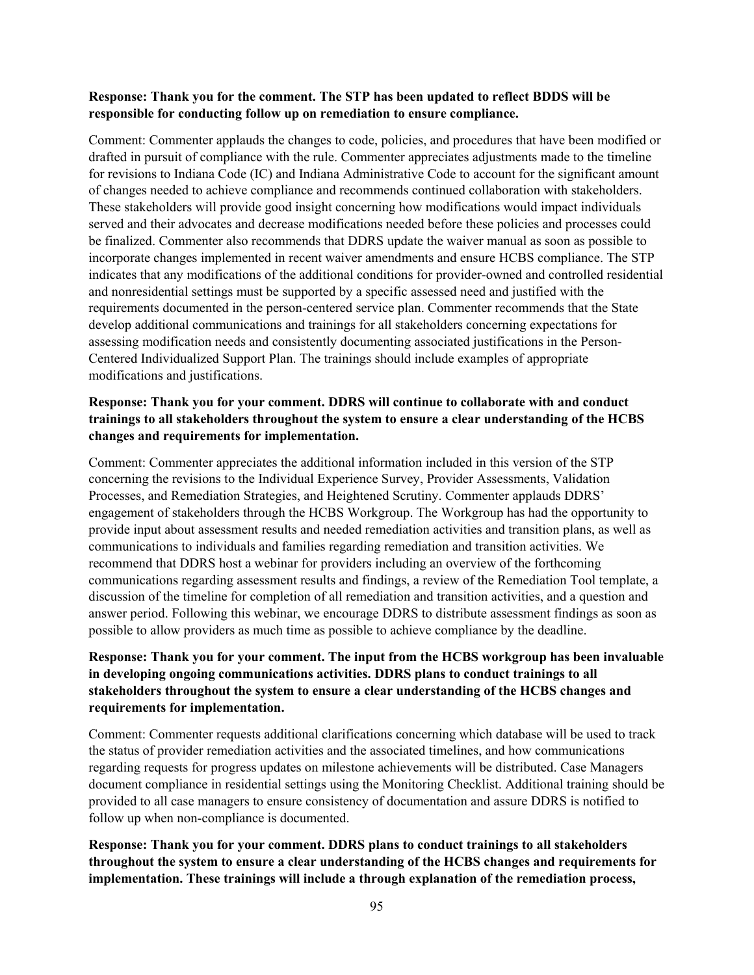#### **Response: Thank you for the comment. The STP has been updated to reflect BDDS will be responsible for conducting follow up on remediation to ensure compliance.**

Comment: Commenter applauds the changes to code, policies, and procedures that have been modified or drafted in pursuit of compliance with the rule. Commenter appreciates adjustments made to the timeline for revisions to Indiana Code (IC) and Indiana Administrative Code to account for the significant amount of changes needed to achieve compliance and recommends continued collaboration with stakeholders. These stakeholders will provide good insight concerning how modifications would impact individuals served and their advocates and decrease modifications needed before these policies and processes could be finalized. Commenter also recommends that DDRS update the waiver manual as soon as possible to incorporate changes implemented in recent waiver amendments and ensure HCBS compliance. The STP indicates that any modifications of the additional conditions for provider-owned and controlled residential and nonresidential settings must be supported by a specific assessed need and justified with the requirements documented in the person-centered service plan. Commenter recommends that the State develop additional communications and trainings for all stakeholders concerning expectations for assessing modification needs and consistently documenting associated justifications in the Person-Centered Individualized Support Plan. The trainings should include examples of appropriate modifications and justifications.

## **Response: Thank you for your comment. DDRS will continue to collaborate with and conduct trainings to all stakeholders throughout the system to ensure a clear understanding of the HCBS changes and requirements for implementation.**

Comment: Commenter appreciates the additional information included in this version of the STP concerning the revisions to the Individual Experience Survey, Provider Assessments, Validation Processes, and Remediation Strategies, and Heightened Scrutiny. Commenter applauds DDRS' engagement of stakeholders through the HCBS Workgroup. The Workgroup has had the opportunity to provide input about assessment results and needed remediation activities and transition plans, as well as communications to individuals and families regarding remediation and transition activities. We recommend that DDRS host a webinar for providers including an overview of the forthcoming communications regarding assessment results and findings, a review of the Remediation Tool template, a discussion of the timeline for completion of all remediation and transition activities, and a question and answer period. Following this webinar, we encourage DDRS to distribute assessment findings as soon as possible to allow providers as much time as possible to achieve compliance by the deadline.

## **Response: Thank you for your comment. The input from the HCBS workgroup has been invaluable in developing ongoing communications activities. DDRS plans to conduct trainings to all stakeholders throughout the system to ensure a clear understanding of the HCBS changes and requirements for implementation.**

Comment: Commenter requests additional clarifications concerning which database will be used to track the status of provider remediation activities and the associated timelines, and how communications regarding requests for progress updates on milestone achievements will be distributed. Case Managers document compliance in residential settings using the Monitoring Checklist. Additional training should be provided to all case managers to ensure consistency of documentation and assure DDRS is notified to follow up when non-compliance is documented.

**Response: Thank you for your comment. DDRS plans to conduct trainings to all stakeholders throughout the system to ensure a clear understanding of the HCBS changes and requirements for implementation. These trainings will include a through explanation of the remediation process,**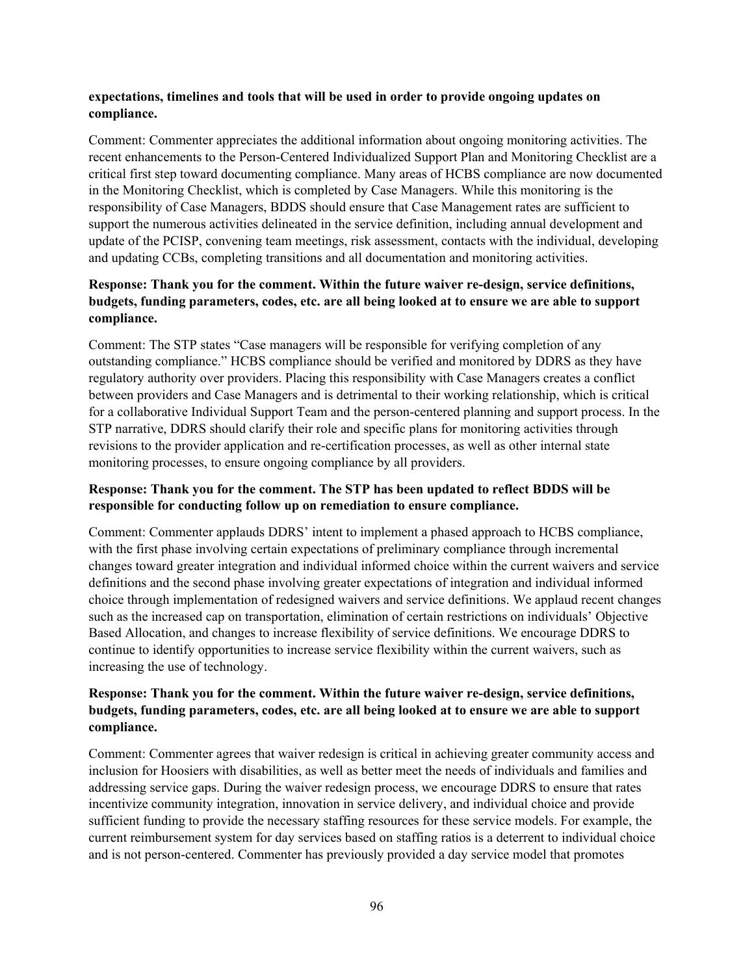#### **expectations, timelines and tools that will be used in order to provide ongoing updates on compliance.**

Comment: Commenter appreciates the additional information about ongoing monitoring activities. The recent enhancements to the Person-Centered Individualized Support Plan and Monitoring Checklist are a critical first step toward documenting compliance. Many areas of HCBS compliance are now documented in the Monitoring Checklist, which is completed by Case Managers. While this monitoring is the responsibility of Case Managers, BDDS should ensure that Case Management rates are sufficient to support the numerous activities delineated in the service definition, including annual development and update of the PCISP, convening team meetings, risk assessment, contacts with the individual, developing and updating CCBs, completing transitions and all documentation and monitoring activities.

## **Response: Thank you for the comment. Within the future waiver re-design, service definitions, budgets, funding parameters, codes, etc. are all being looked at to ensure we are able to support compliance.**

Comment: The STP states "Case managers will be responsible for verifying completion of any outstanding compliance." HCBS compliance should be verified and monitored by DDRS as they have regulatory authority over providers. Placing this responsibility with Case Managers creates a conflict between providers and Case Managers and is detrimental to their working relationship, which is critical for a collaborative Individual Support Team and the person-centered planning and support process. In the STP narrative, DDRS should clarify their role and specific plans for monitoring activities through revisions to the provider application and re-certification processes, as well as other internal state monitoring processes, to ensure ongoing compliance by all providers.

## **Response: Thank you for the comment. The STP has been updated to reflect BDDS will be responsible for conducting follow up on remediation to ensure compliance.**

Comment: Commenter applauds DDRS' intent to implement a phased approach to HCBS compliance, with the first phase involving certain expectations of preliminary compliance through incremental changes toward greater integration and individual informed choice within the current waivers and service definitions and the second phase involving greater expectations of integration and individual informed choice through implementation of redesigned waivers and service definitions. We applaud recent changes such as the increased cap on transportation, elimination of certain restrictions on individuals' Objective Based Allocation, and changes to increase flexibility of service definitions. We encourage DDRS to continue to identify opportunities to increase service flexibility within the current waivers, such as increasing the use of technology.

### **Response: Thank you for the comment. Within the future waiver re-design, service definitions, budgets, funding parameters, codes, etc. are all being looked at to ensure we are able to support compliance.**

Comment: Commenter agrees that waiver redesign is critical in achieving greater community access and inclusion for Hoosiers with disabilities, as well as better meet the needs of individuals and families and addressing service gaps. During the waiver redesign process, we encourage DDRS to ensure that rates incentivize community integration, innovation in service delivery, and individual choice and provide sufficient funding to provide the necessary staffing resources for these service models. For example, the current reimbursement system for day services based on staffing ratios is a deterrent to individual choice and is not person-centered. Commenter has previously provided a day service model that promotes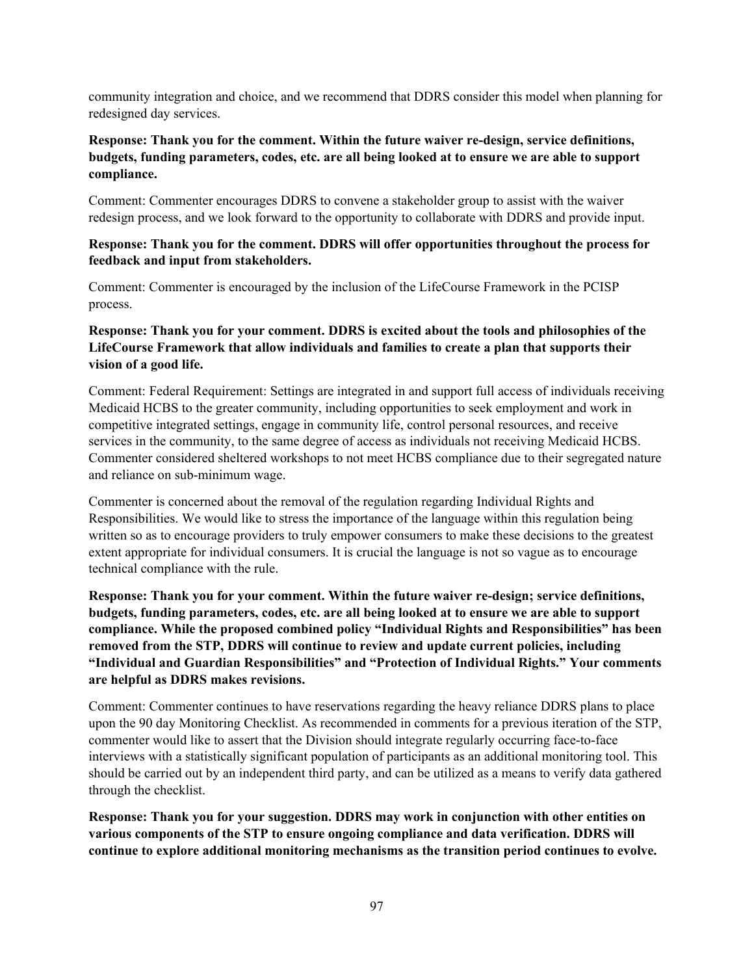community integration and choice, and we recommend that DDRS consider this model when planning for redesigned day services.

## **Response: Thank you for the comment. Within the future waiver re-design, service definitions, budgets, funding parameters, codes, etc. are all being looked at to ensure we are able to support compliance.**

Comment: Commenter encourages DDRS to convene a stakeholder group to assist with the waiver redesign process, and we look forward to the opportunity to collaborate with DDRS and provide input.

#### **Response: Thank you for the comment. DDRS will offer opportunities throughout the process for feedback and input from stakeholders.**

Comment: Commenter is encouraged by the inclusion of the LifeCourse Framework in the PCISP process.

### **Response: Thank you for your comment. DDRS is excited about the tools and philosophies of the LifeCourse Framework that allow individuals and families to create a plan that supports their vision of a good life.**

Comment: Federal Requirement: Settings are integrated in and support full access of individuals receiving Medicaid HCBS to the greater community, including opportunities to seek employment and work in competitive integrated settings, engage in community life, control personal resources, and receive services in the community, to the same degree of access as individuals not receiving Medicaid HCBS. Commenter considered sheltered workshops to not meet HCBS compliance due to their segregated nature and reliance on sub-minimum wage.

Commenter is concerned about the removal of the regulation regarding Individual Rights and Responsibilities. We would like to stress the importance of the language within this regulation being written so as to encourage providers to truly empower consumers to make these decisions to the greatest extent appropriate for individual consumers. It is crucial the language is not so vague as to encourage technical compliance with the rule.

**Response: Thank you for your comment. Within the future waiver re-design; service definitions, budgets, funding parameters, codes, etc. are all being looked at to ensure we are able to support compliance. While the proposed combined policy "Individual Rights and Responsibilities" has been removed from the STP, DDRS will continue to review and update current policies, including "Individual and Guardian Responsibilities" and "Protection of Individual Rights." Your comments are helpful as DDRS makes revisions.**

Comment: Commenter continues to have reservations regarding the heavy reliance DDRS plans to place upon the 90 day Monitoring Checklist. As recommended in comments for a previous iteration of the STP, commenter would like to assert that the Division should integrate regularly occurring face-to-face interviews with a statistically significant population of participants as an additional monitoring tool. This should be carried out by an independent third party, and can be utilized as a means to verify data gathered through the checklist.

**Response: Thank you for your suggestion. DDRS may work in conjunction with other entities on various components of the STP to ensure ongoing compliance and data verification. DDRS will continue to explore additional monitoring mechanisms as the transition period continues to evolve.**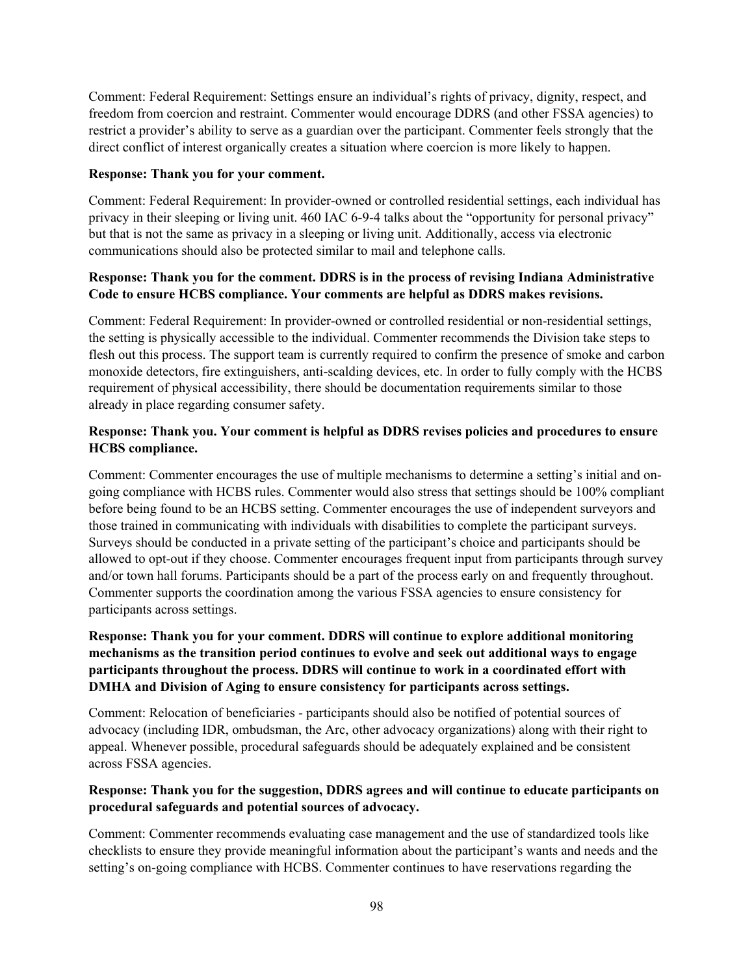Comment: Federal Requirement: Settings ensure an individual's rights of privacy, dignity, respect, and freedom from coercion and restraint. Commenter would encourage DDRS (and other FSSA agencies) to restrict a provider's ability to serve as a guardian over the participant. Commenter feels strongly that the direct conflict of interest organically creates a situation where coercion is more likely to happen.

#### **Response: Thank you for your comment.**

Comment: Federal Requirement: In provider-owned or controlled residential settings, each individual has privacy in their sleeping or living unit. 460 IAC 6-9-4 talks about the "opportunity for personal privacy" but that is not the same as privacy in a sleeping or living unit. Additionally, access via electronic communications should also be protected similar to mail and telephone calls.

## **Response: Thank you for the comment. DDRS is in the process of revising Indiana Administrative Code to ensure HCBS compliance. Your comments are helpful as DDRS makes revisions.**

Comment: Federal Requirement: In provider-owned or controlled residential or non-residential settings, the setting is physically accessible to the individual. Commenter recommends the Division take steps to flesh out this process. The support team is currently required to confirm the presence of smoke and carbon monoxide detectors, fire extinguishers, anti-scalding devices, etc. In order to fully comply with the HCBS requirement of physical accessibility, there should be documentation requirements similar to those already in place regarding consumer safety.

## **Response: Thank you. Your comment is helpful as DDRS revises policies and procedures to ensure HCBS compliance.**

Comment: Commenter encourages the use of multiple mechanisms to determine a setting's initial and ongoing compliance with HCBS rules. Commenter would also stress that settings should be 100% compliant before being found to be an HCBS setting. Commenter encourages the use of independent surveyors and those trained in communicating with individuals with disabilities to complete the participant surveys. Surveys should be conducted in a private setting of the participant's choice and participants should be allowed to opt-out if they choose. Commenter encourages frequent input from participants through survey and/or town hall forums. Participants should be a part of the process early on and frequently throughout. Commenter supports the coordination among the various FSSA agencies to ensure consistency for participants across settings.

## **Response: Thank you for your comment. DDRS will continue to explore additional monitoring mechanisms as the transition period continues to evolve and seek out additional ways to engage participants throughout the process. DDRS will continue to work in a coordinated effort with DMHA and Division of Aging to ensure consistency for participants across settings.**

Comment: Relocation of beneficiaries - participants should also be notified of potential sources of advocacy (including IDR, ombudsman, the Arc, other advocacy organizations) along with their right to appeal. Whenever possible, procedural safeguards should be adequately explained and be consistent across FSSA agencies.

#### **Response: Thank you for the suggestion, DDRS agrees and will continue to educate participants on procedural safeguards and potential sources of advocacy.**

Comment: Commenter recommends evaluating case management and the use of standardized tools like checklists to ensure they provide meaningful information about the participant's wants and needs and the setting's on-going compliance with HCBS. Commenter continues to have reservations regarding the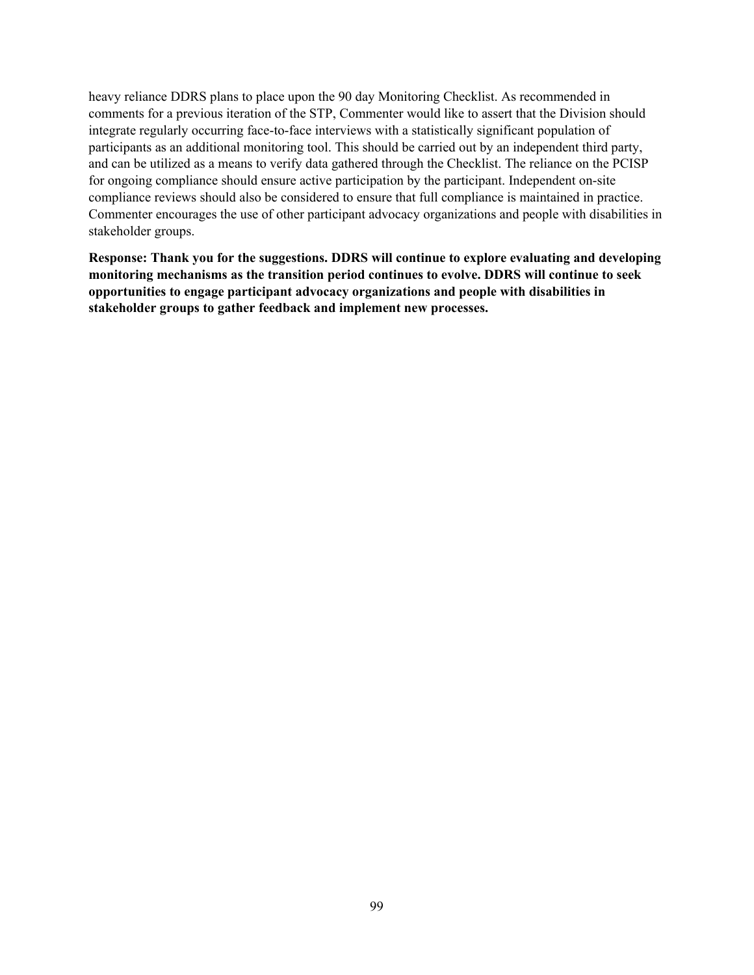heavy reliance DDRS plans to place upon the 90 day Monitoring Checklist. As recommended in comments for a previous iteration of the STP, Commenter would like to assert that the Division should integrate regularly occurring face-to-face interviews with a statistically significant population of participants as an additional monitoring tool. This should be carried out by an independent third party, and can be utilized as a means to verify data gathered through the Checklist. The reliance on the PCISP for ongoing compliance should ensure active participation by the participant. Independent on-site compliance reviews should also be considered to ensure that full compliance is maintained in practice. Commenter encourages the use of other participant advocacy organizations and people with disabilities in stakeholder groups.

**Response: Thank you for the suggestions. DDRS will continue to explore evaluating and developing monitoring mechanisms as the transition period continues to evolve. DDRS will continue to seek opportunities to engage participant advocacy organizations and people with disabilities in stakeholder groups to gather feedback and implement new processes.**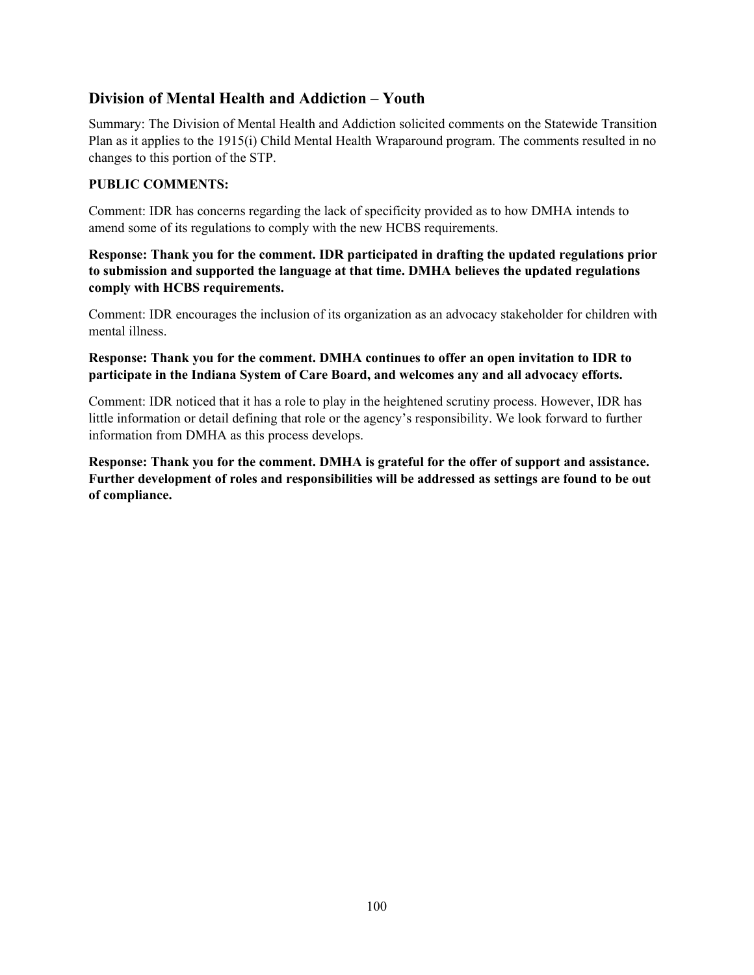# **Division of Mental Health and Addiction – Youth**

Summary: The Division of Mental Health and Addiction solicited comments on the Statewide Transition Plan as it applies to the 1915(i) Child Mental Health Wraparound program. The comments resulted in no changes to this portion of the STP.

## **PUBLIC COMMENTS:**

Comment: IDR has concerns regarding the lack of specificity provided as to how DMHA intends to amend some of its regulations to comply with the new HCBS requirements.

**Response: Thank you for the comment. IDR participated in drafting the updated regulations prior to submission and supported the language at that time. DMHA believes the updated regulations comply with HCBS requirements.**

Comment: IDR encourages the inclusion of its organization as an advocacy stakeholder for children with mental illness.

#### **Response: Thank you for the comment. DMHA continues to offer an open invitation to IDR to participate in the Indiana System of Care Board, and welcomes any and all advocacy efforts.**

Comment: IDR noticed that it has a role to play in the heightened scrutiny process. However, IDR has little information or detail defining that role or the agency's responsibility. We look forward to further information from DMHA as this process develops.

**Response: Thank you for the comment. DMHA is grateful for the offer of support and assistance. Further development of roles and responsibilities will be addressed as settings are found to be out of compliance.**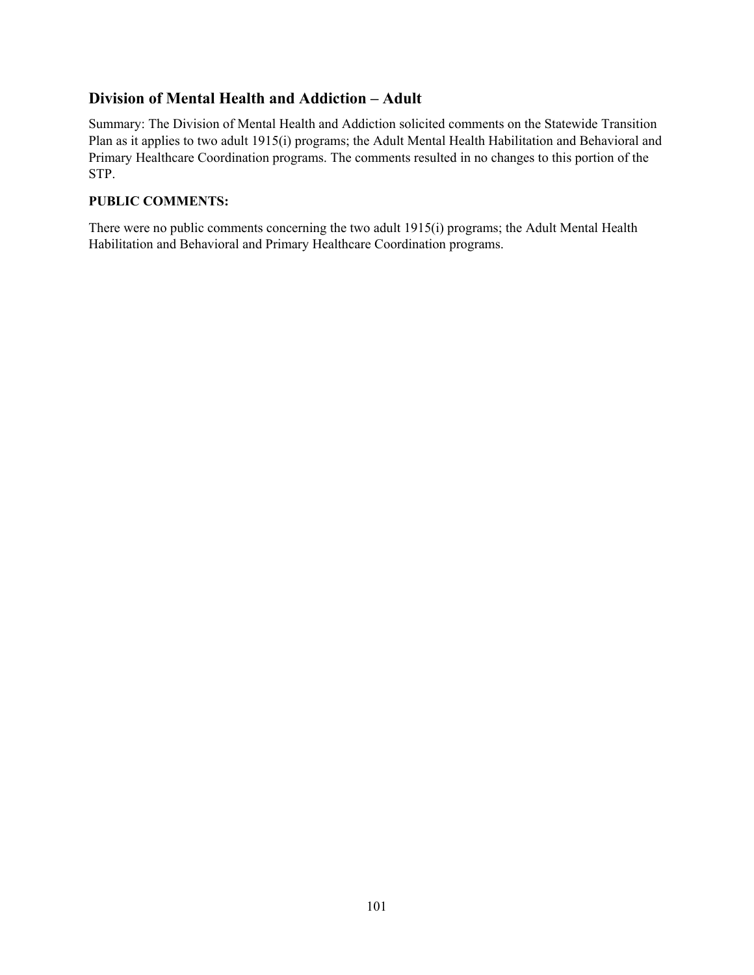# **Division of Mental Health and Addiction – Adult**

Summary: The Division of Mental Health and Addiction solicited comments on the Statewide Transition Plan as it applies to two adult 1915(i) programs; the Adult Mental Health Habilitation and Behavioral and Primary Healthcare Coordination programs. The comments resulted in no changes to this portion of the STP.

## **PUBLIC COMMENTS:**

There were no public comments concerning the two adult 1915(i) programs; the Adult Mental Health Habilitation and Behavioral and Primary Healthcare Coordination programs.